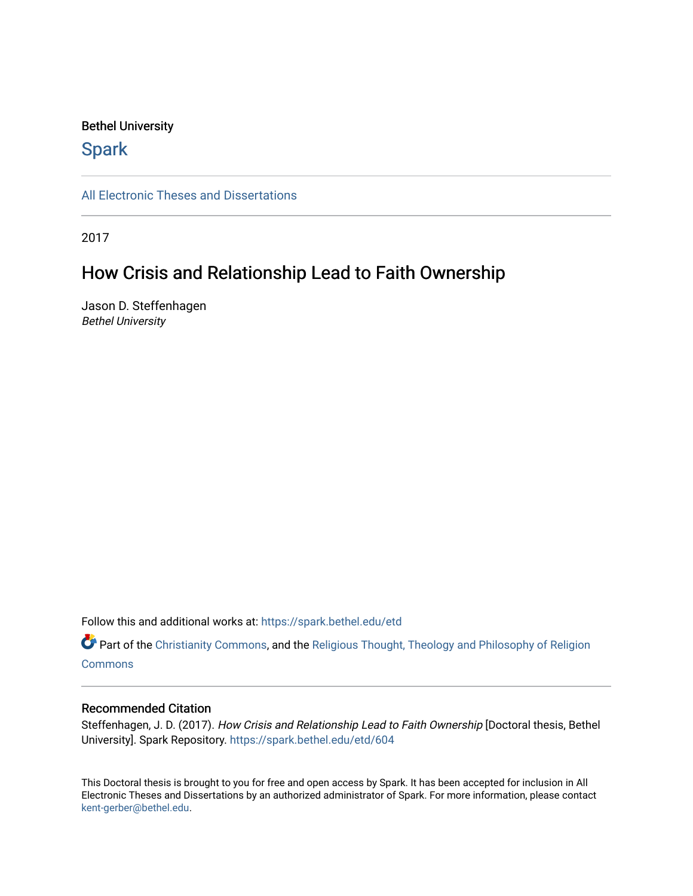#### Bethel University

## **Spark**

[All Electronic Theses and Dissertations](https://spark.bethel.edu/etd) 

2017

## How Crisis and Relationship Lead to Faith Ownership

Jason D. Steffenhagen Bethel University

Follow this and additional works at: [https://spark.bethel.edu/etd](https://spark.bethel.edu/etd?utm_source=spark.bethel.edu%2Fetd%2F604&utm_medium=PDF&utm_campaign=PDFCoverPages)

Part of the [Christianity Commons,](http://network.bepress.com/hgg/discipline/1181?utm_source=spark.bethel.edu%2Fetd%2F604&utm_medium=PDF&utm_campaign=PDFCoverPages) and the Religious Thought, Theology and Philosophy of Religion **[Commons](http://network.bepress.com/hgg/discipline/544?utm_source=spark.bethel.edu%2Fetd%2F604&utm_medium=PDF&utm_campaign=PDFCoverPages)** 

#### Recommended Citation

Steffenhagen, J. D. (2017). How Crisis and Relationship Lead to Faith Ownership [Doctoral thesis, Bethel University]. Spark Repository. [https://spark.bethel.edu/etd/604](https://spark.bethel.edu/etd/604?utm_source=spark.bethel.edu%2Fetd%2F604&utm_medium=PDF&utm_campaign=PDFCoverPages) 

This Doctoral thesis is brought to you for free and open access by Spark. It has been accepted for inclusion in All Electronic Theses and Dissertations by an authorized administrator of Spark. For more information, please contact [kent-gerber@bethel.edu](mailto:kent-gerber@bethel.edu).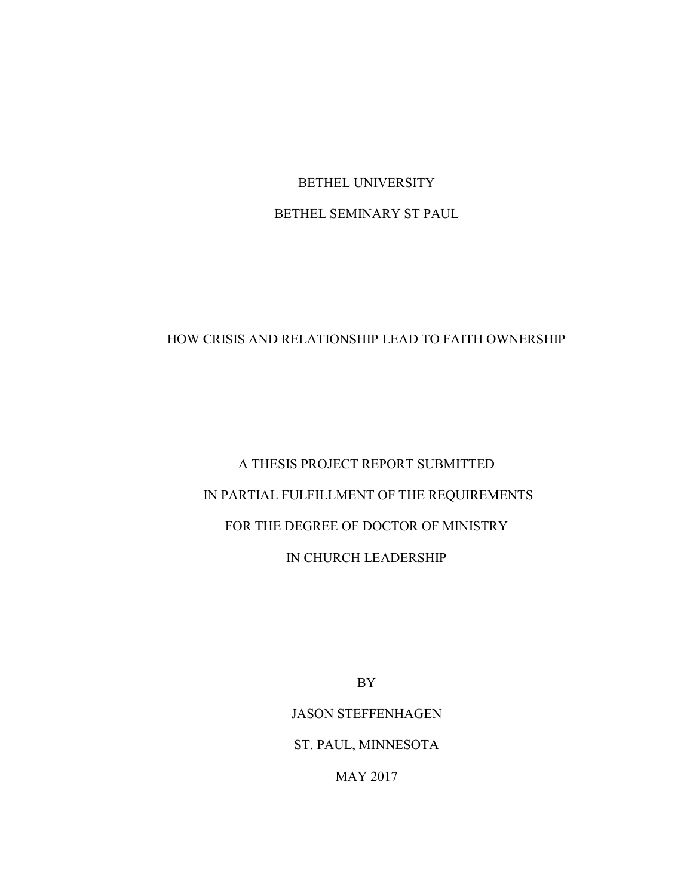## BETHEL UNIVERSITY BETHEL SEMINARY ST PAUL

### HOW CRISIS AND RELATIONSHIP LEAD TO FAITH OWNERSHIP

## A THESIS PROJECT REPORT SUBMITTED IN PARTIAL FULFILLMENT OF THE REQUIREMENTS FOR THE DEGREE OF DOCTOR OF MINISTRY IN CHURCH LEADERSHIP

BY

JASON STEFFENHAGEN ST. PAUL, MINNESOTA

MAY 2017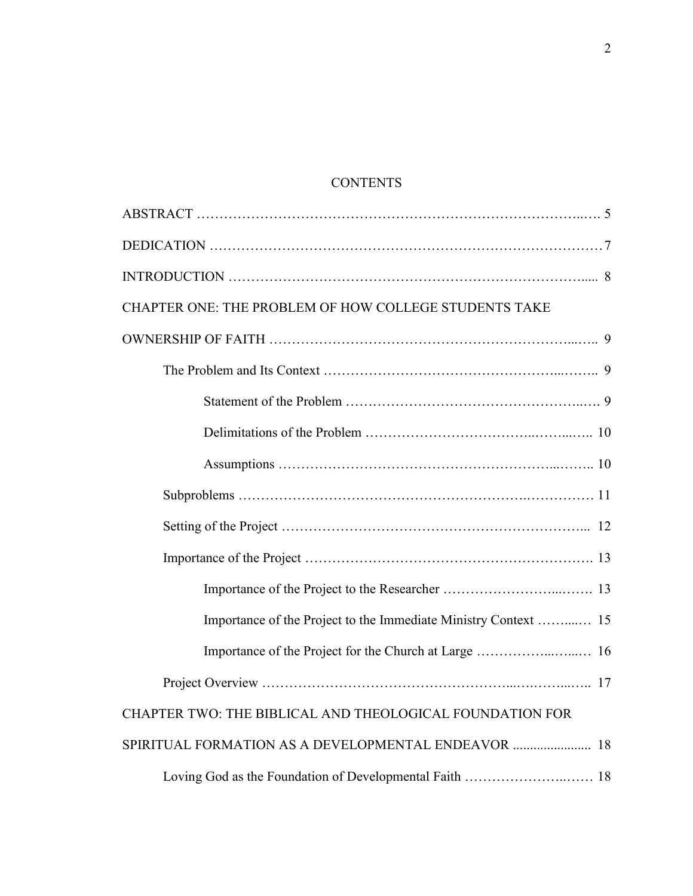## **CONTENTS**

| CHAPTER ONE: THE PROBLEM OF HOW COLLEGE STUDENTS TAKE    |
|----------------------------------------------------------|
|                                                          |
|                                                          |
|                                                          |
|                                                          |
|                                                          |
|                                                          |
|                                                          |
|                                                          |
|                                                          |
|                                                          |
|                                                          |
|                                                          |
| CHAPTER TWO: THE BIBLICAL AND THEOLOGICAL FOUNDATION FOR |
| SPIRITUAL FORMATION AS A DEVELOPMENTAL ENDEAVOR  18      |
|                                                          |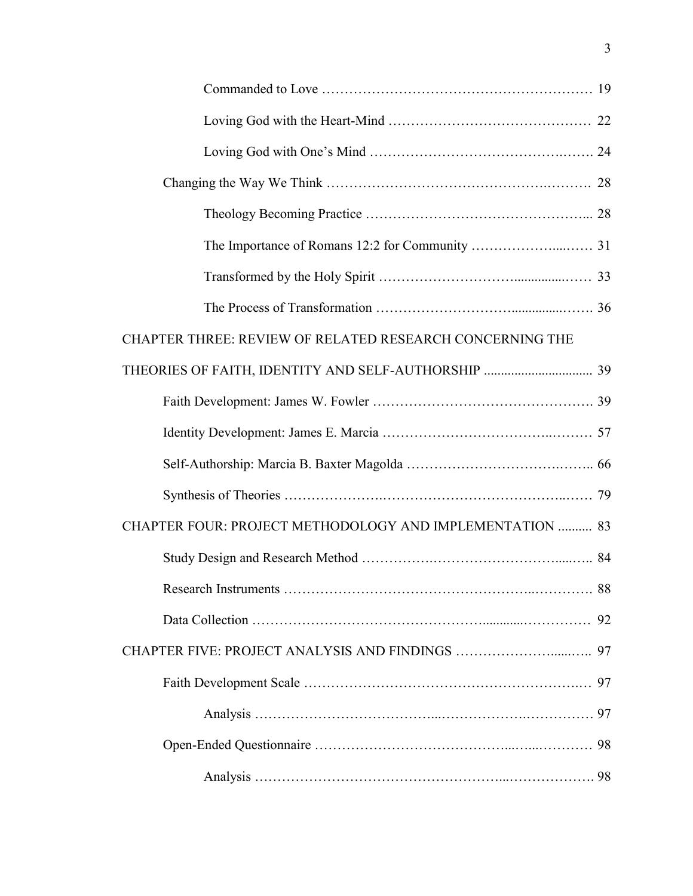| CHAPTER THREE: REVIEW OF RELATED RESEARCH CONCERNING THE |  |
|----------------------------------------------------------|--|
|                                                          |  |
|                                                          |  |
|                                                          |  |
|                                                          |  |
|                                                          |  |
| CHAPTER FOUR: PROJECT METHODOLOGY AND IMPLEMENTATION  83 |  |
|                                                          |  |
|                                                          |  |
|                                                          |  |
|                                                          |  |
|                                                          |  |
|                                                          |  |
|                                                          |  |
|                                                          |  |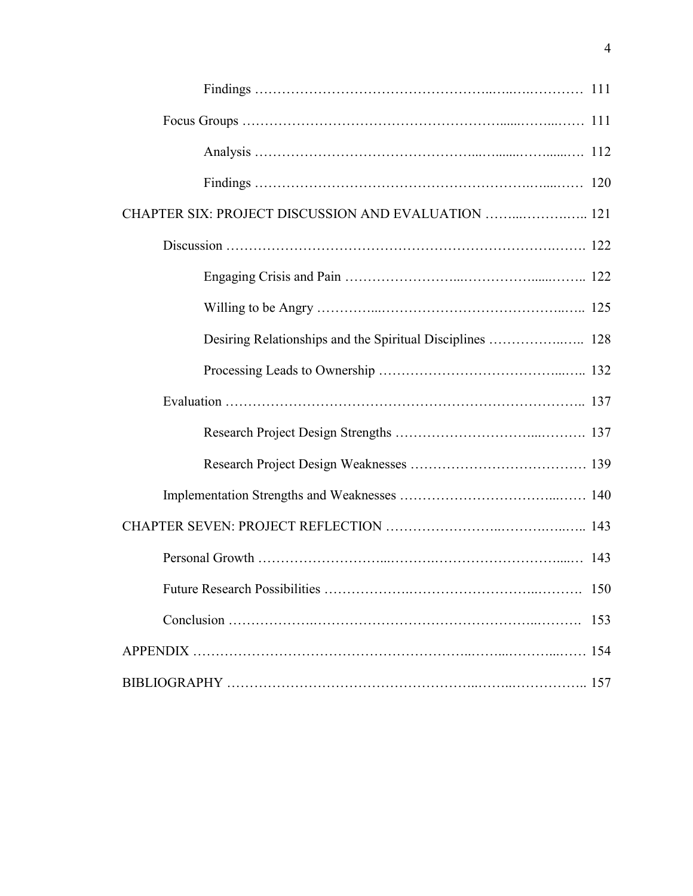| CHAPTER SIX: PROJECT DISCUSSION AND EVALUATION  121 |
|-----------------------------------------------------|
|                                                     |
|                                                     |
|                                                     |
|                                                     |
|                                                     |
|                                                     |
|                                                     |
|                                                     |
|                                                     |
|                                                     |
|                                                     |
|                                                     |
| 153                                                 |
|                                                     |
|                                                     |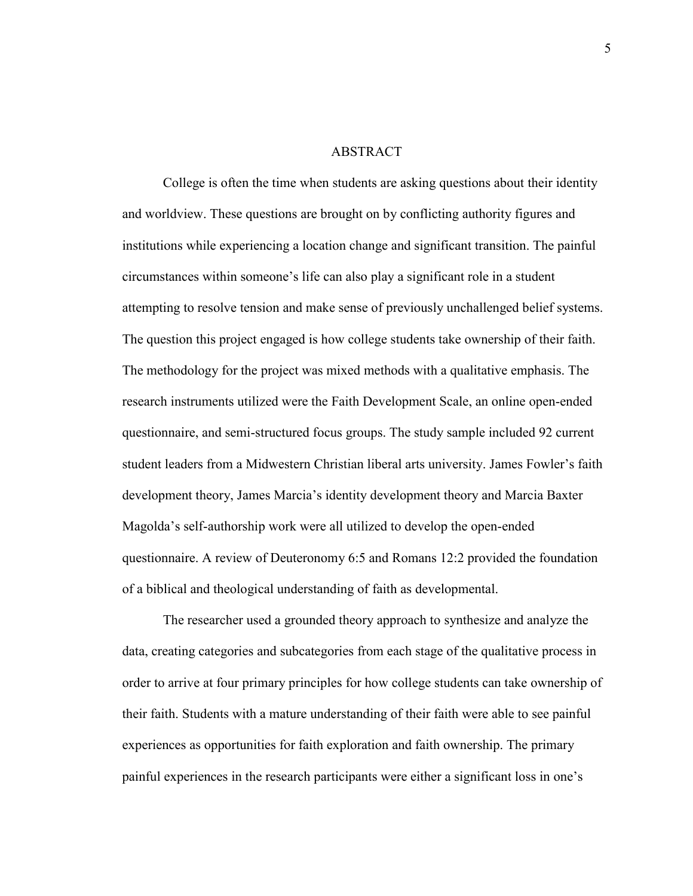#### **ABSTRACT**

College is often the time when students are asking questions about their identity and worldview. These questions are brought on by conflicting authority figures and institutions while experiencing a location change and significant transition. The painful circumstances within someone's life can also play a significant role in a student attempting to resolve tension and make sense of previously unchallenged belief systems. The question this project engaged is how college students take ownership of their faith. The methodology for the project was mixed methods with a qualitative emphasis. The research instruments utilized were the Faith Development Scale, an online open-ended questionnaire, and semi-structured focus groups. The study sample included 92 current student leaders from a Midwestern Christian liberal arts university. James Fowler's faith development theory, James Marcia's identity development theory and Marcia Baxter Magolda's self-authorship work were all utilized to develop the open-ended questionnaire. A review of Deuteronomy 6:5 and Romans 12:2 provided the foundation of a biblical and theological understanding of faith as developmental.

The researcher used a grounded theory approach to synthesize and analyze the data, creating categories and subcategories from each stage of the qualitative process in order to arrive at four primary principles for how college students can take ownership of their faith. Students with a mature understanding of their faith were able to see painful experiences as opportunities for faith exploration and faith ownership. The primary painful experiences in the research participants were either a significant loss in one's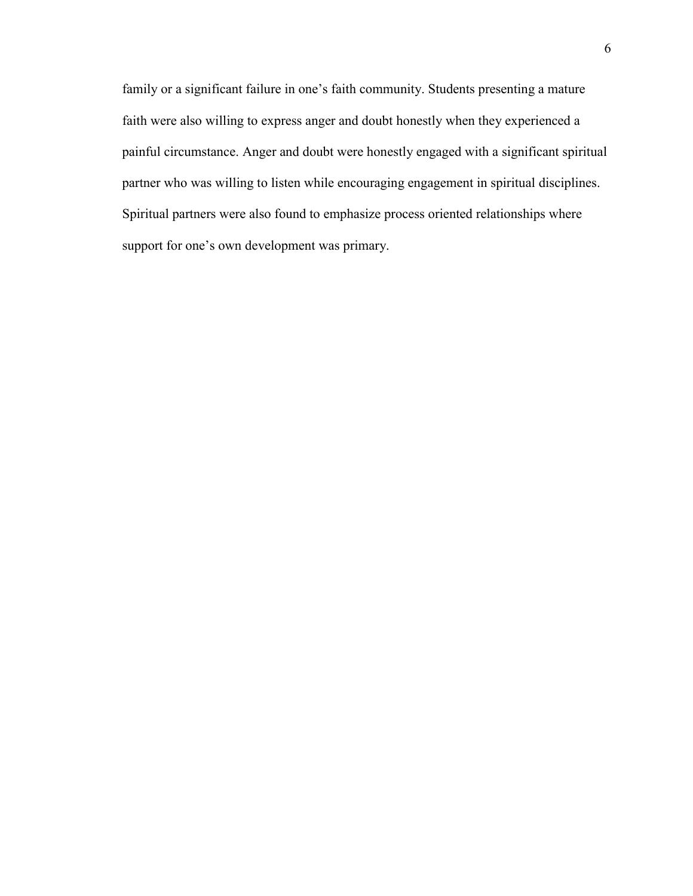family or a significant failure in one's faith community. Students presenting a mature faith were also willing to express anger and doubt honestly when they experienced a painful circumstance. Anger and doubt were honestly engaged with a significant spiritual partner who was willing to listen while encouraging engagement in spiritual disciplines. Spiritual partners were also found to emphasize process oriented relationships where support for one's own development was primary.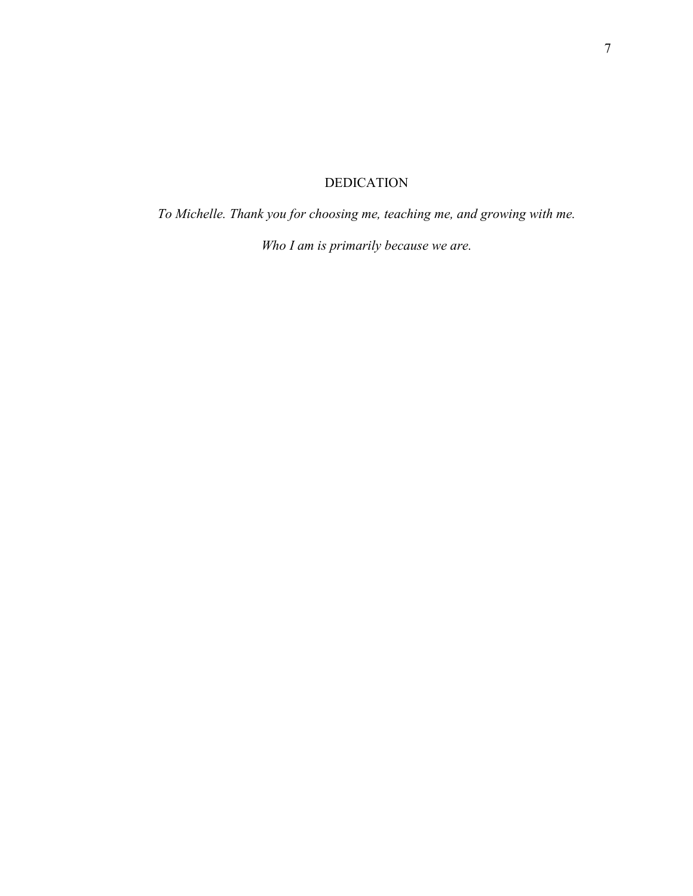## DEDICATION

*To Michelle. Thank you for choosing me, teaching me, and growing with me.* 

*Who I am is primarily because we are.*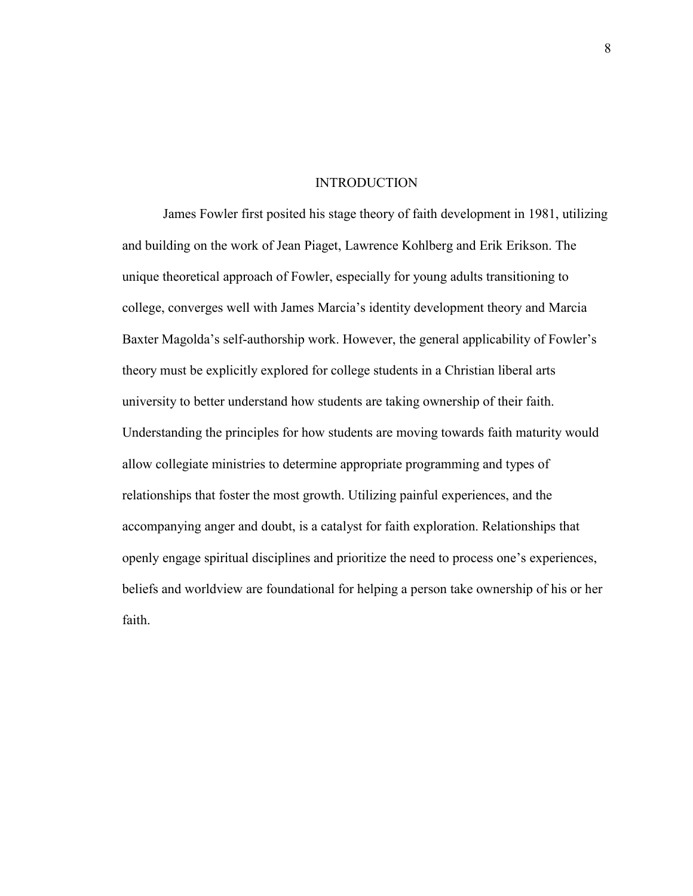#### INTRODUCTION

James Fowler first posited his stage theory of faith development in 1981, utilizing and building on the work of Jean Piaget, Lawrence Kohlberg and Erik Erikson. The unique theoretical approach of Fowler, especially for young adults transitioning to college, converges well with James Marcia's identity development theory and Marcia Baxter Magolda's self-authorship work. However, the general applicability of Fowler's theory must be explicitly explored for college students in a Christian liberal arts university to better understand how students are taking ownership of their faith. Understanding the principles for how students are moving towards faith maturity would allow collegiate ministries to determine appropriate programming and types of relationships that foster the most growth. Utilizing painful experiences, and the accompanying anger and doubt, is a catalyst for faith exploration. Relationships that openly engage spiritual disciplines and prioritize the need to process one's experiences, beliefs and worldview are foundational for helping a person take ownership of his or her faith.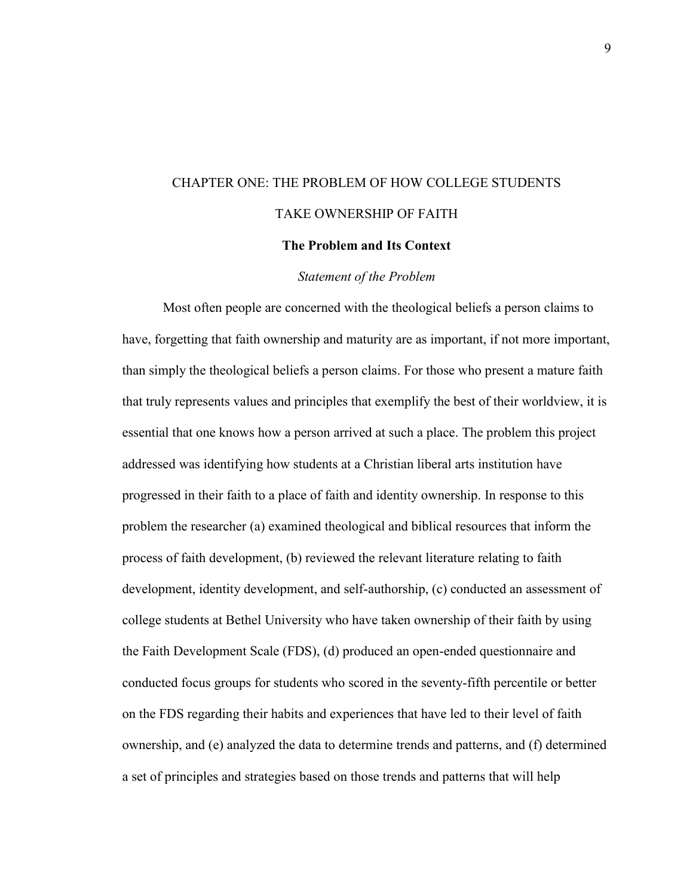# CHAPTER ONE: THE PROBLEM OF HOW COLLEGE STUDENTS TAKE OWNERSHIP OF FAITH

## **The Problem and Its Context**

#### *Statement of the Problem*

Most often people are concerned with the theological beliefs a person claims to have, forgetting that faith ownership and maturity are as important, if not more important, than simply the theological beliefs a person claims. For those who present a mature faith that truly represents values and principles that exemplify the best of their worldview, it is essential that one knows how a person arrived at such a place. The problem this project addressed was identifying how students at a Christian liberal arts institution have progressed in their faith to a place of faith and identity ownership. In response to this problem the researcher (a) examined theological and biblical resources that inform the process of faith development, (b) reviewed the relevant literature relating to faith development, identity development, and self-authorship, (c) conducted an assessment of college students at Bethel University who have taken ownership of their faith by using the Faith Development Scale (FDS), (d) produced an open-ended questionnaire and conducted focus groups for students who scored in the seventy-fifth percentile or better on the FDS regarding their habits and experiences that have led to their level of faith ownership, and (e) analyzed the data to determine trends and patterns, and (f) determined a set of principles and strategies based on those trends and patterns that will help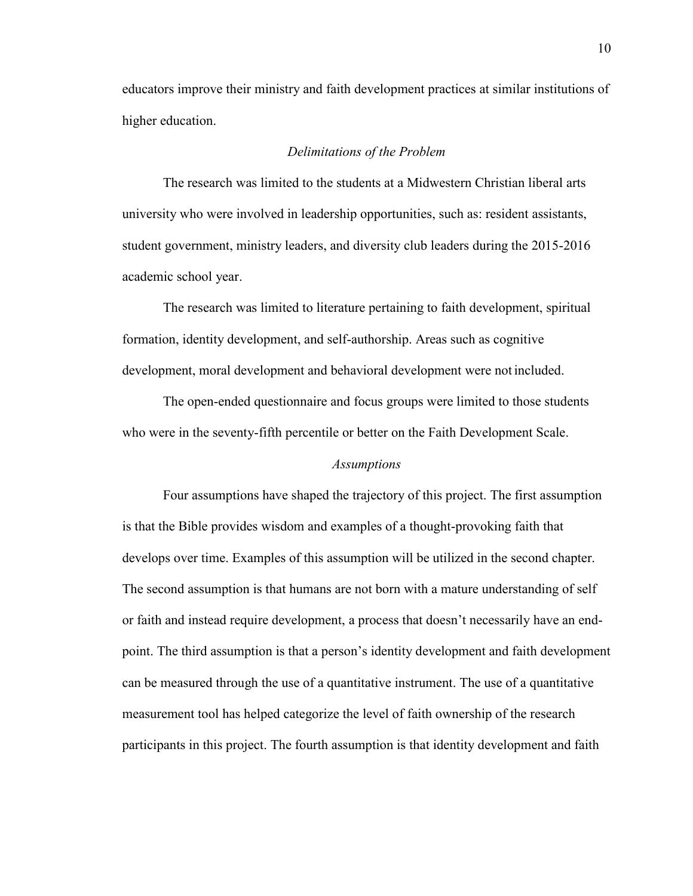educators improve their ministry and faith development practices at similar institutions of higher education.

#### *Delimitations of the Problem*

The research was limited to the students at a Midwestern Christian liberal arts university who were involved in leadership opportunities, such as: resident assistants, student government, ministry leaders, and diversity club leaders during the 2015-2016 academic school year.

The research was limited to literature pertaining to faith development, spiritual formation, identity development, and self-authorship. Areas such as cognitive development, moral development and behavioral development were not included.

The open-ended questionnaire and focus groups were limited to those students who were in the seventy-fifth percentile or better on the Faith Development Scale.

#### *Assumptions*

Four assumptions have shaped the trajectory of this project. The first assumption is that the Bible provides wisdom and examples of a thought-provoking faith that develops over time. Examples of this assumption will be utilized in the second chapter. The second assumption is that humans are not born with a mature understanding of self or faith and instead require development, a process that doesn't necessarily have an endpoint. The third assumption is that a person's identity development and faith development can be measured through the use of a quantitative instrument. The use of a quantitative measurement tool has helped categorize the level of faith ownership of the research participants in this project. The fourth assumption is that identity development and faith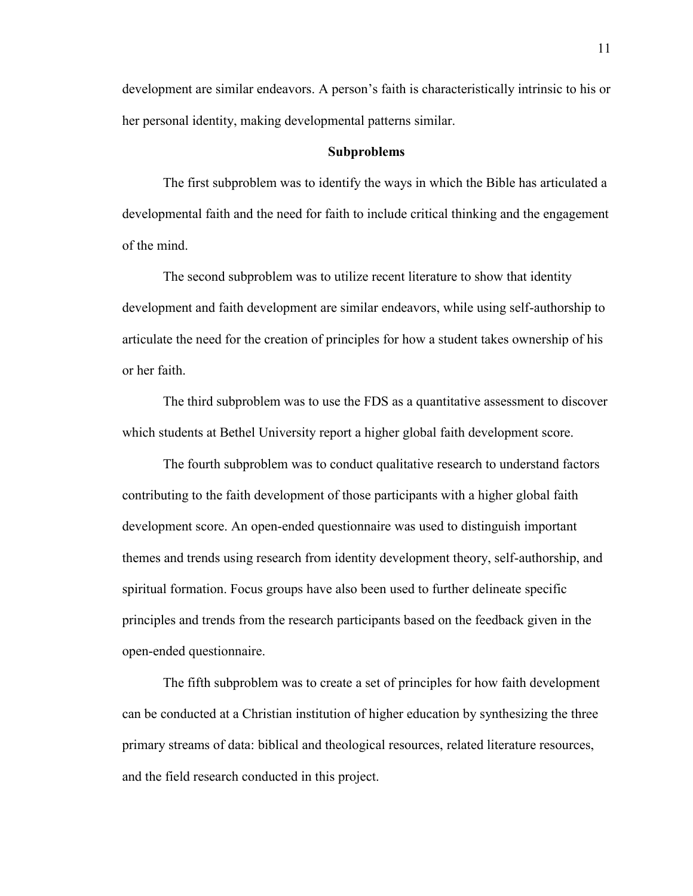development are similar endeavors. A person's faith is characteristically intrinsic to his or her personal identity, making developmental patterns similar.

#### **Subproblems**

The first subproblem was to identify the ways in which the Bible has articulated a developmental faith and the need for faith to include critical thinking and the engagement of the mind.

The second subproblem was to utilize recent literature to show that identity development and faith development are similar endeavors, while using self-authorship to articulate the need for the creation of principles for how a student takes ownership of his or her faith.

The third subproblem was to use the FDS as a quantitative assessment to discover which students at Bethel University report a higher global faith development score.

The fourth subproblem was to conduct qualitative research to understand factors contributing to the faith development of those participants with a higher global faith development score. An open-ended questionnaire was used to distinguish important themes and trends using research from identity development theory, self-authorship, and spiritual formation. Focus groups have also been used to further delineate specific principles and trends from the research participants based on the feedback given in the open-ended questionnaire.

The fifth subproblem was to create a set of principles for how faith development can be conducted at a Christian institution of higher education by synthesizing the three primary streams of data: biblical and theological resources, related literature resources, and the field research conducted in this project.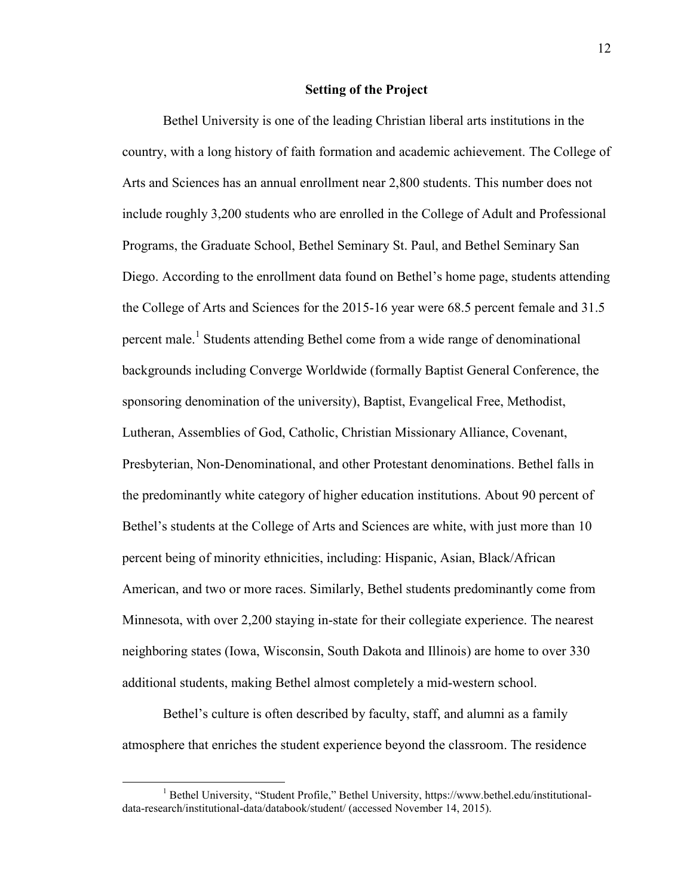#### **Setting of the Project**

Bethel University is one of the leading Christian liberal arts institutions in the country, with a long history of faith formation and academic achievement. The College of Arts and Sciences has an annual enrollment near 2,800 students. This number does not include roughly 3,200 students who are enrolled in the College of Adult and Professional Programs, the Graduate School, Bethel Seminary St. Paul, and Bethel Seminary San Diego. According to the enrollment data found on Bethel's home page, students attending the College of Arts and Sciences for the 2015-16 year were 68.5 percent female and 31.5 percent male.<sup>1</sup> Students attending Bethel come from a wide range of denominational backgrounds including Converge Worldwide (formally Baptist General Conference, the sponsoring denomination of the university), Baptist, Evangelical Free, Methodist, Lutheran, Assemblies of God, Catholic, Christian Missionary Alliance, Covenant, Presbyterian, Non-Denominational, and other Protestant denominations. Bethel falls in the predominantly white category of higher education institutions. About 90 percent of Bethel's students at the College of Arts and Sciences are white, with just more than 10 percent being of minority ethnicities, including: Hispanic, Asian, Black/African American, and two or more races. Similarly, Bethel students predominantly come from Minnesota, with over 2,200 staying in-state for their collegiate experience. The nearest neighboring states (Iowa, Wisconsin, South Dakota and Illinois) are home to over 330 additional students, making Bethel almost completely a mid-western school.

Bethel's culture is often described by faculty, staff, and alumni as a family atmosphere that enriches the student experience beyond the classroom. The residence

<sup>&</sup>lt;sup>1</sup> Bethel University, "Student Profile," Bethel University, https://www.bethel.edu/institutionaldata-research/institutional-data/databook/student/ (accessed November 14, 2015).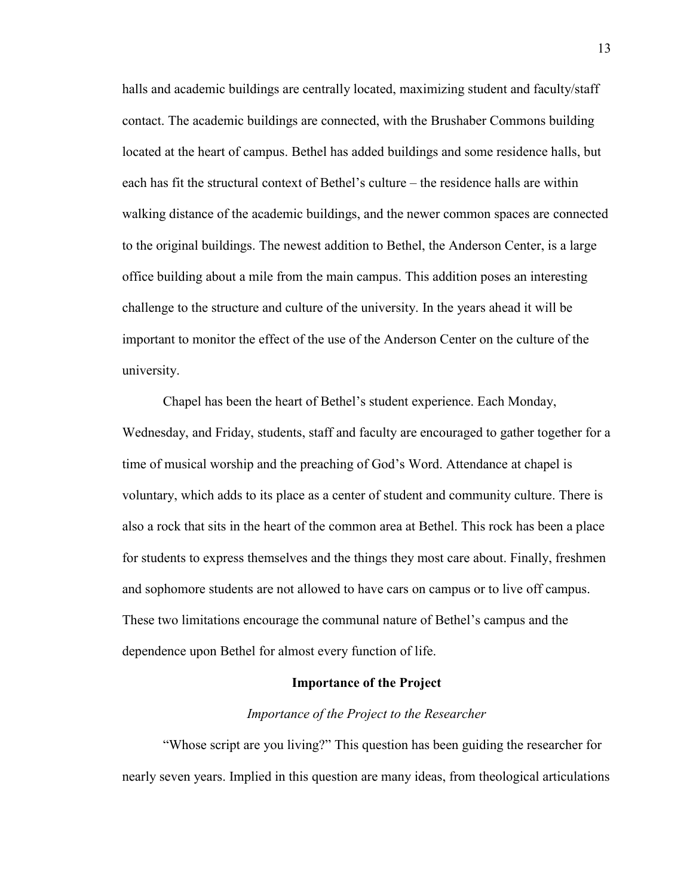halls and academic buildings are centrally located, maximizing student and faculty/staff contact. The academic buildings are connected, with the Brushaber Commons building located at the heart of campus. Bethel has added buildings and some residence halls, but each has fit the structural context of Bethel's culture – the residence halls are within walking distance of the academic buildings, and the newer common spaces are connected to the original buildings. The newest addition to Bethel, the Anderson Center, is a large office building about a mile from the main campus. This addition poses an interesting challenge to the structure and culture of the university. In the years ahead it will be important to monitor the effect of the use of the Anderson Center on the culture of the university.

Chapel has been the heart of Bethel's student experience. Each Monday, Wednesday, and Friday, students, staff and faculty are encouraged to gather together for a time of musical worship and the preaching of God's Word. Attendance at chapel is voluntary, which adds to its place as a center of student and community culture. There is also a rock that sits in the heart of the common area at Bethel. This rock has been a place for students to express themselves and the things they most care about. Finally, freshmen and sophomore students are not allowed to have cars on campus or to live off campus. These two limitations encourage the communal nature of Bethel's campus and the dependence upon Bethel for almost every function of life.

#### **Importance of the Project**

#### *Importance of the Project to the Researcher*

"Whose script are you living?" This question has been guiding the researcher for nearly seven years. Implied in this question are many ideas, from theological articulations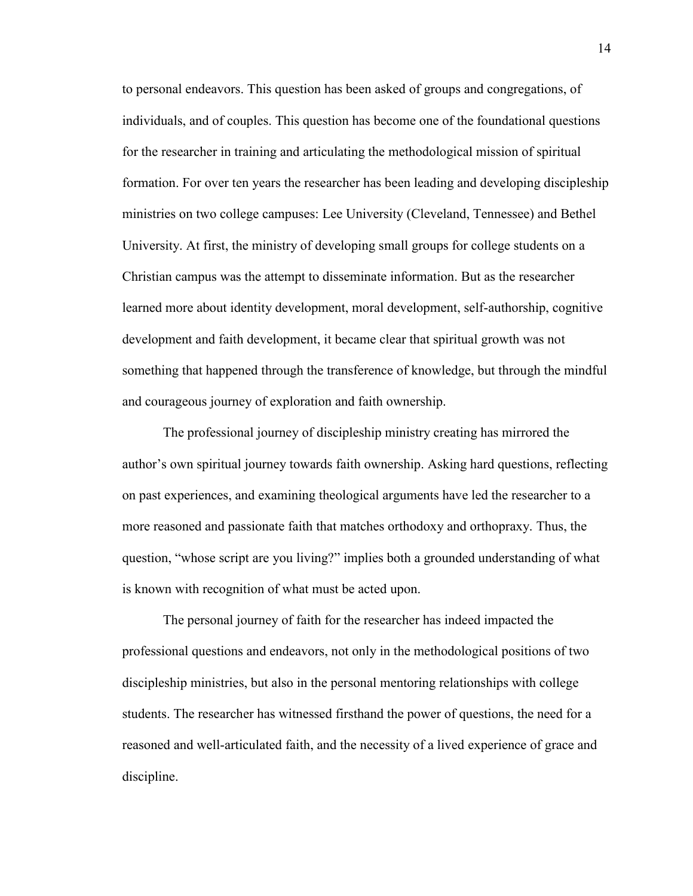to personal endeavors. This question has been asked of groups and congregations, of individuals, and of couples. This question has become one of the foundational questions for the researcher in training and articulating the methodological mission of spiritual formation. For over ten years the researcher has been leading and developing discipleship ministries on two college campuses: Lee University (Cleveland, Tennessee) and Bethel University. At first, the ministry of developing small groups for college students on a Christian campus was the attempt to disseminate information. But as the researcher learned more about identity development, moral development, self-authorship, cognitive development and faith development, it became clear that spiritual growth was not something that happened through the transference of knowledge, but through the mindful and courageous journey of exploration and faith ownership.

The professional journey of discipleship ministry creating has mirrored the author's own spiritual journey towards faith ownership. Asking hard questions, reflecting on past experiences, and examining theological arguments have led the researcher to a more reasoned and passionate faith that matches orthodoxy and orthopraxy. Thus, the question, "whose script are you living?" implies both a grounded understanding of what is known with recognition of what must be acted upon.

The personal journey of faith for the researcher has indeed impacted the professional questions and endeavors, not only in the methodological positions of two discipleship ministries, but also in the personal mentoring relationships with college students. The researcher has witnessed firsthand the power of questions, the need for a reasoned and well-articulated faith, and the necessity of a lived experience of grace and discipline.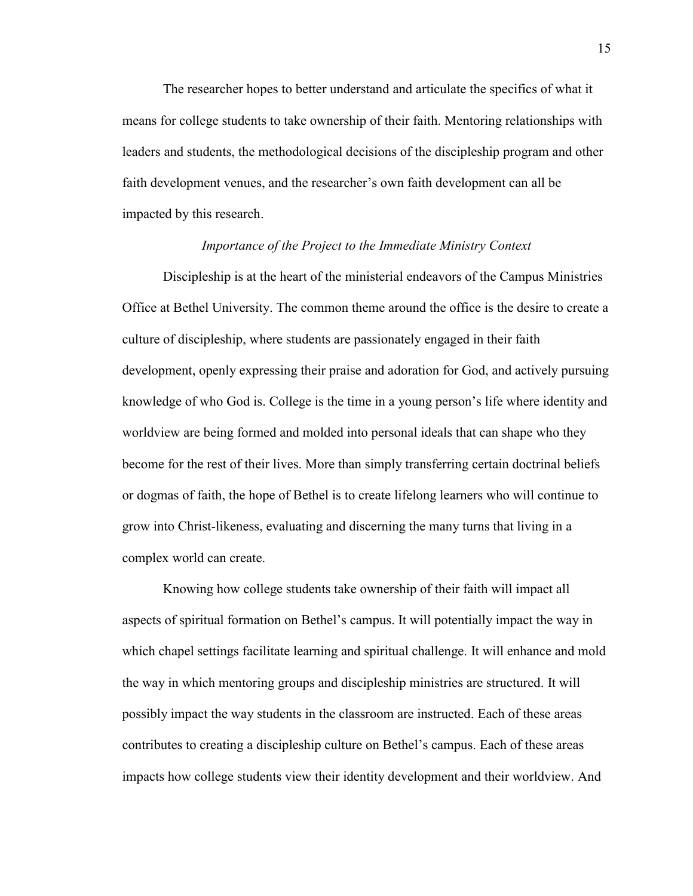The researcher hopes to better understand and articulate the specifics of what it means for college students to take ownership of their faith. Mentoring relationships with leaders and students, the methodological decisions of the discipleship program and other faith development venues, and the researcher's own faith development can all be impacted by this research.

#### *Importance of the Project to the Immediate Ministry Context*

Discipleship is at the heart of the ministerial endeavors of the Campus Ministries Office at Bethel University. The common theme around the office is the desire to create a culture of discipleship, where students are passionately engaged in their faith development, openly expressing their praise and adoration for God, and actively pursuing knowledge of who God is. College is the time in a young person's life where identity and worldview are being formed and molded into personal ideals that can shape who they become for the rest of their lives. More than simply transferring certain doctrinal beliefs or dogmas of faith, the hope of Bethel is to create lifelong learners who will continue to grow into Christ-likeness, evaluating and discerning the many turns that living in a complex world can create.

Knowing how college students take ownership of their faith will impact all aspects of spiritual formation on Bethel's campus. It will potentially impact the way in which chapel settings facilitate learning and spiritual challenge. It will enhance and mold the way in which mentoring groups and discipleship ministries are structured. It will possibly impact the way students in the classroom are instructed. Each of these areas contributes to creating a discipleship culture on Bethel's campus. Each of these areas impacts how college students view their identity development and their worldview. And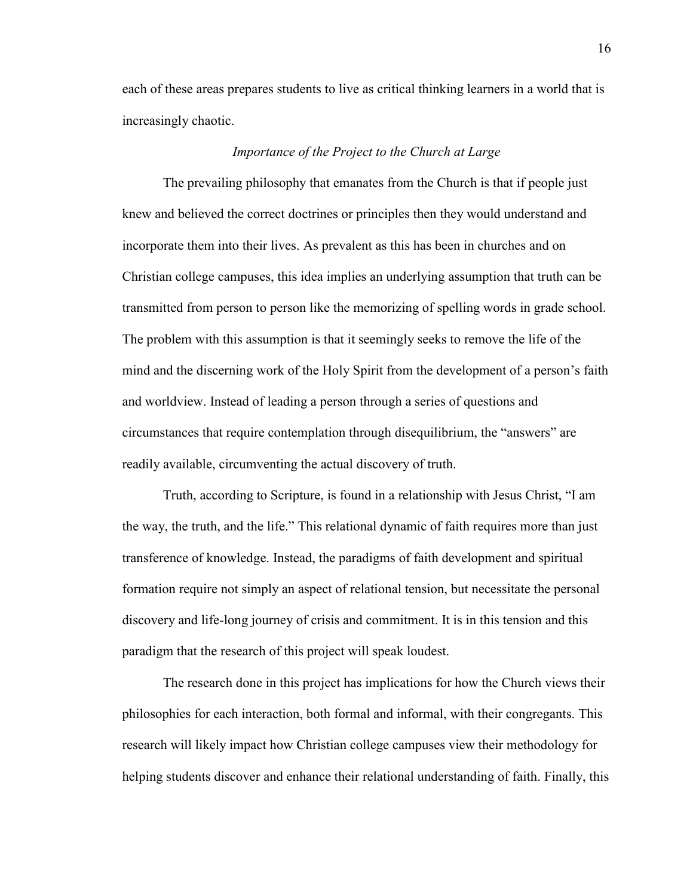each of these areas prepares students to live as critical thinking learners in a world that is increasingly chaotic.

#### *Importance of the Project to the Church at Large*

The prevailing philosophy that emanates from the Church is that if people just knew and believed the correct doctrines or principles then they would understand and incorporate them into their lives. As prevalent as this has been in churches and on Christian college campuses, this idea implies an underlying assumption that truth can be transmitted from person to person like the memorizing of spelling words in grade school. The problem with this assumption is that it seemingly seeks to remove the life of the mind and the discerning work of the Holy Spirit from the development of a person's faith and worldview. Instead of leading a person through a series of questions and circumstances that require contemplation through disequilibrium, the "answers" are readily available, circumventing the actual discovery of truth.

Truth, according to Scripture, is found in a relationship with Jesus Christ, "I am the way, the truth, and the life." This relational dynamic of faith requires more than just transference of knowledge. Instead, the paradigms of faith development and spiritual formation require not simply an aspect of relational tension, but necessitate the personal discovery and life-long journey of crisis and commitment. It is in this tension and this paradigm that the research of this project will speak loudest.

The research done in this project has implications for how the Church views their philosophies for each interaction, both formal and informal, with their congregants. This research will likely impact how Christian college campuses view their methodology for helping students discover and enhance their relational understanding of faith. Finally, this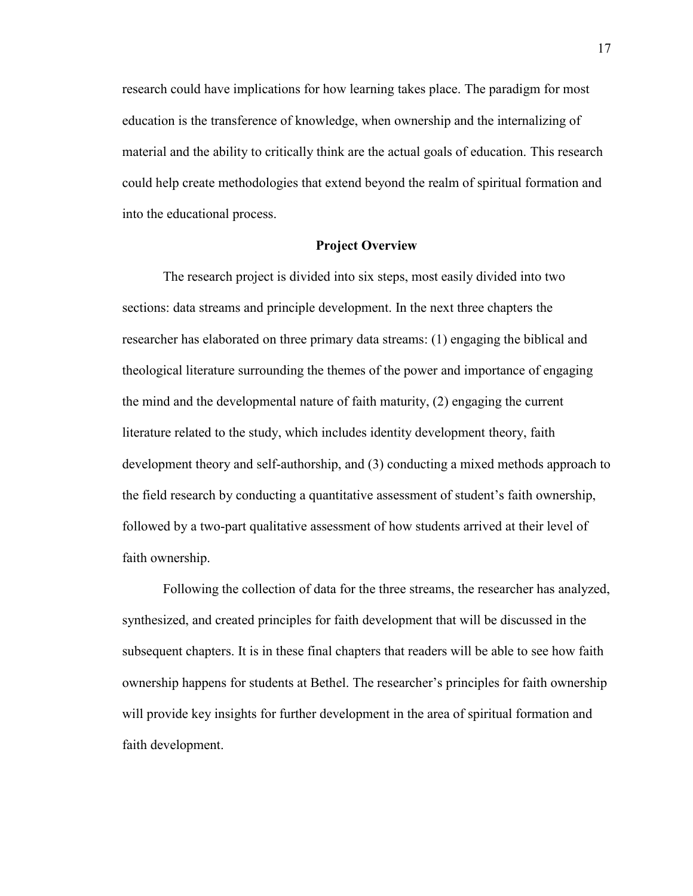research could have implications for how learning takes place. The paradigm for most education is the transference of knowledge, when ownership and the internalizing of material and the ability to critically think are the actual goals of education. This research could help create methodologies that extend beyond the realm of spiritual formation and into the educational process.

#### **Project Overview**

The research project is divided into six steps, most easily divided into two sections: data streams and principle development. In the next three chapters the researcher has elaborated on three primary data streams: (1) engaging the biblical and theological literature surrounding the themes of the power and importance of engaging the mind and the developmental nature of faith maturity, (2) engaging the current literature related to the study, which includes identity development theory, faith development theory and self-authorship, and (3) conducting a mixed methods approach to the field research by conducting a quantitative assessment of student's faith ownership, followed by a two-part qualitative assessment of how students arrived at their level of faith ownership.

Following the collection of data for the three streams, the researcher has analyzed, synthesized, and created principles for faith development that will be discussed in the subsequent chapters. It is in these final chapters that readers will be able to see how faith ownership happens for students at Bethel. The researcher's principles for faith ownership will provide key insights for further development in the area of spiritual formation and faith development.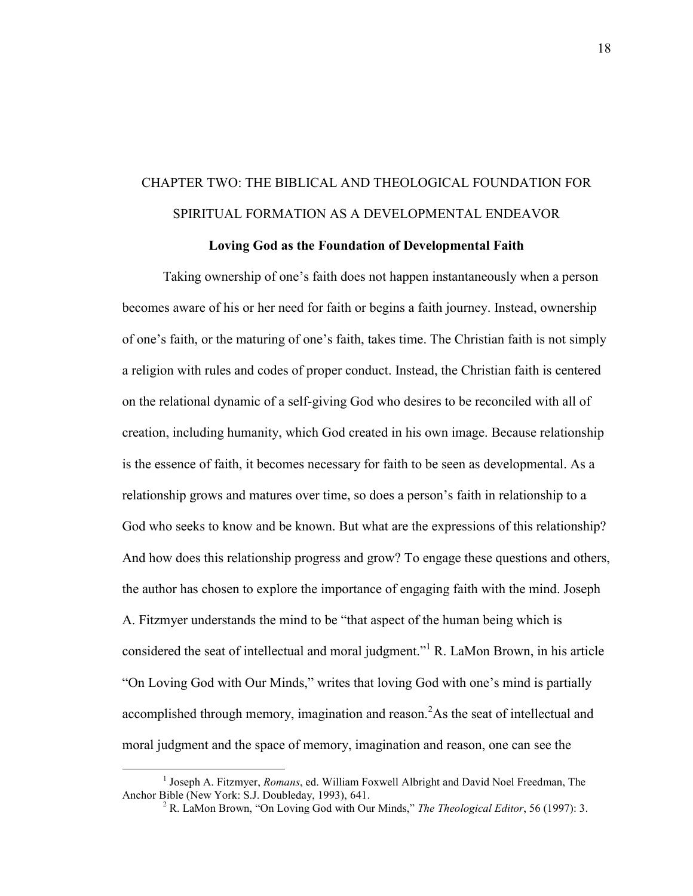# CHAPTER TWO: THE BIBLICAL AND THEOLOGICAL FOUNDATION FOR SPIRITUAL FORMATION AS A DEVELOPMENTAL ENDEAVOR

### **Loving God as the Foundation of Developmental Faith**

Taking ownership of one's faith does not happen instantaneously when a person becomes aware of his or her need for faith or begins a faith journey. Instead, ownership of one's faith, or the maturing of one's faith, takes time. The Christian faith is not simply a religion with rules and codes of proper conduct. Instead, the Christian faith is centered on the relational dynamic of a self-giving God who desires to be reconciled with all of creation, including humanity, which God created in his own image. Because relationship is the essence of faith, it becomes necessary for faith to be seen as developmental. As a relationship grows and matures over time, so does a person's faith in relationship to a God who seeks to know and be known. But what are the expressions of this relationship? And how does this relationship progress and grow? To engage these questions and others, the author has chosen to explore the importance of engaging faith with the mind. Joseph A. Fitzmyer understands the mind to be "that aspect of the human being which is considered the seat of intellectual and moral judgment."<sup>1</sup> R. LaMon Brown, in his article "On Loving God with Our Minds," writes that loving God with one's mind is partially accomplished through memory, imagination and reason.<sup>2</sup>As the seat of intellectual and moral judgment and the space of memory, imagination and reason, one can see the

<sup>&</sup>lt;sup>1</sup> Joseph A. Fitzmyer, *Romans*, ed. William Foxwell Albright and David Noel Freedman, The Anchor Bible (New York: S.J. Doubleday, 1993), 641.

<sup>2</sup> R. LaMon Brown, "On Loving God with Our Minds," *The Theological Editor*, 56 (1997): 3.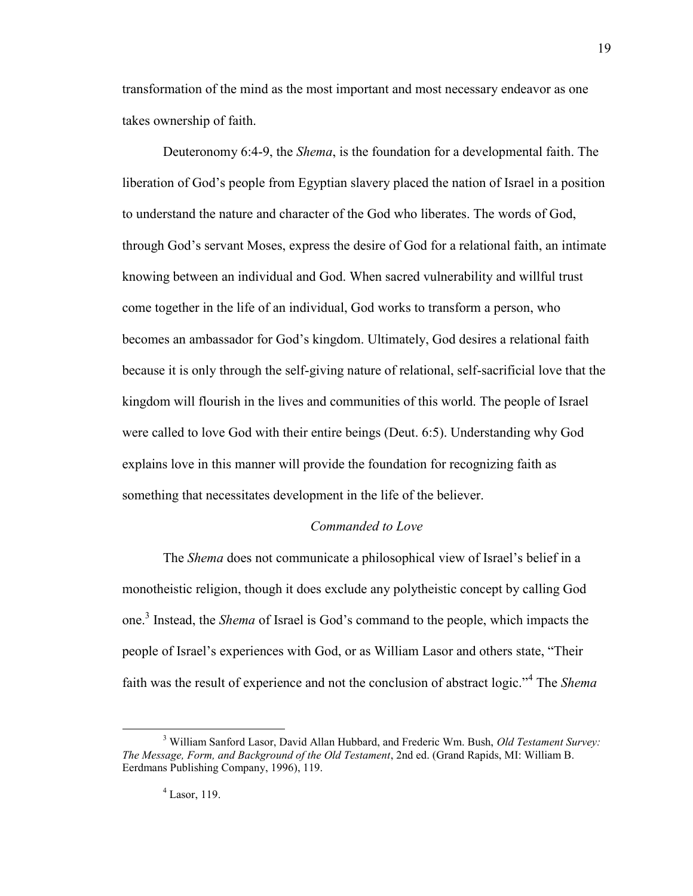transformation of the mind as the most important and most necessary endeavor as one takes ownership of faith.

Deuteronomy 6:4-9, the *Shema*, is the foundation for a developmental faith. The liberation of God's people from Egyptian slavery placed the nation of Israel in a position to understand the nature and character of the God who liberates. The words of God, through God's servant Moses, express the desire of God for a relational faith, an intimate knowing between an individual and God. When sacred vulnerability and willful trust come together in the life of an individual, God works to transform a person, who becomes an ambassador for God's kingdom. Ultimately, God desires a relational faith because it is only through the self-giving nature of relational, self-sacrificial love that the kingdom will flourish in the lives and communities of this world. The people of Israel were called to love God with their entire beings (Deut. 6:5). Understanding why God explains love in this manner will provide the foundation for recognizing faith as something that necessitates development in the life of the believer.

#### *Commanded to Love*

The *Shema* does not communicate a philosophical view of Israel's belief in a monotheistic religion, though it does exclude any polytheistic concept by calling God one.<sup>3</sup> Instead, the *Shema* of Israel is God's command to the people, which impacts the people of Israel's experiences with God, or as William Lasor and others state, "Their faith was the result of experience and not the conclusion of abstract logic."<sup>4</sup> The *Shema*

<sup>3</sup> William Sanford Lasor, David Allan Hubbard, and Frederic Wm. Bush, *Old Testament Survey: The Message, Form, and Background of the Old Testament*, 2nd ed. (Grand Rapids, MI: William B. Eerdmans Publishing Company, 1996), 119.

<sup>4</sup> Lasor, 119.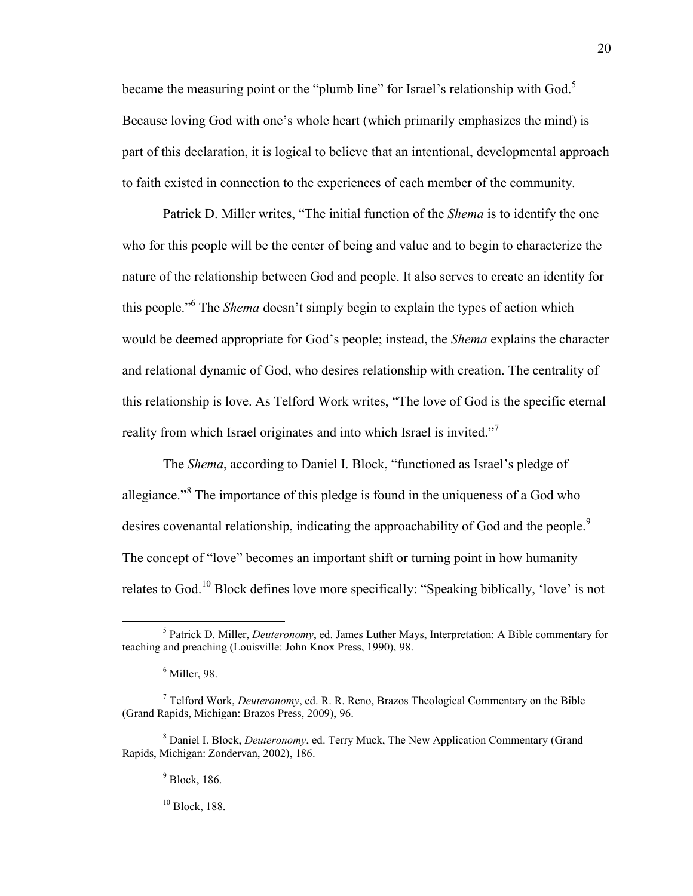became the measuring point or the "plumb line" for Israel's relationship with  $God<sup>5</sup>$ Because loving God with one's whole heart (which primarily emphasizes the mind) is part of this declaration, it is logical to believe that an intentional, developmental approach to faith existed in connection to the experiences of each member of the community.

Patrick D. Miller writes, "The initial function of the *Shema* is to identify the one who for this people will be the center of being and value and to begin to characterize the nature of the relationship between God and people. It also serves to create an identity for this people."<sup>6</sup> The *Shema* doesn't simply begin to explain the types of action which would be deemed appropriate for God's people; instead, the *Shema* explains the character and relational dynamic of God, who desires relationship with creation. The centrality of this relationship is love. As Telford Work writes, "The love of God is the specific eternal reality from which Israel originates and into which Israel is invited."<sup>7</sup>

The *Shema*, according to Daniel I. Block, "functioned as Israel's pledge of allegiance."<sup>8</sup> The importance of this pledge is found in the uniqueness of a God who desires covenantal relationship, indicating the approachability of God and the people.<sup>9</sup> The concept of "love" becomes an important shift or turning point in how humanity relates to God.<sup>10</sup> Block defines love more specifically: "Speaking biblically, 'love' is not

 $\overline{a}$ 

20

 $10$  Block, 188.

<sup>5</sup> Patrick D. Miller, *Deuteronomy*, ed. James Luther Mays, Interpretation: A Bible commentary for teaching and preaching (Louisville: John Knox Press, 1990), 98.

<sup>6</sup> Miller, 98.

<sup>7</sup> Telford Work, *Deuteronomy*, ed. R. R. Reno, Brazos Theological Commentary on the Bible (Grand Rapids, Michigan: Brazos Press, 2009), 96.

<sup>8</sup> Daniel I. Block, *Deuteronomy*, ed. Terry Muck, The New Application Commentary (Grand Rapids, Michigan: Zondervan, 2002), 186.

<sup>&</sup>lt;sup>9</sup> Block, 186.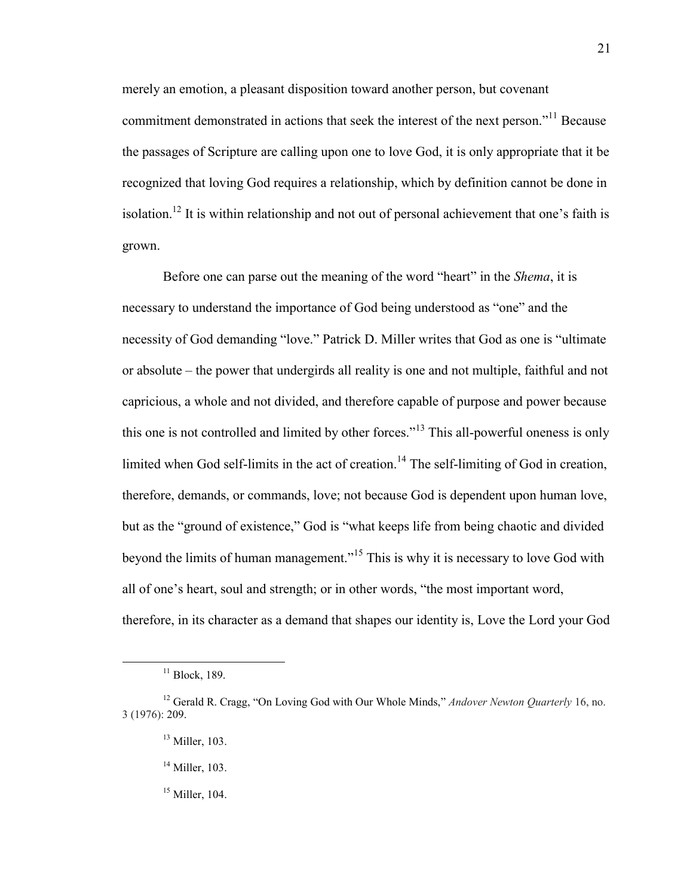merely an emotion, a pleasant disposition toward another person, but covenant commitment demonstrated in actions that seek the interest of the next person."<sup>11</sup> Because the passages of Scripture are calling upon one to love God, it is only appropriate that it be recognized that loving God requires a relationship, which by definition cannot be done in isolation.<sup>12</sup> It is within relationship and not out of personal achievement that one's faith is grown.

Before one can parse out the meaning of the word "heart" in the *Shema*, it is necessary to understand the importance of God being understood as "one" and the necessity of God demanding "love." Patrick D. Miller writes that God as one is "ultimate or absolute – the power that undergirds all reality is one and not multiple, faithful and not capricious, a whole and not divided, and therefore capable of purpose and power because this one is not controlled and limited by other forces."<sup>13</sup> This all-powerful oneness is only limited when God self-limits in the act of creation.<sup>14</sup> The self-limiting of God in creation, therefore, demands, or commands, love; not because God is dependent upon human love, but as the "ground of existence," God is "what keeps life from being chaotic and divided beyond the limits of human management."<sup>15</sup> This is why it is necessary to love God with all of one's heart, soul and strength; or in other words, "the most important word, therefore, in its character as a demand that shapes our identity is, Love the Lord your God

 $11$  Block, 189.

<sup>12</sup> Gerald R. Cragg, "On Loving God with Our Whole Minds," *Andover Newton Quarterly* 16, no. 3 (1976): 209.

<sup>&</sup>lt;sup>13</sup> Miller, 103.

 $14$  Miller, 103.

 $15$  Miller, 104.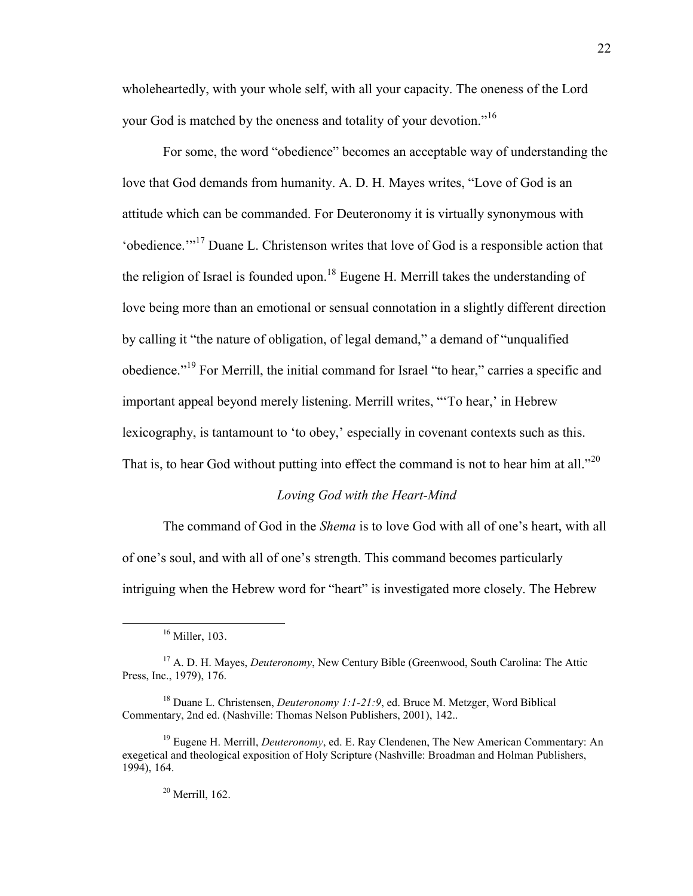wholeheartedly, with your whole self, with all your capacity. The oneness of the Lord your God is matched by the oneness and totality of your devotion."<sup>16</sup>

For some, the word "obedience" becomes an acceptable way of understanding the love that God demands from humanity. A. D. H. Mayes writes, "Love of God is an attitude which can be commanded. For Deuteronomy it is virtually synonymous with 'obedience.'"<sup>17</sup> Duane L. Christenson writes that love of God is a responsible action that the religion of Israel is founded upon.<sup>18</sup> Eugene H. Merrill takes the understanding of love being more than an emotional or sensual connotation in a slightly different direction by calling it "the nature of obligation, of legal demand," a demand of "unqualified obedience."<sup>19</sup> For Merrill, the initial command for Israel "to hear," carries a specific and important appeal beyond merely listening. Merrill writes, "'To hear,' in Hebrew lexicography, is tantamount to 'to obey,' especially in covenant contexts such as this. That is, to hear God without putting into effect the command is not to hear him at all."<sup>20</sup>

#### *Loving God with the Heart-Mind*

The command of God in the *Shema* is to love God with all of one's heart, with all of one's soul, and with all of one's strength. This command becomes particularly intriguing when the Hebrew word for "heart" is investigated more closely. The Hebrew

<sup>16</sup> Miller, 103.

<sup>17</sup> A. D. H. Mayes, *Deuteronomy*, New Century Bible (Greenwood, South Carolina: The Attic Press, Inc., 1979), 176.

<sup>18</sup> Duane L. Christensen, *Deuteronomy 1:1-21:9*, ed. Bruce M. Metzger, Word Biblical Commentary, 2nd ed. (Nashville: Thomas Nelson Publishers, 2001), 142..

<sup>19</sup> Eugene H. Merrill, *Deuteronomy*, ed. E. Ray Clendenen, The New American Commentary: An exegetical and theological exposition of Holy Scripture (Nashville: Broadman and Holman Publishers, 1994), 164.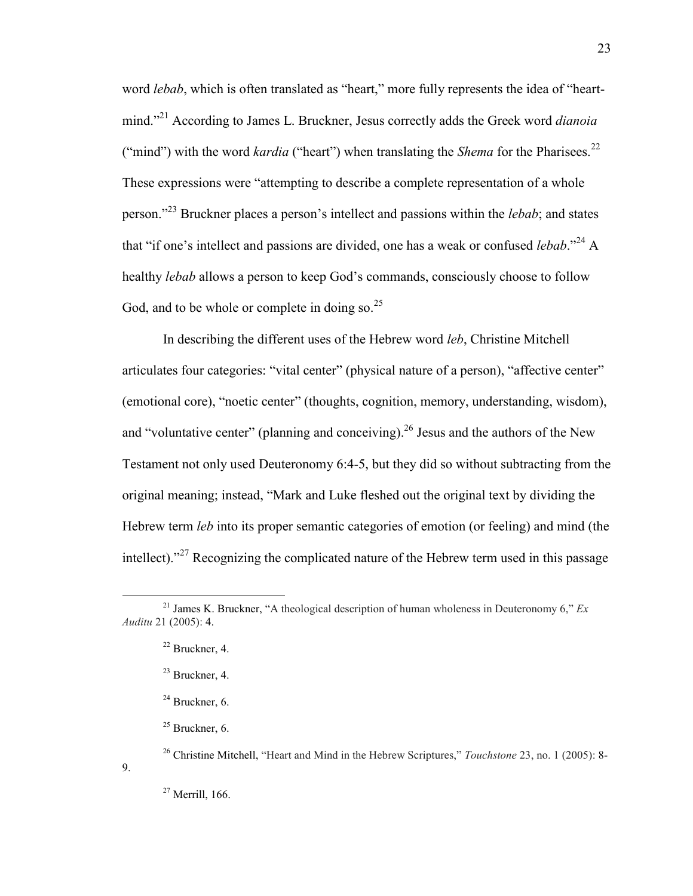word *lebab*, which is often translated as "heart," more fully represents the idea of "heartmind."<sup>21</sup> According to James L. Bruckner, Jesus correctly adds the Greek word *dianoia* ("mind") with the word *kardia* ("heart") when translating the *Shema* for the Pharisees.<sup>22</sup> These expressions were "attempting to describe a complete representation of a whole person."<sup>23</sup> Bruckner places a person's intellect and passions within the *lebab*; and states that "if one's intellect and passions are divided, one has a weak or confused *lebab*."<sup>24</sup> A healthy *lebab* allows a person to keep God's commands, consciously choose to follow God, and to be whole or complete in doing so.  $2^5$ 

In describing the different uses of the Hebrew word *leb*, Christine Mitchell articulates four categories: "vital center" (physical nature of a person), "affective center" (emotional core), "noetic center" (thoughts, cognition, memory, understanding, wisdom), and "voluntative center" (planning and conceiving).<sup>26</sup> Jesus and the authors of the New Testament not only used Deuteronomy 6:4-5, but they did so without subtracting from the original meaning; instead, "Mark and Luke fleshed out the original text by dividing the Hebrew term *leb* into its proper semantic categories of emotion (or feeling) and mind (the intellect)."<sup>27</sup> Recognizing the complicated nature of the Hebrew term used in this passage

9.

<sup>&</sup>lt;sup>21</sup> James K. Bruckner, "A theological description of human wholeness in Deuteronomy 6,"  $Ex$ *Auditu* 21 (2005): 4.

<sup>22</sup> Bruckner, 4.

 $23$  Bruckner, 4.

 $24$  Bruckner, 6.

 $25$  Bruckner, 6.

<sup>26</sup> Christine Mitchell, "Heart and Mind in the Hebrew Scriptures," *Touchstone* 23, no. 1 (2005): 8-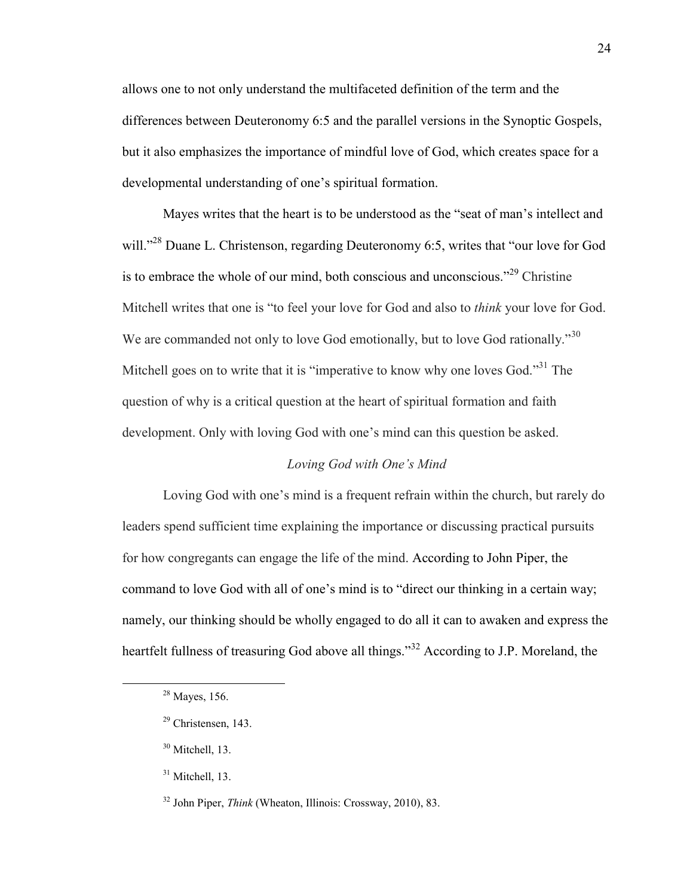allows one to not only understand the multifaceted definition of the term and the differences between Deuteronomy 6:5 and the parallel versions in the Synoptic Gospels, but it also emphasizes the importance of mindful love of God, which creates space for a developmental understanding of one's spiritual formation.

Mayes writes that the heart is to be understood as the "seat of man's intellect and will."<sup>28</sup> Duane L. Christenson, regarding Deuteronomy 6:5, writes that "our love for God is to embrace the whole of our mind, both conscious and unconscious."<sup>29</sup> Christine Mitchell writes that one is "to feel your love for God and also to *think* your love for God. We are commanded not only to love God emotionally, but to love God rationally."<sup>30</sup> Mitchell goes on to write that it is "imperative to know why one loves God."<sup>31</sup> The question of why is a critical question at the heart of spiritual formation and faith development. Only with loving God with one's mind can this question be asked.

#### *Loving God with One's Mind*

Loving God with one's mind is a frequent refrain within the church, but rarely do leaders spend sufficient time explaining the importance or discussing practical pursuits for how congregants can engage the life of the mind. According to John Piper, the command to love God with all of one's mind is to "direct our thinking in a certain way; namely, our thinking should be wholly engaged to do all it can to awaken and express the heartfelt fullness of treasuring God above all things.<sup>32</sup> According to J.P. Moreland, the

 $\overline{a}$ 

 $31$  Mitchell, 13.

 $28$  Mayes, 156.

<sup>29</sup> Christensen, 143.

<sup>30</sup> Mitchell, 13.

<sup>32</sup> John Piper, *Think* (Wheaton, Illinois: Crossway, 2010), 83.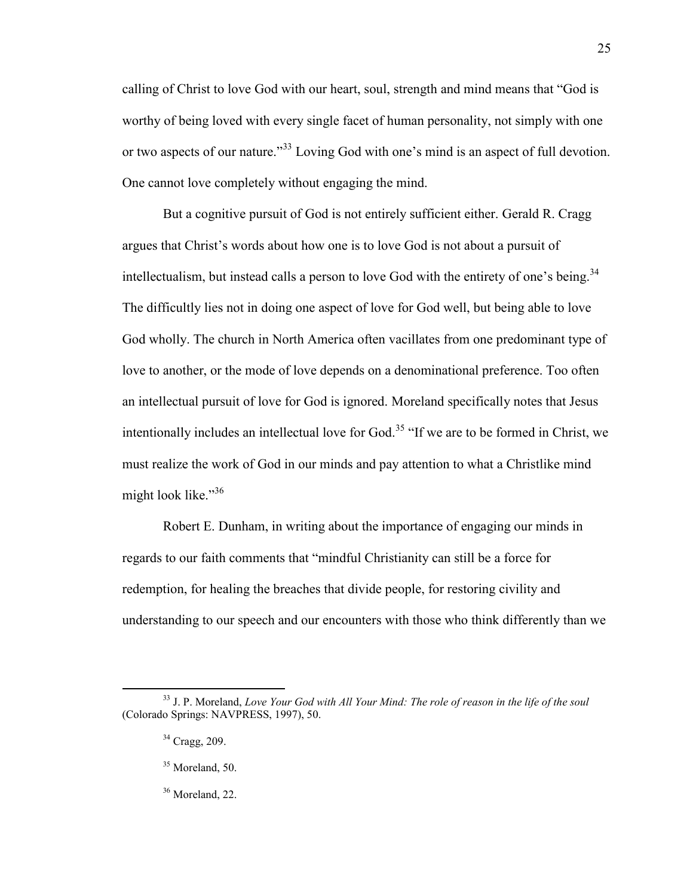calling of Christ to love God with our heart, soul, strength and mind means that "God is worthy of being loved with every single facet of human personality, not simply with one or two aspects of our nature."<sup>33</sup> Loving God with one's mind is an aspect of full devotion. One cannot love completely without engaging the mind.

But a cognitive pursuit of God is not entirely sufficient either. Gerald R. Cragg argues that Christ's words about how one is to love God is not about a pursuit of intellectualism, but instead calls a person to love God with the entirety of one's being.<sup>34</sup> The difficultly lies not in doing one aspect of love for God well, but being able to love God wholly. The church in North America often vacillates from one predominant type of love to another, or the mode of love depends on a denominational preference. Too often an intellectual pursuit of love for God is ignored. Moreland specifically notes that Jesus intentionally includes an intellectual love for God.<sup>35</sup> "If we are to be formed in Christ, we must realize the work of God in our minds and pay attention to what a Christlike mind might look like."<sup>36</sup>

Robert E. Dunham, in writing about the importance of engaging our minds in regards to our faith comments that "mindful Christianity can still be a force for redemption, for healing the breaches that divide people, for restoring civility and understanding to our speech and our encounters with those who think differently than we

<sup>33</sup> J. P. Moreland, *Love Your God with All Your Mind: The role of reason in the life of the soul* (Colorado Springs: NAVPRESS, 1997), 50.

<sup>34</sup> Cragg, 209.

<sup>&</sup>lt;sup>35</sup> Moreland, 50.

<sup>&</sup>lt;sup>36</sup> Moreland, 22.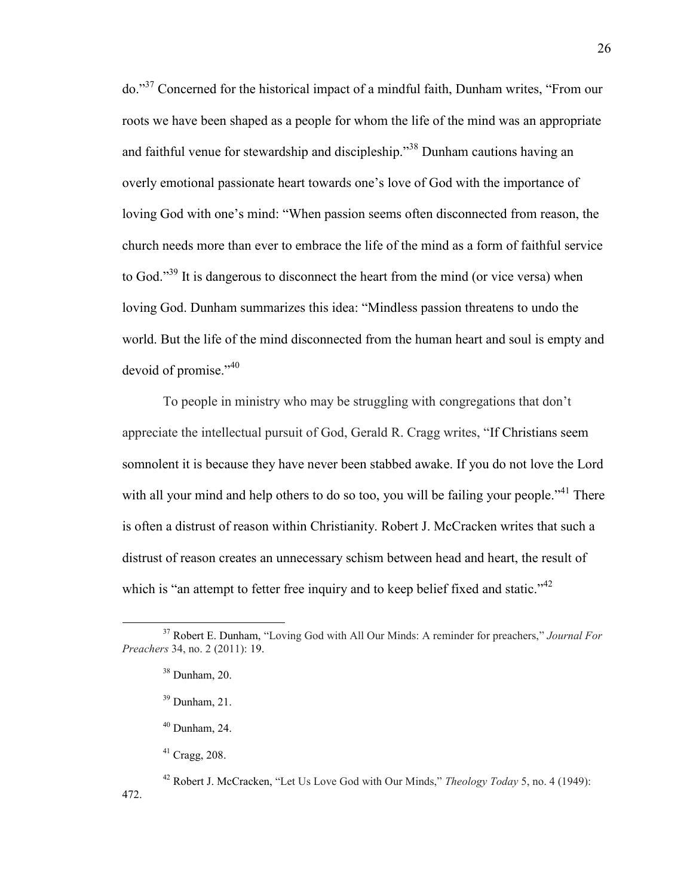do."<sup>37</sup> Concerned for the historical impact of a mindful faith, Dunham writes, "From our roots we have been shaped as a people for whom the life of the mind was an appropriate and faithful venue for stewardship and discipleship."<sup>38</sup> Dunham cautions having an overly emotional passionate heart towards one's love of God with the importance of loving God with one's mind: "When passion seems often disconnected from reason, the church needs more than ever to embrace the life of the mind as a form of faithful service to God."<sup>39</sup> It is dangerous to disconnect the heart from the mind (or vice versa) when loving God. Dunham summarizes this idea: "Mindless passion threatens to undo the world. But the life of the mind disconnected from the human heart and soul is empty and devoid of promise."40

To people in ministry who may be struggling with congregations that don't appreciate the intellectual pursuit of God, Gerald R. Cragg writes, "If Christians seem somnolent it is because they have never been stabbed awake. If you do not love the Lord with all your mind and help others to do so too, you will be failing your people."<sup>41</sup> There is often a distrust of reason within Christianity. Robert J. McCracken writes that such a distrust of reason creates an unnecessary schism between head and heart, the result of which is "an attempt to fetter free inquiry and to keep belief fixed and static."<sup>42</sup>

 $\overline{a}$ <sup>37</sup> Robert E. Dunham, "Loving God with All Our Minds: A reminder for preachers," *Journal For Preachers* 34, no. 2 (2011): 19.

 $38$  Dunham, 20.

 $39$  Dunham, 21.

 $40$  Dunham, 24.

 $41$  Cragg, 208.

<sup>42</sup> Robert J. McCracken, "Let Us Love God with Our Minds," *Theology Today* 5, no. 4 (1949): 472.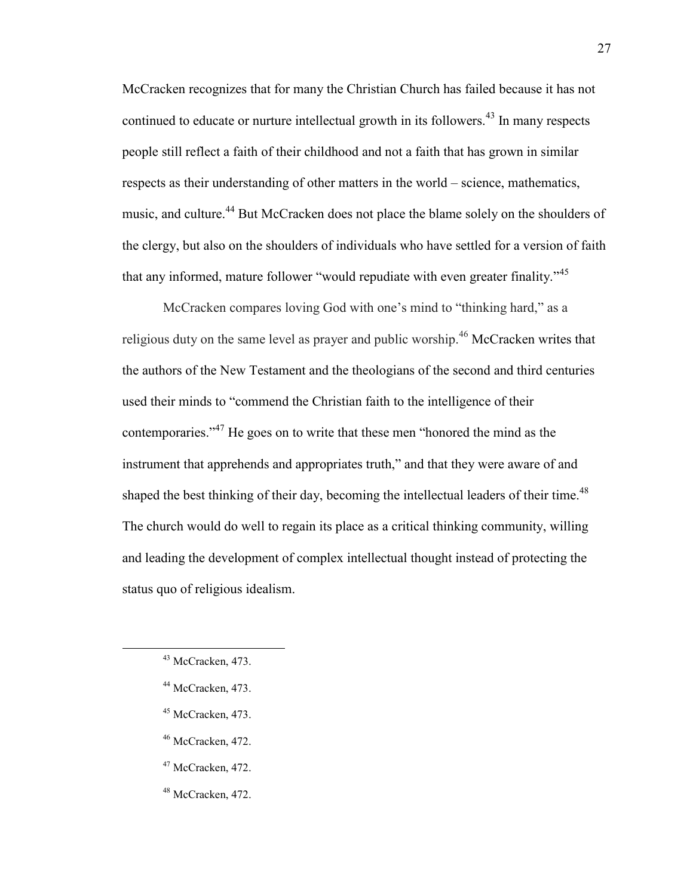McCracken recognizes that for many the Christian Church has failed because it has not continued to educate or nurture intellectual growth in its followers.<sup>43</sup> In many respects people still reflect a faith of their childhood and not a faith that has grown in similar respects as their understanding of other matters in the world – science, mathematics, music, and culture.<sup>44</sup> But McCracken does not place the blame solely on the shoulders of the clergy, but also on the shoulders of individuals who have settled for a version of faith that any informed, mature follower "would repudiate with even greater finality."<sup>45</sup>

McCracken compares loving God with one's mind to "thinking hard," as a religious duty on the same level as prayer and public worship.<sup>46</sup> McCracken writes that the authors of the New Testament and the theologians of the second and third centuries used their minds to "commend the Christian faith to the intelligence of their contemporaries."<sup>47</sup> He goes on to write that these men "honored the mind as the instrument that apprehends and appropriates truth," and that they were aware of and shaped the best thinking of their day, becoming the intellectual leaders of their time.<sup>48</sup> The church would do well to regain its place as a critical thinking community, willing and leading the development of complex intellectual thought instead of protecting the status quo of religious idealism.

- <sup>45</sup> McCracken, 473.
- <sup>46</sup> McCracken, 472.
- <sup>47</sup> McCracken, 472.
- <sup>48</sup> McCracken, 472.

<sup>&</sup>lt;sup>43</sup> McCracken, 473.

<sup>44</sup> McCracken, 473.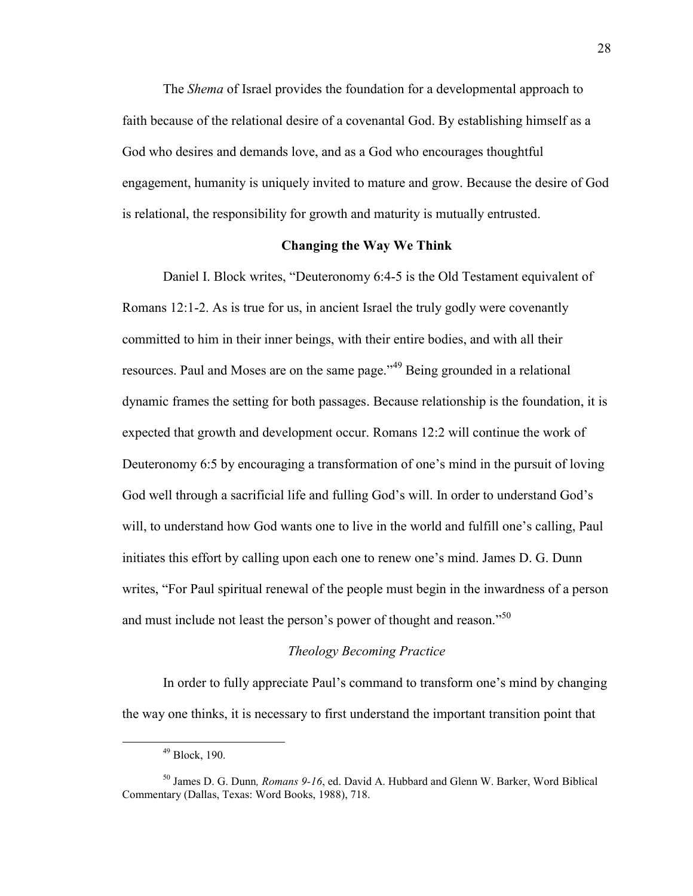The *Shema* of Israel provides the foundation for a developmental approach to faith because of the relational desire of a covenantal God. By establishing himself as a God who desires and demands love, and as a God who encourages thoughtful engagement, humanity is uniquely invited to mature and grow. Because the desire of God is relational, the responsibility for growth and maturity is mutually entrusted.

#### **Changing the Way We Think**

Daniel I. Block writes, "Deuteronomy 6:4-5 is the Old Testament equivalent of Romans 12:1-2. As is true for us, in ancient Israel the truly godly were covenantly committed to him in their inner beings, with their entire bodies, and with all their resources. Paul and Moses are on the same page."<sup>49</sup> Being grounded in a relational dynamic frames the setting for both passages. Because relationship is the foundation, it is expected that growth and development occur. Romans 12:2 will continue the work of Deuteronomy 6:5 by encouraging a transformation of one's mind in the pursuit of loving God well through a sacrificial life and fulling God's will. In order to understand God's will, to understand how God wants one to live in the world and fulfill one's calling, Paul initiates this effort by calling upon each one to renew one's mind. James D. G. Dunn writes, "For Paul spiritual renewal of the people must begin in the inwardness of a person and must include not least the person's power of thought and reason."<sup>50</sup>

#### *Theology Becoming Practice*

In order to fully appreciate Paul's command to transform one's mind by changing the way one thinks, it is necessary to first understand the important transition point that

<sup>49</sup> Block, 190.

<sup>50</sup> James D. G. Dunn*, Romans 9-16*, ed. David A. Hubbard and Glenn W. Barker, Word Biblical Commentary (Dallas, Texas: Word Books, 1988), 718.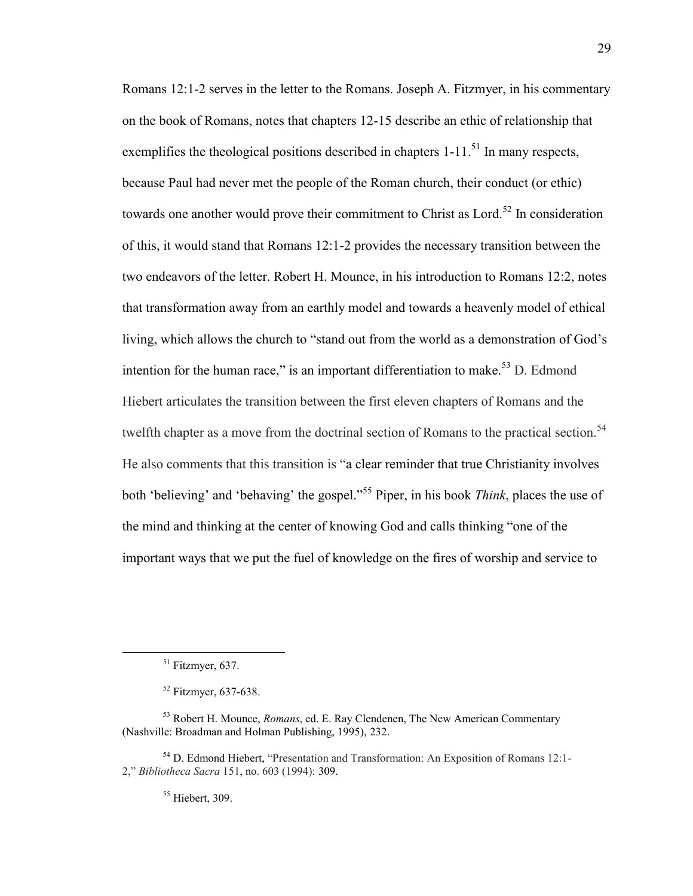Romans 12:1-2 serves in the letter to the Romans. Joseph A. Fitzmyer, in his commentary on the book of Romans, notes that chapters 12-15 describe an ethic of relationship that exemplifies the theological positions described in chapters  $1-11$ <sup>51</sup>. In many respects, because Paul had never met the people of the Roman church, their conduct (or ethic) towards one another would prove their commitment to Christ as Lord.<sup>52</sup> In consideration of this, it would stand that Romans 12:1-2 provides the necessary transition between the two endeavors of the letter. Robert H. Mounce, in his introduction to Romans 12:2, notes that transformation away from an earthly model and towards a heavenly model of ethical living, which allows the church to "stand out from the world as a demonstration of God's intention for the human race," is an important differentiation to make.<sup>53</sup> D. Edmond Hiebert articulates the transition between the first eleven chapters of Romans and the twelfth chapter as a move from the doctrinal section of Romans to the practical section.<sup>54</sup> He also comments that this transition is "a clear reminder that true Christianity involves both 'believing' and 'behaving' the gospel."<sup>55</sup> Piper, in his book *Think*, places the use of the mind and thinking at the center of knowing God and calls thinking "one of the important ways that we put the fuel of knowledge on the fires of worship and service to

 $\overline{a}$ 

<sup>55</sup> Hiebert, 309.

 $51$  Fitzmyer, 637.

<sup>52</sup> Fitzmyer, 637-638.

<sup>53</sup> Robert H. Mounce, *Romans*, ed. E. Ray Clendenen, The New American Commentary (Nashville: Broadman and Holman Publishing, 1995), 232.

<sup>54</sup> D. Edmond Hiebert, "Presentation and Transformation: An Exposition of Romans 12:1- 2," *Bibliotheca Sacra* 151, no. 603 (1994): 309.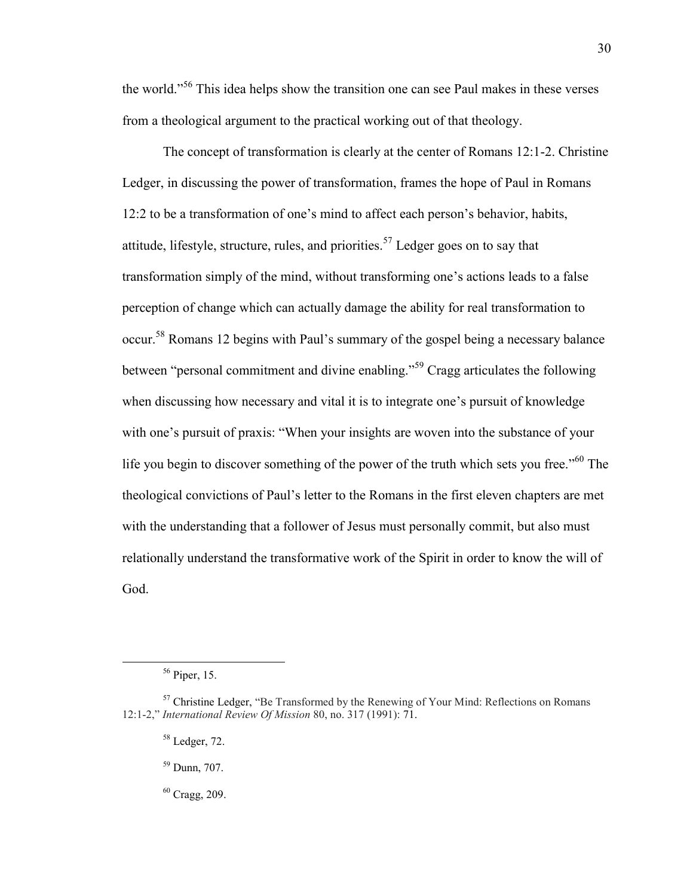the world."<sup>56</sup> This idea helps show the transition one can see Paul makes in these verses from a theological argument to the practical working out of that theology.

The concept of transformation is clearly at the center of Romans 12:1-2. Christine Ledger, in discussing the power of transformation, frames the hope of Paul in Romans 12:2 to be a transformation of one's mind to affect each person's behavior, habits, attitude, lifestyle, structure, rules, and priorities.<sup>57</sup> Ledger goes on to say that transformation simply of the mind, without transforming one's actions leads to a false perception of change which can actually damage the ability for real transformation to occur.<sup>58</sup> Romans 12 begins with Paul's summary of the gospel being a necessary balance between "personal commitment and divine enabling."<sup>59</sup> Cragg articulates the following when discussing how necessary and vital it is to integrate one's pursuit of knowledge with one's pursuit of praxis: "When your insights are woven into the substance of your life you begin to discover something of the power of the truth which sets you free.<sup>560</sup> The theological convictions of Paul's letter to the Romans in the first eleven chapters are met with the understanding that a follower of Jesus must personally commit, but also must relationally understand the transformative work of the Spirit in order to know the will of God.

<sup>56</sup> Piper, 15.

 $57$  Christine Ledger, "Be Transformed by the Renewing of Your Mind: Reflections on Romans 12:1-2," *International Review Of Mission* 80, no. 317 (1991): 71.

<sup>58</sup> Ledger, 72.

<sup>59</sup> Dunn, 707.

 $60$  Cragg, 209.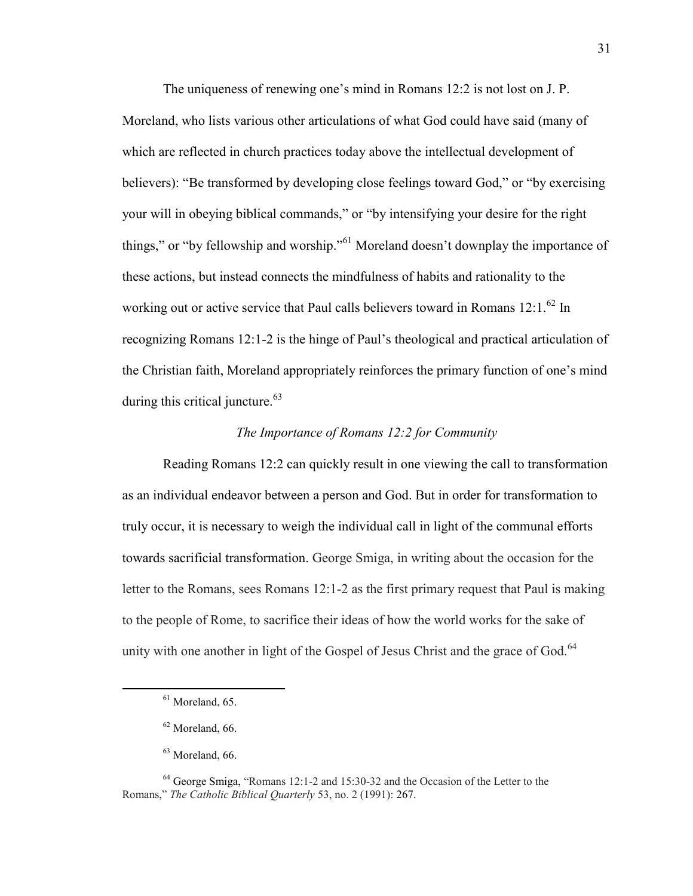The uniqueness of renewing one's mind in Romans 12:2 is not lost on J. P. Moreland, who lists various other articulations of what God could have said (many of which are reflected in church practices today above the intellectual development of believers): "Be transformed by developing close feelings toward God," or "by exercising your will in obeying biblical commands," or "by intensifying your desire for the right things," or "by fellowship and worship."<sup>61</sup> Moreland doesn't downplay the importance of these actions, but instead connects the mindfulness of habits and rationality to the working out or active service that Paul calls believers toward in Romans 12:1.<sup>62</sup> In recognizing Romans 12:1-2 is the hinge of Paul's theological and practical articulation of the Christian faith, Moreland appropriately reinforces the primary function of one's mind during this critical juncture. $63$ 

### *The Importance of Romans 12:2 for Community*

Reading Romans 12:2 can quickly result in one viewing the call to transformation as an individual endeavor between a person and God. But in order for transformation to truly occur, it is necessary to weigh the individual call in light of the communal efforts towards sacrificial transformation. George Smiga, in writing about the occasion for the letter to the Romans, sees Romans 12:1-2 as the first primary request that Paul is making to the people of Rome, to sacrifice their ideas of how the world works for the sake of unity with one another in light of the Gospel of Jesus Christ and the grace of God.<sup>64</sup>

 $<sup>61</sup>$  Moreland, 65.</sup>

 $62$  Moreland, 66.

<sup>63</sup> Moreland, 66.

<sup>64</sup> George Smiga, "Romans 12:1-2 and 15:30-32 and the Occasion of the Letter to the Romans," *The Catholic Biblical Quarterly* 53, no. 2 (1991): 267.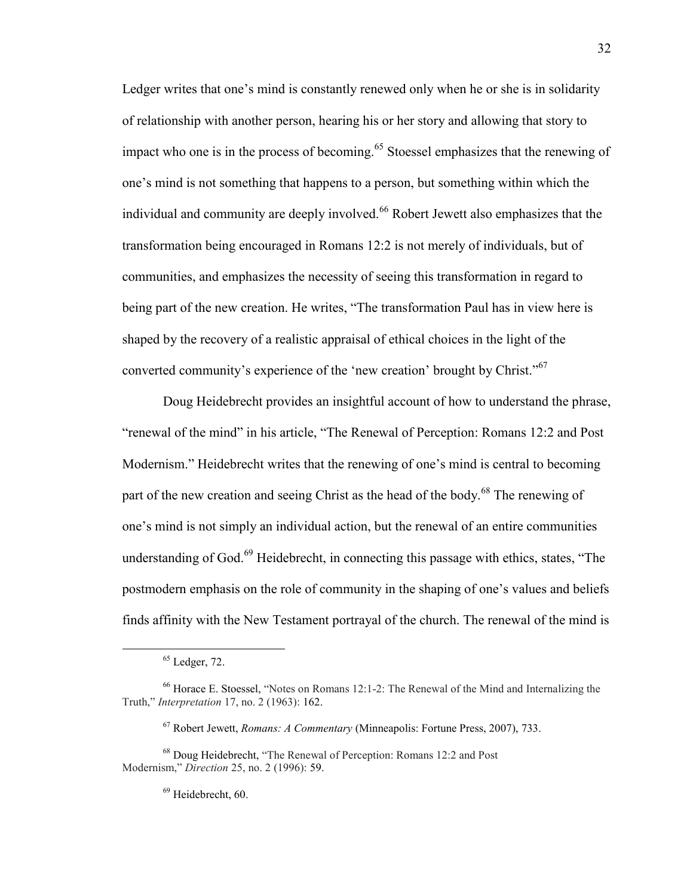Ledger writes that one's mind is constantly renewed only when he or she is in solidarity of relationship with another person, hearing his or her story and allowing that story to impact who one is in the process of becoming.<sup>65</sup> Stoessel emphasizes that the renewing of one's mind is not something that happens to a person, but something within which the individual and community are deeply involved.<sup>66</sup> Robert Jewett also emphasizes that the transformation being encouraged in Romans 12:2 is not merely of individuals, but of communities, and emphasizes the necessity of seeing this transformation in regard to being part of the new creation. He writes, "The transformation Paul has in view here is shaped by the recovery of a realistic appraisal of ethical choices in the light of the converted community's experience of the 'new creation' brought by Christ."<sup>67</sup>

Doug Heidebrecht provides an insightful account of how to understand the phrase, "renewal of the mind" in his article, "The Renewal of Perception: Romans 12:2 and Post Modernism." Heidebrecht writes that the renewing of one's mind is central to becoming part of the new creation and seeing Christ as the head of the body.<sup>68</sup> The renewing of one's mind is not simply an individual action, but the renewal of an entire communities understanding of God.<sup>69</sup> Heidebrecht, in connecting this passage with ethics, states, "The postmodern emphasis on the role of community in the shaping of one's values and beliefs finds affinity with the New Testament portrayal of the church. The renewal of the mind is

 $\overline{a}$ 

 $69$  Heidebrecht, 60.

 $<sup>65</sup>$  Ledger, 72.</sup>

<sup>66</sup> Horace E. Stoessel, "Notes on Romans 12:1-2: The Renewal of the Mind and Internalizing the Truth," *Interpretation* 17, no. 2 (1963): 162.

<sup>67</sup> Robert Jewett, *Romans: A Commentary* (Minneapolis: Fortune Press, 2007), 733.

<sup>68</sup> Doug Heidebrecht, "The Renewal of Perception: Romans 12:2 and Post Modernism," *Direction* 25, no. 2 (1996): 59.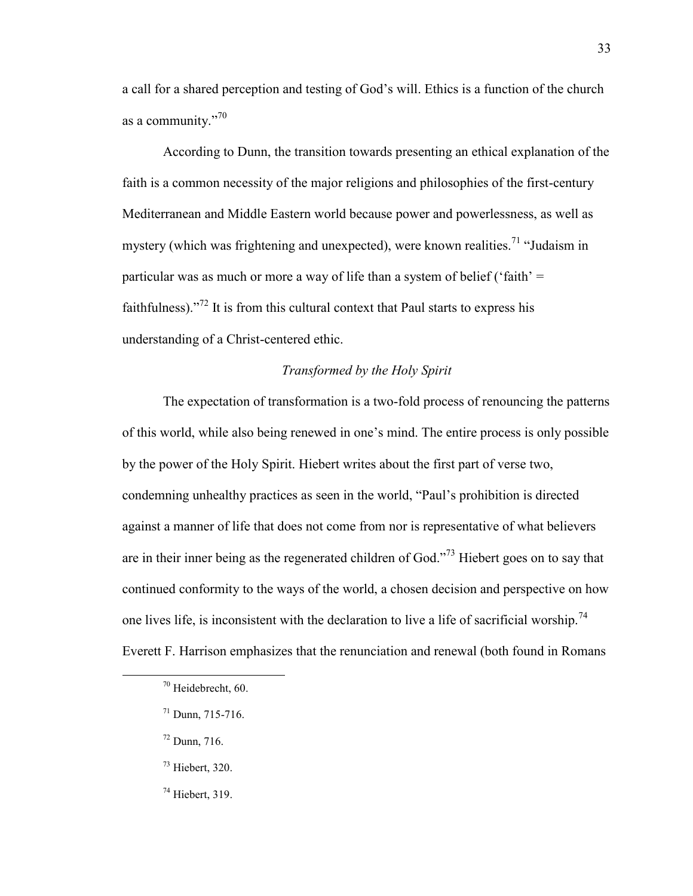a call for a shared perception and testing of God's will. Ethics is a function of the church as a community."<sup>70</sup>

According to Dunn, the transition towards presenting an ethical explanation of the faith is a common necessity of the major religions and philosophies of the first-century Mediterranean and Middle Eastern world because power and powerlessness, as well as mystery (which was frightening and unexpected), were known realities.<sup>71</sup> "Judaism in particular was as much or more a way of life than a system of belief ('faith'  $=$ faithfulness). $1^{72}$  It is from this cultural context that Paul starts to express his understanding of a Christ-centered ethic.

#### *Transformed by the Holy Spirit*

The expectation of transformation is a two-fold process of renouncing the patterns of this world, while also being renewed in one's mind. The entire process is only possible by the power of the Holy Spirit. Hiebert writes about the first part of verse two, condemning unhealthy practices as seen in the world, "Paul's prohibition is directed against a manner of life that does not come from nor is representative of what believers are in their inner being as the regenerated children of God."<sup>73</sup> Hiebert goes on to say that continued conformity to the ways of the world, a chosen decision and perspective on how one lives life, is inconsistent with the declaration to live a life of sacrificial worship.<sup>74</sup> Everett F. Harrison emphasizes that the renunciation and renewal (both found in Romans

<sup>72</sup> Dunn, 716.

- <sup>73</sup> Hiebert, 320.
- $74$  Hiebert, 319.

<sup>70</sup> Heidebrecht, 60.

 $71$  Dunn, 715-716.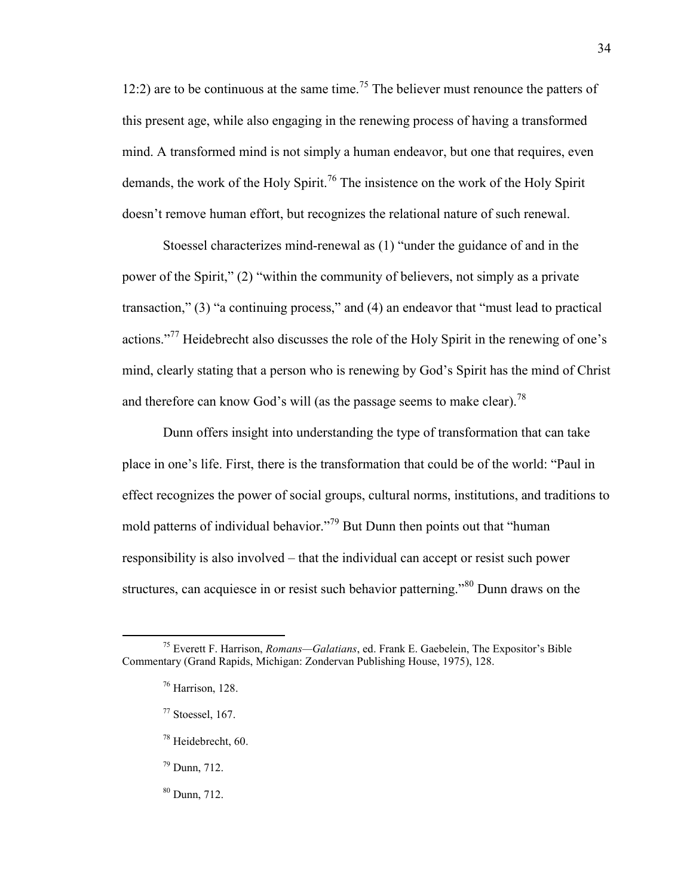12:2) are to be continuous at the same time.<sup>75</sup> The believer must renounce the patters of this present age, while also engaging in the renewing process of having a transformed mind. A transformed mind is not simply a human endeavor, but one that requires, even demands, the work of the Holy Spirit.<sup>76</sup> The insistence on the work of the Holy Spirit doesn't remove human effort, but recognizes the relational nature of such renewal.

Stoessel characterizes mind-renewal as (1) "under the guidance of and in the power of the Spirit," (2) "within the community of believers, not simply as a private transaction," (3) "a continuing process," and (4) an endeavor that "must lead to practical actions."<sup>77</sup> Heidebrecht also discusses the role of the Holy Spirit in the renewing of one's mind, clearly stating that a person who is renewing by God's Spirit has the mind of Christ and therefore can know God's will (as the passage seems to make clear).<sup>78</sup>

Dunn offers insight into understanding the type of transformation that can take place in one's life. First, there is the transformation that could be of the world: "Paul in effect recognizes the power of social groups, cultural norms, institutions, and traditions to mold patterns of individual behavior."<sup>79</sup> But Dunn then points out that "human responsibility is also involved – that the individual can accept or resist such power structures, can acquiesce in or resist such behavior patterning.<sup>80</sup> Dunn draws on the

 $\overline{a}$ 

<sup>80</sup> Dunn, 712.

<sup>75</sup> Everett F. Harrison, *Romans—Galatians*, ed. Frank E. Gaebelein, The Expositor's Bible Commentary (Grand Rapids, Michigan: Zondervan Publishing House, 1975), 128.

 $76$  Harrison, 128.

 $77$  Stoessel, 167.

<sup>78</sup> Heidebrecht, 60.

<sup>79</sup> Dunn, 712.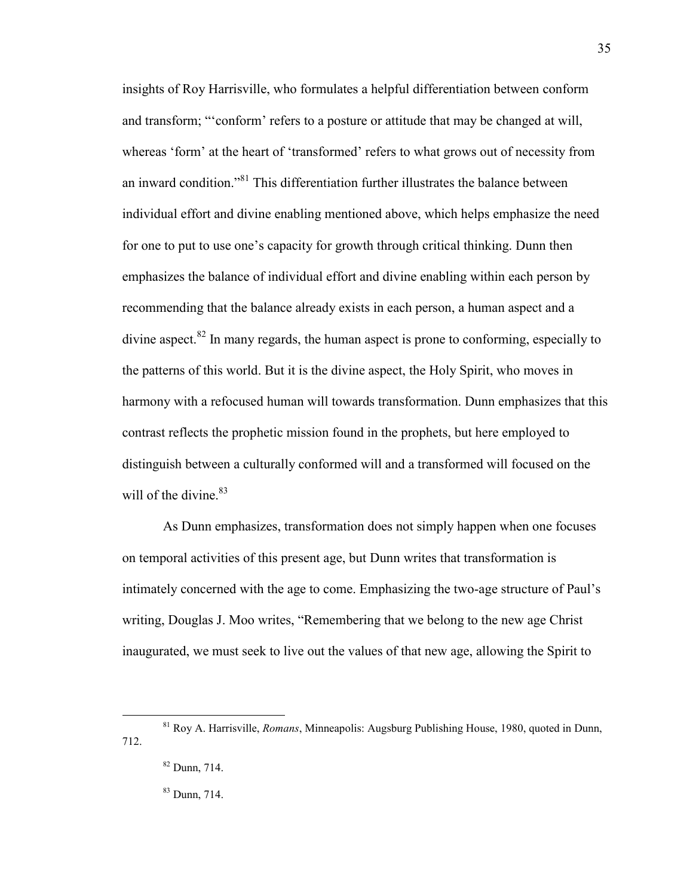insights of Roy Harrisville, who formulates a helpful differentiation between conform and transform; "'conform' refers to a posture or attitude that may be changed at will, whereas 'form' at the heart of 'transformed' refers to what grows out of necessity from an inward condition."<sup>81</sup> This differentiation further illustrates the balance between individual effort and divine enabling mentioned above, which helps emphasize the need for one to put to use one's capacity for growth through critical thinking. Dunn then emphasizes the balance of individual effort and divine enabling within each person by recommending that the balance already exists in each person, a human aspect and a divine aspect. $82$  In many regards, the human aspect is prone to conforming, especially to the patterns of this world. But it is the divine aspect, the Holy Spirit, who moves in harmony with a refocused human will towards transformation. Dunn emphasizes that this contrast reflects the prophetic mission found in the prophets, but here employed to distinguish between a culturally conformed will and a transformed will focused on the will of the divine. $83$ 

As Dunn emphasizes, transformation does not simply happen when one focuses on temporal activities of this present age, but Dunn writes that transformation is intimately concerned with the age to come. Emphasizing the two-age structure of Paul's writing, Douglas J. Moo writes, "Remembering that we belong to the new age Christ inaugurated, we must seek to live out the values of that new age, allowing the Spirit to

 $\overline{a}$ 

<sup>83</sup> Dunn, 714.

<sup>81</sup> Roy A. Harrisville, *Romans*, Minneapolis: Augsburg Publishing House, 1980, quoted in Dunn, 712.

<sup>82</sup> Dunn, 714.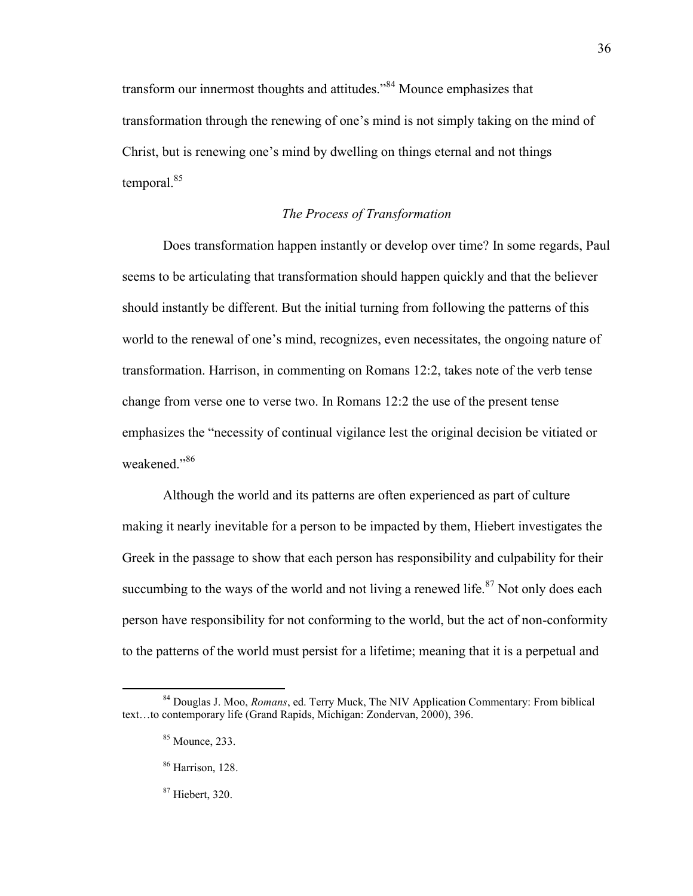transform our innermost thoughts and attitudes."<sup>84</sup> Mounce emphasizes that transformation through the renewing of one's mind is not simply taking on the mind of Christ, but is renewing one's mind by dwelling on things eternal and not things temporal.<sup>85</sup>

# *The Process of Transformation*

Does transformation happen instantly or develop over time? In some regards, Paul seems to be articulating that transformation should happen quickly and that the believer should instantly be different. But the initial turning from following the patterns of this world to the renewal of one's mind, recognizes, even necessitates, the ongoing nature of transformation. Harrison, in commenting on Romans 12:2, takes note of the verb tense change from verse one to verse two. In Romans 12:2 the use of the present tense emphasizes the "necessity of continual vigilance lest the original decision be vitiated or weakened."<sup>86</sup>

Although the world and its patterns are often experienced as part of culture making it nearly inevitable for a person to be impacted by them, Hiebert investigates the Greek in the passage to show that each person has responsibility and culpability for their succumbing to the ways of the world and not living a renewed life.<sup>87</sup> Not only does each person have responsibility for not conforming to the world, but the act of non-conformity to the patterns of the world must persist for a lifetime; meaning that it is a perpetual and

 $\overline{a}$ 

<sup>87</sup> Hiebert, 320.

<sup>84</sup> Douglas J. Moo, *Romans*, ed. Terry Muck, The NIV Application Commentary: From biblical text…to contemporary life (Grand Rapids, Michigan: Zondervan, 2000), 396.

<sup>85</sup> Mounce, 233.

<sup>86</sup> Harrison, 128.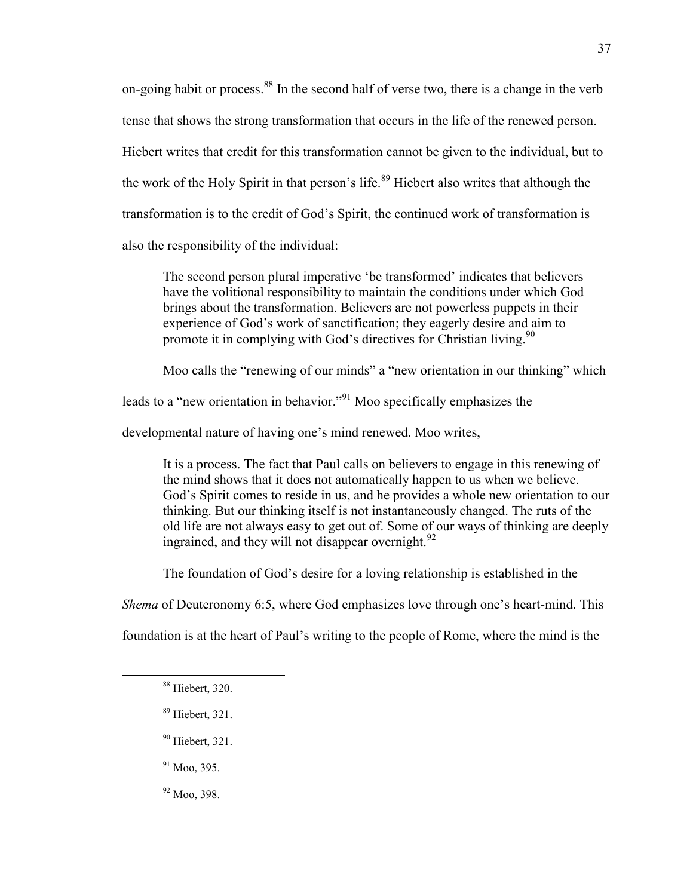on-going habit or process.<sup>88</sup> In the second half of verse two, there is a change in the verb tense that shows the strong transformation that occurs in the life of the renewed person. Hiebert writes that credit for this transformation cannot be given to the individual, but to the work of the Holy Spirit in that person's life.<sup>89</sup> Hiebert also writes that although the transformation is to the credit of God's Spirit, the continued work of transformation is also the responsibility of the individual:

The second person plural imperative 'be transformed' indicates that believers have the volitional responsibility to maintain the conditions under which God brings about the transformation. Believers are not powerless puppets in their experience of God's work of sanctification; they eagerly desire and aim to promote it in complying with God's directives for Christian living.<sup>90</sup>

Moo calls the "renewing of our minds" a "new orientation in our thinking" which

leads to a "new orientation in behavior."<sup>91</sup> Moo specifically emphasizes the

developmental nature of having one's mind renewed. Moo writes,

It is a process. The fact that Paul calls on believers to engage in this renewing of the mind shows that it does not automatically happen to us when we believe. God's Spirit comes to reside in us, and he provides a whole new orientation to our thinking. But our thinking itself is not instantaneously changed. The ruts of the old life are not always easy to get out of. Some of our ways of thinking are deeply ingrained, and they will not disappear overnight.  $92$ 

The foundation of God's desire for a loving relationship is established in the

*Shema* of Deuteronomy 6:5, where God emphasizes love through one's heart-mind. This

foundation is at the heart of Paul's writing to the people of Rome, where the mind is the

- <sup>89</sup> Hiebert, 321.
- <sup>90</sup> Hiebert, 321.
- $91$  Moo, 395.
- <sup>92</sup> Moo, 398.

<sup>88</sup> Hiebert, 320.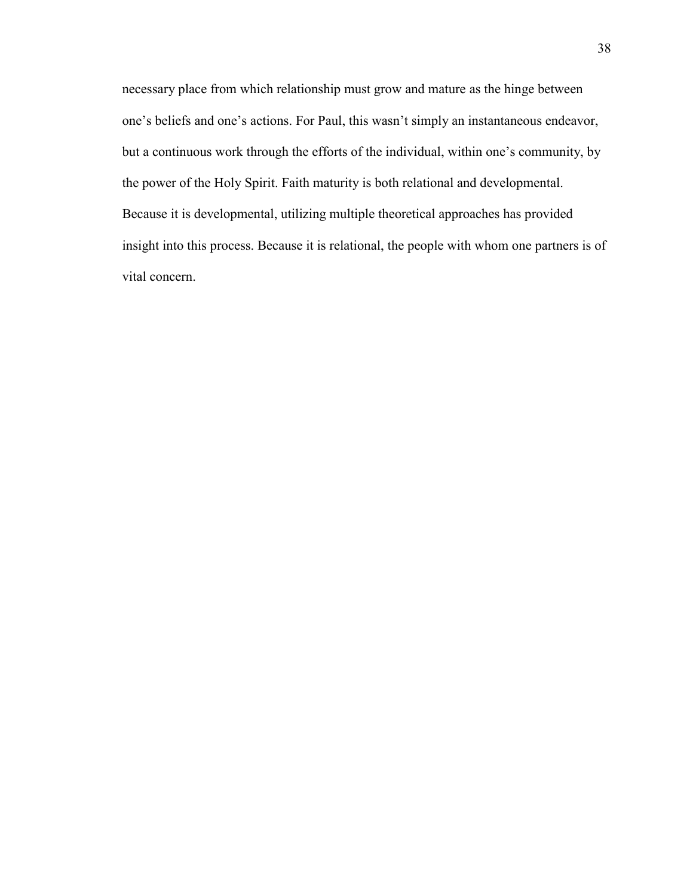necessary place from which relationship must grow and mature as the hinge between one's beliefs and one's actions. For Paul, this wasn't simply an instantaneous endeavor, but a continuous work through the efforts of the individual, within one's community, by the power of the Holy Spirit. Faith maturity is both relational and developmental. Because it is developmental, utilizing multiple theoretical approaches has provided insight into this process. Because it is relational, the people with whom one partners is of vital concern.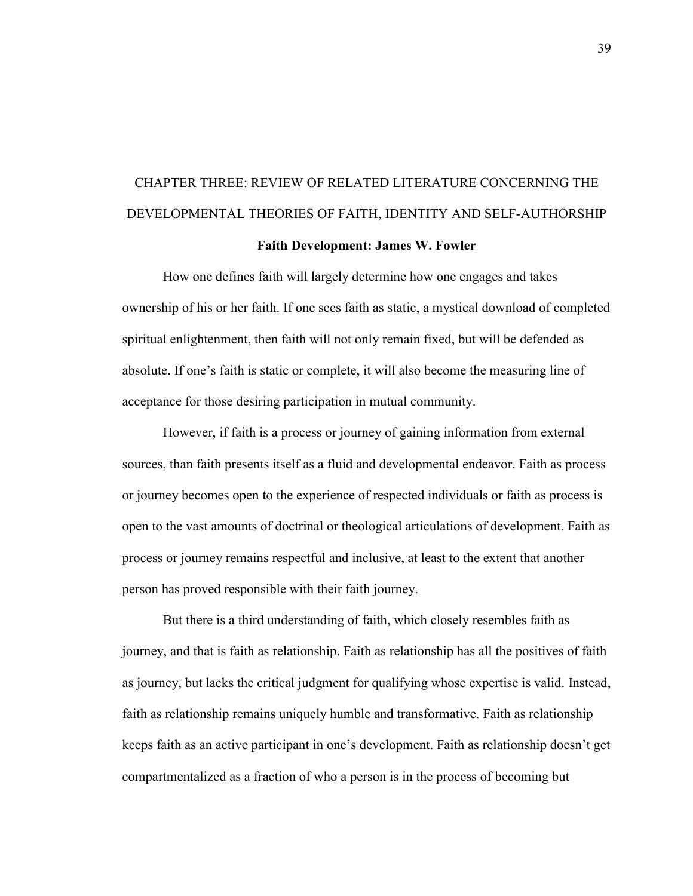# CHAPTER THREE: REVIEW OF RELATED LITERATURE CONCERNING THE DEVELOPMENTAL THEORIES OF FAITH, IDENTITY AND SELF-AUTHORSHIP **Faith Development: James W. Fowler**

How one defines faith will largely determine how one engages and takes ownership of his or her faith. If one sees faith as static, a mystical download of completed spiritual enlightenment, then faith will not only remain fixed, but will be defended as absolute. If one's faith is static or complete, it will also become the measuring line of acceptance for those desiring participation in mutual community.

However, if faith is a process or journey of gaining information from external sources, than faith presents itself as a fluid and developmental endeavor. Faith as process or journey becomes open to the experience of respected individuals or faith as process is open to the vast amounts of doctrinal or theological articulations of development. Faith as process or journey remains respectful and inclusive, at least to the extent that another person has proved responsible with their faith journey.

But there is a third understanding of faith, which closely resembles faith as journey, and that is faith as relationship. Faith as relationship has all the positives of faith as journey, but lacks the critical judgment for qualifying whose expertise is valid. Instead, faith as relationship remains uniquely humble and transformative. Faith as relationship keeps faith as an active participant in one's development. Faith as relationship doesn't get compartmentalized as a fraction of who a person is in the process of becoming but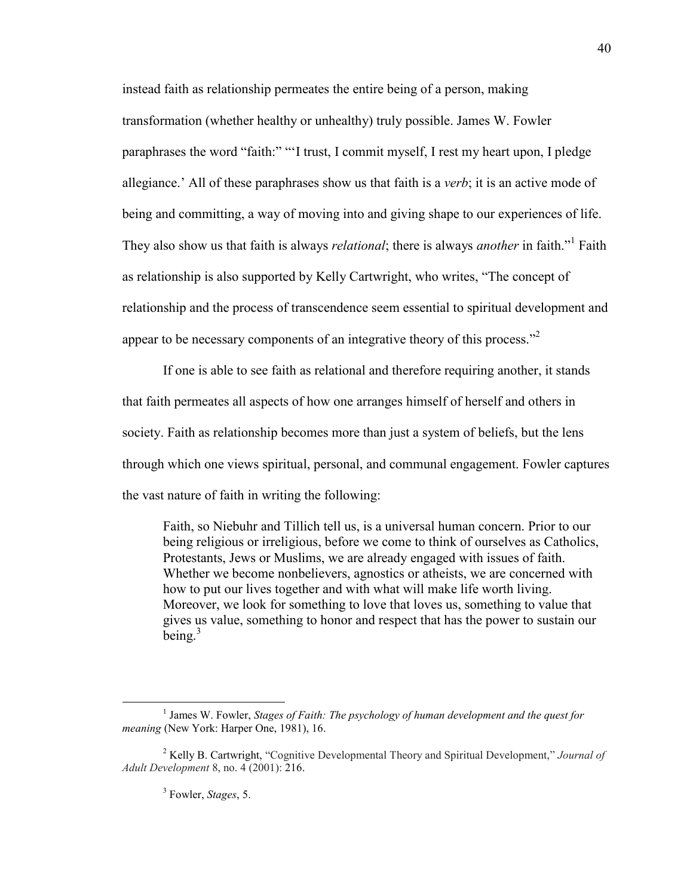instead faith as relationship permeates the entire being of a person, making transformation (whether healthy or unhealthy) truly possible. James W. Fowler paraphrases the word "faith:" "'I trust, I commit myself, I rest my heart upon, I pledge allegiance.' All of these paraphrases show us that faith is a *verb*; it is an active mode of being and committing, a way of moving into and giving shape to our experiences of life. They also show us that faith is always *relational*; there is always *another* in faith."<sup>1</sup> Faith as relationship is also supported by Kelly Cartwright, who writes, "The concept of relationship and the process of transcendence seem essential to spiritual development and appear to be necessary components of an integrative theory of this process."<sup>2</sup>

If one is able to see faith as relational and therefore requiring another, it stands that faith permeates all aspects of how one arranges himself of herself and others in society. Faith as relationship becomes more than just a system of beliefs, but the lens through which one views spiritual, personal, and communal engagement. Fowler captures the vast nature of faith in writing the following:

Faith, so Niebuhr and Tillich tell us, is a universal human concern. Prior to our being religious or irreligious, before we come to think of ourselves as Catholics, Protestants, Jews or Muslims, we are already engaged with issues of faith. Whether we become nonbelievers, agnostics or atheists, we are concerned with how to put our lives together and with what will make life worth living. Moreover, we look for something to love that loves us, something to value that gives us value, something to honor and respect that has the power to sustain our being. $3$ 

<sup>&</sup>lt;sup>1</sup> James W. Fowler, *Stages of Faith: The psychology of human development and the quest for meaning* (New York: Harper One, 1981), 16.

<sup>2</sup> Kelly B. Cartwright, "Cognitive Developmental Theory and Spiritual Development," *Journal of Adult Development* 8, no. 4 (2001): 216.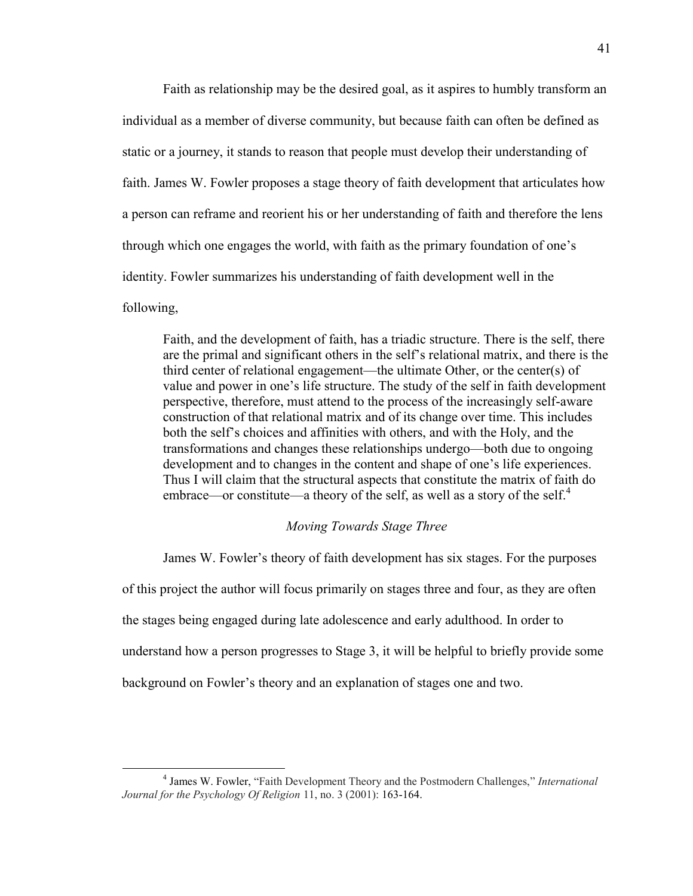Faith as relationship may be the desired goal, as it aspires to humbly transform an individual as a member of diverse community, but because faith can often be defined as static or a journey, it stands to reason that people must develop their understanding of faith. James W. Fowler proposes a stage theory of faith development that articulates how a person can reframe and reorient his or her understanding of faith and therefore the lens through which one engages the world, with faith as the primary foundation of one's identity. Fowler summarizes his understanding of faith development well in the following,

Faith, and the development of faith, has a triadic structure. There is the self, there are the primal and significant others in the self's relational matrix, and there is the third center of relational engagement—the ultimate Other, or the center(s) of value and power in one's life structure. The study of the self in faith development perspective, therefore, must attend to the process of the increasingly self-aware construction of that relational matrix and of its change over time. This includes both the self's choices and affinities with others, and with the Holy, and the transformations and changes these relationships undergo—both due to ongoing development and to changes in the content and shape of one's life experiences. Thus I will claim that the structural aspects that constitute the matrix of faith do embrace—or constitute—a theory of the self, as well as a story of the self.<sup>4</sup>

# *Moving Towards Stage Three*

James W. Fowler's theory of faith development has six stages. For the purposes of this project the author will focus primarily on stages three and four, as they are often the stages being engaged during late adolescence and early adulthood. In order to understand how a person progresses to Stage 3, it will be helpful to briefly provide some background on Fowler's theory and an explanation of stages one and two.

<sup>4</sup> James W. Fowler, "Faith Development Theory and the Postmodern Challenges," *International Journal for the Psychology Of Religion* 11, no. 3 (2001): 163-164.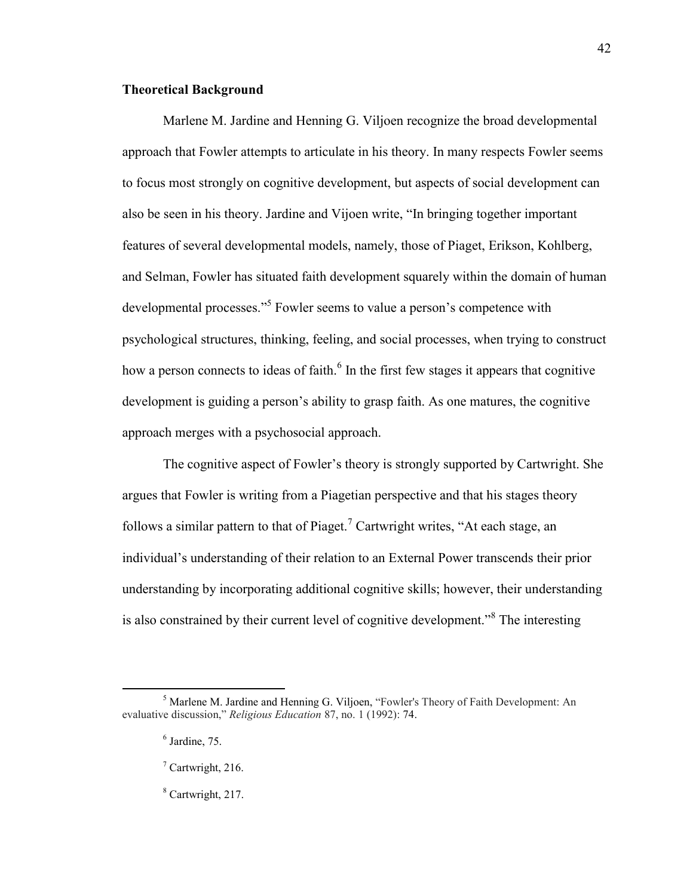#### **Theoretical Background**

Marlene M. Jardine and Henning G. Viljoen recognize the broad developmental approach that Fowler attempts to articulate in his theory. In many respects Fowler seems to focus most strongly on cognitive development, but aspects of social development can also be seen in his theory. Jardine and Vijoen write, "In bringing together important features of several developmental models, namely, those of Piaget, Erikson, Kohlberg, and Selman, Fowler has situated faith development squarely within the domain of human developmental processes."<sup>5</sup> Fowler seems to value a person's competence with psychological structures, thinking, feeling, and social processes, when trying to construct how a person connects to ideas of faith.<sup>6</sup> In the first few stages it appears that cognitive development is guiding a person's ability to grasp faith. As one matures, the cognitive approach merges with a psychosocial approach.

The cognitive aspect of Fowler's theory is strongly supported by Cartwright. She argues that Fowler is writing from a Piagetian perspective and that his stages theory follows a similar pattern to that of Piaget.<sup>7</sup> Cartwright writes, "At each stage, an individual's understanding of their relation to an External Power transcends their prior understanding by incorporating additional cognitive skills; however, their understanding is also constrained by their current level of cognitive development."<sup>8</sup> The interesting

<sup>5</sup> Marlene M. Jardine and Henning G. Viljoen, "Fowler's Theory of Faith Development: An evaluative discussion," *Religious Education* 87, no. 1 (1992): 74.

 $<sup>6</sup>$  Jardine, 75.</sup>

 $7$  Cartwright, 216.

<sup>&</sup>lt;sup>8</sup> Cartwright, 217.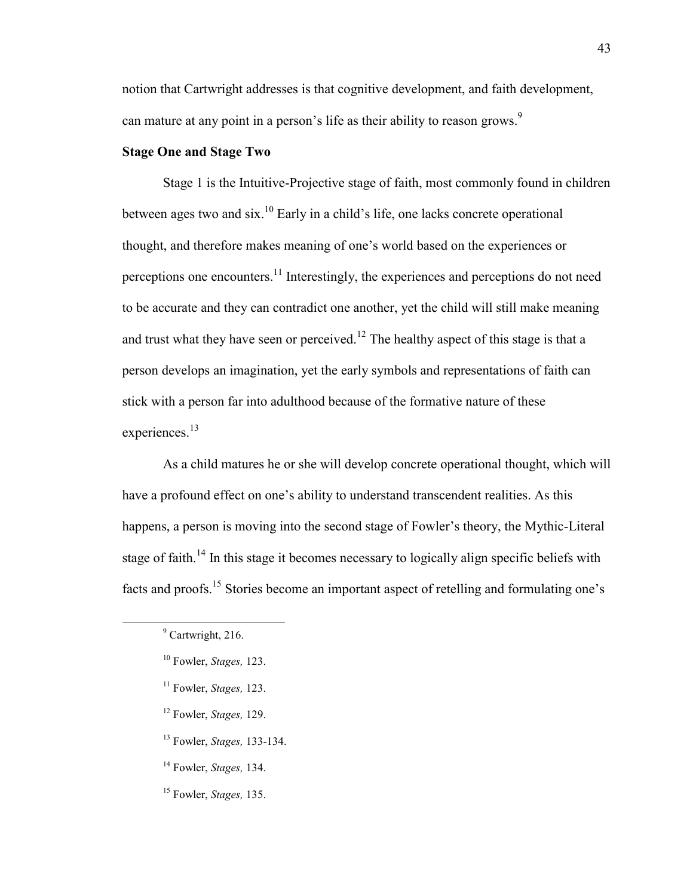notion that Cartwright addresses is that cognitive development, and faith development, can mature at any point in a person's life as their ability to reason grows.<sup>9</sup>

# **Stage One and Stage Two**

Stage 1 is the Intuitive-Projective stage of faith, most commonly found in children between ages two and six.<sup>10</sup> Early in a child's life, one lacks concrete operational thought, and therefore makes meaning of one's world based on the experiences or perceptions one encounters.<sup>11</sup> Interestingly, the experiences and perceptions do not need to be accurate and they can contradict one another, yet the child will still make meaning and trust what they have seen or perceived.<sup>12</sup> The healthy aspect of this stage is that a person develops an imagination, yet the early symbols and representations of faith can stick with a person far into adulthood because of the formative nature of these experiences.<sup>13</sup>

As a child matures he or she will develop concrete operational thought, which will have a profound effect on one's ability to understand transcendent realities. As this happens, a person is moving into the second stage of Fowler's theory, the Mythic-Literal stage of faith.<sup>14</sup> In this stage it becomes necessary to logically align specific beliefs with facts and proofs.<sup>15</sup> Stories become an important aspect of retelling and formulating one's

- <sup>12</sup> Fowler, *Stages,* 129.
- <sup>13</sup> Fowler, *Stages,* 133-134.
- <sup>14</sup> Fowler, *Stages,* 134.
- <sup>15</sup> Fowler, *Stages,* 135.

<sup>&</sup>lt;sup>9</sup> Cartwright, 216.

<sup>10</sup> Fowler, *Stages,* 123.

<sup>11</sup> Fowler, *Stages,* 123.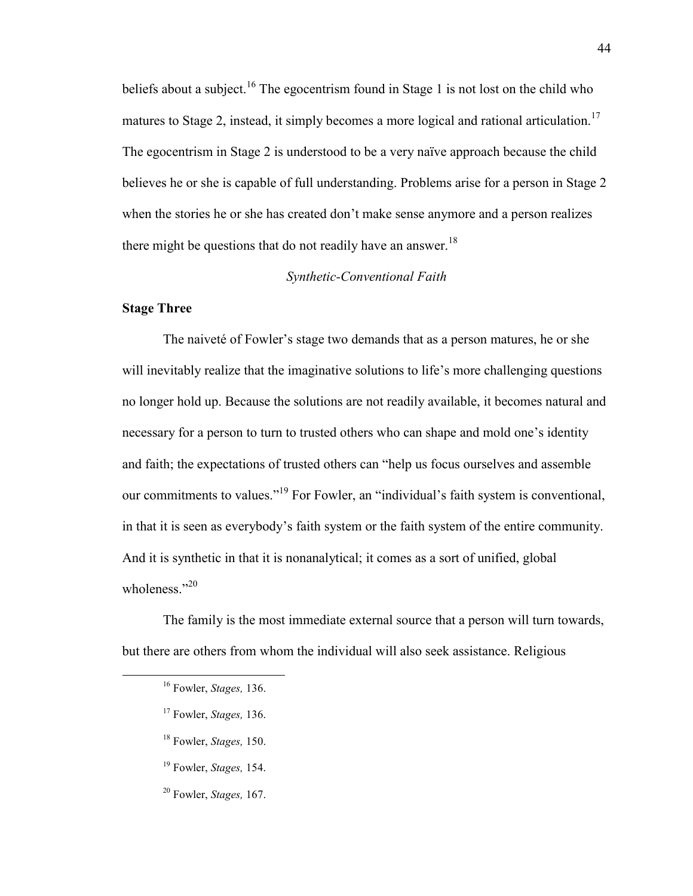beliefs about a subject.<sup>16</sup> The egocentrism found in Stage 1 is not lost on the child who matures to Stage 2, instead, it simply becomes a more logical and rational articulation.<sup>17</sup> The egocentrism in Stage 2 is understood to be a very naïve approach because the child believes he or she is capable of full understanding. Problems arise for a person in Stage 2 when the stories he or she has created don't make sense anymore and a person realizes there might be questions that do not readily have an answer.<sup>18</sup>

#### *Synthetic-Conventional Faith*

#### **Stage Three**

The naiveté of Fowler's stage two demands that as a person matures, he or she will inevitably realize that the imaginative solutions to life's more challenging questions no longer hold up. Because the solutions are not readily available, it becomes natural and necessary for a person to turn to trusted others who can shape and mold one's identity and faith; the expectations of trusted others can "help us focus ourselves and assemble our commitments to values."<sup>19</sup> For Fowler, an "individual's faith system is conventional, in that it is seen as everybody's faith system or the faith system of the entire community. And it is synthetic in that it is nonanalytical; it comes as a sort of unified, global wholeness."20

The family is the most immediate external source that a person will turn towards, but there are others from whom the individual will also seek assistance. Religious

- <sup>17</sup> Fowler, *Stages,* 136.
- <sup>18</sup> Fowler, *Stages,* 150.
- <sup>19</sup> Fowler, *Stages,* 154.
- <sup>20</sup> Fowler, *Stages,* 167.

<sup>16</sup> Fowler, *Stages,* 136.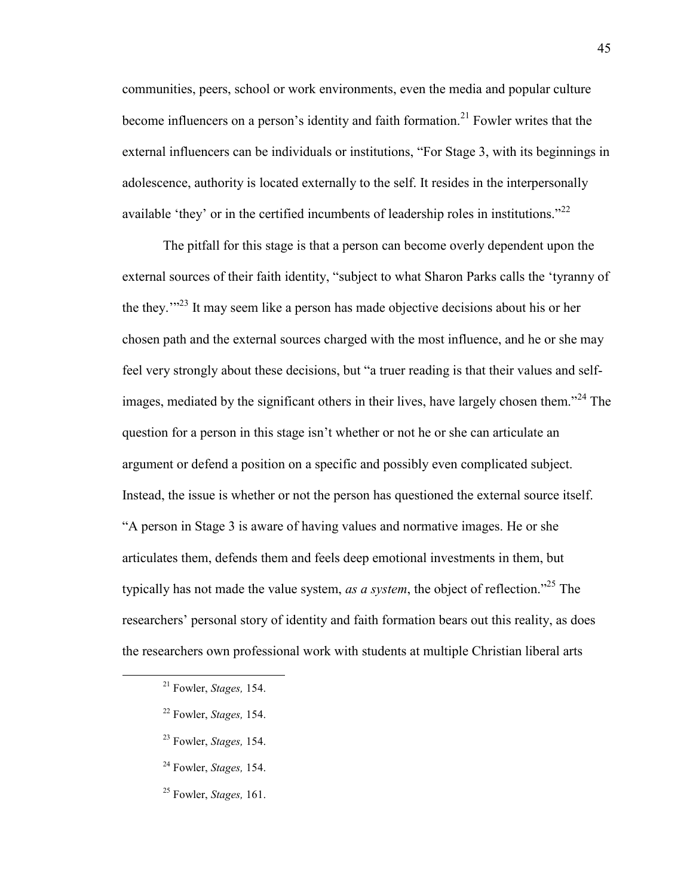communities, peers, school or work environments, even the media and popular culture become influencers on a person's identity and faith formation.<sup>21</sup> Fowler writes that the external influencers can be individuals or institutions, "For Stage 3, with its beginnings in adolescence, authority is located externally to the self. It resides in the interpersonally available 'they' or in the certified incumbents of leadership roles in institutions."<sup>22</sup>

The pitfall for this stage is that a person can become overly dependent upon the external sources of their faith identity, "subject to what Sharon Parks calls the 'tyranny of the they.'"<sup>23</sup> It may seem like a person has made objective decisions about his or her chosen path and the external sources charged with the most influence, and he or she may feel very strongly about these decisions, but "a truer reading is that their values and selfimages, mediated by the significant others in their lives, have largely chosen them.<sup>324</sup> The question for a person in this stage isn't whether or not he or she can articulate an argument or defend a position on a specific and possibly even complicated subject. Instead, the issue is whether or not the person has questioned the external source itself. "A person in Stage 3 is aware of having values and normative images. He or she articulates them, defends them and feels deep emotional investments in them, but typically has not made the value system, *as a system*, the object of reflection."<sup>25</sup> The researchers' personal story of identity and faith formation bears out this reality, as does the researchers own professional work with students at multiple Christian liberal arts

- <sup>22</sup> Fowler, *Stages,* 154.
- <sup>23</sup> Fowler, *Stages,* 154.
- <sup>24</sup> Fowler, *Stages,* 154.
- <sup>25</sup> Fowler, *Stages,* 161.

<sup>21</sup> Fowler, *Stages,* 154.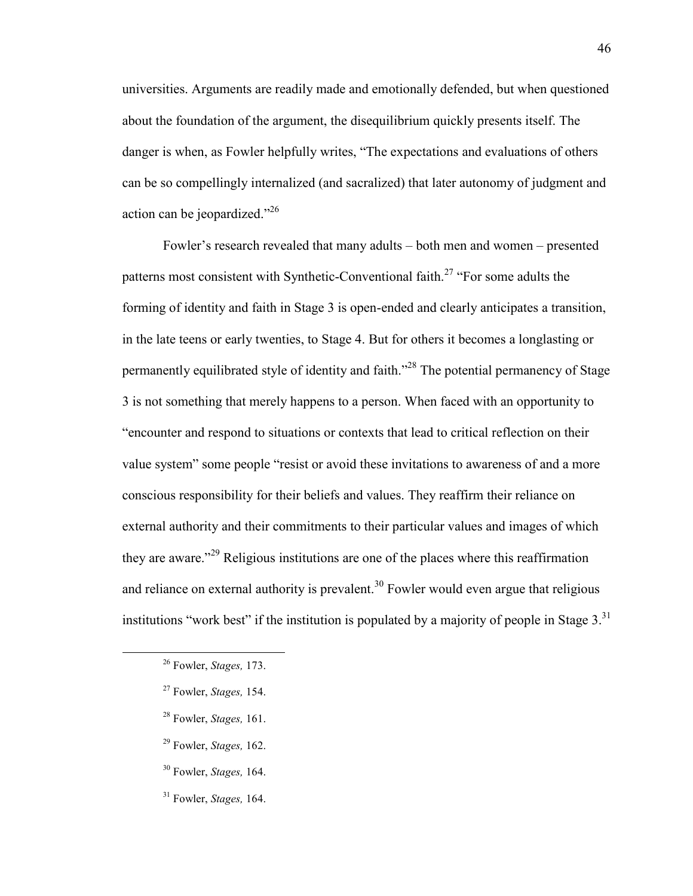universities. Arguments are readily made and emotionally defended, but when questioned about the foundation of the argument, the disequilibrium quickly presents itself. The danger is when, as Fowler helpfully writes, "The expectations and evaluations of others can be so compellingly internalized (and sacralized) that later autonomy of judgment and action can be jeopardized."<sup>26</sup>

Fowler's research revealed that many adults – both men and women – presented patterns most consistent with Synthetic-Conventional faith.<sup>27</sup> "For some adults the forming of identity and faith in Stage 3 is open-ended and clearly anticipates a transition, in the late teens or early twenties, to Stage 4. But for others it becomes a longlasting or permanently equilibrated style of identity and faith."<sup>28</sup> The potential permanency of Stage 3 is not something that merely happens to a person. When faced with an opportunity to "encounter and respond to situations or contexts that lead to critical reflection on their value system" some people "resist or avoid these invitations to awareness of and a more conscious responsibility for their beliefs and values. They reaffirm their reliance on external authority and their commitments to their particular values and images of which they are aware."<sup>29</sup> Religious institutions are one of the places where this reaffirmation and reliance on external authority is prevalent.<sup>30</sup> Fowler would even argue that religious institutions "work best" if the institution is populated by a majority of people in Stage  $3<sup>31</sup>$ 

- <sup>28</sup> Fowler, *Stages,* 161.
- <sup>29</sup> Fowler, *Stages,* 162.
- <sup>30</sup> Fowler, *Stages,* 164.
- <sup>31</sup> Fowler, *Stages,* 164.

<sup>26</sup> Fowler, *Stages,* 173.

<sup>27</sup> Fowler, *Stages,* 154.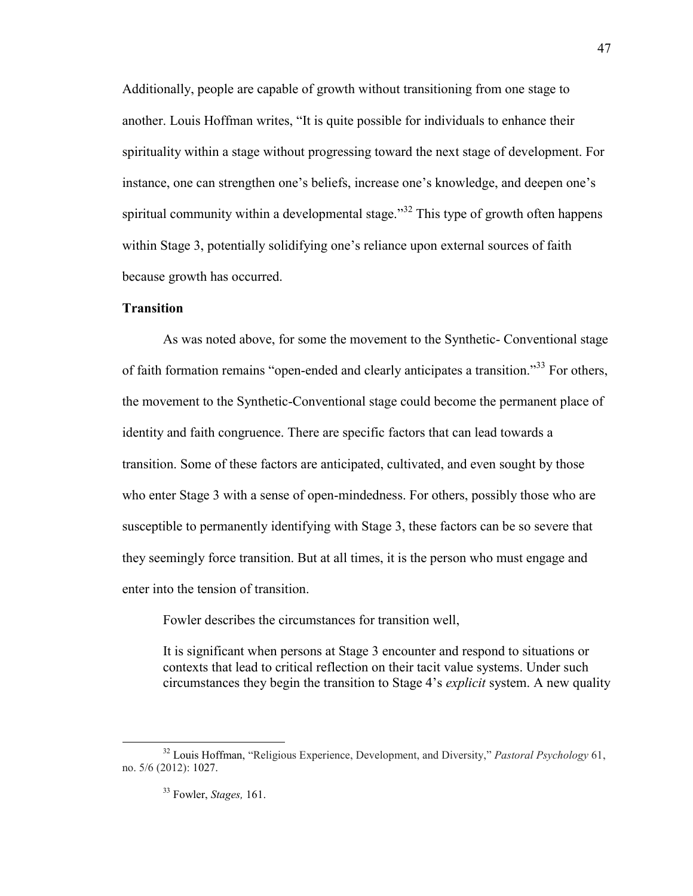Additionally, people are capable of growth without transitioning from one stage to another. Louis Hoffman writes, "It is quite possible for individuals to enhance their spirituality within a stage without progressing toward the next stage of development. For instance, one can strengthen one's beliefs, increase one's knowledge, and deepen one's spiritual community within a developmental stage.<sup>33</sup> This type of growth often happens within Stage 3, potentially solidifying one's reliance upon external sources of faith because growth has occurred.

# **Transition**

As was noted above, for some the movement to the Synthetic- Conventional stage of faith formation remains "open-ended and clearly anticipates a transition."<sup>33</sup> For others, the movement to the Synthetic-Conventional stage could become the permanent place of identity and faith congruence. There are specific factors that can lead towards a transition. Some of these factors are anticipated, cultivated, and even sought by those who enter Stage 3 with a sense of open-mindedness. For others, possibly those who are susceptible to permanently identifying with Stage 3, these factors can be so severe that they seemingly force transition. But at all times, it is the person who must engage and enter into the tension of transition.

Fowler describes the circumstances for transition well,

It is significant when persons at Stage 3 encounter and respond to situations or contexts that lead to critical reflection on their tacit value systems. Under such circumstances they begin the transition to Stage 4's *explicit* system. A new quality

<sup>32</sup> Louis Hoffman, "Religious Experience, Development, and Diversity," *Pastoral Psychology* 61, no. 5/6 (2012): 1027.

<sup>33</sup> Fowler, *Stages,* 161.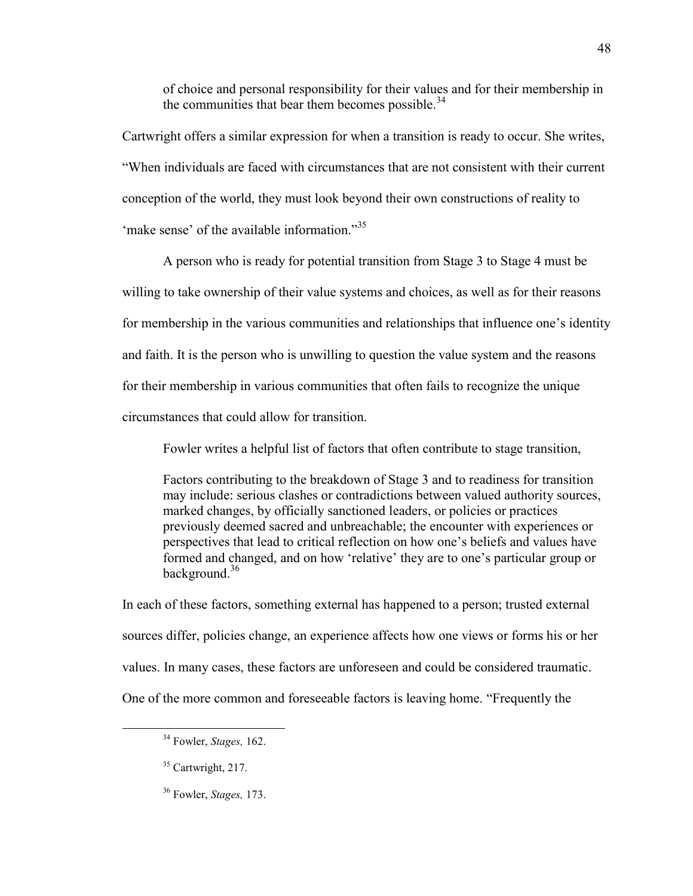of choice and personal responsibility for their values and for their membership in the communities that bear them becomes possible. $34$ 

Cartwright offers a similar expression for when a transition is ready to occur. She writes, "When individuals are faced with circumstances that are not consistent with their current conception of the world, they must look beyond their own constructions of reality to 'make sense' of the available information."<sup>35</sup>

A person who is ready for potential transition from Stage 3 to Stage 4 must be willing to take ownership of their value systems and choices, as well as for their reasons for membership in the various communities and relationships that influence one's identity and faith. It is the person who is unwilling to question the value system and the reasons for their membership in various communities that often fails to recognize the unique circumstances that could allow for transition.

Fowler writes a helpful list of factors that often contribute to stage transition,

Factors contributing to the breakdown of Stage 3 and to readiness for transition may include: serious clashes or contradictions between valued authority sources, marked changes, by officially sanctioned leaders, or policies or practices previously deemed sacred and unbreachable; the encounter with experiences or perspectives that lead to critical reflection on how one's beliefs and values have formed and changed, and on how 'relative' they are to one's particular group or background.<sup>36</sup>

In each of these factors, something external has happened to a person; trusted external sources differ, policies change, an experience affects how one views or forms his or her values. In many cases, these factors are unforeseen and could be considered traumatic. One of the more common and foreseeable factors is leaving home. "Frequently the

<sup>34</sup> Fowler, *Stages,* 162.

<sup>&</sup>lt;sup>35</sup> Cartwright, 217.

<sup>36</sup> Fowler, *Stages,* 173.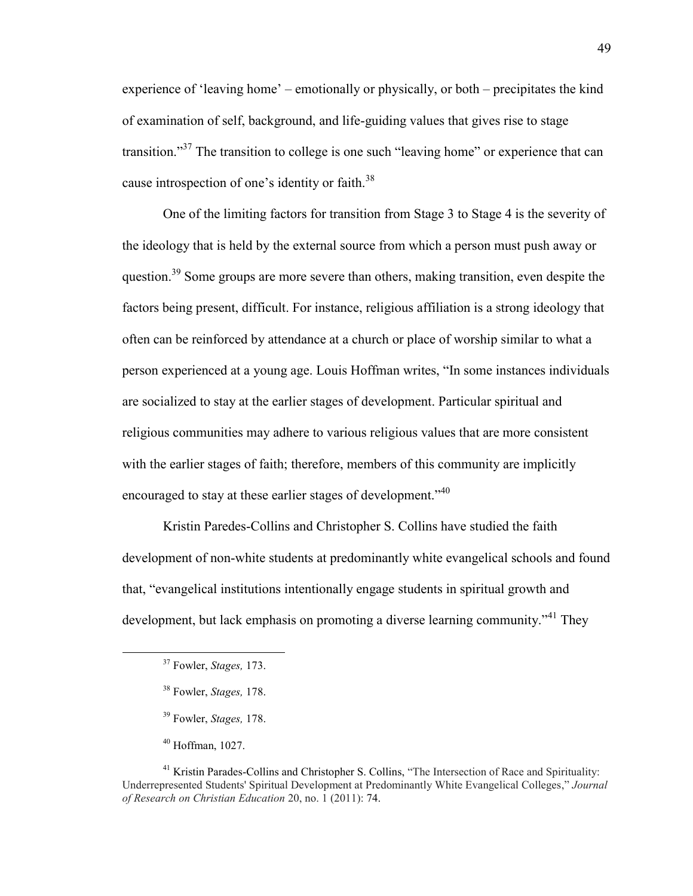experience of 'leaving home' – emotionally or physically, or both – precipitates the kind of examination of self, background, and life-guiding values that gives rise to stage transition."<sup>37</sup> The transition to college is one such "leaving home" or experience that can cause introspection of one's identity or faith.<sup>38</sup>

One of the limiting factors for transition from Stage 3 to Stage 4 is the severity of the ideology that is held by the external source from which a person must push away or question.<sup>39</sup> Some groups are more severe than others, making transition, even despite the factors being present, difficult. For instance, religious affiliation is a strong ideology that often can be reinforced by attendance at a church or place of worship similar to what a person experienced at a young age. Louis Hoffman writes, "In some instances individuals are socialized to stay at the earlier stages of development. Particular spiritual and religious communities may adhere to various religious values that are more consistent with the earlier stages of faith; therefore, members of this community are implicitly encouraged to stay at these earlier stages of development.<sup>340</sup>

Kristin Paredes-Collins and Christopher S. Collins have studied the faith development of non-white students at predominantly white evangelical schools and found that, "evangelical institutions intentionally engage students in spiritual growth and development, but lack emphasis on promoting a diverse learning community.<sup>"41</sup> They

<sup>37</sup> Fowler, *Stages,* 173.

<sup>38</sup> Fowler, *Stages,* 178.

<sup>39</sup> Fowler, *Stages,* 178.

 $40$  Hoffman, 1027.

<sup>&</sup>lt;sup>41</sup> Kristin Parades-Collins and Christopher S. Collins, "The Intersection of Race and Spirituality: Underrepresented Students' Spiritual Development at Predominantly White Evangelical Colleges," *Journal of Research on Christian Education* 20, no. 1 (2011): 74.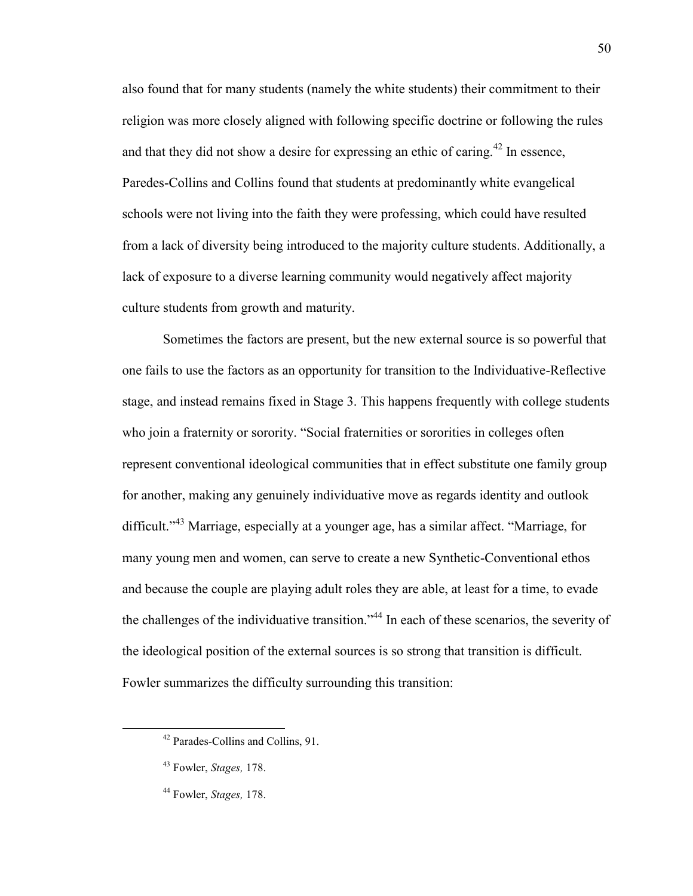also found that for many students (namely the white students) their commitment to their religion was more closely aligned with following specific doctrine or following the rules and that they did not show a desire for expressing an ethic of caring.<sup>42</sup> In essence, Paredes-Collins and Collins found that students at predominantly white evangelical schools were not living into the faith they were professing, which could have resulted from a lack of diversity being introduced to the majority culture students. Additionally, a lack of exposure to a diverse learning community would negatively affect majority culture students from growth and maturity.

Sometimes the factors are present, but the new external source is so powerful that one fails to use the factors as an opportunity for transition to the Individuative-Reflective stage, and instead remains fixed in Stage 3. This happens frequently with college students who join a fraternity or sorority. "Social fraternities or sororities in colleges often represent conventional ideological communities that in effect substitute one family group for another, making any genuinely individuative move as regards identity and outlook difficult."<sup>43</sup> Marriage, especially at a younger age, has a similar affect. "Marriage, for many young men and women, can serve to create a new Synthetic-Conventional ethos and because the couple are playing adult roles they are able, at least for a time, to evade the challenges of the individuative transition."<sup>44</sup> In each of these scenarios, the severity of the ideological position of the external sources is so strong that transition is difficult. Fowler summarizes the difficulty surrounding this transition:

<sup>42</sup> Parades-Collins and Collins, 91.

<sup>43</sup> Fowler, *Stages,* 178.

<sup>44</sup> Fowler, *Stages,* 178.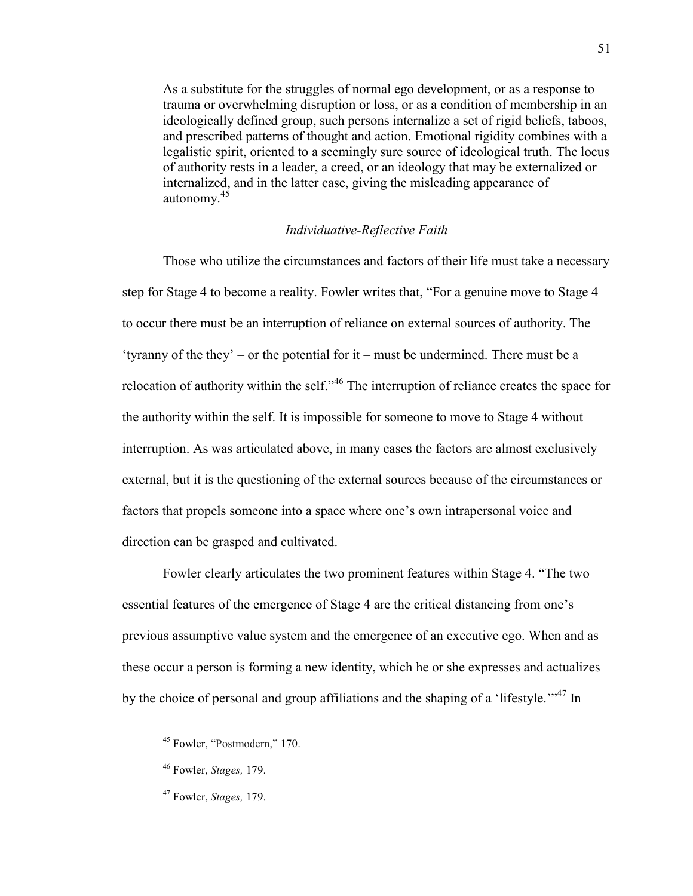As a substitute for the struggles of normal ego development, or as a response to trauma or overwhelming disruption or loss, or as a condition of membership in an ideologically defined group, such persons internalize a set of rigid beliefs, taboos, and prescribed patterns of thought and action. Emotional rigidity combines with a legalistic spirit, oriented to a seemingly sure source of ideological truth. The locus of authority rests in a leader, a creed, or an ideology that may be externalized or internalized, and in the latter case, giving the misleading appearance of autonomy.<sup>45</sup>

# *Individuative-Reflective Faith*

Those who utilize the circumstances and factors of their life must take a necessary step for Stage 4 to become a reality. Fowler writes that, "For a genuine move to Stage 4 to occur there must be an interruption of reliance on external sources of authority. The 'tyranny of the they' – or the potential for it – must be undermined. There must be a relocation of authority within the self."<sup>46</sup> The interruption of reliance creates the space for the authority within the self. It is impossible for someone to move to Stage 4 without interruption. As was articulated above, in many cases the factors are almost exclusively external, but it is the questioning of the external sources because of the circumstances or factors that propels someone into a space where one's own intrapersonal voice and direction can be grasped and cultivated.

Fowler clearly articulates the two prominent features within Stage 4. "The two essential features of the emergence of Stage 4 are the critical distancing from one's previous assumptive value system and the emergence of an executive ego. When and as these occur a person is forming a new identity, which he or she expresses and actualizes by the choice of personal and group affiliations and the shaping of a 'lifestyle.'"<sup>47</sup> In

<sup>45</sup> Fowler, "Postmodern," 170.

<sup>46</sup> Fowler, *Stages,* 179.

<sup>47</sup> Fowler, *Stages,* 179.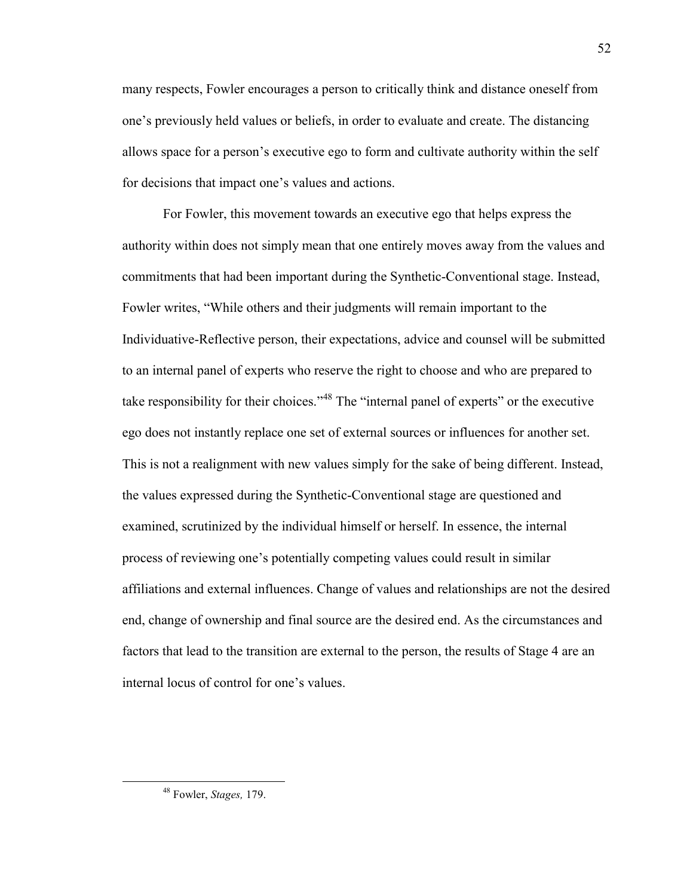many respects, Fowler encourages a person to critically think and distance oneself from one's previously held values or beliefs, in order to evaluate and create. The distancing allows space for a person's executive ego to form and cultivate authority within the self for decisions that impact one's values and actions.

For Fowler, this movement towards an executive ego that helps express the authority within does not simply mean that one entirely moves away from the values and commitments that had been important during the Synthetic-Conventional stage. Instead, Fowler writes, "While others and their judgments will remain important to the Individuative-Reflective person, their expectations, advice and counsel will be submitted to an internal panel of experts who reserve the right to choose and who are prepared to take responsibility for their choices."<sup>48</sup> The "internal panel of experts" or the executive ego does not instantly replace one set of external sources or influences for another set. This is not a realignment with new values simply for the sake of being different. Instead, the values expressed during the Synthetic-Conventional stage are questioned and examined, scrutinized by the individual himself or herself. In essence, the internal process of reviewing one's potentially competing values could result in similar affiliations and external influences. Change of values and relationships are not the desired end, change of ownership and final source are the desired end. As the circumstances and factors that lead to the transition are external to the person, the results of Stage 4 are an internal locus of control for one's values.

<sup>48</sup> Fowler, *Stages,* 179.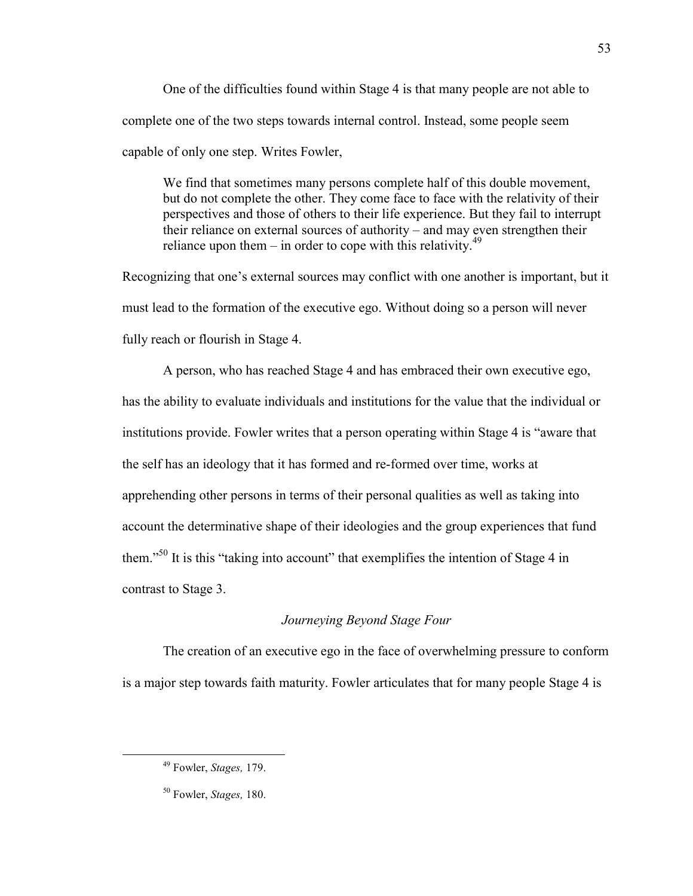One of the difficulties found within Stage 4 is that many people are not able to complete one of the two steps towards internal control. Instead, some people seem capable of only one step. Writes Fowler,

We find that sometimes many persons complete half of this double movement, but do not complete the other. They come face to face with the relativity of their perspectives and those of others to their life experience. But they fail to interrupt their reliance on external sources of authority – and may even strengthen their reliance upon them – in order to cope with this relativity.<sup>49</sup>

Recognizing that one's external sources may conflict with one another is important, but it must lead to the formation of the executive ego. Without doing so a person will never fully reach or flourish in Stage 4.

A person, who has reached Stage 4 and has embraced their own executive ego, has the ability to evaluate individuals and institutions for the value that the individual or institutions provide. Fowler writes that a person operating within Stage 4 is "aware that the self has an ideology that it has formed and re-formed over time, works at apprehending other persons in terms of their personal qualities as well as taking into account the determinative shape of their ideologies and the group experiences that fund them."<sup>50</sup> It is this "taking into account" that exemplifies the intention of Stage 4 in contrast to Stage 3.

### *Journeying Beyond Stage Four*

The creation of an executive ego in the face of overwhelming pressure to conform is a major step towards faith maturity. Fowler articulates that for many people Stage 4 is

<sup>49</sup> Fowler, *Stages,* 179.

<sup>50</sup> Fowler, *Stages,* 180.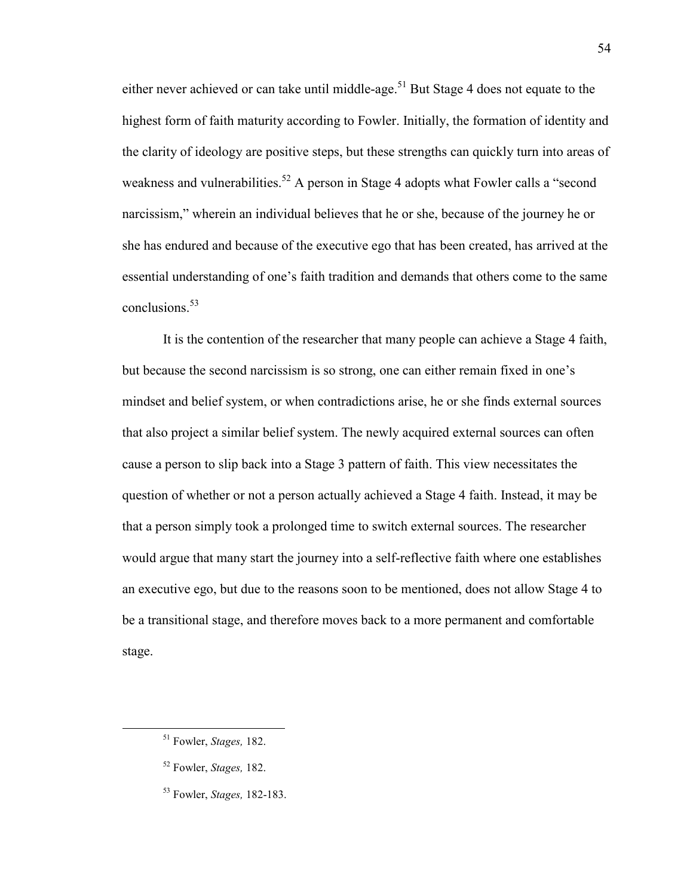either never achieved or can take until middle-age.<sup>51</sup> But Stage 4 does not equate to the highest form of faith maturity according to Fowler. Initially, the formation of identity and the clarity of ideology are positive steps, but these strengths can quickly turn into areas of weakness and vulnerabilities.<sup>52</sup> A person in Stage 4 adopts what Fowler calls a "second" narcissism," wherein an individual believes that he or she, because of the journey he or she has endured and because of the executive ego that has been created, has arrived at the essential understanding of one's faith tradition and demands that others come to the same conclusions  $53$ 

It is the contention of the researcher that many people can achieve a Stage 4 faith, but because the second narcissism is so strong, one can either remain fixed in one's mindset and belief system, or when contradictions arise, he or she finds external sources that also project a similar belief system. The newly acquired external sources can often cause a person to slip back into a Stage 3 pattern of faith. This view necessitates the question of whether or not a person actually achieved a Stage 4 faith. Instead, it may be that a person simply took a prolonged time to switch external sources. The researcher would argue that many start the journey into a self-reflective faith where one establishes an executive ego, but due to the reasons soon to be mentioned, does not allow Stage 4 to be a transitional stage, and therefore moves back to a more permanent and comfortable stage.

<sup>51</sup> Fowler, *Stages,* 182.

<sup>52</sup> Fowler, *Stages,* 182.

<sup>53</sup> Fowler, *Stages,* 182-183.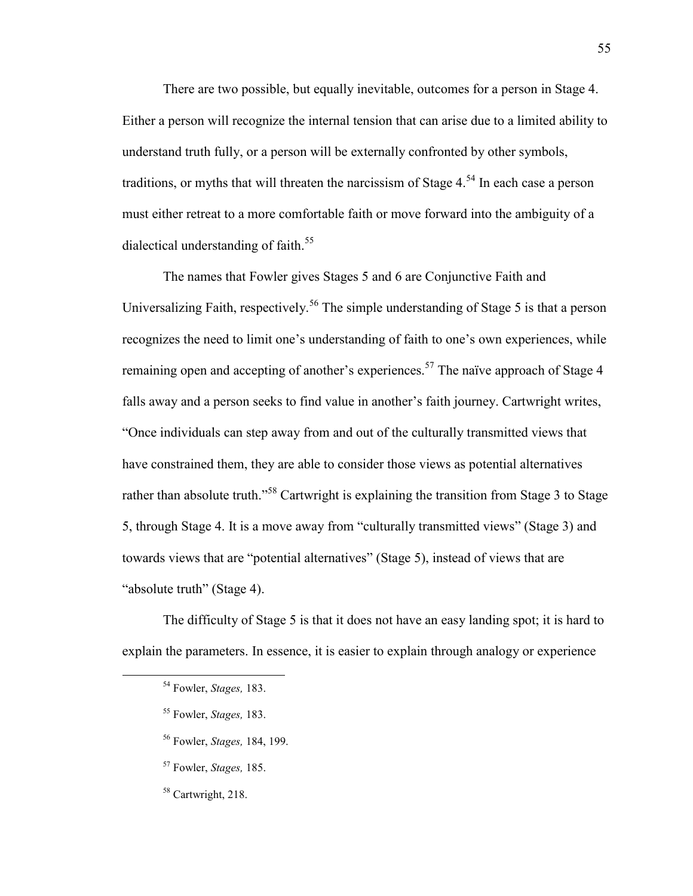There are two possible, but equally inevitable, outcomes for a person in Stage 4. Either a person will recognize the internal tension that can arise due to a limited ability to understand truth fully, or a person will be externally confronted by other symbols, traditions, or myths that will threaten the narcissism of Stage  $4.54$  In each case a person must either retreat to a more comfortable faith or move forward into the ambiguity of a dialectical understanding of faith.<sup>55</sup>

The names that Fowler gives Stages 5 and 6 are Conjunctive Faith and Universalizing Faith, respectively.<sup>56</sup> The simple understanding of Stage 5 is that a person recognizes the need to limit one's understanding of faith to one's own experiences, while remaining open and accepting of another's experiences.<sup>57</sup> The naïve approach of Stage 4 falls away and a person seeks to find value in another's faith journey. Cartwright writes, "Once individuals can step away from and out of the culturally transmitted views that have constrained them, they are able to consider those views as potential alternatives rather than absolute truth."<sup>58</sup> Cartwright is explaining the transition from Stage 3 to Stage 5, through Stage 4. It is a move away from "culturally transmitted views" (Stage 3) and towards views that are "potential alternatives" (Stage 5), instead of views that are "absolute truth" (Stage 4).

The difficulty of Stage 5 is that it does not have an easy landing spot; it is hard to explain the parameters. In essence, it is easier to explain through analogy or experience

- <sup>56</sup> Fowler, *Stages,* 184, 199.
- <sup>57</sup> Fowler, *Stages,* 185.
- <sup>58</sup> Cartwright, 218.

<sup>54</sup> Fowler, *Stages,* 183.

<sup>55</sup> Fowler, *Stages,* 183.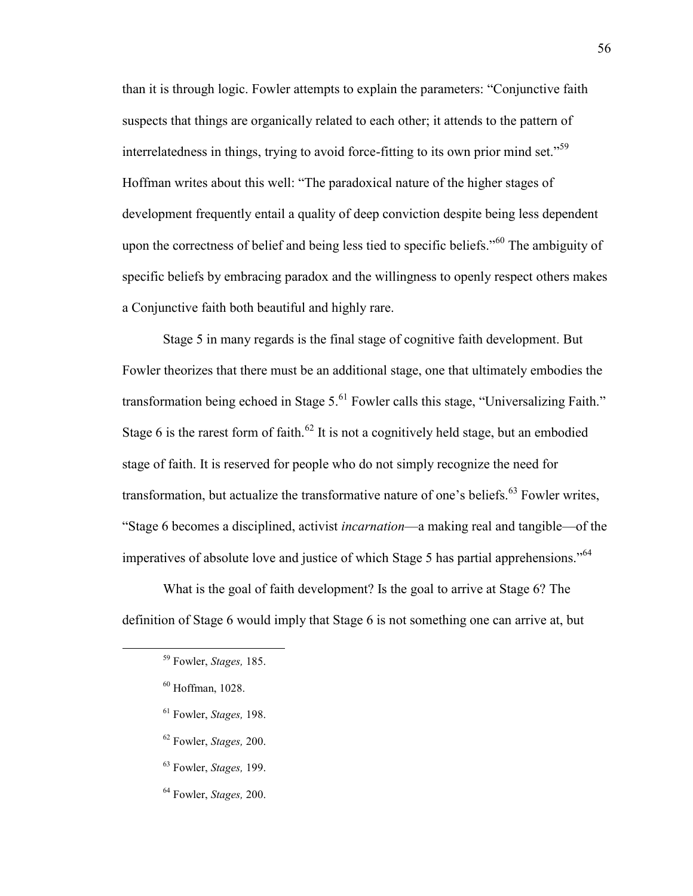than it is through logic. Fowler attempts to explain the parameters: "Conjunctive faith suspects that things are organically related to each other; it attends to the pattern of interrelatedness in things, trying to avoid force-fitting to its own prior mind set."<sup>59</sup> Hoffman writes about this well: "The paradoxical nature of the higher stages of development frequently entail a quality of deep conviction despite being less dependent upon the correctness of belief and being less tied to specific beliefs."<sup>60</sup> The ambiguity of specific beliefs by embracing paradox and the willingness to openly respect others makes a Conjunctive faith both beautiful and highly rare.

Stage 5 in many regards is the final stage of cognitive faith development. But Fowler theorizes that there must be an additional stage, one that ultimately embodies the transformation being echoed in Stage  $5<sup>61</sup>$  Fowler calls this stage, "Universalizing Faith." Stage 6 is the rarest form of faith.<sup>62</sup> It is not a cognitively held stage, but an embodied stage of faith. It is reserved for people who do not simply recognize the need for transformation, but actualize the transformative nature of one's beliefs.<sup>63</sup> Fowler writes, "Stage 6 becomes a disciplined, activist *incarnation*—a making real and tangible—of the imperatives of absolute love and justice of which Stage 5 has partial apprehensions."<sup>64</sup>

What is the goal of faith development? Is the goal to arrive at Stage 6? The definition of Stage 6 would imply that Stage 6 is not something one can arrive at, but

- <sup>61</sup> Fowler, *Stages,* 198.
- <sup>62</sup> Fowler, *Stages,* 200.
- <sup>63</sup> Fowler, *Stages,* 199.
- <sup>64</sup> Fowler, *Stages,* 200.

<sup>59</sup> Fowler, *Stages,* 185.

 $60$  Hoffman, 1028.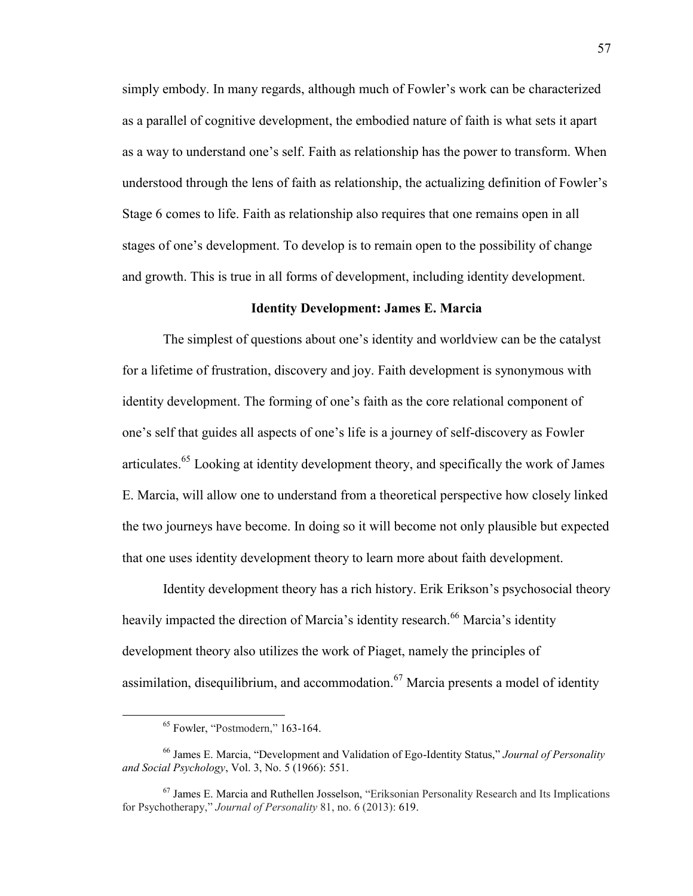simply embody. In many regards, although much of Fowler's work can be characterized as a parallel of cognitive development, the embodied nature of faith is what sets it apart as a way to understand one's self. Faith as relationship has the power to transform. When understood through the lens of faith as relationship, the actualizing definition of Fowler's Stage 6 comes to life. Faith as relationship also requires that one remains open in all stages of one's development. To develop is to remain open to the possibility of change and growth. This is true in all forms of development, including identity development.

#### **Identity Development: James E. Marcia**

The simplest of questions about one's identity and worldview can be the catalyst for a lifetime of frustration, discovery and joy. Faith development is synonymous with identity development. The forming of one's faith as the core relational component of one's self that guides all aspects of one's life is a journey of self-discovery as Fowler articulates.<sup>65</sup> Looking at identity development theory, and specifically the work of James E. Marcia, will allow one to understand from a theoretical perspective how closely linked the two journeys have become. In doing so it will become not only plausible but expected that one uses identity development theory to learn more about faith development.

Identity development theory has a rich history. Erik Erikson's psychosocial theory heavily impacted the direction of Marcia's identity research.<sup>66</sup> Marcia's identity development theory also utilizes the work of Piaget, namely the principles of assimilation, disequilibrium, and accommodation.<sup>67</sup> Marcia presents a model of identity

<sup>65</sup> Fowler, "Postmodern," 163-164.

<sup>66</sup> James E. Marcia, "Development and Validation of Ego-Identity Status," *Journal of Personality and Social Psychology*, Vol. 3, No. 5 (1966): 551.

<sup>67</sup> James E. Marcia and Ruthellen Josselson, "Eriksonian Personality Research and Its Implications for Psychotherapy," *Journal of Personality* 81, no. 6 (2013): 619.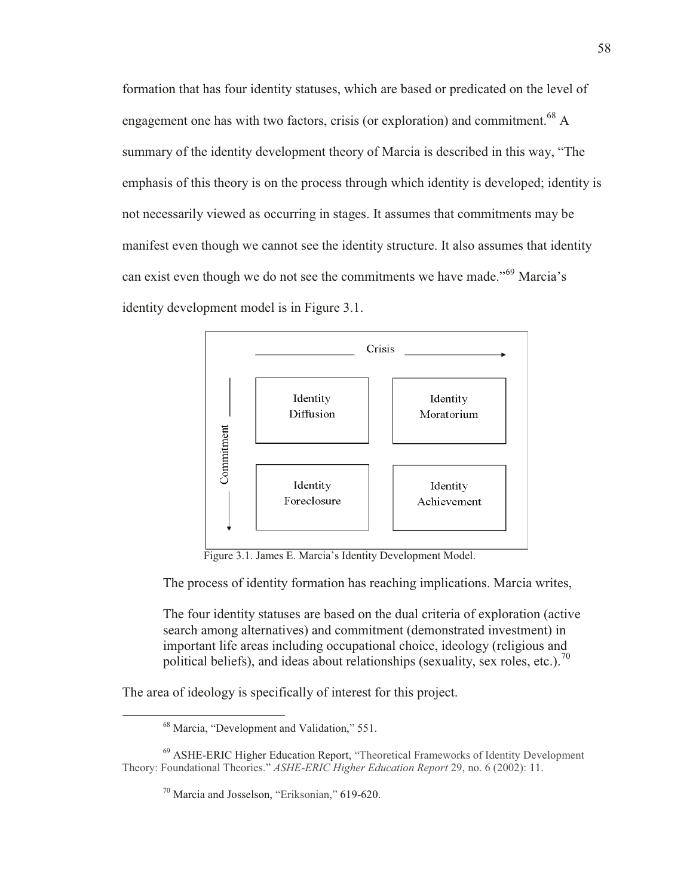formation that has four identity statuses, which are based or predicated on the level of engagement one has with two factors, crisis (or exploration) and commitment.<sup>68</sup> A summary of the identity development theory of Marcia is described in this way, "The emphasis of this theory is on the process through which identity is developed; identity is not necessarily viewed as occurring in stages. It assumes that commitments may be manifest even though we cannot see the identity structure. It also assumes that identity can exist even though we do not see the commitments we have made."<sup>69</sup> Marcia's identity development model is in Figure 3.1.



Figure 3.1. James E. Marcia's Identity Development Model.

The process of identity formation has reaching implications. Marcia writes,

The four identity statuses are based on the dual criteria of exploration (active search among alternatives) and commitment (demonstrated investment) in important life areas including occupational choice, ideology (religious and political beliefs), and ideas about relationships (sexuality, sex roles, etc.).<sup>70</sup>

The area of ideology is specifically of interest for this project.

 $68$  Marcia, "Development and Validation," 551.

<sup>&</sup>lt;sup>69</sup> ASHE-ERIC Higher Education Report, "Theoretical Frameworks of Identity Development Theory: Foundational Theories." *ASHE-ERIC Higher Education Report* 29, no. 6 (2002): 11.

 $^{70}$  Marcia and Josselson, "Eriksonian," 619-620.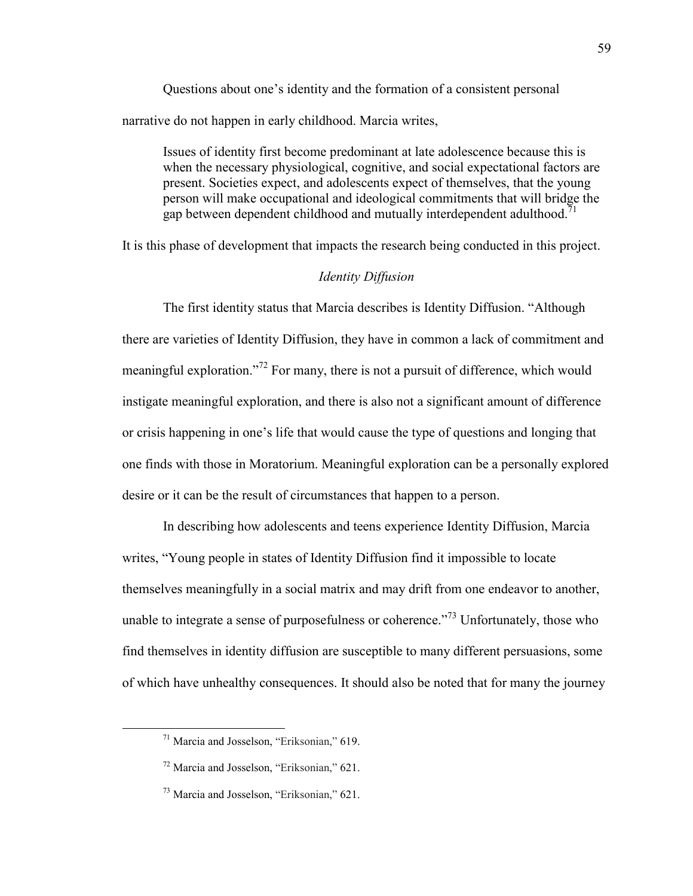Questions about one's identity and the formation of a consistent personal narrative do not happen in early childhood. Marcia writes,

Issues of identity first become predominant at late adolescence because this is when the necessary physiological, cognitive, and social expectational factors are present. Societies expect, and adolescents expect of themselves, that the young person will make occupational and ideological commitments that will bridge the gap between dependent childhood and mutually interdependent adulthood.<sup>71</sup>

It is this phase of development that impacts the research being conducted in this project.

# *Identity Diffusion*

The first identity status that Marcia describes is Identity Diffusion. "Although there are varieties of Identity Diffusion, they have in common a lack of commitment and meaningful exploration."<sup>72</sup> For many, there is not a pursuit of difference, which would instigate meaningful exploration, and there is also not a significant amount of difference or crisis happening in one's life that would cause the type of questions and longing that one finds with those in Moratorium. Meaningful exploration can be a personally explored desire or it can be the result of circumstances that happen to a person.

In describing how adolescents and teens experience Identity Diffusion, Marcia writes, "Young people in states of Identity Diffusion find it impossible to locate themselves meaningfully in a social matrix and may drift from one endeavor to another, unable to integrate a sense of purposefulness or coherence.<sup>773</sup> Unfortunately, those who find themselves in identity diffusion are susceptible to many different persuasions, some of which have unhealthy consequences. It should also be noted that for many the journey

<sup>71</sup> Marcia and Josselson, "Eriksonian," 619.

<sup>72</sup> Marcia and Josselson, "Eriksonian," 621.

<sup>73</sup> Marcia and Josselson, "Eriksonian," 621.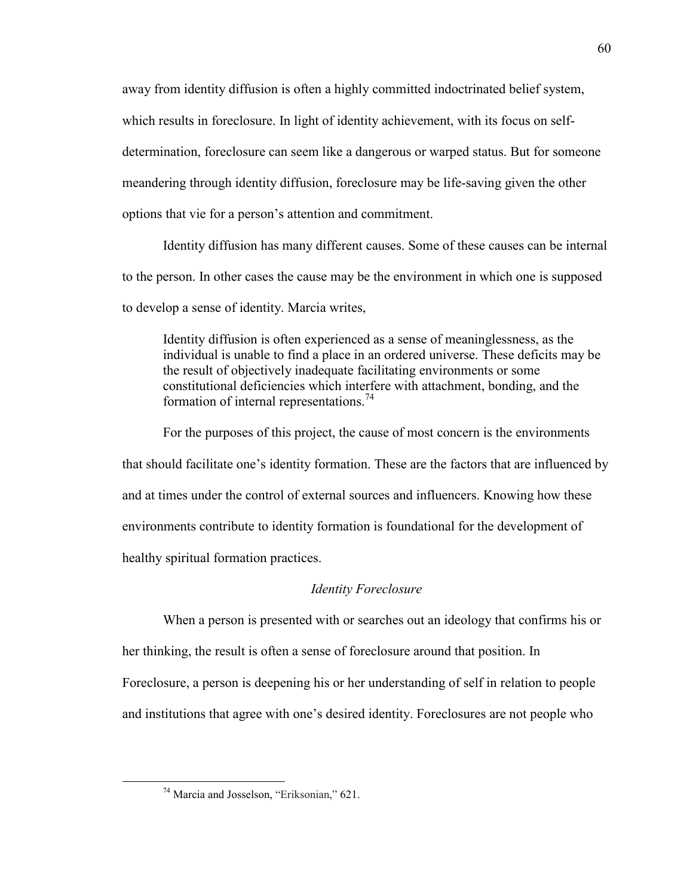away from identity diffusion is often a highly committed indoctrinated belief system, which results in foreclosure. In light of identity achievement, with its focus on selfdetermination, foreclosure can seem like a dangerous or warped status. But for someone meandering through identity diffusion, foreclosure may be life-saving given the other options that vie for a person's attention and commitment.

Identity diffusion has many different causes. Some of these causes can be internal to the person. In other cases the cause may be the environment in which one is supposed to develop a sense of identity. Marcia writes,

Identity diffusion is often experienced as a sense of meaninglessness, as the individual is unable to find a place in an ordered universe. These deficits may be the result of objectively inadequate facilitating environments or some constitutional deficiencies which interfere with attachment, bonding, and the formation of internal representations.<sup>74</sup>

For the purposes of this project, the cause of most concern is the environments that should facilitate one's identity formation. These are the factors that are influenced by and at times under the control of external sources and influencers. Knowing how these environments contribute to identity formation is foundational for the development of healthy spiritual formation practices.

#### *Identity Foreclosure*

When a person is presented with or searches out an ideology that confirms his or her thinking, the result is often a sense of foreclosure around that position. In Foreclosure, a person is deepening his or her understanding of self in relation to people and institutions that agree with one's desired identity. Foreclosures are not people who

<sup>74</sup> Marcia and Josselson, "Eriksonian," 621.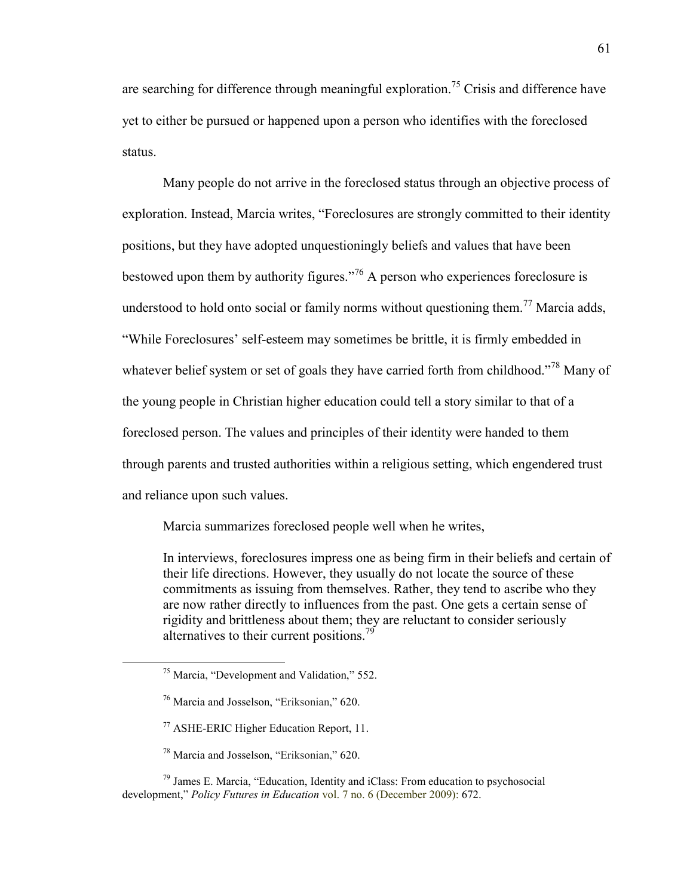are searching for difference through meaningful exploration.<sup>75</sup> Crisis and difference have yet to either be pursued or happened upon a person who identifies with the foreclosed status.

Many people do not arrive in the foreclosed status through an objective process of exploration. Instead, Marcia writes, "Foreclosures are strongly committed to their identity positions, but they have adopted unquestioningly beliefs and values that have been bestowed upon them by authority figures."<sup>76</sup> A person who experiences foreclosure is understood to hold onto social or family norms without questioning them.<sup>77</sup> Marcia adds, "While Foreclosures' self-esteem may sometimes be brittle, it is firmly embedded in whatever belief system or set of goals they have carried forth from childhood."<sup>78</sup> Many of the young people in Christian higher education could tell a story similar to that of a foreclosed person. The values and principles of their identity were handed to them through parents and trusted authorities within a religious setting, which engendered trust and reliance upon such values.

Marcia summarizes foreclosed people well when he writes,

In interviews, foreclosures impress one as being firm in their beliefs and certain of their life directions. However, they usually do not locate the source of these commitments as issuing from themselves. Rather, they tend to ascribe who they are now rather directly to influences from the past. One gets a certain sense of rigidity and brittleness about them; they are reluctant to consider seriously alternatives to their current positions.<sup>79</sup>

 $\overline{a}$ 

 $79$  James E. Marcia, "Education, Identity and iClass: From education to psychosocial development," *Policy Futures in Education* vol. 7 no. 6 (December 2009): 672.

<sup>75</sup> Marcia, "Development and Validation," 552.

<sup>76</sup> Marcia and Josselson, "Eriksonian," 620.

<sup>77</sup> ASHE-ERIC Higher Education Report, 11.

<sup>78</sup> Marcia and Josselson, "Eriksonian," 620.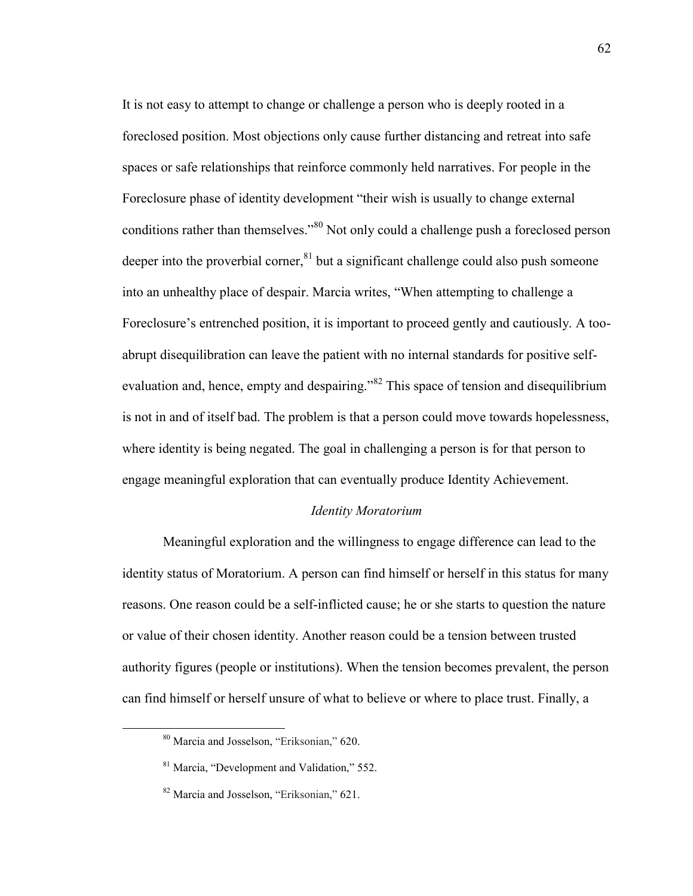It is not easy to attempt to change or challenge a person who is deeply rooted in a foreclosed position. Most objections only cause further distancing and retreat into safe spaces or safe relationships that reinforce commonly held narratives. For people in the Foreclosure phase of identity development "their wish is usually to change external conditions rather than themselves."<sup>80</sup> Not only could a challenge push a foreclosed person deeper into the proverbial corner, ${}^{81}$  but a significant challenge could also push someone into an unhealthy place of despair. Marcia writes, "When attempting to challenge a Foreclosure's entrenched position, it is important to proceed gently and cautiously. A tooabrupt disequilibration can leave the patient with no internal standards for positive selfevaluation and, hence, empty and despairing.<sup>382</sup> This space of tension and disequilibrium is not in and of itself bad. The problem is that a person could move towards hopelessness, where identity is being negated. The goal in challenging a person is for that person to engage meaningful exploration that can eventually produce Identity Achievement.

# *Identity Moratorium*

Meaningful exploration and the willingness to engage difference can lead to the identity status of Moratorium. A person can find himself or herself in this status for many reasons. One reason could be a self-inflicted cause; he or she starts to question the nature or value of their chosen identity. Another reason could be a tension between trusted authority figures (people or institutions). When the tension becomes prevalent, the person can find himself or herself unsure of what to believe or where to place trust. Finally, a

<sup>80</sup> Marcia and Josselson, "Eriksonian," 620.

<sup>81</sup> Marcia, "Development and Validation," 552.

<sup>&</sup>lt;sup>82</sup> Marcia and Josselson, "Eriksonian," 621.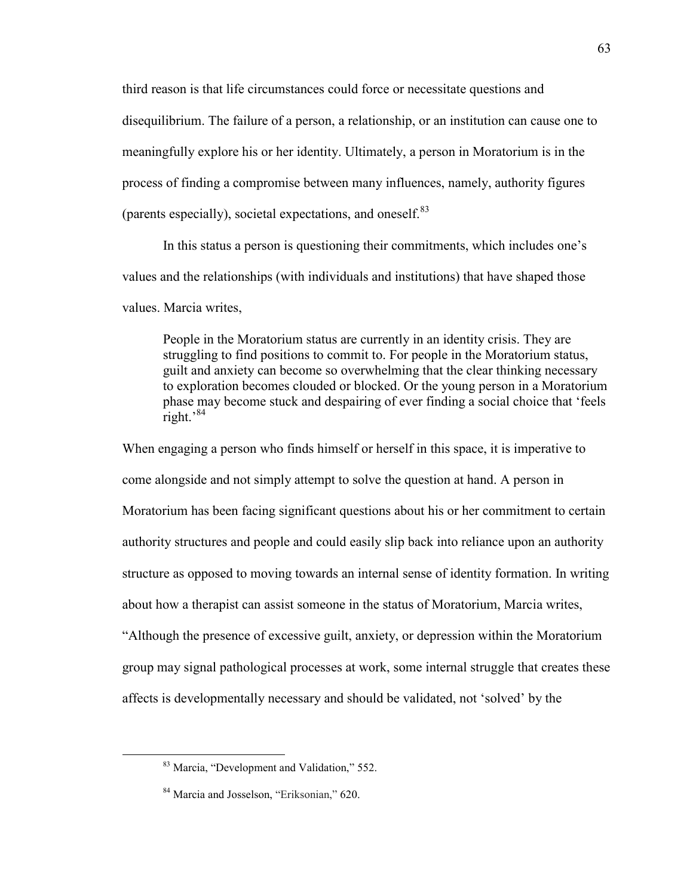third reason is that life circumstances could force or necessitate questions and disequilibrium. The failure of a person, a relationship, or an institution can cause one to meaningfully explore his or her identity. Ultimately, a person in Moratorium is in the process of finding a compromise between many influences, namely, authority figures (parents especially), societal expectations, and oneself. $83$ 

In this status a person is questioning their commitments, which includes one's values and the relationships (with individuals and institutions) that have shaped those values. Marcia writes,

People in the Moratorium status are currently in an identity crisis. They are struggling to find positions to commit to. For people in the Moratorium status, guilt and anxiety can become so overwhelming that the clear thinking necessary to exploration becomes clouded or blocked. Or the young person in a Moratorium phase may become stuck and despairing of ever finding a social choice that 'feels right. $^{84}$ 

When engaging a person who finds himself or herself in this space, it is imperative to come alongside and not simply attempt to solve the question at hand. A person in Moratorium has been facing significant questions about his or her commitment to certain authority structures and people and could easily slip back into reliance upon an authority structure as opposed to moving towards an internal sense of identity formation. In writing about how a therapist can assist someone in the status of Moratorium, Marcia writes,

"Although the presence of excessive guilt, anxiety, or depression within the Moratorium group may signal pathological processes at work, some internal struggle that creates these affects is developmentally necessary and should be validated, not 'solved' by the

<sup>83</sup> Marcia, "Development and Validation," 552.

<sup>84</sup> Marcia and Josselson, "Eriksonian," 620.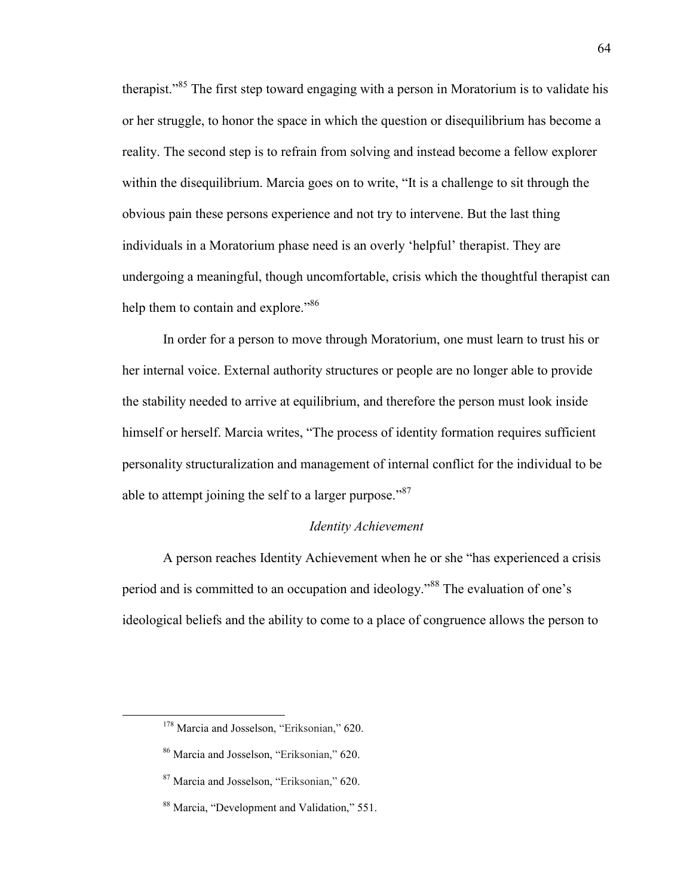therapist."<sup>85</sup> The first step toward engaging with a person in Moratorium is to validate his or her struggle, to honor the space in which the question or disequilibrium has become a reality. The second step is to refrain from solving and instead become a fellow explorer within the disequilibrium. Marcia goes on to write, "It is a challenge to sit through the obvious pain these persons experience and not try to intervene. But the last thing individuals in a Moratorium phase need is an overly 'helpful' therapist. They are undergoing a meaningful, though uncomfortable, crisis which the thoughtful therapist can help them to contain and explore."<sup>86</sup>

In order for a person to move through Moratorium, one must learn to trust his or her internal voice. External authority structures or people are no longer able to provide the stability needed to arrive at equilibrium, and therefore the person must look inside himself or herself. Marcia writes, "The process of identity formation requires sufficient personality structuralization and management of internal conflict for the individual to be able to attempt joining the self to a larger purpose."<sup>87</sup>

# *Identity Achievement*

A person reaches Identity Achievement when he or she "has experienced a crisis period and is committed to an occupation and ideology."<sup>88</sup> The evaluation of one's ideological beliefs and the ability to come to a place of congruence allows the person to

<sup>&</sup>lt;sup>178</sup> Marcia and Josselson, "Eriksonian," 620.

<sup>86</sup> Marcia and Josselson, "Eriksonian," 620.

<sup>87</sup> Marcia and Josselson, "Eriksonian," 620.

<sup>88</sup> Marcia, "Development and Validation," 551.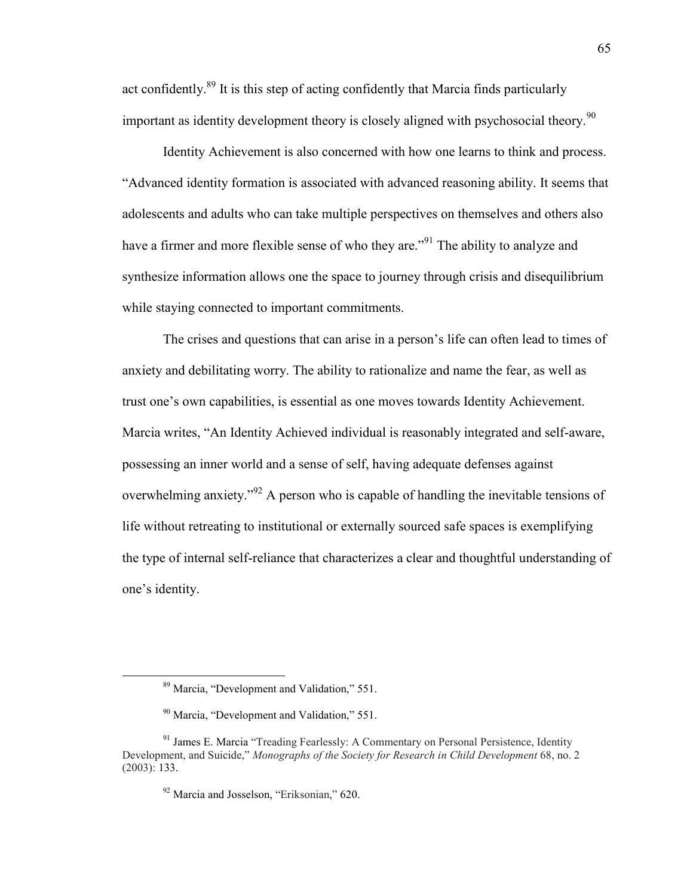act confidently.<sup>89</sup> It is this step of acting confidently that Marcia finds particularly important as identity development theory is closely aligned with psychosocial theory.<sup>90</sup>

Identity Achievement is also concerned with how one learns to think and process. "Advanced identity formation is associated with advanced reasoning ability. It seems that adolescents and adults who can take multiple perspectives on themselves and others also have a firmer and more flexible sense of who they are."<sup>91</sup> The ability to analyze and synthesize information allows one the space to journey through crisis and disequilibrium while staying connected to important commitments.

The crises and questions that can arise in a person's life can often lead to times of anxiety and debilitating worry. The ability to rationalize and name the fear, as well as trust one's own capabilities, is essential as one moves towards Identity Achievement. Marcia writes, "An Identity Achieved individual is reasonably integrated and self-aware, possessing an inner world and a sense of self, having adequate defenses against overwhelming anxiety.<sup>"92</sup> A person who is capable of handling the inevitable tensions of life without retreating to institutional or externally sourced safe spaces is exemplifying the type of internal self-reliance that characterizes a clear and thoughtful understanding of one's identity.

<sup>89</sup> Marcia, "Development and Validation," 551.

<sup>90</sup> Marcia, "Development and Validation," 551.

<sup>&</sup>lt;sup>91</sup> James E. Marcia "Treading Fearlessly: A Commentary on Personal Persistence, Identity Development, and Suicide," *Monographs of the Society for Research in Child Development* 68, no. 2 (2003): 133.

<sup>92</sup> Marcia and Josselson, "Eriksonian," 620.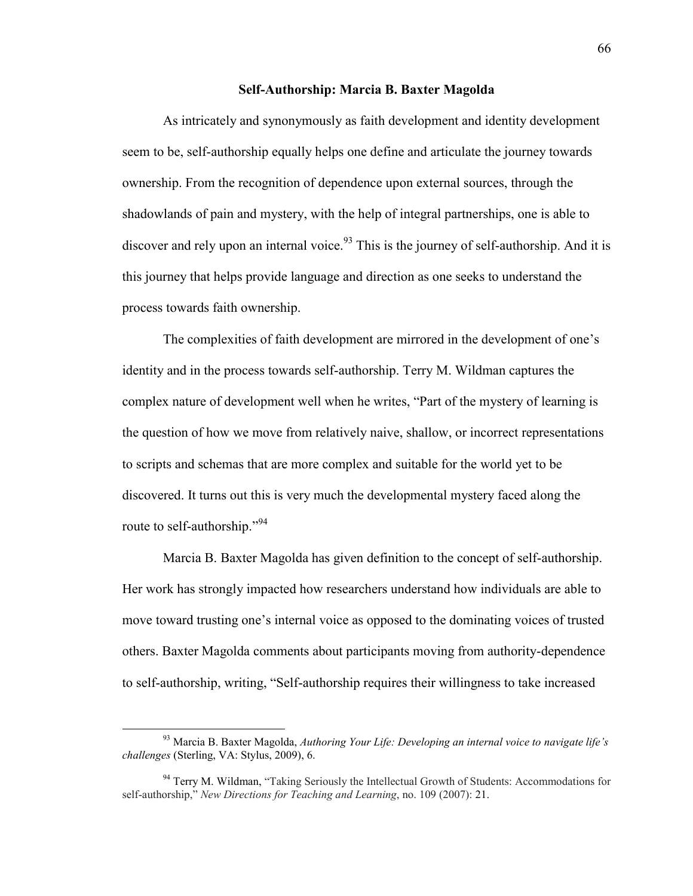#### **Self-Authorship: Marcia B. Baxter Magolda**

As intricately and synonymously as faith development and identity development seem to be, self-authorship equally helps one define and articulate the journey towards ownership. From the recognition of dependence upon external sources, through the shadowlands of pain and mystery, with the help of integral partnerships, one is able to discover and rely upon an internal voice.  $93$  This is the journey of self-authorship. And it is this journey that helps provide language and direction as one seeks to understand the process towards faith ownership.

The complexities of faith development are mirrored in the development of one's identity and in the process towards self-authorship. Terry M. Wildman captures the complex nature of development well when he writes, "Part of the mystery of learning is the question of how we move from relatively naive, shallow, or incorrect representations to scripts and schemas that are more complex and suitable for the world yet to be discovered. It turns out this is very much the developmental mystery faced along the route to self-authorship."<sup>94</sup>

Marcia B. Baxter Magolda has given definition to the concept of self-authorship. Her work has strongly impacted how researchers understand how individuals are able to move toward trusting one's internal voice as opposed to the dominating voices of trusted others. Baxter Magolda comments about participants moving from authority-dependence to self-authorship, writing, "Self-authorship requires their willingness to take increased

<sup>93</sup> Marcia B. Baxter Magolda, *Authoring Your Life: Developing an internal voice to navigate life's challenges* (Sterling, VA: Stylus, 2009), 6.

<sup>&</sup>lt;sup>94</sup> Terry M. Wildman, "Taking Seriously the Intellectual Growth of Students: Accommodations for self-authorship," *New Directions for Teaching and Learning*, no. 109 (2007): 21.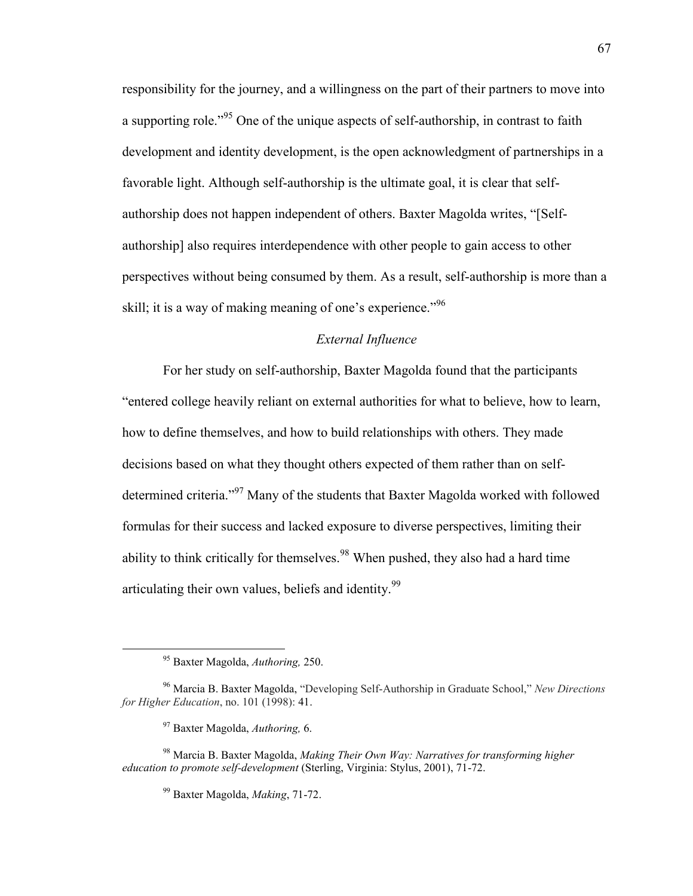responsibility for the journey, and a willingness on the part of their partners to move into a supporting role.<sup>"95</sup> One of the unique aspects of self-authorship, in contrast to faith development and identity development, is the open acknowledgment of partnerships in a favorable light. Although self-authorship is the ultimate goal, it is clear that selfauthorship does not happen independent of others. Baxter Magolda writes, "[Selfauthorship] also requires interdependence with other people to gain access to other perspectives without being consumed by them. As a result, self-authorship is more than a skill; it is a way of making meaning of one's experience."<sup>96</sup>

# *External Influence*

For her study on self-authorship, Baxter Magolda found that the participants "entered college heavily reliant on external authorities for what to believe, how to learn, how to define themselves, and how to build relationships with others. They made decisions based on what they thought others expected of them rather than on selfdetermined criteria."<sup>97</sup> Many of the students that Baxter Magolda worked with followed formulas for their success and lacked exposure to diverse perspectives, limiting their ability to think critically for themselves.<sup>98</sup> When pushed, they also had a hard time articulating their own values, beliefs and identity.<sup>99</sup>

<sup>95</sup> Baxter Magolda, *Authoring,* 250.

<sup>96</sup> Marcia B. Baxter Magolda, "Developing Self-Authorship in Graduate School," *New Directions for Higher Education*, no. 101 (1998): 41.

<sup>97</sup> Baxter Magolda, *Authoring,* 6.

<sup>98</sup> Marcia B. Baxter Magolda, *Making Their Own Way: Narratives for transforming higher education to promote self-development* (Sterling, Virginia: Stylus, 2001), 71-72.

<sup>99</sup> Baxter Magolda, *Making*, 71-72.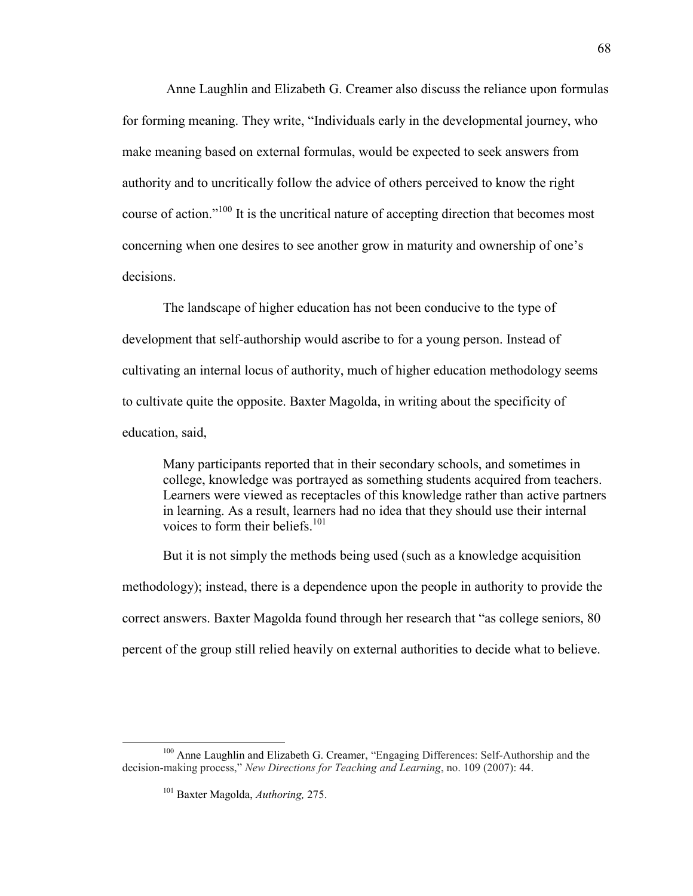Anne Laughlin and Elizabeth G. Creamer also discuss the reliance upon formulas for forming meaning. They write, "Individuals early in the developmental journey, who make meaning based on external formulas, would be expected to seek answers from authority and to uncritically follow the advice of others perceived to know the right course of action."<sup>100</sup> It is the uncritical nature of accepting direction that becomes most concerning when one desires to see another grow in maturity and ownership of one's decisions.

The landscape of higher education has not been conducive to the type of development that self-authorship would ascribe to for a young person. Instead of cultivating an internal locus of authority, much of higher education methodology seems to cultivate quite the opposite. Baxter Magolda, in writing about the specificity of education, said,

Many participants reported that in their secondary schools, and sometimes in college, knowledge was portrayed as something students acquired from teachers. Learners were viewed as receptacles of this knowledge rather than active partners in learning. As a result, learners had no idea that they should use their internal voices to form their beliefs. $101$ 

But it is not simply the methods being used (such as a knowledge acquisition methodology); instead, there is a dependence upon the people in authority to provide the correct answers. Baxter Magolda found through her research that "as college seniors, 80 percent of the group still relied heavily on external authorities to decide what to believe.

<sup>100</sup> Anne Laughlin and Elizabeth G. Creamer, "Engaging Differences: Self-Authorship and the decision-making process," *New Directions for Teaching and Learning*, no. 109 (2007): 44.

<sup>101</sup> Baxter Magolda, *Authoring,* 275.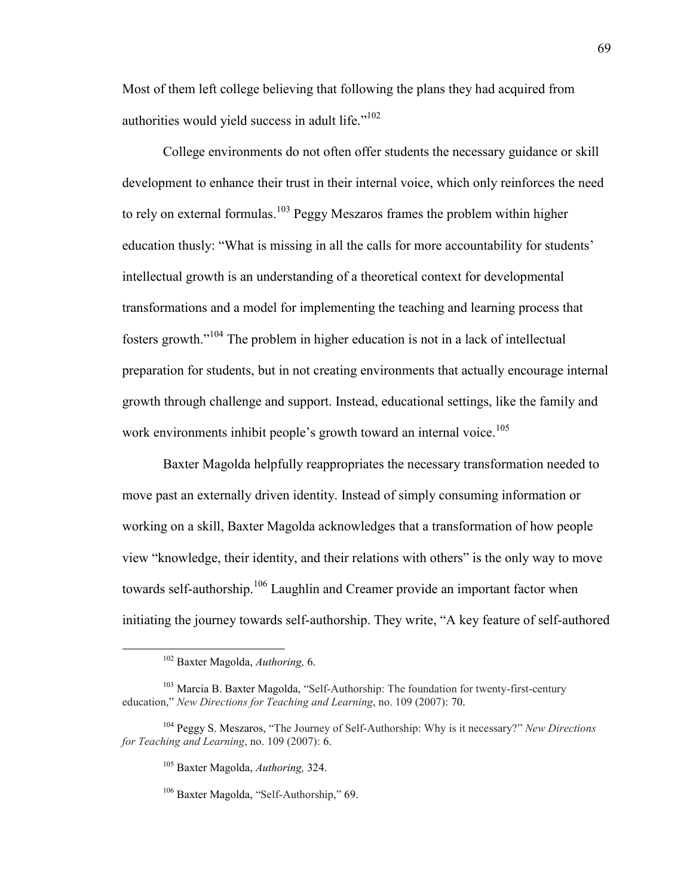Most of them left college believing that following the plans they had acquired from authorities would yield success in adult life."<sup>102</sup>

College environments do not often offer students the necessary guidance or skill development to enhance their trust in their internal voice, which only reinforces the need to rely on external formulas.<sup>103</sup> Peggy Meszaros frames the problem within higher education thusly: "What is missing in all the calls for more accountability for students' intellectual growth is an understanding of a theoretical context for developmental transformations and a model for implementing the teaching and learning process that fosters growth."<sup>104</sup> The problem in higher education is not in a lack of intellectual preparation for students, but in not creating environments that actually encourage internal growth through challenge and support. Instead, educational settings, like the family and work environments inhibit people's growth toward an internal voice.<sup>105</sup>

Baxter Magolda helpfully reappropriates the necessary transformation needed to move past an externally driven identity. Instead of simply consuming information or working on a skill, Baxter Magolda acknowledges that a transformation of how people view "knowledge, their identity, and their relations with others" is the only way to move towards self-authorship.<sup>106</sup> Laughlin and Creamer provide an important factor when initiating the journey towards self-authorship. They write, "A key feature of self-authored

<sup>102</sup> Baxter Magolda, *Authoring,* 6.

<sup>&</sup>lt;sup>103</sup> Marcia B. Baxter Magolda, "Self-Authorship: The foundation for twenty-first-century education," *New Directions for Teaching and Learning*, no. 109 (2007): 70.

<sup>104</sup> Peggy S. Meszaros, "The Journey of Self-Authorship: Why is it necessary?" *New Directions for Teaching and Learning*, no. 109 (2007): 6.

<sup>105</sup> Baxter Magolda, *Authoring,* 324.

<sup>106</sup> Baxter Magolda, "Self-Authorship," 69.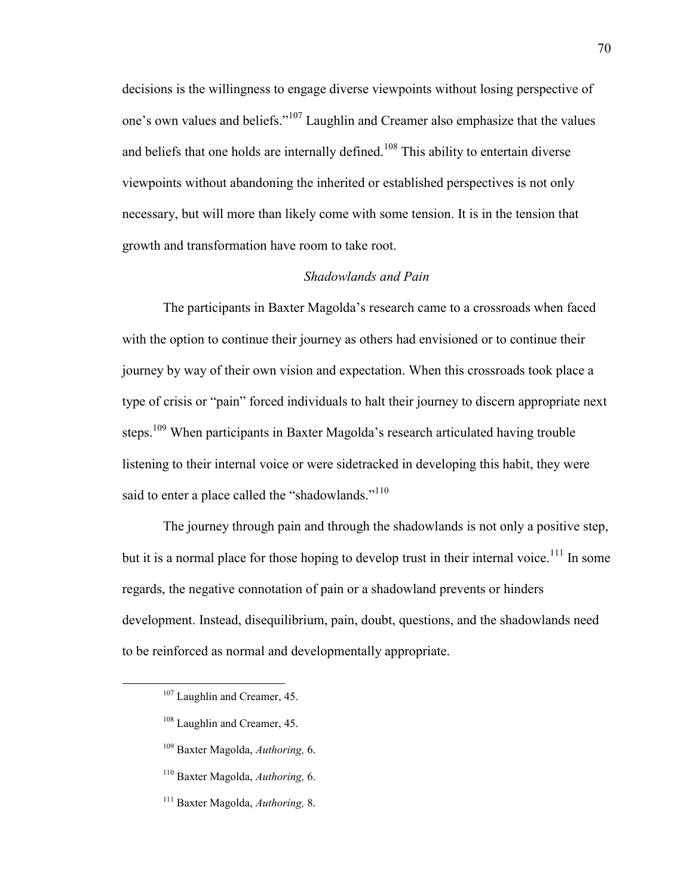decisions is the willingness to engage diverse viewpoints without losing perspective of one's own values and beliefs."<sup>107</sup> Laughlin and Creamer also emphasize that the values and beliefs that one holds are internally defined.<sup>108</sup> This ability to entertain diverse viewpoints without abandoning the inherited or established perspectives is not only necessary, but will more than likely come with some tension. It is in the tension that growth and transformation have room to take root.

#### *Shadowlands and Pain*

The participants in Baxter Magolda's research came to a crossroads when faced with the option to continue their journey as others had envisioned or to continue their journey by way of their own vision and expectation. When this crossroads took place a type of crisis or "pain" forced individuals to halt their journey to discern appropriate next steps.<sup>109</sup> When participants in Baxter Magolda's research articulated having trouble listening to their internal voice or were sidetracked in developing this habit, they were said to enter a place called the "shadowlands."<sup>110</sup>

The journey through pain and through the shadowlands is not only a positive step, but it is a normal place for those hoping to develop trust in their internal voice.<sup>111</sup> In some regards, the negative connotation of pain or a shadowland prevents or hinders development. Instead, disequilibrium, pain, doubt, questions, and the shadowlands need to be reinforced as normal and developmentally appropriate.

- <sup>108</sup> Laughlin and Creamer, 45.
- <sup>109</sup> Baxter Magolda, *Authoring,* 6.
- <sup>110</sup> Baxter Magolda, *Authoring,* 6.
- <sup>111</sup> Baxter Magolda, *Authoring,* 8.

<sup>&</sup>lt;sup>107</sup> Laughlin and Creamer, 45.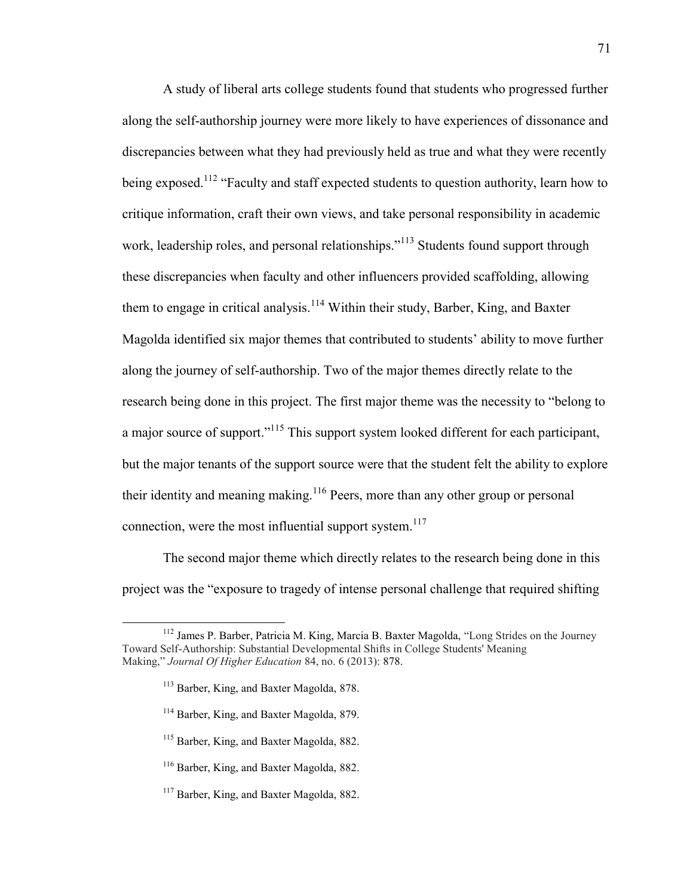A study of liberal arts college students found that students who progressed further along the self-authorship journey were more likely to have experiences of dissonance and discrepancies between what they had previously held as true and what they were recently being exposed.<sup>112</sup> "Faculty and staff expected students to question authority, learn how to critique information, craft their own views, and take personal responsibility in academic work, leadership roles, and personal relationships."<sup>113</sup> Students found support through these discrepancies when faculty and other influencers provided scaffolding, allowing them to engage in critical analysis.<sup>114</sup> Within their study, Barber, King, and Baxter Magolda identified six major themes that contributed to students' ability to move further along the journey of self-authorship. Two of the major themes directly relate to the research being done in this project. The first major theme was the necessity to "belong to a major source of support."<sup>115</sup> This support system looked different for each participant, but the major tenants of the support source were that the student felt the ability to explore their identity and meaning making.<sup>116</sup> Peers, more than any other group or personal connection, were the most influential support system.<sup>117</sup>

The second major theme which directly relates to the research being done in this project was the "exposure to tragedy of intense personal challenge that required shifting

- <sup>114</sup> Barber, King, and Baxter Magolda, 879.
- <sup>115</sup> Barber, King, and Baxter Magolda, 882.
- <sup>116</sup> Barber, King, and Baxter Magolda, 882.
- <sup>117</sup> Barber, King, and Baxter Magolda, 882.

<sup>&</sup>lt;sup>112</sup> James P. Barber, Patricia M. King, Marcia B. Baxter Magolda, "Long Strides on the Journey Toward Self-Authorship: Substantial Developmental Shifts in College Students' Meaning Making," *Journal Of Higher Education* 84, no. 6 (2013): 878.

<sup>&</sup>lt;sup>113</sup> Barber, King, and Baxter Magolda, 878.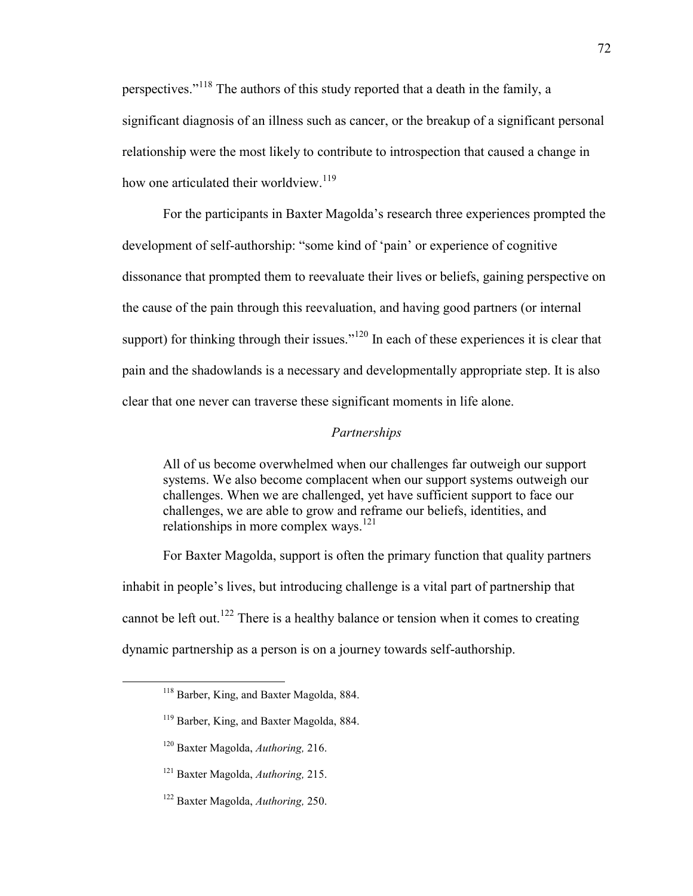perspectives."<sup>118</sup> The authors of this study reported that a death in the family, a significant diagnosis of an illness such as cancer, or the breakup of a significant personal relationship were the most likely to contribute to introspection that caused a change in how one articulated their worldview.<sup>119</sup>

For the participants in Baxter Magolda's research three experiences prompted the development of self-authorship: "some kind of 'pain' or experience of cognitive dissonance that prompted them to reevaluate their lives or beliefs, gaining perspective on the cause of the pain through this reevaluation, and having good partners (or internal support) for thinking through their issues."<sup>120</sup> In each of these experiences it is clear that pain and the shadowlands is a necessary and developmentally appropriate step. It is also clear that one never can traverse these significant moments in life alone.

# *Partnerships*

All of us become overwhelmed when our challenges far outweigh our support systems. We also become complacent when our support systems outweigh our challenges. When we are challenged, yet have sufficient support to face our challenges, we are able to grow and reframe our beliefs, identities, and relationships in more complex ways.<sup>121</sup>

For Baxter Magolda, support is often the primary function that quality partners inhabit in people's lives, but introducing challenge is a vital part of partnership that cannot be left out.<sup>122</sup> There is a healthy balance or tension when it comes to creating dynamic partnership as a person is on a journey towards self-authorship.

<sup>120</sup> Baxter Magolda, *Authoring,* 216.

- <sup>121</sup> Baxter Magolda, *Authoring,* 215.
- <sup>122</sup> Baxter Magolda, *Authoring,* 250.

<sup>118</sup> Barber, King, and Baxter Magolda, 884.

<sup>&</sup>lt;sup>119</sup> Barber, King, and Baxter Magolda, 884.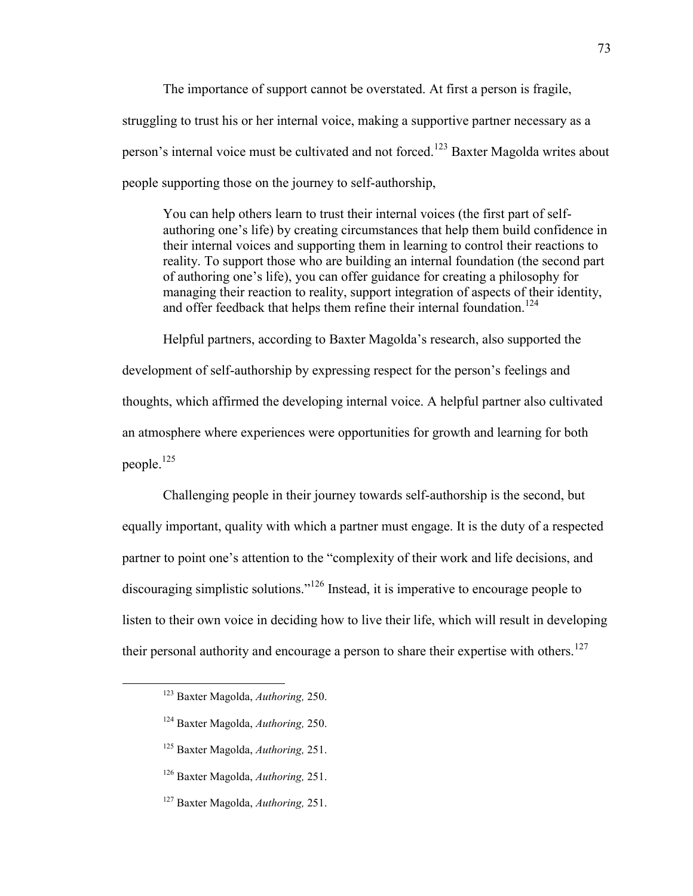The importance of support cannot be overstated. At first a person is fragile, struggling to trust his or her internal voice, making a supportive partner necessary as a person's internal voice must be cultivated and not forced.<sup>123</sup> Baxter Magolda writes about people supporting those on the journey to self-authorship,

You can help others learn to trust their internal voices (the first part of selfauthoring one's life) by creating circumstances that help them build confidence in their internal voices and supporting them in learning to control their reactions to reality. To support those who are building an internal foundation (the second part of authoring one's life), you can offer guidance for creating a philosophy for managing their reaction to reality, support integration of aspects of their identity, and offer feedback that helps them refine their internal foundation.<sup>124</sup>

Helpful partners, according to Baxter Magolda's research, also supported the development of self-authorship by expressing respect for the person's feelings and thoughts, which affirmed the developing internal voice. A helpful partner also cultivated an atmosphere where experiences were opportunities for growth and learning for both people.<sup>125</sup>

Challenging people in their journey towards self-authorship is the second, but equally important, quality with which a partner must engage. It is the duty of a respected partner to point one's attention to the "complexity of their work and life decisions, and discouraging simplistic solutions."<sup>126</sup> Instead, it is imperative to encourage people to listen to their own voice in deciding how to live their life, which will result in developing their personal authority and encourage a person to share their expertise with others.<sup>127</sup>

<sup>123</sup> Baxter Magolda, *Authoring,* 250.

<sup>124</sup> Baxter Magolda, *Authoring,* 250.

<sup>125</sup> Baxter Magolda, *Authoring,* 251.

<sup>126</sup> Baxter Magolda, *Authoring,* 251.

<sup>127</sup> Baxter Magolda, *Authoring,* 251.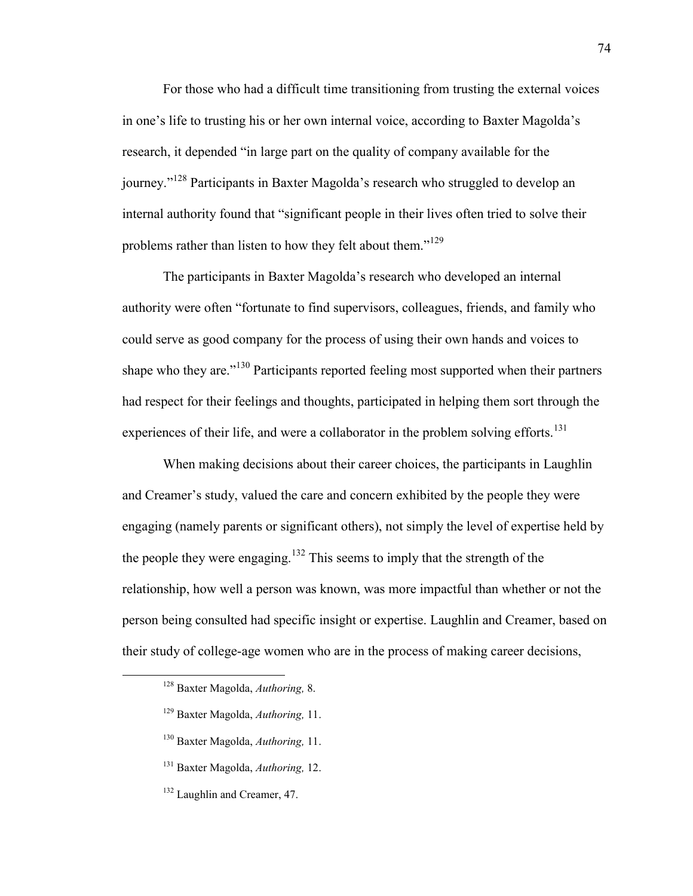For those who had a difficult time transitioning from trusting the external voices in one's life to trusting his or her own internal voice, according to Baxter Magolda's research, it depended "in large part on the quality of company available for the journey."<sup>128</sup> Participants in Baxter Magolda's research who struggled to develop an internal authority found that "significant people in their lives often tried to solve their problems rather than listen to how they felt about them."<sup>129</sup>

The participants in Baxter Magolda's research who developed an internal authority were often "fortunate to find supervisors, colleagues, friends, and family who could serve as good company for the process of using their own hands and voices to shape who they are.<sup>"130</sup> Participants reported feeling most supported when their partners had respect for their feelings and thoughts, participated in helping them sort through the experiences of their life, and were a collaborator in the problem solving efforts.<sup>131</sup>

When making decisions about their career choices, the participants in Laughlin and Creamer's study, valued the care and concern exhibited by the people they were engaging (namely parents or significant others), not simply the level of expertise held by the people they were engaging.<sup>132</sup> This seems to imply that the strength of the relationship, how well a person was known, was more impactful than whether or not the person being consulted had specific insight or expertise. Laughlin and Creamer, based on their study of college-age women who are in the process of making career decisions,

- <sup>129</sup> Baxter Magolda, *Authoring,* 11.
- <sup>130</sup> Baxter Magolda, *Authoring,* 11.
- <sup>131</sup> Baxter Magolda, *Authoring,* 12.
- <sup>132</sup> Laughlin and Creamer, 47.

<sup>128</sup> Baxter Magolda, *Authoring,* 8.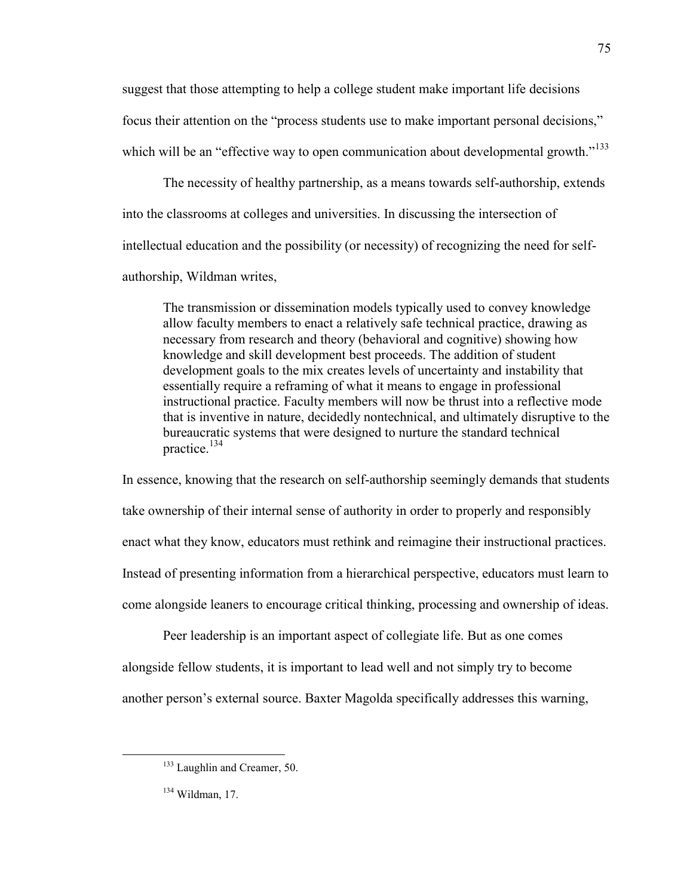suggest that those attempting to help a college student make important life decisions focus their attention on the "process students use to make important personal decisions," which will be an "effective way to open communication about developmental growth."<sup>133</sup>

The necessity of healthy partnership, as a means towards self-authorship, extends into the classrooms at colleges and universities. In discussing the intersection of intellectual education and the possibility (or necessity) of recognizing the need for selfauthorship, Wildman writes,

The transmission or dissemination models typically used to convey knowledge allow faculty members to enact a relatively safe technical practice, drawing as necessary from research and theory (behavioral and cognitive) showing how knowledge and skill development best proceeds. The addition of student development goals to the mix creates levels of uncertainty and instability that essentially require a reframing of what it means to engage in professional instructional practice. Faculty members will now be thrust into a reflective mode that is inventive in nature, decidedly nontechnical, and ultimately disruptive to the bureaucratic systems that were designed to nurture the standard technical practice.<sup>134</sup>

In essence, knowing that the research on self-authorship seemingly demands that students take ownership of their internal sense of authority in order to properly and responsibly enact what they know, educators must rethink and reimagine their instructional practices. Instead of presenting information from a hierarchical perspective, educators must learn to come alongside leaners to encourage critical thinking, processing and ownership of ideas.

Peer leadership is an important aspect of collegiate life. But as one comes alongside fellow students, it is important to lead well and not simply try to become another person's external source. Baxter Magolda specifically addresses this warning,

<sup>&</sup>lt;sup>133</sup> Laughlin and Creamer, 50.

<sup>134</sup> Wildman, 17.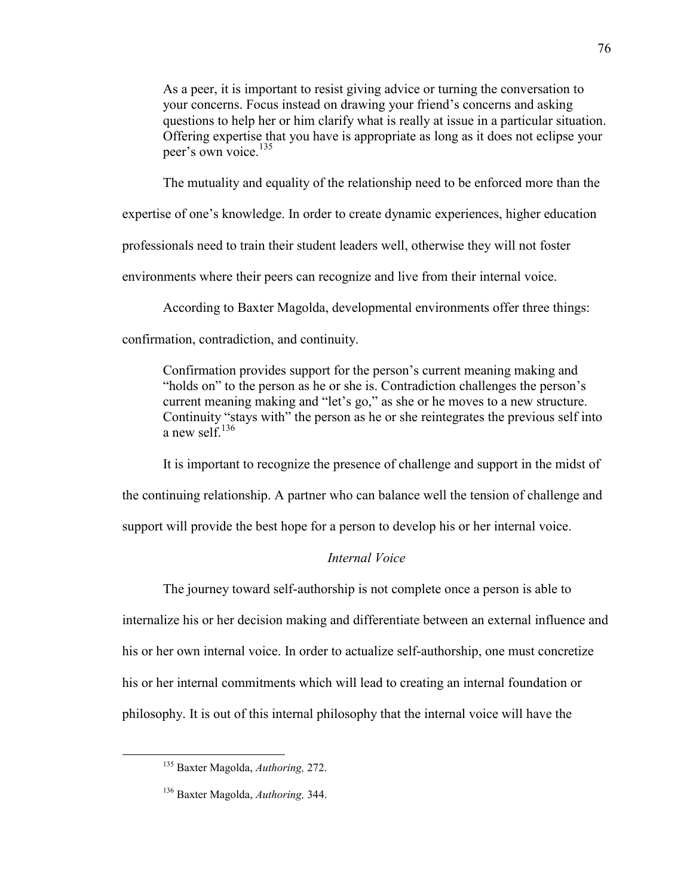As a peer, it is important to resist giving advice or turning the conversation to your concerns. Focus instead on drawing your friend's concerns and asking questions to help her or him clarify what is really at issue in a particular situation. Offering expertise that you have is appropriate as long as it does not eclipse your peer's own voice.<sup>135</sup>

The mutuality and equality of the relationship need to be enforced more than the

expertise of one's knowledge. In order to create dynamic experiences, higher education

professionals need to train their student leaders well, otherwise they will not foster

environments where their peers can recognize and live from their internal voice.

According to Baxter Magolda, developmental environments offer three things:

confirmation, contradiction, and continuity.

Confirmation provides support for the person's current meaning making and "holds on" to the person as he or she is. Contradiction challenges the person's current meaning making and "let's go," as she or he moves to a new structure. Continuity "stays with" the person as he or she reintegrates the previous self into a new self<sup> $136$ </sup>

It is important to recognize the presence of challenge and support in the midst of

the continuing relationship. A partner who can balance well the tension of challenge and

support will provide the best hope for a person to develop his or her internal voice.

# *Internal Voice*

The journey toward self-authorship is not complete once a person is able to internalize his or her decision making and differentiate between an external influence and his or her own internal voice. In order to actualize self-authorship, one must concretize his or her internal commitments which will lead to creating an internal foundation or philosophy. It is out of this internal philosophy that the internal voice will have the

<sup>135</sup> Baxter Magolda, *Authoring,* 272.

<sup>136</sup> Baxter Magolda, *Authoring,* 344.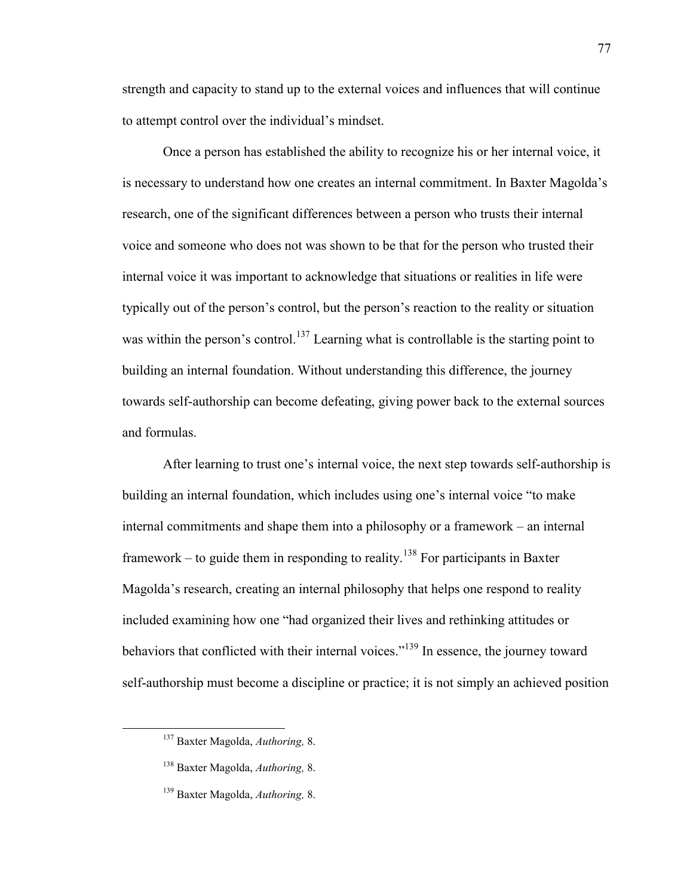strength and capacity to stand up to the external voices and influences that will continue to attempt control over the individual's mindset.

Once a person has established the ability to recognize his or her internal voice, it is necessary to understand how one creates an internal commitment. In Baxter Magolda's research, one of the significant differences between a person who trusts their internal voice and someone who does not was shown to be that for the person who trusted their internal voice it was important to acknowledge that situations or realities in life were typically out of the person's control, but the person's reaction to the reality or situation was within the person's control.<sup>137</sup> Learning what is controllable is the starting point to building an internal foundation. Without understanding this difference, the journey towards self-authorship can become defeating, giving power back to the external sources and formulas.

After learning to trust one's internal voice, the next step towards self-authorship is building an internal foundation, which includes using one's internal voice "to make internal commitments and shape them into a philosophy or a framework – an internal framework – to guide them in responding to reality.<sup>138</sup> For participants in Baxter Magolda's research, creating an internal philosophy that helps one respond to reality included examining how one "had organized their lives and rethinking attitudes or behaviors that conflicted with their internal voices."<sup>139</sup> In essence, the journey toward self-authorship must become a discipline or practice; it is not simply an achieved position

<sup>137</sup> Baxter Magolda, *Authoring,* 8.

<sup>138</sup> Baxter Magolda, *Authoring,* 8.

<sup>139</sup> Baxter Magolda, *Authoring,* 8.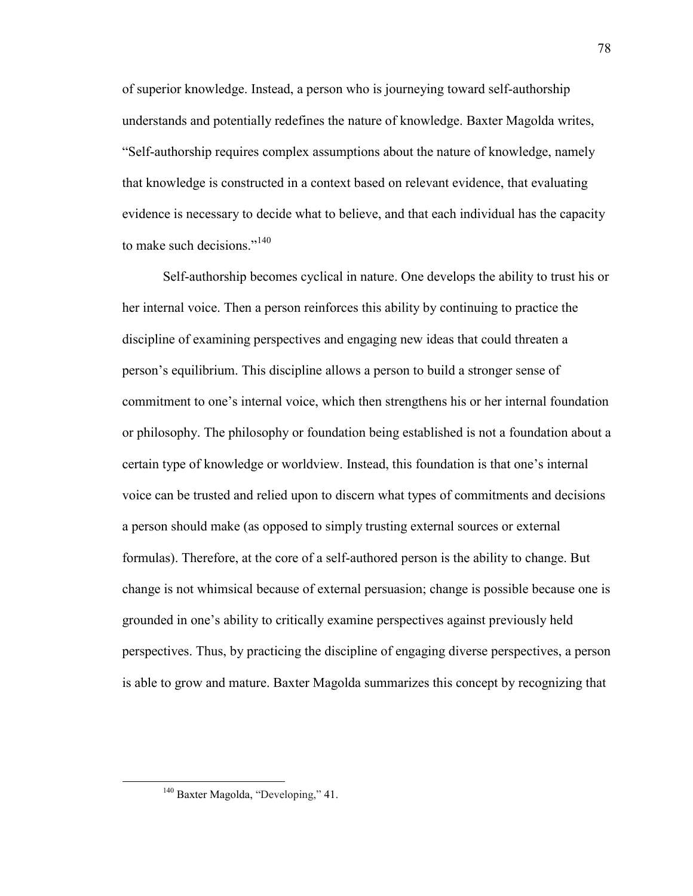of superior knowledge. Instead, a person who is journeying toward self-authorship understands and potentially redefines the nature of knowledge. Baxter Magolda writes, "Self-authorship requires complex assumptions about the nature of knowledge, namely that knowledge is constructed in a context based on relevant evidence, that evaluating evidence is necessary to decide what to believe, and that each individual has the capacity to make such decisions."<sup>140</sup>

Self-authorship becomes cyclical in nature. One develops the ability to trust his or her internal voice. Then a person reinforces this ability by continuing to practice the discipline of examining perspectives and engaging new ideas that could threaten a person's equilibrium. This discipline allows a person to build a stronger sense of commitment to one's internal voice, which then strengthens his or her internal foundation or philosophy. The philosophy or foundation being established is not a foundation about a certain type of knowledge or worldview. Instead, this foundation is that one's internal voice can be trusted and relied upon to discern what types of commitments and decisions a person should make (as opposed to simply trusting external sources or external formulas). Therefore, at the core of a self-authored person is the ability to change. But change is not whimsical because of external persuasion; change is possible because one is grounded in one's ability to critically examine perspectives against previously held perspectives. Thus, by practicing the discipline of engaging diverse perspectives, a person is able to grow and mature. Baxter Magolda summarizes this concept by recognizing that

78

<sup>&</sup>lt;sup>140</sup> Baxter Magolda, "Developing," 41.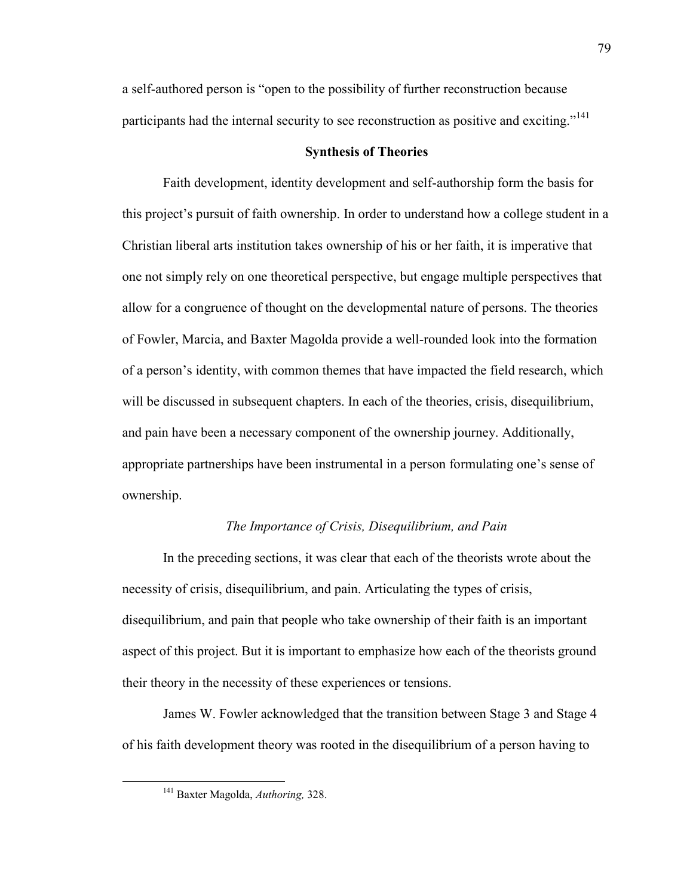a self-authored person is "open to the possibility of further reconstruction because participants had the internal security to see reconstruction as positive and exciting."<sup>141</sup>

## **Synthesis of Theories**

Faith development, identity development and self-authorship form the basis for this project's pursuit of faith ownership. In order to understand how a college student in a Christian liberal arts institution takes ownership of his or her faith, it is imperative that one not simply rely on one theoretical perspective, but engage multiple perspectives that allow for a congruence of thought on the developmental nature of persons. The theories of Fowler, Marcia, and Baxter Magolda provide a well-rounded look into the formation of a person's identity, with common themes that have impacted the field research, which will be discussed in subsequent chapters. In each of the theories, crisis, disequilibrium, and pain have been a necessary component of the ownership journey. Additionally, appropriate partnerships have been instrumental in a person formulating one's sense of ownership.

## *The Importance of Crisis, Disequilibrium, and Pain*

In the preceding sections, it was clear that each of the theorists wrote about the necessity of crisis, disequilibrium, and pain. Articulating the types of crisis, disequilibrium, and pain that people who take ownership of their faith is an important aspect of this project. But it is important to emphasize how each of the theorists ground their theory in the necessity of these experiences or tensions.

James W. Fowler acknowledged that the transition between Stage 3 and Stage 4 of his faith development theory was rooted in the disequilibrium of a person having to

<sup>141</sup> Baxter Magolda, *Authoring,* 328.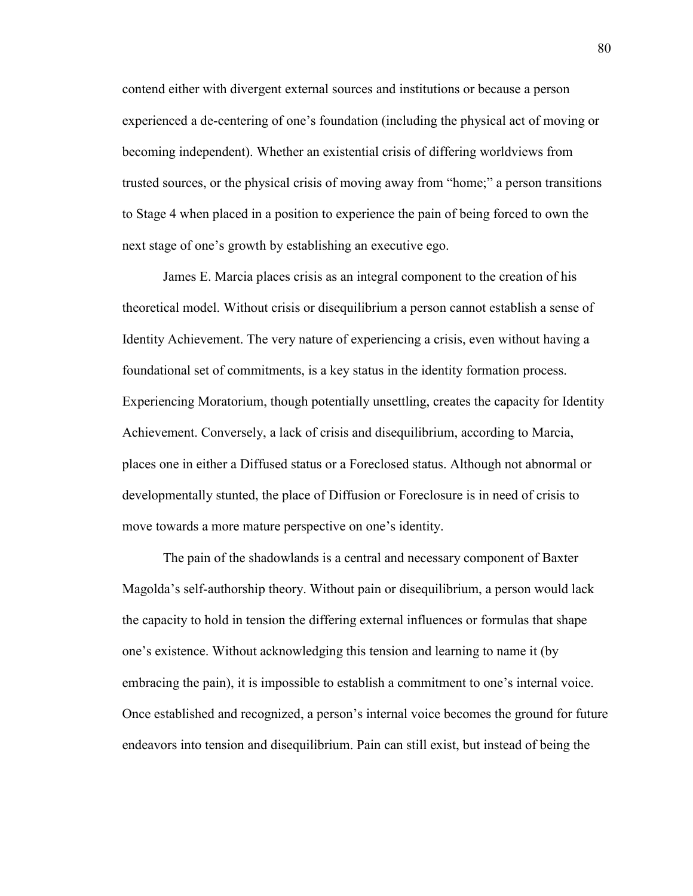contend either with divergent external sources and institutions or because a person experienced a de-centering of one's foundation (including the physical act of moving or becoming independent). Whether an existential crisis of differing worldviews from trusted sources, or the physical crisis of moving away from "home;" a person transitions to Stage 4 when placed in a position to experience the pain of being forced to own the next stage of one's growth by establishing an executive ego.

James E. Marcia places crisis as an integral component to the creation of his theoretical model. Without crisis or disequilibrium a person cannot establish a sense of Identity Achievement. The very nature of experiencing a crisis, even without having a foundational set of commitments, is a key status in the identity formation process. Experiencing Moratorium, though potentially unsettling, creates the capacity for Identity Achievement. Conversely, a lack of crisis and disequilibrium, according to Marcia, places one in either a Diffused status or a Foreclosed status. Although not abnormal or developmentally stunted, the place of Diffusion or Foreclosure is in need of crisis to move towards a more mature perspective on one's identity.

The pain of the shadowlands is a central and necessary component of Baxter Magolda's self-authorship theory. Without pain or disequilibrium, a person would lack the capacity to hold in tension the differing external influences or formulas that shape one's existence. Without acknowledging this tension and learning to name it (by embracing the pain), it is impossible to establish a commitment to one's internal voice. Once established and recognized, a person's internal voice becomes the ground for future endeavors into tension and disequilibrium. Pain can still exist, but instead of being the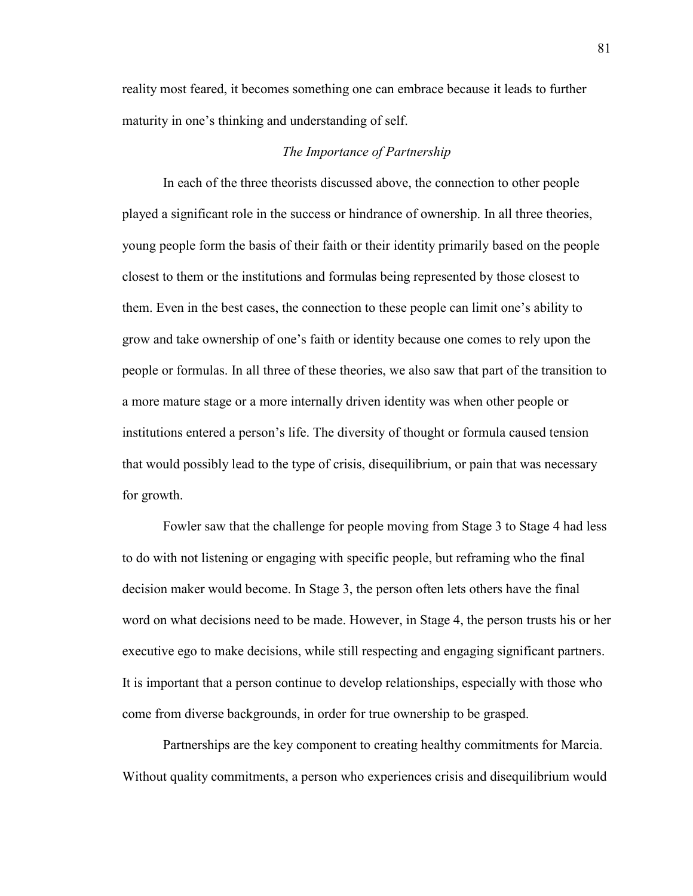reality most feared, it becomes something one can embrace because it leads to further maturity in one's thinking and understanding of self.

# *The Importance of Partnership*

In each of the three theorists discussed above, the connection to other people played a significant role in the success or hindrance of ownership. In all three theories, young people form the basis of their faith or their identity primarily based on the people closest to them or the institutions and formulas being represented by those closest to them. Even in the best cases, the connection to these people can limit one's ability to grow and take ownership of one's faith or identity because one comes to rely upon the people or formulas. In all three of these theories, we also saw that part of the transition to a more mature stage or a more internally driven identity was when other people or institutions entered a person's life. The diversity of thought or formula caused tension that would possibly lead to the type of crisis, disequilibrium, or pain that was necessary for growth.

Fowler saw that the challenge for people moving from Stage 3 to Stage 4 had less to do with not listening or engaging with specific people, but reframing who the final decision maker would become. In Stage 3, the person often lets others have the final word on what decisions need to be made. However, in Stage 4, the person trusts his or her executive ego to make decisions, while still respecting and engaging significant partners. It is important that a person continue to develop relationships, especially with those who come from diverse backgrounds, in order for true ownership to be grasped.

Partnerships are the key component to creating healthy commitments for Marcia. Without quality commitments, a person who experiences crisis and disequilibrium would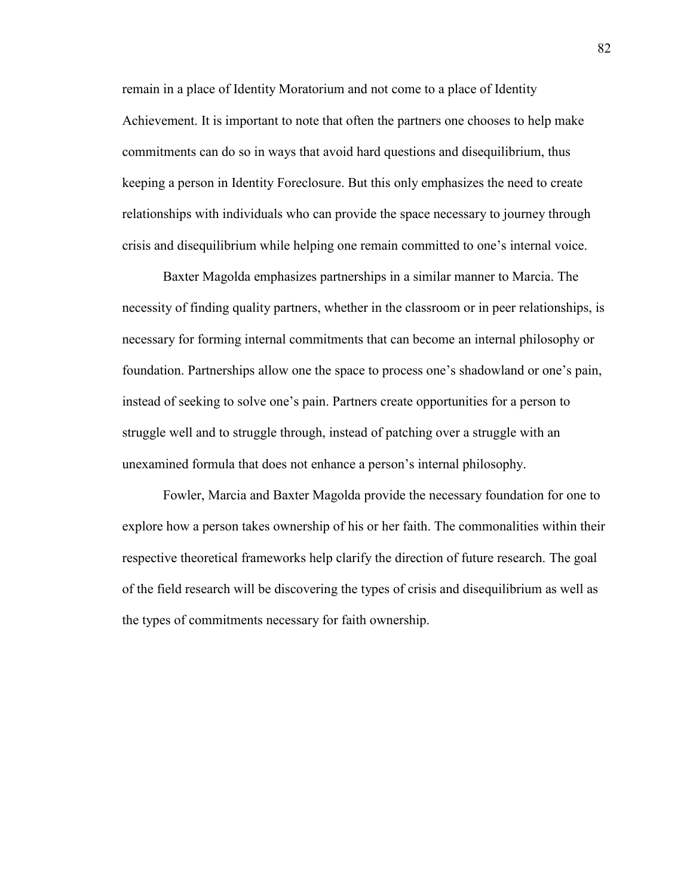remain in a place of Identity Moratorium and not come to a place of Identity Achievement. It is important to note that often the partners one chooses to help make commitments can do so in ways that avoid hard questions and disequilibrium, thus keeping a person in Identity Foreclosure. But this only emphasizes the need to create relationships with individuals who can provide the space necessary to journey through crisis and disequilibrium while helping one remain committed to one's internal voice.

Baxter Magolda emphasizes partnerships in a similar manner to Marcia. The necessity of finding quality partners, whether in the classroom or in peer relationships, is necessary for forming internal commitments that can become an internal philosophy or foundation. Partnerships allow one the space to process one's shadowland or one's pain, instead of seeking to solve one's pain. Partners create opportunities for a person to struggle well and to struggle through, instead of patching over a struggle with an unexamined formula that does not enhance a person's internal philosophy.

Fowler, Marcia and Baxter Magolda provide the necessary foundation for one to explore how a person takes ownership of his or her faith. The commonalities within their respective theoretical frameworks help clarify the direction of future research. The goal of the field research will be discovering the types of crisis and disequilibrium as well as the types of commitments necessary for faith ownership.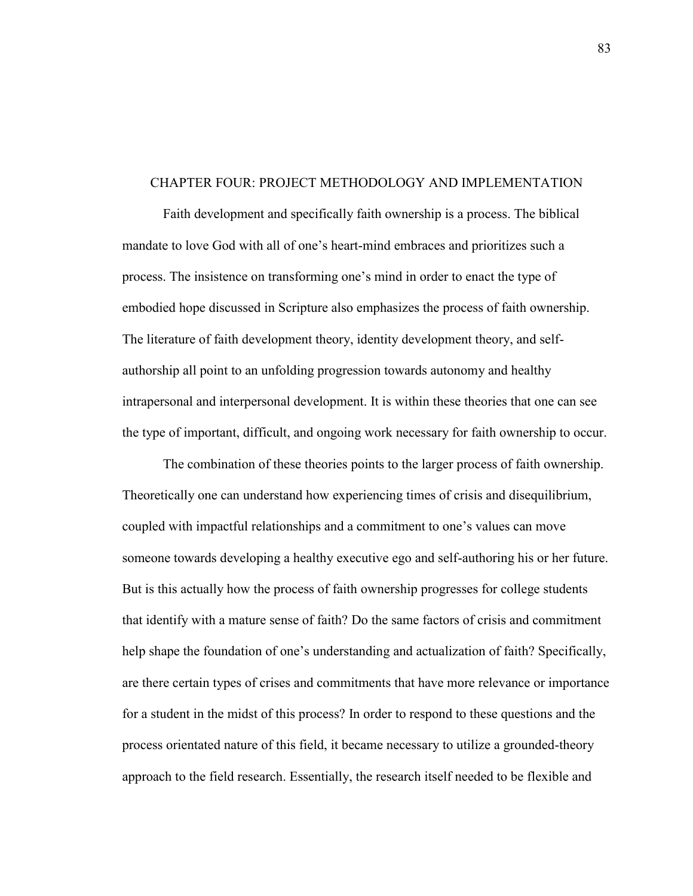### CHAPTER FOUR: PROJECT METHODOLOGY AND IMPLEMENTATION

Faith development and specifically faith ownership is a process. The biblical mandate to love God with all of one's heart-mind embraces and prioritizes such a process. The insistence on transforming one's mind in order to enact the type of embodied hope discussed in Scripture also emphasizes the process of faith ownership. The literature of faith development theory, identity development theory, and selfauthorship all point to an unfolding progression towards autonomy and healthy intrapersonal and interpersonal development. It is within these theories that one can see the type of important, difficult, and ongoing work necessary for faith ownership to occur.

The combination of these theories points to the larger process of faith ownership. Theoretically one can understand how experiencing times of crisis and disequilibrium, coupled with impactful relationships and a commitment to one's values can move someone towards developing a healthy executive ego and self-authoring his or her future. But is this actually how the process of faith ownership progresses for college students that identify with a mature sense of faith? Do the same factors of crisis and commitment help shape the foundation of one's understanding and actualization of faith? Specifically, are there certain types of crises and commitments that have more relevance or importance for a student in the midst of this process? In order to respond to these questions and the process orientated nature of this field, it became necessary to utilize a grounded-theory approach to the field research. Essentially, the research itself needed to be flexible and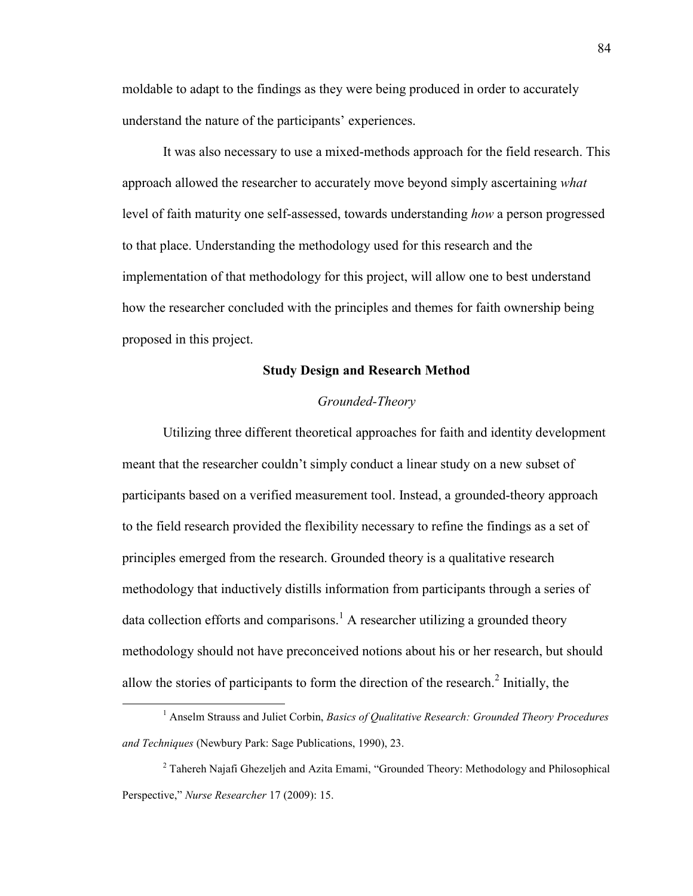moldable to adapt to the findings as they were being produced in order to accurately understand the nature of the participants' experiences.

It was also necessary to use a mixed-methods approach for the field research. This approach allowed the researcher to accurately move beyond simply ascertaining *what* level of faith maturity one self-assessed, towards understanding *how* a person progressed to that place. Understanding the methodology used for this research and the implementation of that methodology for this project, will allow one to best understand how the researcher concluded with the principles and themes for faith ownership being proposed in this project.

# **Study Design and Research Method**

# *Grounded-Theory*

Utilizing three different theoretical approaches for faith and identity development meant that the researcher couldn't simply conduct a linear study on a new subset of participants based on a verified measurement tool. Instead, a grounded-theory approach to the field research provided the flexibility necessary to refine the findings as a set of principles emerged from the research. Grounded theory is a qualitative research methodology that inductively distills information from participants through a series of data collection efforts and comparisons.<sup>1</sup> A researcher utilizing a grounded theory methodology should not have preconceived notions about his or her research, but should allow the stories of participants to form the direction of the research. $2$  Initially, the

<sup>&</sup>lt;sup>1</sup> Anselm Strauss and Juliet Corbin, *Basics of Qualitative Research: Grounded Theory Procedures and Techniques* (Newbury Park: Sage Publications, 1990), 23.

<sup>&</sup>lt;sup>2</sup> Tahereh Najafi Ghezeljeh and Azita Emami, "Grounded Theory: Methodology and Philosophical Perspective," *Nurse Researcher* 17 (2009): 15.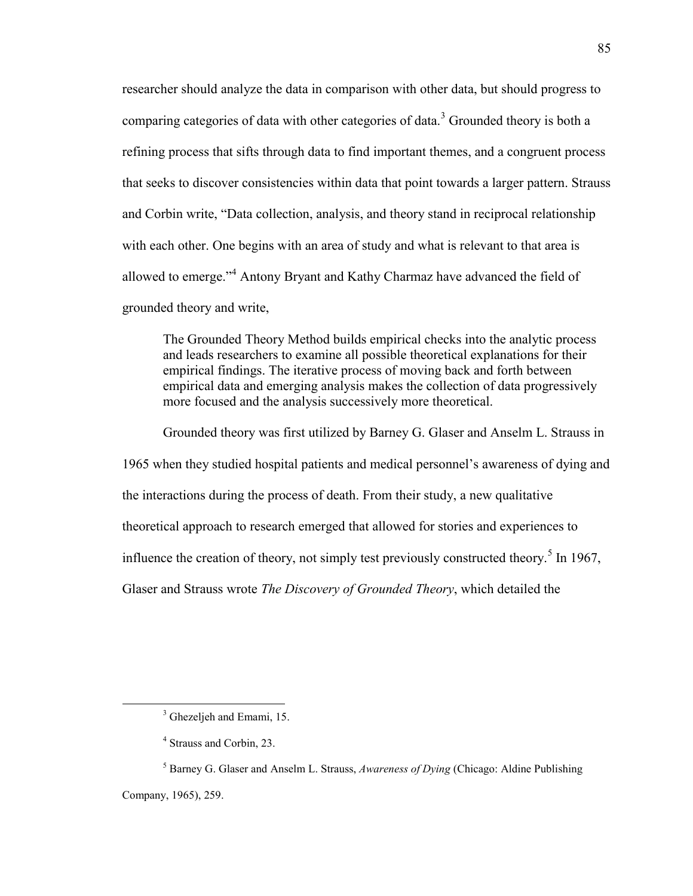researcher should analyze the data in comparison with other data, but should progress to comparing categories of data with other categories of data.<sup>3</sup> Grounded theory is both a refining process that sifts through data to find important themes, and a congruent process that seeks to discover consistencies within data that point towards a larger pattern. Strauss and Corbin write, "Data collection, analysis, and theory stand in reciprocal relationship with each other. One begins with an area of study and what is relevant to that area is allowed to emerge."<sup>4</sup> Antony Bryant and Kathy Charmaz have advanced the field of grounded theory and write,

The Grounded Theory Method builds empirical checks into the analytic process and leads researchers to examine all possible theoretical explanations for their empirical findings. The iterative process of moving back and forth between empirical data and emerging analysis makes the collection of data progressively more focused and the analysis successively more theoretical.

Grounded theory was first utilized by Barney G. Glaser and Anselm L. Strauss in 1965 when they studied hospital patients and medical personnel's awareness of dying and the interactions during the process of death. From their study, a new qualitative theoretical approach to research emerged that allowed for stories and experiences to influence the creation of theory, not simply test previously constructed theory.<sup>5</sup> In 1967, Glaser and Strauss wrote *The Discovery of Grounded Theory*, which detailed the

<sup>&</sup>lt;sup>3</sup> Ghezeljeh and Emami, 15.

<sup>4</sup> Strauss and Corbin, 23.

<sup>5</sup> Barney G. Glaser and Anselm L. Strauss, *Awareness of Dying* (Chicago: Aldine Publishing Company, 1965), 259.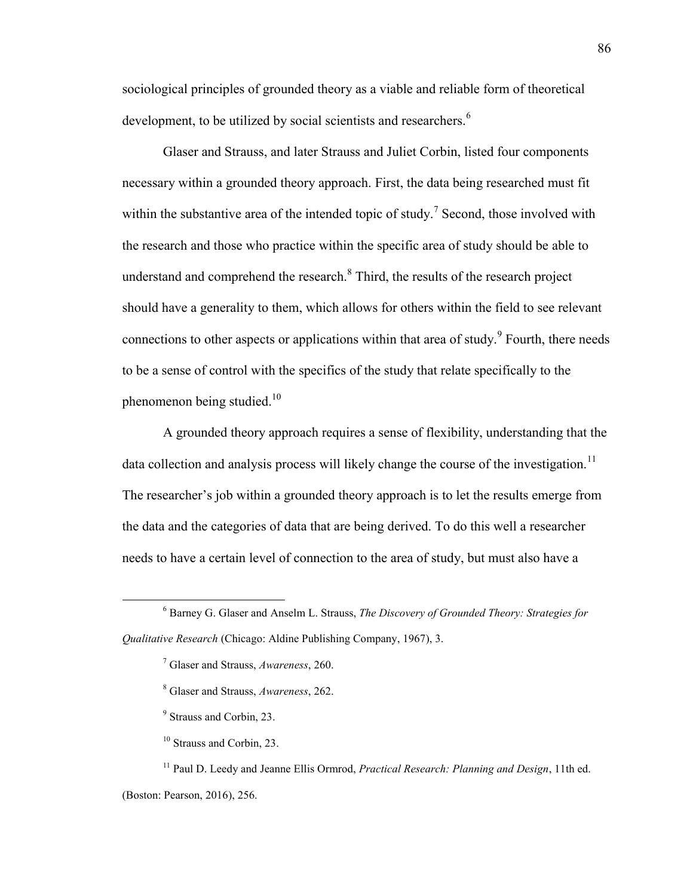sociological principles of grounded theory as a viable and reliable form of theoretical development, to be utilized by social scientists and researchers.<sup>6</sup>

Glaser and Strauss, and later Strauss and Juliet Corbin, listed four components necessary within a grounded theory approach. First, the data being researched must fit within the substantive area of the intended topic of study.<sup>7</sup> Second, those involved with the research and those who practice within the specific area of study should be able to understand and comprehend the research. $8$  Third, the results of the research project should have a generality to them, which allows for others within the field to see relevant connections to other aspects or applications within that area of study.<sup>9</sup> Fourth, there needs to be a sense of control with the specifics of the study that relate specifically to the phenomenon being studied.<sup>10</sup>

A grounded theory approach requires a sense of flexibility, understanding that the data collection and analysis process will likely change the course of the investigation.<sup>11</sup> The researcher's job within a grounded theory approach is to let the results emerge from the data and the categories of data that are being derived. To do this well a researcher needs to have a certain level of connection to the area of study, but must also have a

 $\overline{a}$ 

<sup>11</sup> Paul D. Leedy and Jeanne Ellis Ormrod, *Practical Research: Planning and Design*, 11th ed. (Boston: Pearson, 2016), 256.

<sup>6</sup> Barney G. Glaser and Anselm L. Strauss, *The Discovery of Grounded Theory: Strategies for Qualitative Research* (Chicago: Aldine Publishing Company, 1967), 3.

<sup>7</sup> Glaser and Strauss, *Awareness*, 260.

<sup>8</sup> Glaser and Strauss, *Awareness*, 262.

<sup>&</sup>lt;sup>9</sup> Strauss and Corbin, 23.

<sup>10</sup> Strauss and Corbin, 23.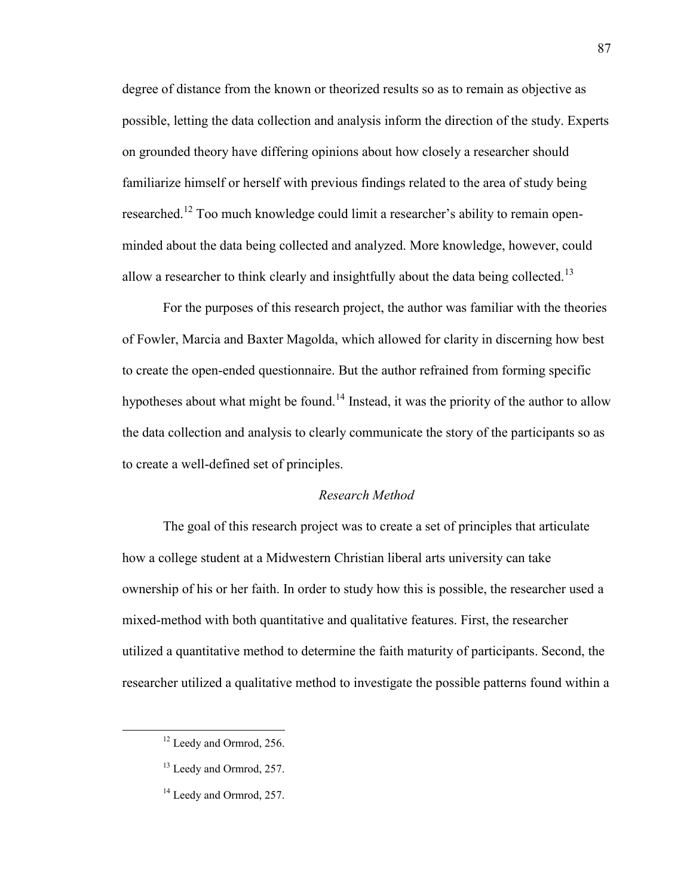degree of distance from the known or theorized results so as to remain as objective as possible, letting the data collection and analysis inform the direction of the study. Experts on grounded theory have differing opinions about how closely a researcher should familiarize himself or herself with previous findings related to the area of study being researched.<sup>12</sup> Too much knowledge could limit a researcher's ability to remain openminded about the data being collected and analyzed. More knowledge, however, could allow a researcher to think clearly and insightfully about the data being collected.<sup>13</sup>

For the purposes of this research project, the author was familiar with the theories of Fowler, Marcia and Baxter Magolda, which allowed for clarity in discerning how best to create the open-ended questionnaire. But the author refrained from forming specific hypotheses about what might be found.<sup>14</sup> Instead, it was the priority of the author to allow the data collection and analysis to clearly communicate the story of the participants so as to create a well-defined set of principles.

# *Research Method*

The goal of this research project was to create a set of principles that articulate how a college student at a Midwestern Christian liberal arts university can take ownership of his or her faith. In order to study how this is possible, the researcher used a mixed-method with both quantitative and qualitative features. First, the researcher utilized a quantitative method to determine the faith maturity of participants. Second, the researcher utilized a qualitative method to investigate the possible patterns found within a

<sup>&</sup>lt;sup>12</sup> Leedy and Ormrod, 256.

<sup>&</sup>lt;sup>13</sup> Leedy and Ormrod, 257.

<sup>&</sup>lt;sup>14</sup> Leedy and Ormrod, 257.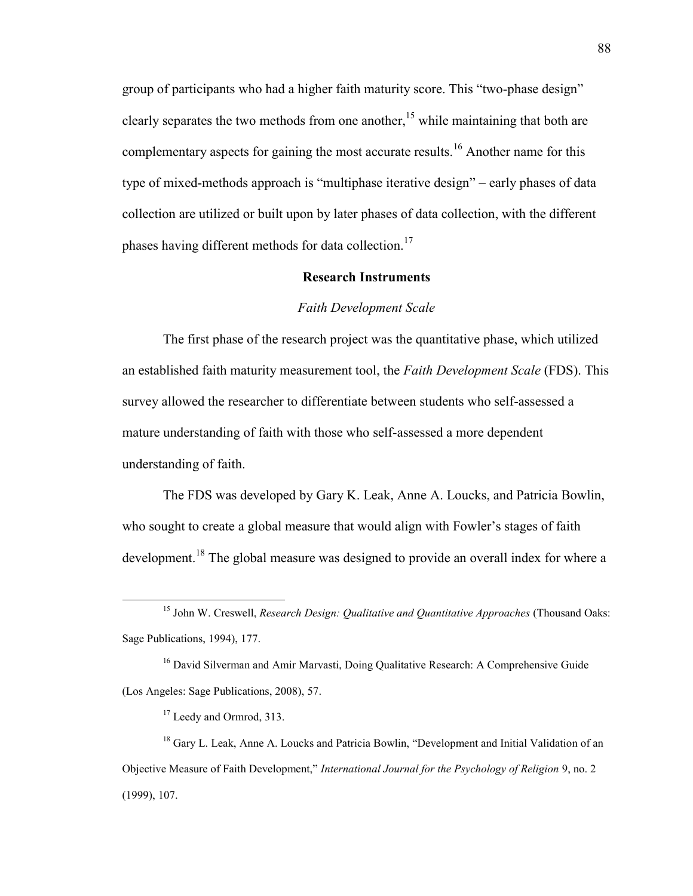group of participants who had a higher faith maturity score. This "two-phase design" clearly separates the two methods from one another,<sup>15</sup> while maintaining that both are complementary aspects for gaining the most accurate results.<sup>16</sup> Another name for this type of mixed-methods approach is "multiphase iterative design" – early phases of data collection are utilized or built upon by later phases of data collection, with the different phases having different methods for data collection.<sup>17</sup>

# **Research Instruments**

#### *Faith Development Scale*

The first phase of the research project was the quantitative phase, which utilized an established faith maturity measurement tool, the *Faith Development Scale* (FDS). This survey allowed the researcher to differentiate between students who self-assessed a mature understanding of faith with those who self-assessed a more dependent understanding of faith.

The FDS was developed by Gary K. Leak, Anne A. Loucks, and Patricia Bowlin, who sought to create a global measure that would align with Fowler's stages of faith development.<sup>18</sup> The global measure was designed to provide an overall index for where a

<sup>16</sup> David Silverman and Amir Marvasti, Doing Qualitative Research: A Comprehensive Guide (Los Angeles: Sage Publications, 2008), 57.

<sup>17</sup> Leedy and Ormrod, 313.

 $\overline{a}$ 

<sup>18</sup> Gary L. Leak, Anne A. Loucks and Patricia Bowlin, "Development and Initial Validation of an Objective Measure of Faith Development," *International Journal for the Psychology of Religion* 9, no. 2 (1999), 107.

<sup>15</sup> John W. Creswell, *Research Design: Qualitative and Quantitative Approaches* (Thousand Oaks: Sage Publications, 1994), 177.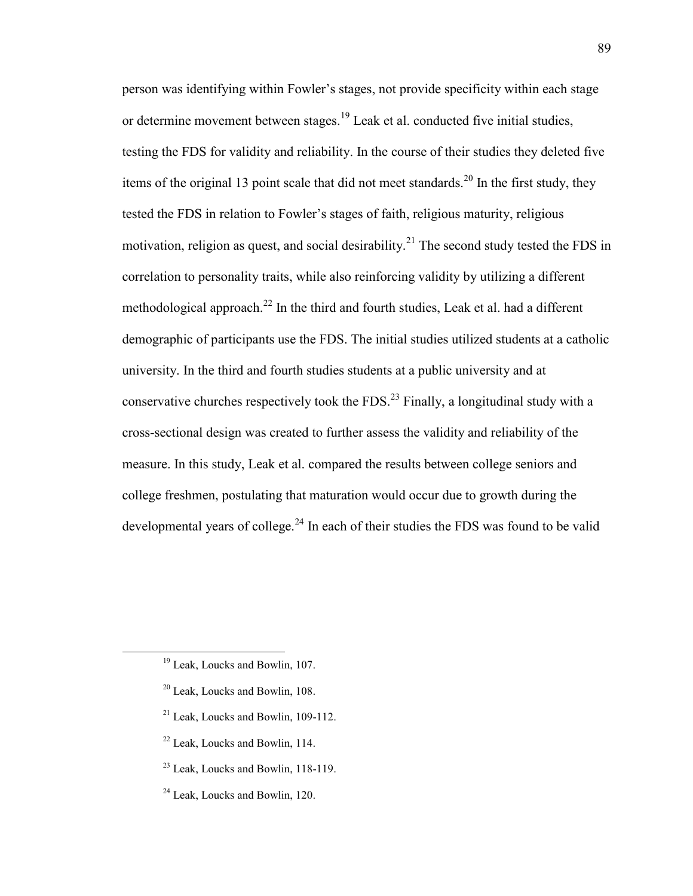person was identifying within Fowler's stages, not provide specificity within each stage or determine movement between stages.<sup>19</sup> Leak et al. conducted five initial studies, testing the FDS for validity and reliability. In the course of their studies they deleted five items of the original 13 point scale that did not meet standards.<sup>20</sup> In the first study, they tested the FDS in relation to Fowler's stages of faith, religious maturity, religious motivation, religion as quest, and social desirability.<sup>21</sup> The second study tested the FDS in correlation to personality traits, while also reinforcing validity by utilizing a different methodological approach.<sup>22</sup> In the third and fourth studies, Leak et al. had a different demographic of participants use the FDS. The initial studies utilized students at a catholic university. In the third and fourth studies students at a public university and at conservative churches respectively took the FDS.<sup>23</sup> Finally, a longitudinal study with a cross-sectional design was created to further assess the validity and reliability of the measure. In this study, Leak et al. compared the results between college seniors and college freshmen, postulating that maturation would occur due to growth during the developmental years of college.<sup>24</sup> In each of their studies the FDS was found to be valid

- $21$  Leak, Loucks and Bowlin, 109-112.
- <sup>22</sup> Leak, Loucks and Bowlin, 114.
- <sup>23</sup> Leak, Loucks and Bowlin, 118-119.

<sup>&</sup>lt;sup>19</sup> Leak, Loucks and Bowlin, 107.

<sup>20</sup> Leak, Loucks and Bowlin, 108.

<sup>24</sup> Leak, Loucks and Bowlin, 120.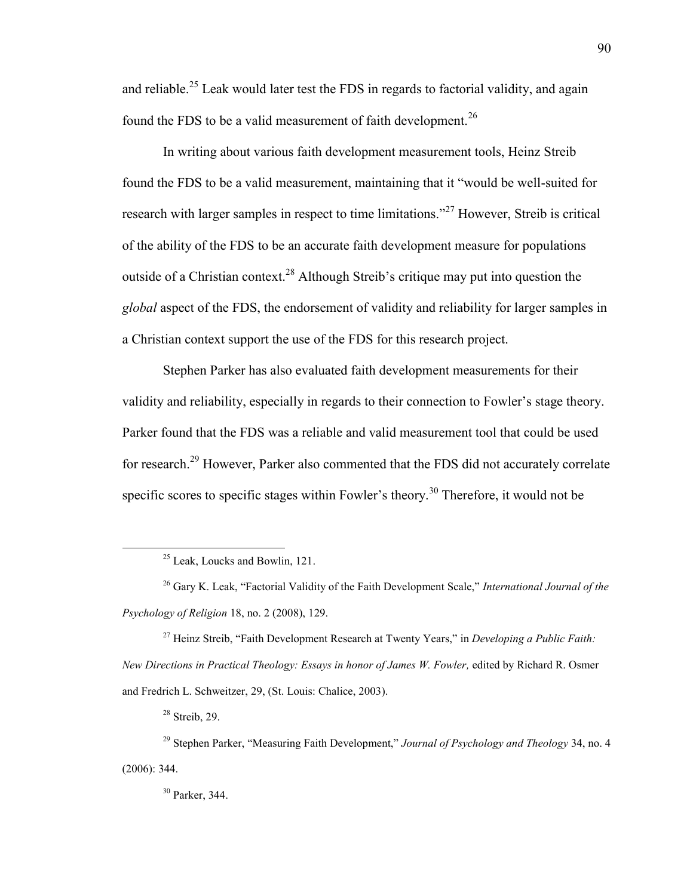and reliable.<sup>25</sup> Leak would later test the FDS in regards to factorial validity, and again found the FDS to be a valid measurement of faith development.<sup>26</sup>

In writing about various faith development measurement tools, Heinz Streib found the FDS to be a valid measurement, maintaining that it "would be well-suited for research with larger samples in respect to time limitations."<sup>27</sup> However, Streib is critical of the ability of the FDS to be an accurate faith development measure for populations outside of a Christian context.<sup>28</sup> Although Streib's critique may put into question the *global* aspect of the FDS, the endorsement of validity and reliability for larger samples in a Christian context support the use of the FDS for this research project.

Stephen Parker has also evaluated faith development measurements for their validity and reliability, especially in regards to their connection to Fowler's stage theory. Parker found that the FDS was a reliable and valid measurement tool that could be used for research.<sup>29</sup> However, Parker also commented that the FDS did not accurately correlate specific scores to specific stages within Fowler's theory.<sup>30</sup> Therefore, it would not be

<sup>28</sup> Streib, 29.

<sup>&</sup>lt;sup>25</sup> Leak, Loucks and Bowlin, 121.

<sup>26</sup> Gary K. Leak, "Factorial Validity of the Faith Development Scale," *International Journal of the Psychology of Religion* 18, no. 2 (2008), 129.

<sup>27</sup> Heinz Streib, "Faith Development Research at Twenty Years," in *Developing a Public Faith: New Directions in Practical Theology: Essays in honor of James W. Fowler,* edited by Richard R. Osmer and Fredrich L. Schweitzer, 29, (St. Louis: Chalice, 2003).

<sup>29</sup> Stephen Parker, "Measuring Faith Development," *Journal of Psychology and Theology* 34, no. 4 (2006): 344.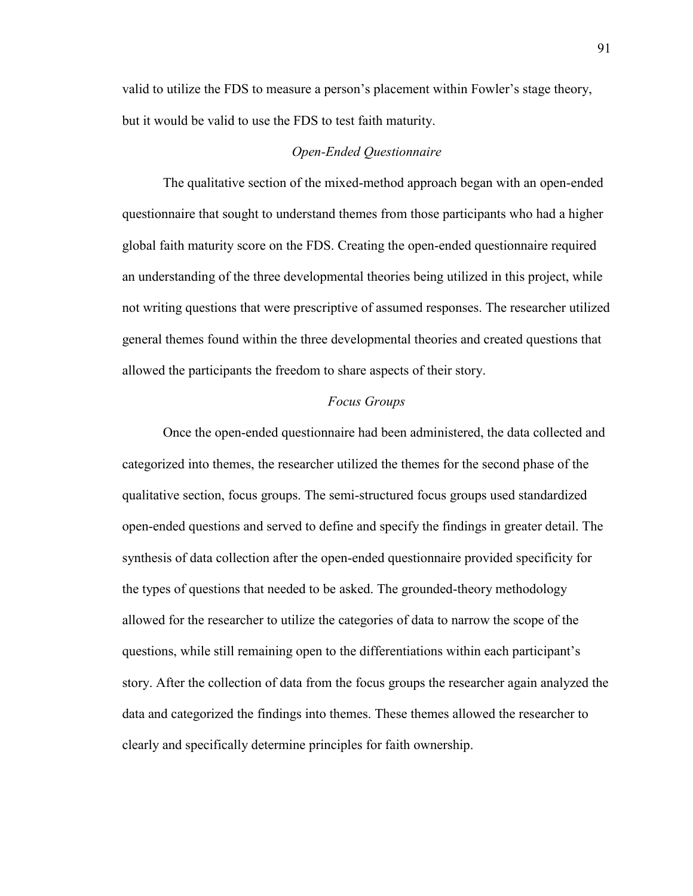valid to utilize the FDS to measure a person's placement within Fowler's stage theory, but it would be valid to use the FDS to test faith maturity.

# *Open-Ended Questionnaire*

The qualitative section of the mixed-method approach began with an open-ended questionnaire that sought to understand themes from those participants who had a higher global faith maturity score on the FDS. Creating the open-ended questionnaire required an understanding of the three developmental theories being utilized in this project, while not writing questions that were prescriptive of assumed responses. The researcher utilized general themes found within the three developmental theories and created questions that allowed the participants the freedom to share aspects of their story.

# *Focus Groups*

Once the open-ended questionnaire had been administered, the data collected and categorized into themes, the researcher utilized the themes for the second phase of the qualitative section, focus groups. The semi-structured focus groups used standardized open-ended questions and served to define and specify the findings in greater detail. The synthesis of data collection after the open-ended questionnaire provided specificity for the types of questions that needed to be asked. The grounded-theory methodology allowed for the researcher to utilize the categories of data to narrow the scope of the questions, while still remaining open to the differentiations within each participant's story. After the collection of data from the focus groups the researcher again analyzed the data and categorized the findings into themes. These themes allowed the researcher to clearly and specifically determine principles for faith ownership.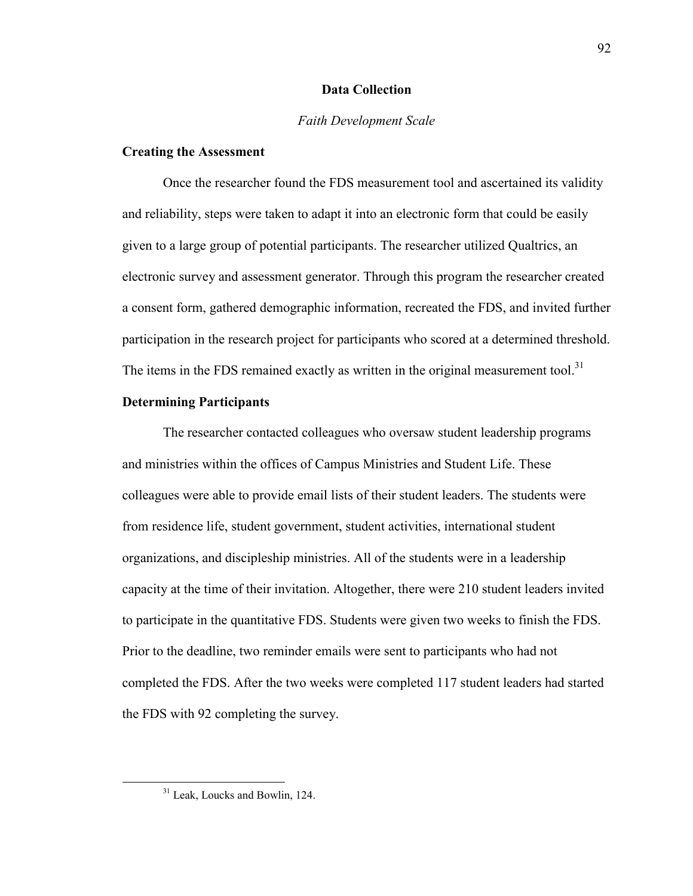## **Data Collection**

## *Faith Development Scale*

# **Creating the Assessment**

Once the researcher found the FDS measurement tool and ascertained its validity and reliability, steps were taken to adapt it into an electronic form that could be easily given to a large group of potential participants. The researcher utilized Qualtrics, an electronic survey and assessment generator. Through this program the researcher created a consent form, gathered demographic information, recreated the FDS, and invited further participation in the research project for participants who scored at a determined threshold. The items in the FDS remained exactly as written in the original measurement tool.<sup>31</sup>

## **Determining Participants**

The researcher contacted colleagues who oversaw student leadership programs and ministries within the offices of Campus Ministries and Student Life. These colleagues were able to provide email lists of their student leaders. The students were from residence life, student government, student activities, international student organizations, and discipleship ministries. All of the students were in a leadership capacity at the time of their invitation. Altogether, there were 210 student leaders invited to participate in the quantitative FDS. Students were given two weeks to finish the FDS. Prior to the deadline, two reminder emails were sent to participants who had not completed the FDS. After the two weeks were completed 117 student leaders had started the FDS with 92 completing the survey.

<sup>&</sup>lt;sup>31</sup> Leak, Loucks and Bowlin, 124.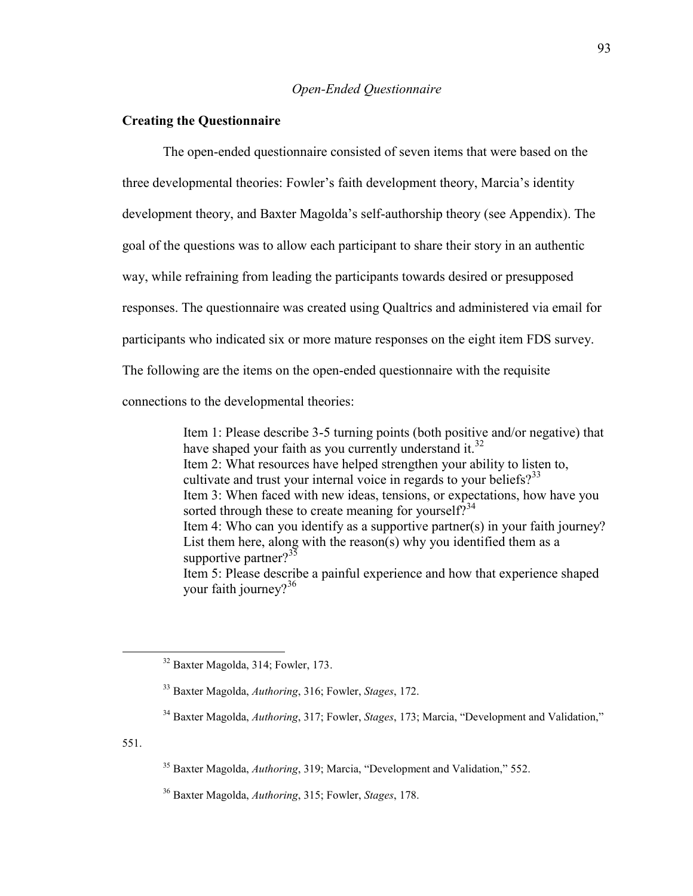# *Open-Ended Questionnaire*

# **Creating the Questionnaire**

The open-ended questionnaire consisted of seven items that were based on the three developmental theories: Fowler's faith development theory, Marcia's identity development theory, and Baxter Magolda's self-authorship theory (see Appendix). The goal of the questions was to allow each participant to share their story in an authentic way, while refraining from leading the participants towards desired or presupposed responses. The questionnaire was created using Qualtrics and administered via email for participants who indicated six or more mature responses on the eight item FDS survey. The following are the items on the open-ended questionnaire with the requisite

connections to the developmental theories:

Item 1: Please describe 3-5 turning points (both positive and/or negative) that have shaped your faith as you currently understand it.<sup>32</sup> Item 2: What resources have helped strengthen your ability to listen to, cultivate and trust your internal voice in regards to your beliefs?<sup>33</sup> Item 3: When faced with new ideas, tensions, or expectations, how have you sorted through these to create meaning for yourself?<sup>34</sup> Item 4: Who can you identify as a supportive partner(s) in your faith journey? List them here, along with the reason(s) why you identified them as a supportive partner? $35$ Item 5: Please describe a painful experience and how that experience shaped your faith journey? $36$ 

551.

<sup>32</sup> Baxter Magolda, 314; Fowler, 173.

<sup>33</sup> Baxter Magolda, *Authoring*, 316; Fowler, *Stages*, 172.

<sup>34</sup> Baxter Magolda, *Authoring*, 317; Fowler, *Stages*, 173; Marcia, "Development and Validation,"

<sup>35</sup> Baxter Magolda, *Authoring*, 319; Marcia, "Development and Validation," 552.

<sup>36</sup> Baxter Magolda, *Authoring*, 315; Fowler, *Stages*, 178.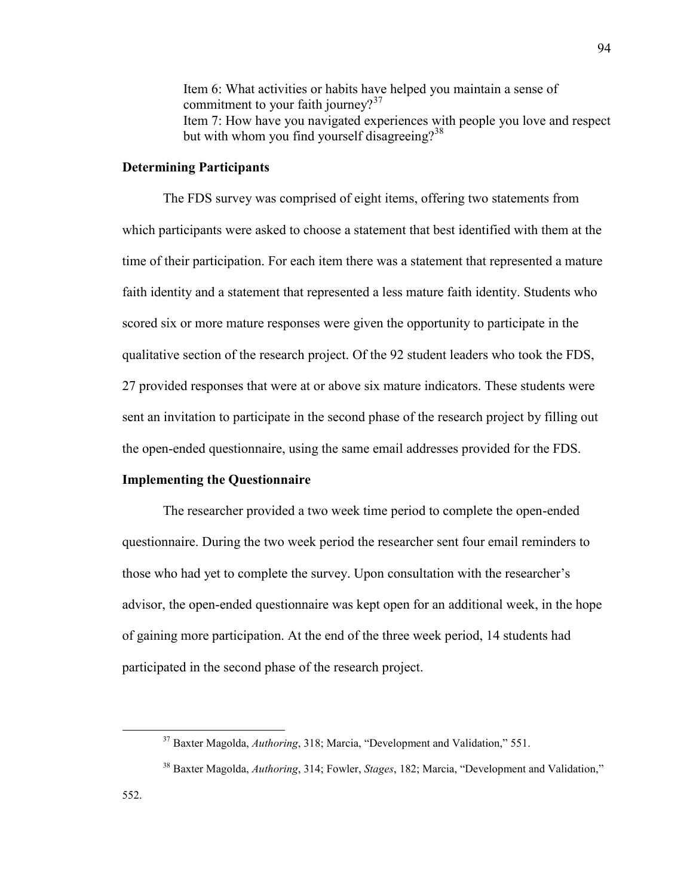Item 6: What activities or habits have helped you maintain a sense of commitment to your faith journey? $37$ Item 7: How have you navigated experiences with people you love and respect but with whom you find yourself disagreeing? $38$ 

# **Determining Participants**

The FDS survey was comprised of eight items, offering two statements from which participants were asked to choose a statement that best identified with them at the time of their participation. For each item there was a statement that represented a mature faith identity and a statement that represented a less mature faith identity. Students who scored six or more mature responses were given the opportunity to participate in the qualitative section of the research project. Of the 92 student leaders who took the FDS, 27 provided responses that were at or above six mature indicators. These students were sent an invitation to participate in the second phase of the research project by filling out the open-ended questionnaire, using the same email addresses provided for the FDS.

# **Implementing the Questionnaire**

The researcher provided a two week time period to complete the open-ended questionnaire. During the two week period the researcher sent four email reminders to those who had yet to complete the survey. Upon consultation with the researcher's advisor, the open-ended questionnaire was kept open for an additional week, in the hope of gaining more participation. At the end of the three week period, 14 students had participated in the second phase of the research project.

<sup>37</sup> Baxter Magolda, *Authoring*, 318; Marcia, "Development and Validation," 551.

<sup>38</sup> Baxter Magolda, *Authoring*, 314; Fowler, *Stages*, 182; Marcia, "Development and Validation,"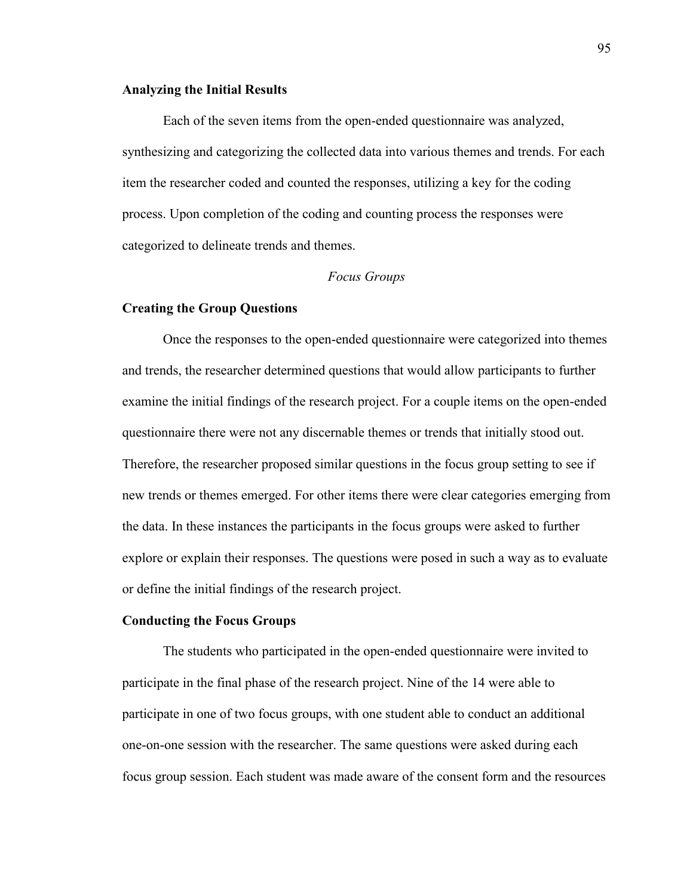## **Analyzing the Initial Results**

Each of the seven items from the open-ended questionnaire was analyzed, synthesizing and categorizing the collected data into various themes and trends. For each item the researcher coded and counted the responses, utilizing a key for the coding process. Upon completion of the coding and counting process the responses were categorized to delineate trends and themes.

# *Focus Groups*

### **Creating the Group Questions**

Once the responses to the open-ended questionnaire were categorized into themes and trends, the researcher determined questions that would allow participants to further examine the initial findings of the research project. For a couple items on the open-ended questionnaire there were not any discernable themes or trends that initially stood out. Therefore, the researcher proposed similar questions in the focus group setting to see if new trends or themes emerged. For other items there were clear categories emerging from the data. In these instances the participants in the focus groups were asked to further explore or explain their responses. The questions were posed in such a way as to evaluate or define the initial findings of the research project.

### **Conducting the Focus Groups**

The students who participated in the open-ended questionnaire were invited to participate in the final phase of the research project. Nine of the 14 were able to participate in one of two focus groups, with one student able to conduct an additional one-on-one session with the researcher. The same questions were asked during each focus group session. Each student was made aware of the consent form and the resources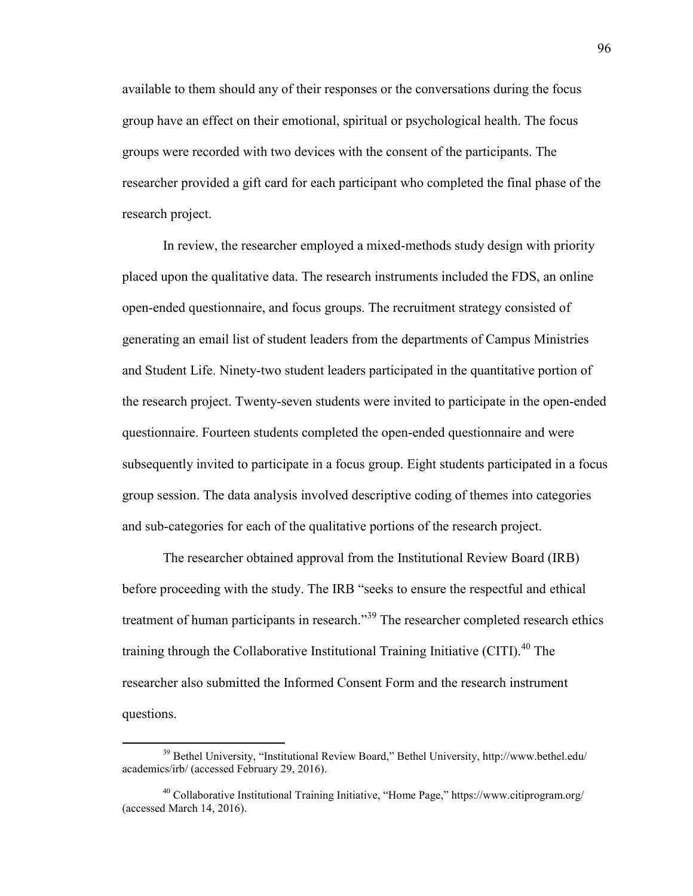available to them should any of their responses or the conversations during the focus group have an effect on their emotional, spiritual or psychological health. The focus groups were recorded with two devices with the consent of the participants. The researcher provided a gift card for each participant who completed the final phase of the research project.

In review, the researcher employed a mixed-methods study design with priority placed upon the qualitative data. The research instruments included the FDS, an online open-ended questionnaire, and focus groups. The recruitment strategy consisted of generating an email list of student leaders from the departments of Campus Ministries and Student Life. Ninety-two student leaders participated in the quantitative portion of the research project. Twenty-seven students were invited to participate in the open-ended questionnaire. Fourteen students completed the open-ended questionnaire and were subsequently invited to participate in a focus group. Eight students participated in a focus group session. The data analysis involved descriptive coding of themes into categories and sub-categories for each of the qualitative portions of the research project.

The researcher obtained approval from the Institutional Review Board (IRB) before proceeding with the study. The IRB "seeks to ensure the respectful and ethical treatment of human participants in research.<sup>39</sup> The researcher completed research ethics training through the Collaborative Institutional Training Initiative (CITI).<sup>40</sup> The researcher also submitted the Informed Consent Form and the research instrument questions.

<sup>39</sup> Bethel University, "Institutional Review Board," Bethel University, http://www.bethel.edu/ academics/irb/ (accessed February 29, 2016).

<sup>40</sup> Collaborative Institutional Training Initiative, "Home Page," https://www.citiprogram.org/ (accessed March 14, 2016).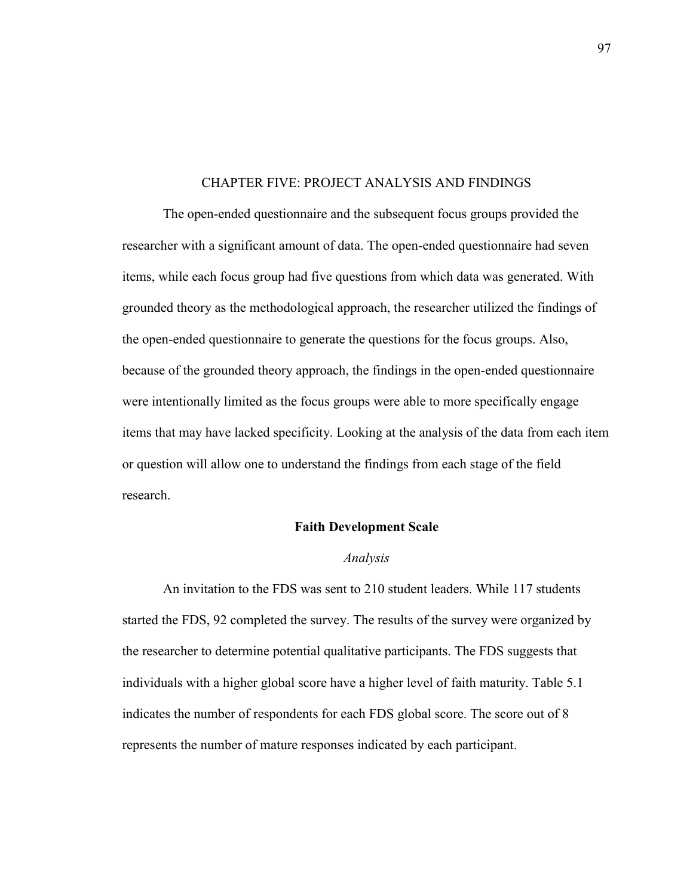## CHAPTER FIVE: PROJECT ANALYSIS AND FINDINGS

The open-ended questionnaire and the subsequent focus groups provided the researcher with a significant amount of data. The open-ended questionnaire had seven items, while each focus group had five questions from which data was generated. With grounded theory as the methodological approach, the researcher utilized the findings of the open-ended questionnaire to generate the questions for the focus groups. Also, because of the grounded theory approach, the findings in the open-ended questionnaire were intentionally limited as the focus groups were able to more specifically engage items that may have lacked specificity. Looking at the analysis of the data from each item or question will allow one to understand the findings from each stage of the field research.

## **Faith Development Scale**

### *Analysis*

An invitation to the FDS was sent to 210 student leaders. While 117 students started the FDS, 92 completed the survey. The results of the survey were organized by the researcher to determine potential qualitative participants. The FDS suggests that individuals with a higher global score have a higher level of faith maturity. Table 5.1 indicates the number of respondents for each FDS global score. The score out of 8 represents the number of mature responses indicated by each participant.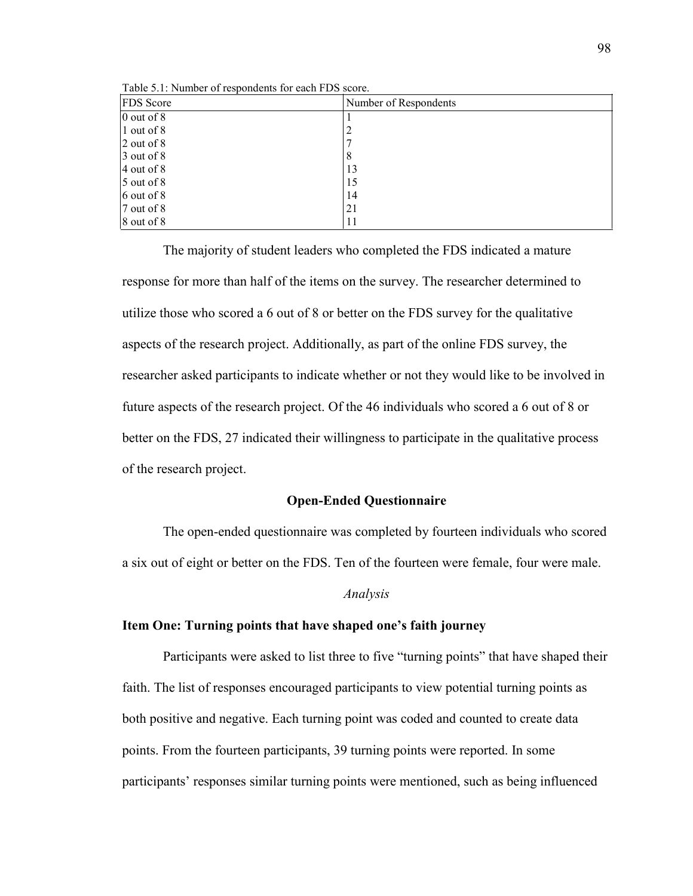| <b>FDS</b> Score    | Number of Respondents |
|---------------------|-----------------------|
| $\sqrt{0}$ out of 8 |                       |
| $\vert$ 1 out of 8  |                       |
| $2$ out of 8        |                       |
| $3$ out of 8        | 8                     |
| $4$ out of 8        | 13                    |
| $5$ out of 8        | 15                    |
| $6$ out of 8        | 14                    |
| $7$ out of 8        | 21                    |
| $8$ out of $8$      | 11                    |

Table 5.1: Number of respondents for each FDS score.

The majority of student leaders who completed the FDS indicated a mature response for more than half of the items on the survey. The researcher determined to utilize those who scored a 6 out of 8 or better on the FDS survey for the qualitative aspects of the research project. Additionally, as part of the online FDS survey, the researcher asked participants to indicate whether or not they would like to be involved in future aspects of the research project. Of the 46 individuals who scored a 6 out of 8 or better on the FDS, 27 indicated their willingness to participate in the qualitative process of the research project.

# **Open-Ended Questionnaire**

The open-ended questionnaire was completed by fourteen individuals who scored a six out of eight or better on the FDS. Ten of the fourteen were female, four were male.

#### *Analysis*

## **Item One: Turning points that have shaped one's faith journey**

Participants were asked to list three to five "turning points" that have shaped their faith. The list of responses encouraged participants to view potential turning points as both positive and negative. Each turning point was coded and counted to create data points. From the fourteen participants, 39 turning points were reported. In some participants' responses similar turning points were mentioned, such as being influenced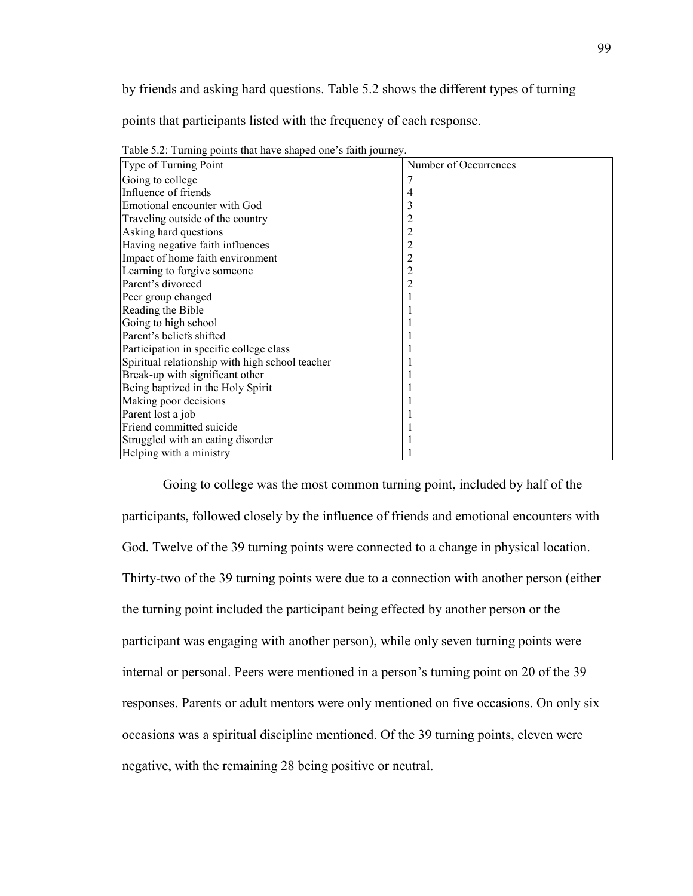by friends and asking hard questions. Table 5.2 shows the different types of turning

points that participants listed with the frequency of each response.

| $1000$ $\sigma$ . Turning points that have shaped one start fourney<br>Type of Turning Point | Number of Occurrences |
|----------------------------------------------------------------------------------------------|-----------------------|
| Going to college                                                                             |                       |
| Influence of friends                                                                         | 4                     |
| Emotional encounter with God                                                                 | 3                     |
| Traveling outside of the country                                                             | $\overline{c}$        |
| Asking hard questions                                                                        | $\overline{c}$        |
| Having negative faith influences                                                             | $\overline{c}$        |
| Impact of home faith environment                                                             | $\overline{c}$        |
| Learning to forgive someone                                                                  | $\overline{c}$        |
| Parent's divorced                                                                            | 2                     |
| Peer group changed                                                                           |                       |
| Reading the Bible                                                                            |                       |
| Going to high school                                                                         |                       |
| Parent's beliefs shifted                                                                     |                       |
| Participation in specific college class                                                      |                       |
| Spiritual relationship with high school teacher                                              |                       |
| Break-up with significant other                                                              |                       |
| Being baptized in the Holy Spirit                                                            |                       |
| Making poor decisions                                                                        |                       |
| Parent lost a job                                                                            |                       |
| Friend committed suicide                                                                     |                       |
| Struggled with an eating disorder                                                            |                       |
| Helping with a ministry                                                                      |                       |

Table 5.2: Turning points that have shaped one's faith journey.

Going to college was the most common turning point, included by half of the participants, followed closely by the influence of friends and emotional encounters with God. Twelve of the 39 turning points were connected to a change in physical location. Thirty-two of the 39 turning points were due to a connection with another person (either the turning point included the participant being effected by another person or the participant was engaging with another person), while only seven turning points were internal or personal. Peers were mentioned in a person's turning point on 20 of the 39 responses. Parents or adult mentors were only mentioned on five occasions. On only six occasions was a spiritual discipline mentioned. Of the 39 turning points, eleven were negative, with the remaining 28 being positive or neutral.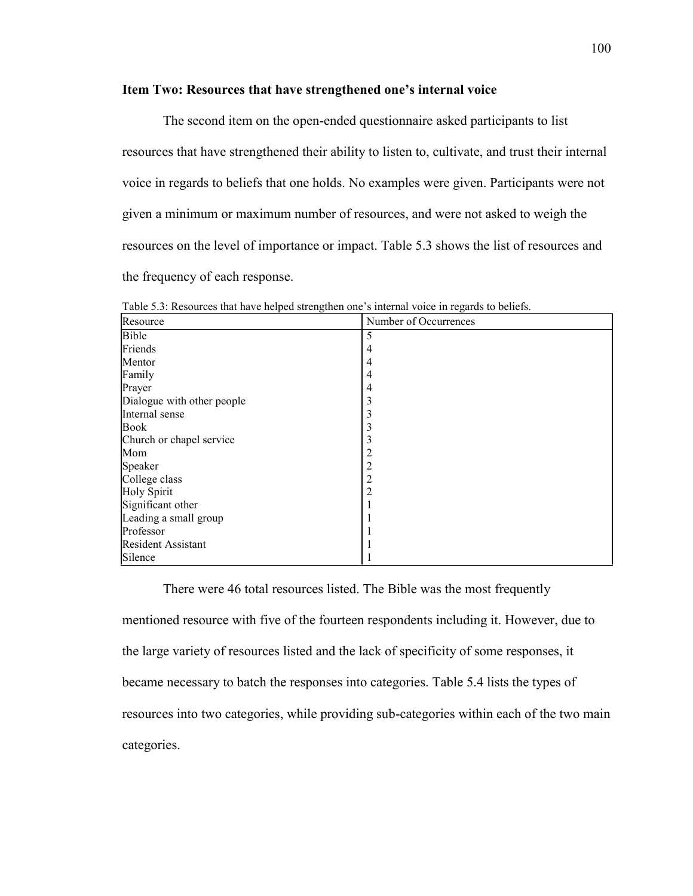## **Item Two: Resources that have strengthened one's internal voice**

The second item on the open-ended questionnaire asked participants to list resources that have strengthened their ability to listen to, cultivate, and trust their internal voice in regards to beliefs that one holds. No examples were given. Participants were not given a minimum or maximum number of resources, and were not asked to weigh the resources on the level of importance or impact. Table 5.3 shows the list of resources and the frequency of each response.

| Resource                   | Number of Occurrences |
|----------------------------|-----------------------|
| <b>Bible</b>               |                       |
| Friends                    | 4                     |
| Mentor                     | 4                     |
| Family                     | 4                     |
| Prayer                     | 4                     |
| Dialogue with other people | 3                     |
| Internal sense             | 3                     |
| Book                       | 3                     |
| Church or chapel service   | 3                     |
| Mom                        |                       |
| Speaker                    | 2                     |
| College class              | 2                     |
| Holy Spirit                | 2                     |
| Significant other          |                       |
| Leading a small group      |                       |
| Professor                  |                       |
| <b>Resident Assistant</b>  |                       |
| Silence                    |                       |

Table 5.3: Resources that have helped strengthen one's internal voice in regards to beliefs.

There were 46 total resources listed. The Bible was the most frequently mentioned resource with five of the fourteen respondents including it. However, due to the large variety of resources listed and the lack of specificity of some responses, it became necessary to batch the responses into categories. Table 5.4 lists the types of resources into two categories, while providing sub-categories within each of the two main categories.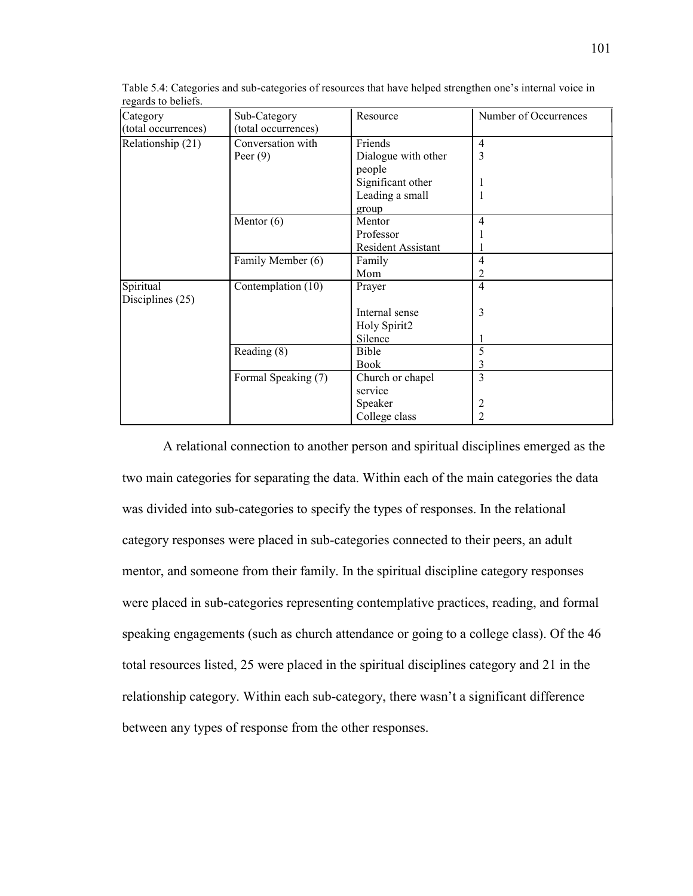| Category            | Sub-Category        | Resource                  | Number of Occurrences |
|---------------------|---------------------|---------------------------|-----------------------|
| (total occurrences) | (total occurrences) |                           |                       |
| Relationship (21)   | Conversation with   | Friends                   | $\overline{4}$        |
|                     | Peer $(9)$          | Dialogue with other       | 3                     |
|                     |                     | people                    |                       |
|                     |                     | Significant other         |                       |
|                     |                     | Leading a small           |                       |
|                     |                     | group                     |                       |
|                     | Mentor $(6)$        | Mentor                    | $\overline{4}$        |
|                     |                     | Professor                 |                       |
|                     |                     | <b>Resident Assistant</b> |                       |
|                     | Family Member (6)   | Family                    | $\overline{4}$        |
|                     |                     | Mom                       | 2                     |
| Spiritual           | Contemplation (10)  | Prayer                    | $\overline{4}$        |
| Disciplines (25)    |                     |                           |                       |
|                     |                     | Internal sense            | 3                     |
|                     |                     | Holy Spirit2              |                       |
|                     |                     | Silence                   |                       |
|                     | Reading (8)         | Bible                     | 5                     |
|                     |                     | <b>Book</b>               | 3                     |
|                     | Formal Speaking (7) | Church or chapel          | 3                     |
|                     |                     | service                   |                       |
|                     |                     | Speaker                   | 2                     |
|                     |                     | College class             | $\overline{2}$        |

Table 5.4: Categories and sub-categories of resources that have helped strengthen one's internal voice in regards to beliefs.

A relational connection to another person and spiritual disciplines emerged as the two main categories for separating the data. Within each of the main categories the data was divided into sub-categories to specify the types of responses. In the relational category responses were placed in sub-categories connected to their peers, an adult mentor, and someone from their family. In the spiritual discipline category responses were placed in sub-categories representing contemplative practices, reading, and formal speaking engagements (such as church attendance or going to a college class). Of the 46 total resources listed, 25 were placed in the spiritual disciplines category and 21 in the relationship category. Within each sub-category, there wasn't a significant difference between any types of response from the other responses.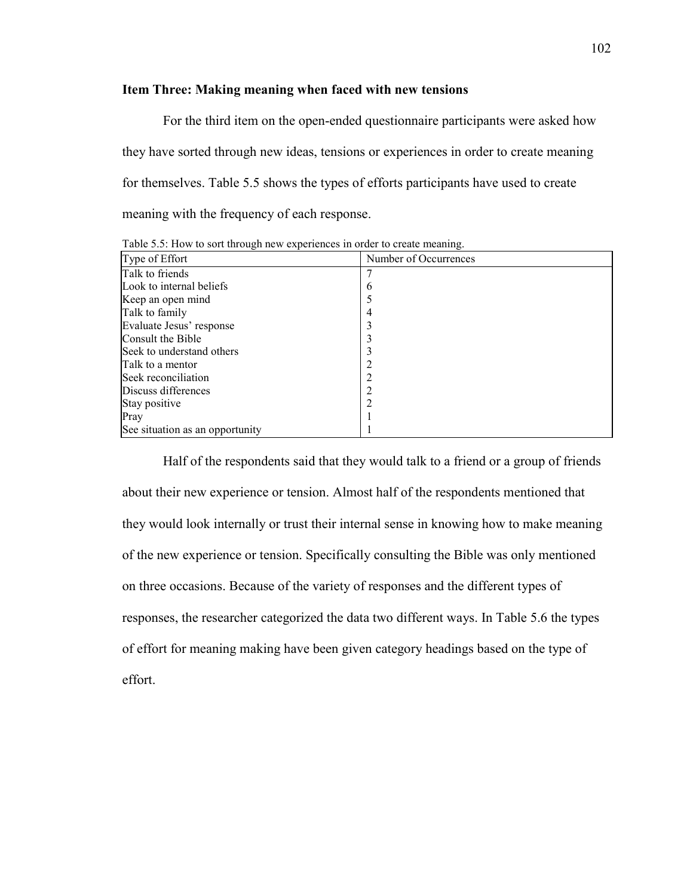# **Item Three: Making meaning when faced with new tensions**

For the third item on the open-ended questionnaire participants were asked how they have sorted through new ideas, tensions or experiences in order to create meaning for themselves. Table 5.5 shows the types of efforts participants have used to create meaning with the frequency of each response.

| Type of Effort                  | Number of Occurrences |
|---------------------------------|-----------------------|
| Talk to friends                 |                       |
| Look to internal beliefs        | b                     |
| Keep an open mind               |                       |
| Talk to family                  |                       |
| Evaluate Jesus' response        |                       |
| Consult the Bible               |                       |
| Seek to understand others       |                       |
| Talk to a mentor                |                       |
| Seek reconciliation             |                       |
| Discuss differences             |                       |
| Stay positive                   |                       |
| Pray                            |                       |
| See situation as an opportunity |                       |

Table 5.5: How to sort through new experiences in order to create meaning.

Half of the respondents said that they would talk to a friend or a group of friends about their new experience or tension. Almost half of the respondents mentioned that they would look internally or trust their internal sense in knowing how to make meaning of the new experience or tension. Specifically consulting the Bible was only mentioned on three occasions. Because of the variety of responses and the different types of responses, the researcher categorized the data two different ways. In Table 5.6 the types of effort for meaning making have been given category headings based on the type of effort.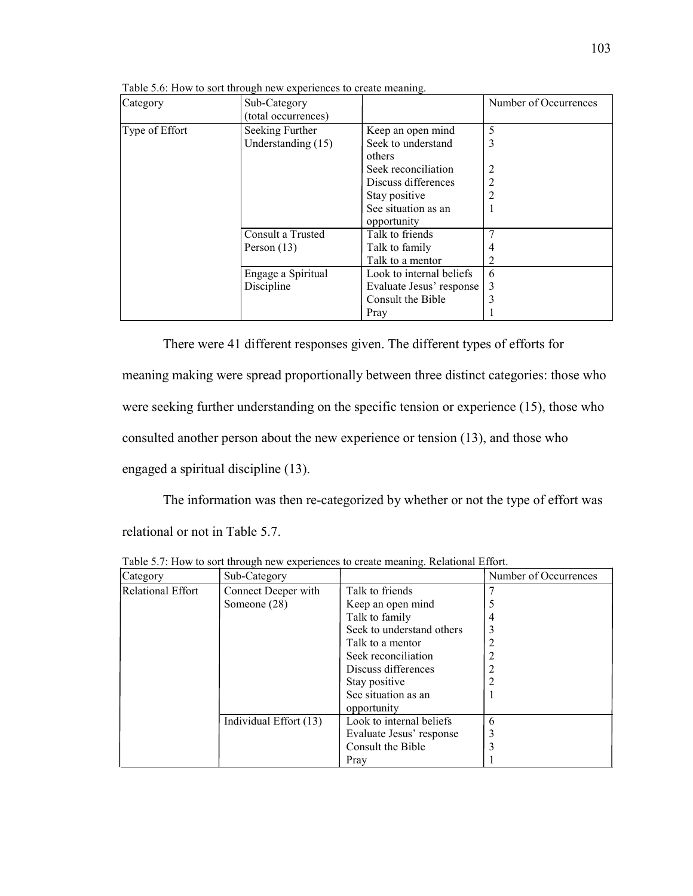| Category       | Sub-Category<br>(total occurrences) |                                    | Number of Occurrences |
|----------------|-------------------------------------|------------------------------------|-----------------------|
| Type of Effort | Seeking Further                     | Keep an open mind                  | 5                     |
|                | Understanding (15)                  | Seek to understand<br>others       | 3                     |
|                |                                     | Seek reconciliation                |                       |
|                |                                     | Discuss differences                | 2                     |
|                |                                     | Stay positive                      | $\overline{c}$        |
|                |                                     | See situation as an<br>opportunity |                       |
|                | Consult a Trusted                   | Talk to friends                    |                       |
|                | Person $(13)$                       | Talk to family                     | 4                     |
|                |                                     | Talk to a mentor                   |                       |
|                | Engage a Spiritual                  | Look to internal beliefs           | 6                     |
|                | Discipline                          | Evaluate Jesus' response           | 3                     |
|                |                                     | Consult the Bible                  |                       |
|                |                                     | Pray                               |                       |

Table 5.6: How to sort through new experiences to create meaning.

There were 41 different responses given. The different types of efforts for meaning making were spread proportionally between three distinct categories: those who were seeking further understanding on the specific tension or experience (15), those who consulted another person about the new experience or tension (13), and those who engaged a spiritual discipline (13).

The information was then re-categorized by whether or not the type of effort was relational or not in Table 5.7.

| Category          | Sub-Category           |                           | Number of Occurrences |
|-------------------|------------------------|---------------------------|-----------------------|
| Relational Effort | Connect Deeper with    | Talk to friends           |                       |
|                   | Someone (28)           | Keep an open mind         |                       |
|                   |                        | Talk to family            | 4                     |
|                   |                        | Seek to understand others |                       |
|                   |                        | Talk to a mentor          |                       |
|                   |                        | Seek reconciliation       |                       |
|                   |                        | Discuss differences       |                       |
|                   |                        | Stay positive             |                       |
|                   |                        | See situation as an       |                       |
|                   |                        | opportunity               |                       |
|                   | Individual Effort (13) | Look to internal beliefs  | 6                     |
|                   |                        | Evaluate Jesus' response  | 3                     |
|                   |                        | Consult the Bible         |                       |
|                   |                        | Pray                      |                       |

Table 5.7: How to sort through new experiences to create meaning. Relational Effort.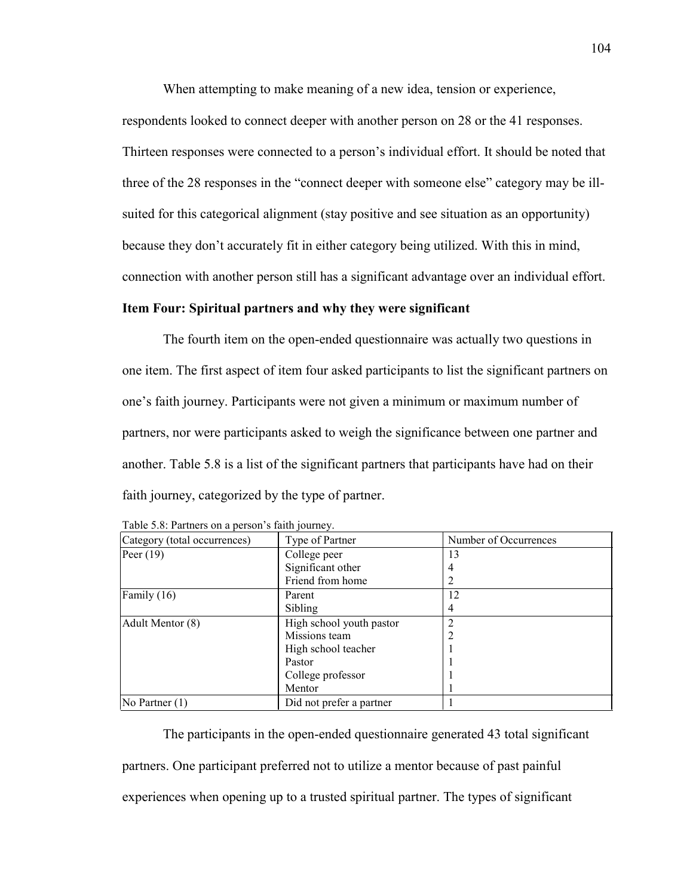When attempting to make meaning of a new idea, tension or experience,

respondents looked to connect deeper with another person on 28 or the 41 responses. Thirteen responses were connected to a person's individual effort. It should be noted that three of the 28 responses in the "connect deeper with someone else" category may be illsuited for this categorical alignment (stay positive and see situation as an opportunity) because they don't accurately fit in either category being utilized. With this in mind, connection with another person still has a significant advantage over an individual effort.

# **Item Four: Spiritual partners and why they were significant**

The fourth item on the open-ended questionnaire was actually two questions in one item. The first aspect of item four asked participants to list the significant partners on one's faith journey. Participants were not given a minimum or maximum number of partners, nor were participants asked to weigh the significance between one partner and another. Table 5.8 is a list of the significant partners that participants have had on their faith journey, categorized by the type of partner.

| Category (total occurrences) | Type of Partner          | Number of Occurrences |
|------------------------------|--------------------------|-----------------------|
| Peer $(19)$                  | College peer             | 13                    |
|                              | Significant other        | 4                     |
|                              | Friend from home         | 2                     |
| Family (16)                  | Parent                   | 12                    |
|                              | Sibling                  | 4                     |
| Adult Mentor (8)             | High school youth pastor |                       |
|                              | Missions team            | 2                     |
|                              | High school teacher      |                       |
|                              | Pastor                   |                       |
|                              | College professor        |                       |
|                              | Mentor                   |                       |
| No Partner $(1)$             | Did not prefer a partner |                       |

| Table 5.8: Partners on a person's faith journey. |  |  |  |
|--------------------------------------------------|--|--|--|
|                                                  |  |  |  |

The participants in the open-ended questionnaire generated 43 total significant partners. One participant preferred not to utilize a mentor because of past painful experiences when opening up to a trusted spiritual partner. The types of significant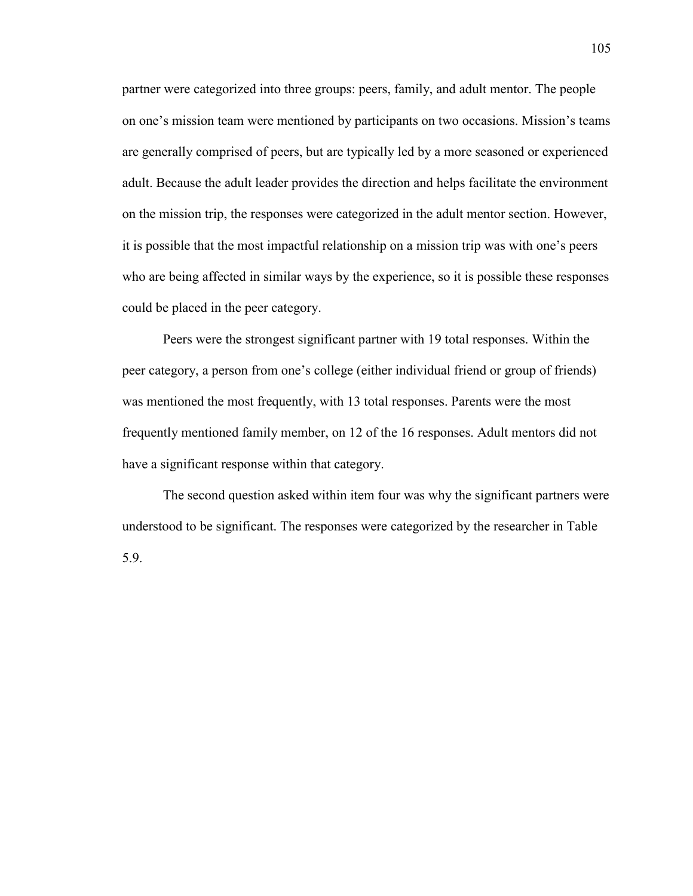partner were categorized into three groups: peers, family, and adult mentor. The people on one's mission team were mentioned by participants on two occasions. Mission's teams are generally comprised of peers, but are typically led by a more seasoned or experienced adult. Because the adult leader provides the direction and helps facilitate the environment on the mission trip, the responses were categorized in the adult mentor section. However, it is possible that the most impactful relationship on a mission trip was with one's peers who are being affected in similar ways by the experience, so it is possible these responses could be placed in the peer category.

Peers were the strongest significant partner with 19 total responses. Within the peer category, a person from one's college (either individual friend or group of friends) was mentioned the most frequently, with 13 total responses. Parents were the most frequently mentioned family member, on 12 of the 16 responses. Adult mentors did not have a significant response within that category.

The second question asked within item four was why the significant partners were understood to be significant. The responses were categorized by the researcher in Table 5.9.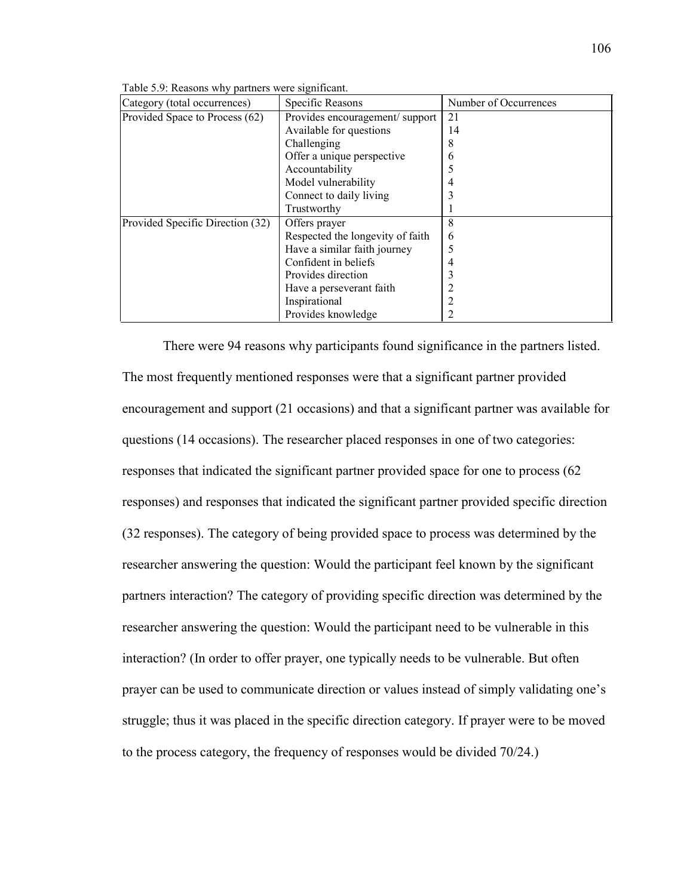| 1 WO 19 0 17 1 1 19 WO 0 110 11 11 |                                |                       |
|------------------------------------|--------------------------------|-----------------------|
| Category (total occurrences)       | Specific Reasons               | Number of Occurrences |
| Provided Space to Process (62)     | Provides encouragement/support |                       |
|                                    | Available for questions        | 14                    |
|                                    | Challenging                    |                       |
|                                    | Offer a unique perspective     |                       |
|                                    | $\lambda$ 1. 11 $\lambda$      |                       |

Table 5.9: Reasons why partners were significant.

|                                  | 1.1.001.001.01.0000.0000         |   |
|----------------------------------|----------------------------------|---|
|                                  | Challenging                      | 8 |
|                                  | Offer a unique perspective       | 6 |
|                                  | Accountability                   |   |
|                                  | Model vulnerability              | 4 |
|                                  | Connect to daily living          |   |
|                                  | Trustworthy                      |   |
| Provided Specific Direction (32) | Offers prayer                    | 8 |
|                                  | Respected the longevity of faith | 6 |
|                                  | Have a similar faith journey     |   |
|                                  | Confident in beliefs             | 4 |
|                                  | Provides direction               |   |
|                                  | Have a perseverant faith         |   |
|                                  | Inspirational                    | っ |
|                                  | Provides knowledge               |   |

There were 94 reasons why participants found significance in the partners listed. The most frequently mentioned responses were that a significant partner provided encouragement and support (21 occasions) and that a significant partner was available for questions (14 occasions). The researcher placed responses in one of two categories: responses that indicated the significant partner provided space for one to process (62 responses) and responses that indicated the significant partner provided specific direction (32 responses). The category of being provided space to process was determined by the researcher answering the question: Would the participant feel known by the significant partners interaction? The category of providing specific direction was determined by the researcher answering the question: Would the participant need to be vulnerable in this interaction? (In order to offer prayer, one typically needs to be vulnerable. But often prayer can be used to communicate direction or values instead of simply validating one's struggle; thus it was placed in the specific direction category. If prayer were to be moved to the process category, the frequency of responses would be divided 70/24.)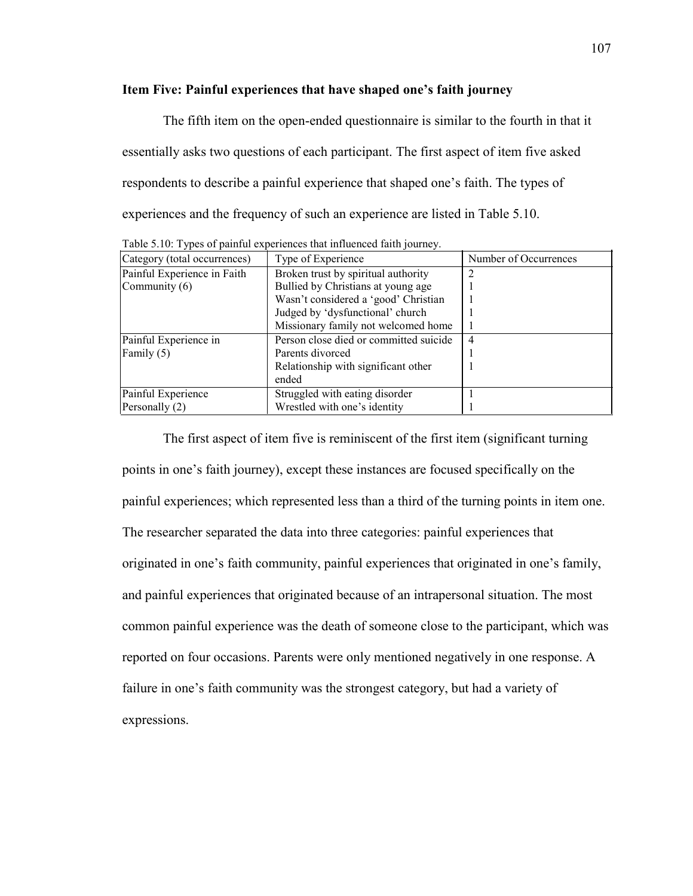### **Item Five: Painful experiences that have shaped one's faith journey**

The fifth item on the open-ended questionnaire is similar to the fourth in that it essentially asks two questions of each participant. The first aspect of item five asked respondents to describe a painful experience that shaped one's faith. The types of experiences and the frequency of such an experience are listed in Table 5.10.

| Category (total occurrences) | Type of Experience                     | Number of Occurrences |
|------------------------------|----------------------------------------|-----------------------|
| Painful Experience in Faith  | Broken trust by spiritual authority    |                       |
| Community $(6)$              | Bullied by Christians at young age     |                       |
|                              | Wasn't considered a 'good' Christian   |                       |
|                              | Judged by 'dysfunctional' church       |                       |
|                              | Missionary family not welcomed home    |                       |
| Painful Experience in        | Person close died or committed suicide | 4                     |
| Family $(5)$                 | Parents divorced                       |                       |
|                              | Relationship with significant other    |                       |
|                              | ended                                  |                       |
| Painful Experience           | Struggled with eating disorder         |                       |
| Personally (2)               | Wrestled with one's identity           |                       |

Table 5.10: Types of painful experiences that influenced faith journey.

The first aspect of item five is reminiscent of the first item (significant turning points in one's faith journey), except these instances are focused specifically on the painful experiences; which represented less than a third of the turning points in item one. The researcher separated the data into three categories: painful experiences that originated in one's faith community, painful experiences that originated in one's family, and painful experiences that originated because of an intrapersonal situation. The most common painful experience was the death of someone close to the participant, which was reported on four occasions. Parents were only mentioned negatively in one response. A failure in one's faith community was the strongest category, but had a variety of expressions.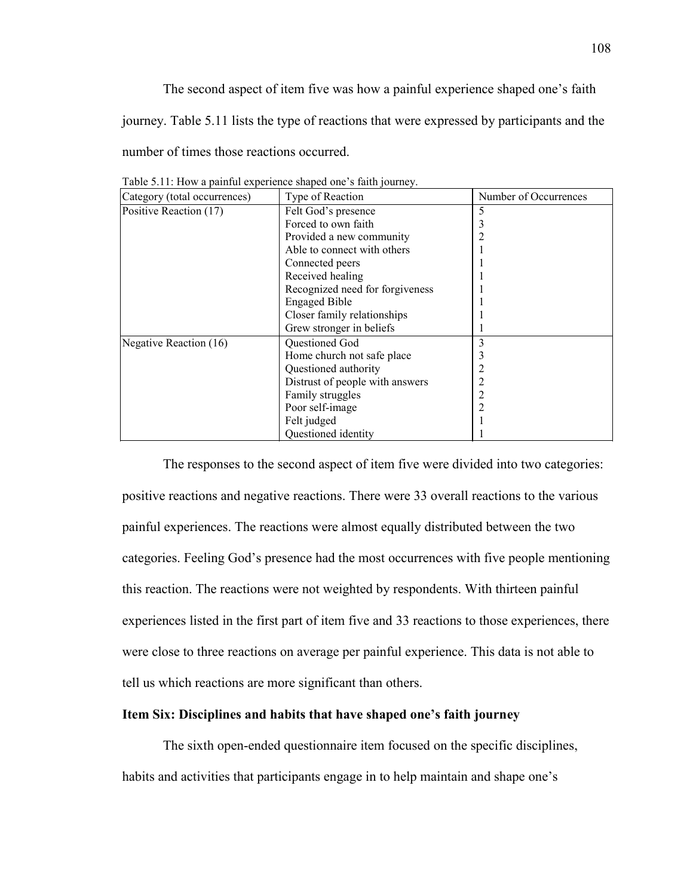The second aspect of item five was how a painful experience shaped one's faith journey. Table 5.11 lists the type of reactions that were expressed by participants and the number of times those reactions occurred.

| Category (total occurrences) | Type of Reaction                | Number of Occurrences |
|------------------------------|---------------------------------|-----------------------|
| Positive Reaction (17)       | Felt God's presence             | 5                     |
|                              | Forced to own faith             |                       |
|                              | Provided a new community        |                       |
|                              | Able to connect with others     |                       |
|                              | Connected peers                 |                       |
|                              | Received healing                |                       |
|                              | Recognized need for forgiveness |                       |
|                              | <b>Engaged Bible</b>            |                       |
|                              | Closer family relationships     |                       |
|                              | Grew stronger in beliefs        |                       |
| Negative Reaction (16)       | Questioned God                  | 3                     |
|                              | Home church not safe place      |                       |
|                              | Questioned authority            |                       |
|                              | Distrust of people with answers |                       |
|                              | Family struggles                | 2                     |
|                              | Poor self-image                 |                       |
|                              | Felt judged                     |                       |
|                              | Questioned identity             |                       |

Table 5.11: How a painful experience shaped one's faith journey.

The responses to the second aspect of item five were divided into two categories: positive reactions and negative reactions. There were 33 overall reactions to the various painful experiences. The reactions were almost equally distributed between the two categories. Feeling God's presence had the most occurrences with five people mentioning this reaction. The reactions were not weighted by respondents. With thirteen painful experiences listed in the first part of item five and 33 reactions to those experiences, there were close to three reactions on average per painful experience. This data is not able to tell us which reactions are more significant than others.

#### **Item Six: Disciplines and habits that have shaped one's faith journey**

The sixth open-ended questionnaire item focused on the specific disciplines, habits and activities that participants engage in to help maintain and shape one's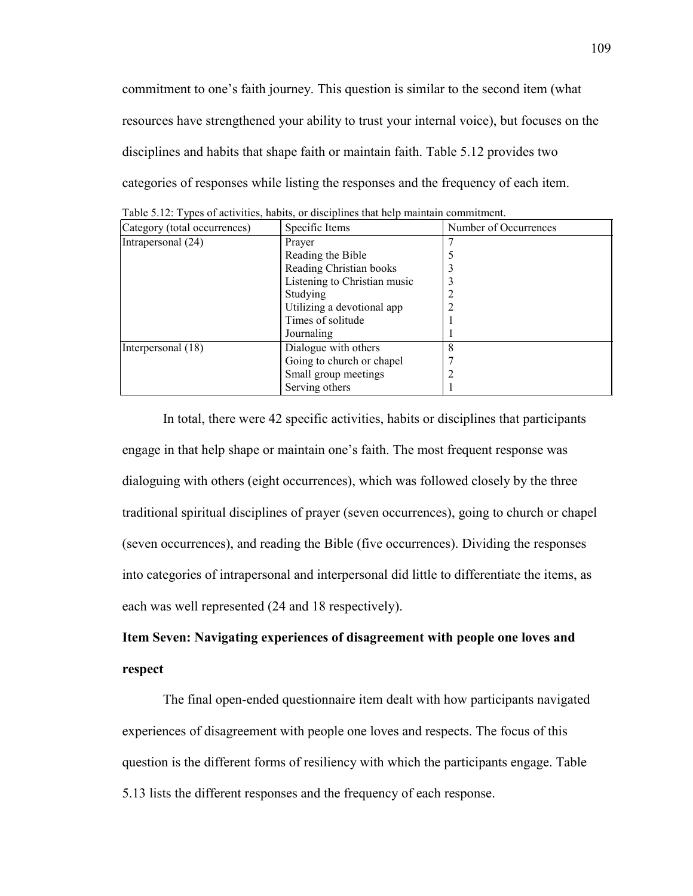commitment to one's faith journey. This question is similar to the second item (what resources have strengthened your ability to trust your internal voice), but focuses on the disciplines and habits that shape faith or maintain faith. Table 5.12 provides two categories of responses while listing the responses and the frequency of each item.

| Category (total occurrences) | Specific Items               | Number of Occurrences |
|------------------------------|------------------------------|-----------------------|
| Intrapersonal (24)           | Prayer                       |                       |
|                              | Reading the Bible            |                       |
|                              | Reading Christian books      |                       |
|                              | Listening to Christian music |                       |
|                              | Studying                     |                       |
|                              | Utilizing a devotional app   | 2                     |
|                              | Times of solitude            |                       |
|                              | Journaling                   |                       |
| Interpersonal (18)           | Dialogue with others         | 8                     |
|                              | Going to church or chapel    |                       |
|                              | Small group meetings         |                       |
|                              | Serving others               |                       |

Table 5.12: Types of activities, habits, or disciplines that help maintain commitment.

In total, there were 42 specific activities, habits or disciplines that participants engage in that help shape or maintain one's faith. The most frequent response was dialoguing with others (eight occurrences), which was followed closely by the three traditional spiritual disciplines of prayer (seven occurrences), going to church or chapel (seven occurrences), and reading the Bible (five occurrences). Dividing the responses into categories of intrapersonal and interpersonal did little to differentiate the items, as each was well represented (24 and 18 respectively).

# **Item Seven: Navigating experiences of disagreement with people one loves and respect**

The final open-ended questionnaire item dealt with how participants navigated experiences of disagreement with people one loves and respects. The focus of this question is the different forms of resiliency with which the participants engage. Table 5.13 lists the different responses and the frequency of each response.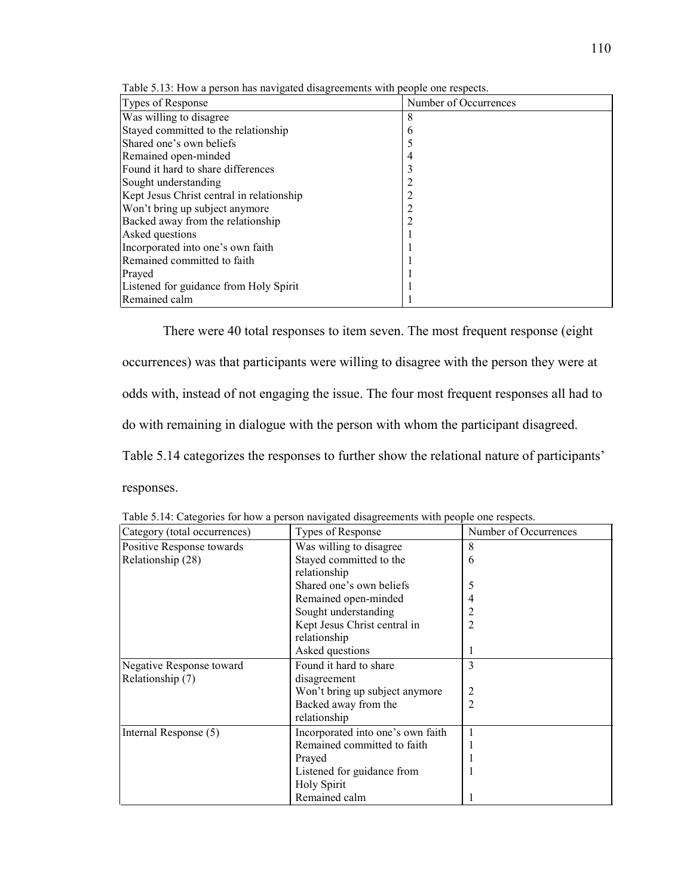| Types of Response                         | Number of Occurrences |
|-------------------------------------------|-----------------------|
| Was willing to disagree                   | 8                     |
| Stayed committed to the relationship      | 6                     |
| Shared one's own beliefs                  |                       |
| Remained open-minded                      | 4                     |
| Found it hard to share differences        |                       |
| Sought understanding                      | 2                     |
| Kept Jesus Christ central in relationship | 2                     |
| Won't bring up subject anymore            | 2                     |
| Backed away from the relationship         | 2                     |
| Asked questions                           |                       |
| Incorporated into one's own faith         |                       |
| Remained committed to faith               |                       |
| Prayed                                    |                       |
| Listened for guidance from Holy Spirit    |                       |
| Remained calm                             |                       |

Table 5.13: How a person has navigated disagreements with people one respects.

There were 40 total responses to item seven. The most frequent response (eight occurrences) was that participants were willing to disagree with the person they were at odds with, instead of not engaging the issue. The four most frequent responses all had to do with remaining in dialogue with the person with whom the participant disagreed. Table 5.14 categorizes the responses to further show the relational nature of participants' responses.

| Category (total occurrences) | Types of Response                 | Number of Occurrences |
|------------------------------|-----------------------------------|-----------------------|
| Positive Response towards    | Was willing to disagree           | 8                     |
| Relationship (28)            | Stayed committed to the           | 6                     |
|                              | relationship                      |                       |
|                              | Shared one's own beliefs          | 5                     |
|                              | Remained open-minded              |                       |
|                              | Sought understanding              |                       |
|                              | Kept Jesus Christ central in      | 2                     |
|                              | relationship                      |                       |
|                              | Asked questions                   |                       |
| Negative Response toward     | Found it hard to share            | 3                     |
| Relationship (7)             | disagreement                      |                       |
|                              | Won't bring up subject anymore    |                       |
|                              | Backed away from the              | $\overline{2}$        |
|                              | relationship                      |                       |
| Internal Response (5)        | Incorporated into one's own faith |                       |
|                              | Remained committed to faith       |                       |
|                              | Prayed                            |                       |
|                              | Listened for guidance from        |                       |
|                              | <b>Holy Spirit</b>                |                       |
|                              | Remained calm                     |                       |

Table 5.14: Categories for how a person navigated disagreements with people one respects.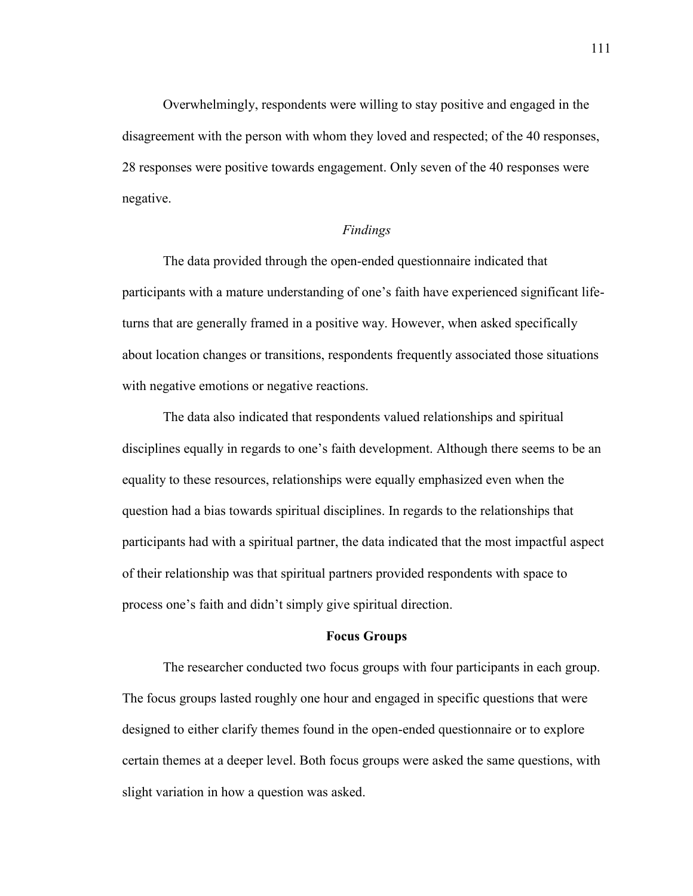Overwhelmingly, respondents were willing to stay positive and engaged in the disagreement with the person with whom they loved and respected; of the 40 responses, 28 responses were positive towards engagement. Only seven of the 40 responses were negative.

## *Findings*

The data provided through the open-ended questionnaire indicated that participants with a mature understanding of one's faith have experienced significant lifeturns that are generally framed in a positive way. However, when asked specifically about location changes or transitions, respondents frequently associated those situations with negative emotions or negative reactions.

The data also indicated that respondents valued relationships and spiritual disciplines equally in regards to one's faith development. Although there seems to be an equality to these resources, relationships were equally emphasized even when the question had a bias towards spiritual disciplines. In regards to the relationships that participants had with a spiritual partner, the data indicated that the most impactful aspect of their relationship was that spiritual partners provided respondents with space to process one's faith and didn't simply give spiritual direction.

### **Focus Groups**

The researcher conducted two focus groups with four participants in each group. The focus groups lasted roughly one hour and engaged in specific questions that were designed to either clarify themes found in the open-ended questionnaire or to explore certain themes at a deeper level. Both focus groups were asked the same questions, with slight variation in how a question was asked.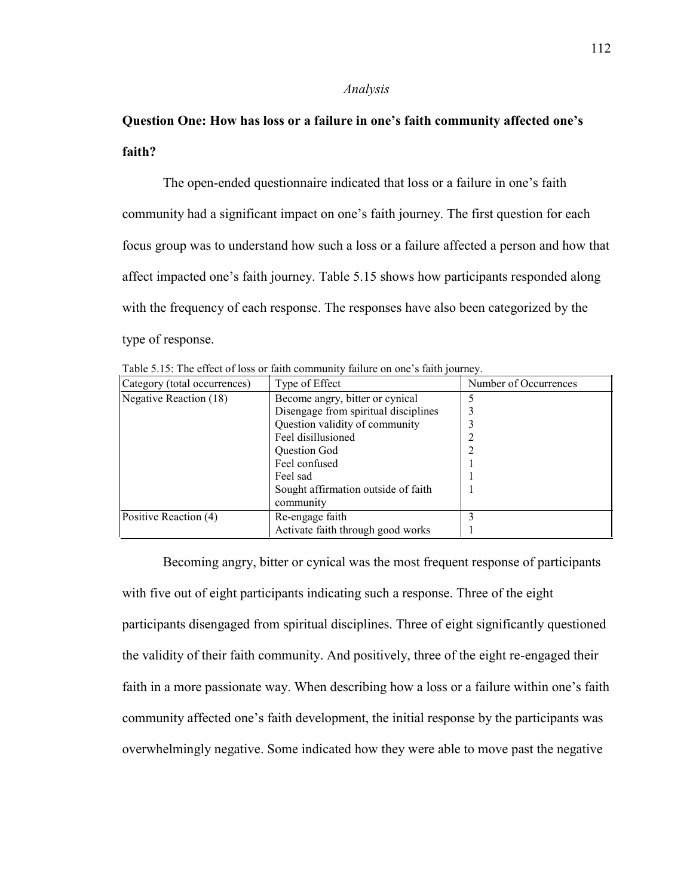#### *Analysis*

# **Question One: How has loss or a failure in one's faith community affected one's faith?**

The open-ended questionnaire indicated that loss or a failure in one's faith community had a significant impact on one's faith journey. The first question for each focus group was to understand how such a loss or a failure affected a person and how that affect impacted one's faith journey. Table 5.15 shows how participants responded along with the frequency of each response. The responses have also been categorized by the type of response.

| Category (total occurrences) | Type of Effect                       | Number of Occurrences |
|------------------------------|--------------------------------------|-----------------------|
| Negative Reaction (18)       | Become angry, bitter or cynical      |                       |
|                              | Disengage from spiritual disciplines |                       |
|                              | Question validity of community       |                       |
|                              | Feel disillusioned                   |                       |
|                              | <b>Ouestion God</b>                  |                       |
|                              | Feel confused                        |                       |
|                              | Feel sad                             |                       |
|                              | Sought affirmation outside of faith  |                       |
|                              | community                            |                       |
| Positive Reaction (4)        | Re-engage faith                      |                       |
|                              | Activate faith through good works    |                       |

Table 5.15: The effect of loss or faith community failure on one's faith journey.

Becoming angry, bitter or cynical was the most frequent response of participants with five out of eight participants indicating such a response. Three of the eight participants disengaged from spiritual disciplines. Three of eight significantly questioned the validity of their faith community. And positively, three of the eight re-engaged their faith in a more passionate way. When describing how a loss or a failure within one's faith community affected one's faith development, the initial response by the participants was overwhelmingly negative. Some indicated how they were able to move past the negative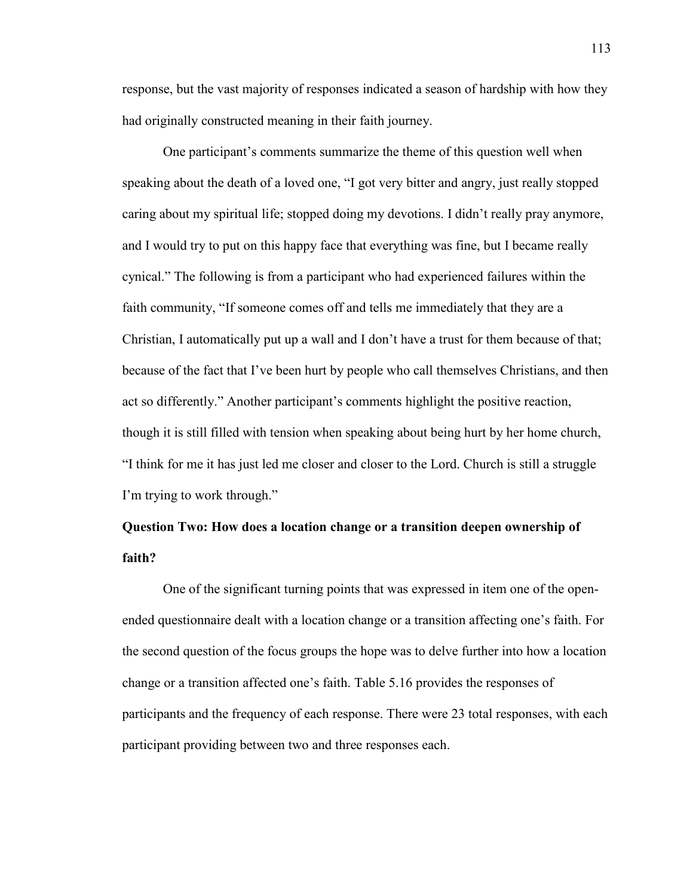response, but the vast majority of responses indicated a season of hardship with how they had originally constructed meaning in their faith journey.

One participant's comments summarize the theme of this question well when speaking about the death of a loved one, "I got very bitter and angry, just really stopped caring about my spiritual life; stopped doing my devotions. I didn't really pray anymore, and I would try to put on this happy face that everything was fine, but I became really cynical." The following is from a participant who had experienced failures within the faith community, "If someone comes off and tells me immediately that they are a Christian, I automatically put up a wall and I don't have a trust for them because of that; because of the fact that I've been hurt by people who call themselves Christians, and then act so differently." Another participant's comments highlight the positive reaction, though it is still filled with tension when speaking about being hurt by her home church, "I think for me it has just led me closer and closer to the Lord. Church is still a struggle I'm trying to work through."

# **Question Two: How does a location change or a transition deepen ownership of faith?**

One of the significant turning points that was expressed in item one of the openended questionnaire dealt with a location change or a transition affecting one's faith. For the second question of the focus groups the hope was to delve further into how a location change or a transition affected one's faith. Table 5.16 provides the responses of participants and the frequency of each response. There were 23 total responses, with each participant providing between two and three responses each.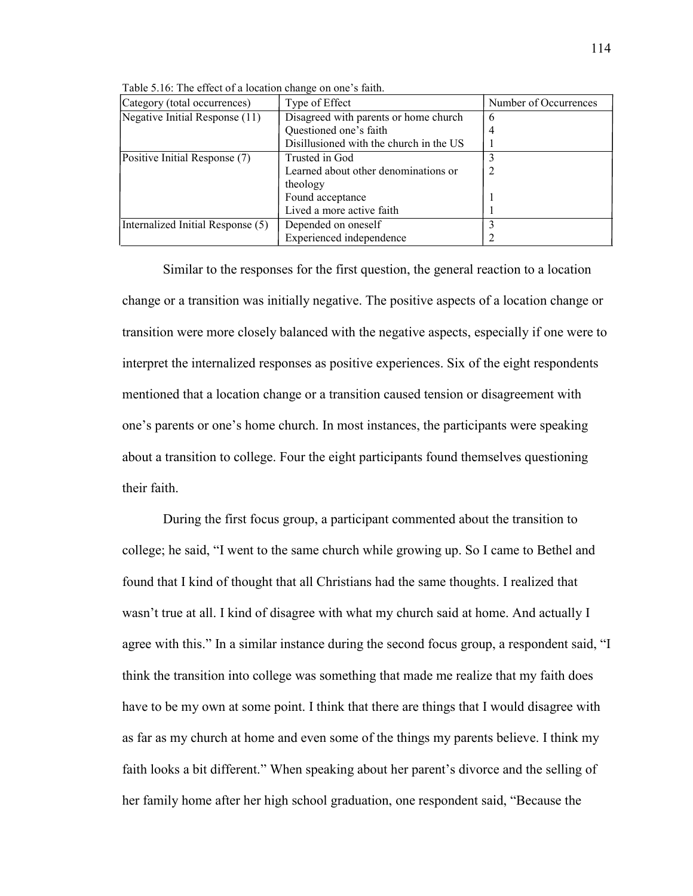| Category (total occurrences)      | Type of Effect                          | Number of Occurrences |
|-----------------------------------|-----------------------------------------|-----------------------|
| Negative Initial Response (11)    | Disagreed with parents or home church   | 6                     |
|                                   | Questioned one's faith                  | 4                     |
|                                   | Disillusioned with the church in the US |                       |
| Positive Initial Response (7)     | Trusted in God                          |                       |
|                                   | Learned about other denominations or    |                       |
|                                   | theology                                |                       |
|                                   | Found acceptance                        |                       |
|                                   | Lived a more active faith               |                       |
| Internalized Initial Response (5) | Depended on oneself                     |                       |
|                                   | Experienced independence                |                       |

Table 5.16: The effect of a location change on one's faith.

Similar to the responses for the first question, the general reaction to a location change or a transition was initially negative. The positive aspects of a location change or transition were more closely balanced with the negative aspects, especially if one were to interpret the internalized responses as positive experiences. Six of the eight respondents mentioned that a location change or a transition caused tension or disagreement with one's parents or one's home church. In most instances, the participants were speaking about a transition to college. Four the eight participants found themselves questioning their faith.

During the first focus group, a participant commented about the transition to college; he said, "I went to the same church while growing up. So I came to Bethel and found that I kind of thought that all Christians had the same thoughts. I realized that wasn't true at all. I kind of disagree with what my church said at home. And actually I agree with this." In a similar instance during the second focus group, a respondent said, "I think the transition into college was something that made me realize that my faith does have to be my own at some point. I think that there are things that I would disagree with as far as my church at home and even some of the things my parents believe. I think my faith looks a bit different." When speaking about her parent's divorce and the selling of her family home after her high school graduation, one respondent said, "Because the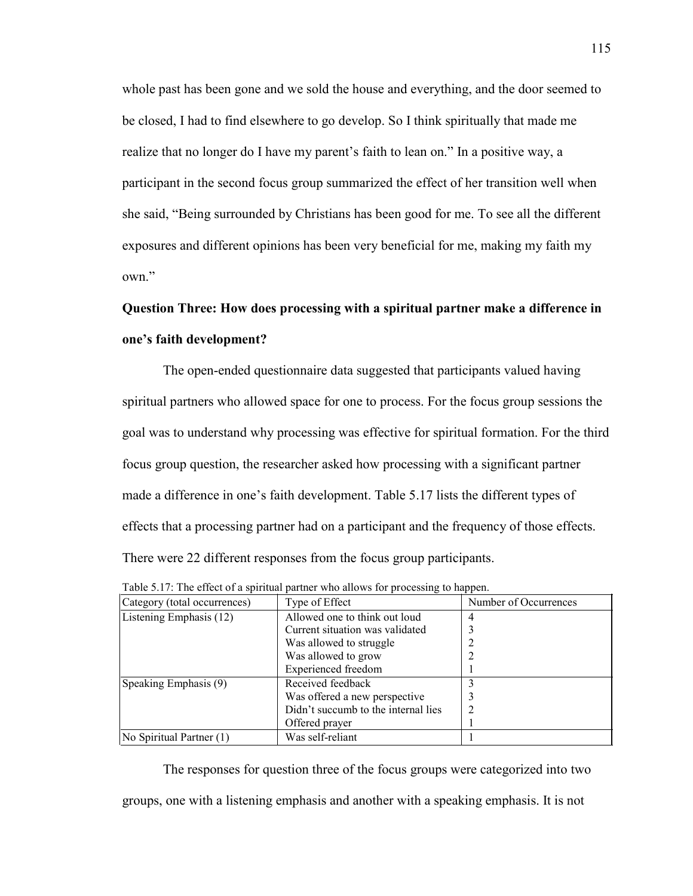whole past has been gone and we sold the house and everything, and the door seemed to be closed, I had to find elsewhere to go develop. So I think spiritually that made me realize that no longer do I have my parent's faith to lean on." In a positive way, a participant in the second focus group summarized the effect of her transition well when she said, "Being surrounded by Christians has been good for me. To see all the different exposures and different opinions has been very beneficial for me, making my faith my own."

# **Question Three: How does processing with a spiritual partner make a difference in one's faith development?**

The open-ended questionnaire data suggested that participants valued having spiritual partners who allowed space for one to process. For the focus group sessions the goal was to understand why processing was effective for spiritual formation. For the third focus group question, the researcher asked how processing with a significant partner made a difference in one's faith development. Table 5.17 lists the different types of effects that a processing partner had on a participant and the frequency of those effects. There were 22 different responses from the focus group participants.

| Category (total occurrences) | Type of Effect                      | Number of Occurrences |
|------------------------------|-------------------------------------|-----------------------|
| Listening Emphasis (12)      | Allowed one to think out loud       | 4                     |
|                              | Current situation was validated     |                       |
|                              | Was allowed to struggle             |                       |
|                              | Was allowed to grow                 |                       |
|                              | <b>Experienced</b> freedom          |                       |
| Speaking Emphasis (9)        | Received feedback                   |                       |
|                              | Was offered a new perspective       |                       |
|                              | Didn't succumb to the internal lies |                       |
|                              | Offered prayer                      |                       |
| No Spiritual Partner (1)     | Was self-reliant                    |                       |

Table 5.17: The effect of a spiritual partner who allows for processing to happen.

The responses for question three of the focus groups were categorized into two groups, one with a listening emphasis and another with a speaking emphasis. It is not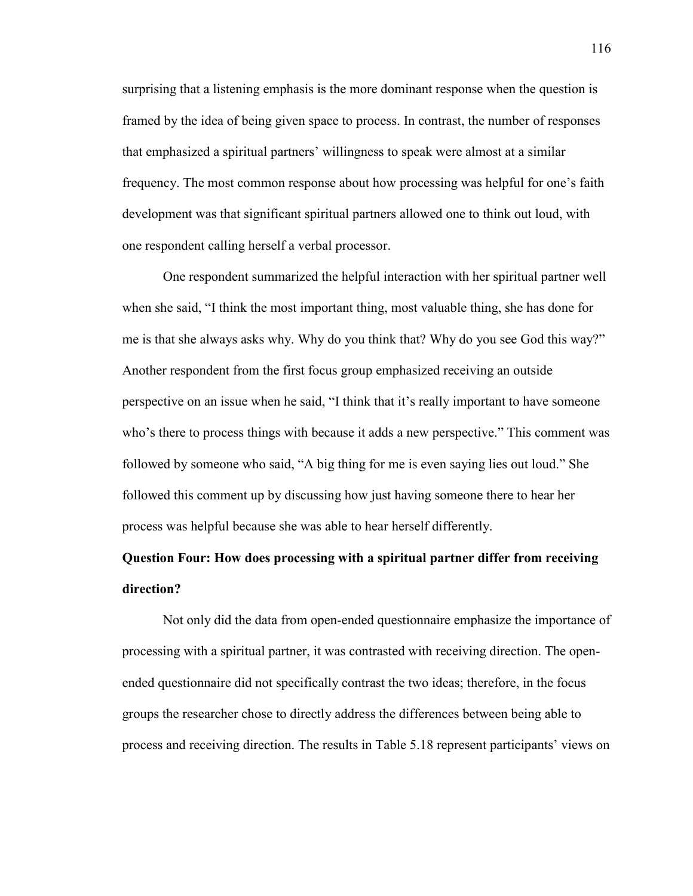surprising that a listening emphasis is the more dominant response when the question is framed by the idea of being given space to process. In contrast, the number of responses that emphasized a spiritual partners' willingness to speak were almost at a similar frequency. The most common response about how processing was helpful for one's faith development was that significant spiritual partners allowed one to think out loud, with one respondent calling herself a verbal processor.

One respondent summarized the helpful interaction with her spiritual partner well when she said, "I think the most important thing, most valuable thing, she has done for me is that she always asks why. Why do you think that? Why do you see God this way?" Another respondent from the first focus group emphasized receiving an outside perspective on an issue when he said, "I think that it's really important to have someone who's there to process things with because it adds a new perspective." This comment was followed by someone who said, "A big thing for me is even saying lies out loud." She followed this comment up by discussing how just having someone there to hear her process was helpful because she was able to hear herself differently.

# **Question Four: How does processing with a spiritual partner differ from receiving direction?**

Not only did the data from open-ended questionnaire emphasize the importance of processing with a spiritual partner, it was contrasted with receiving direction. The openended questionnaire did not specifically contrast the two ideas; therefore, in the focus groups the researcher chose to directly address the differences between being able to process and receiving direction. The results in Table 5.18 represent participants' views on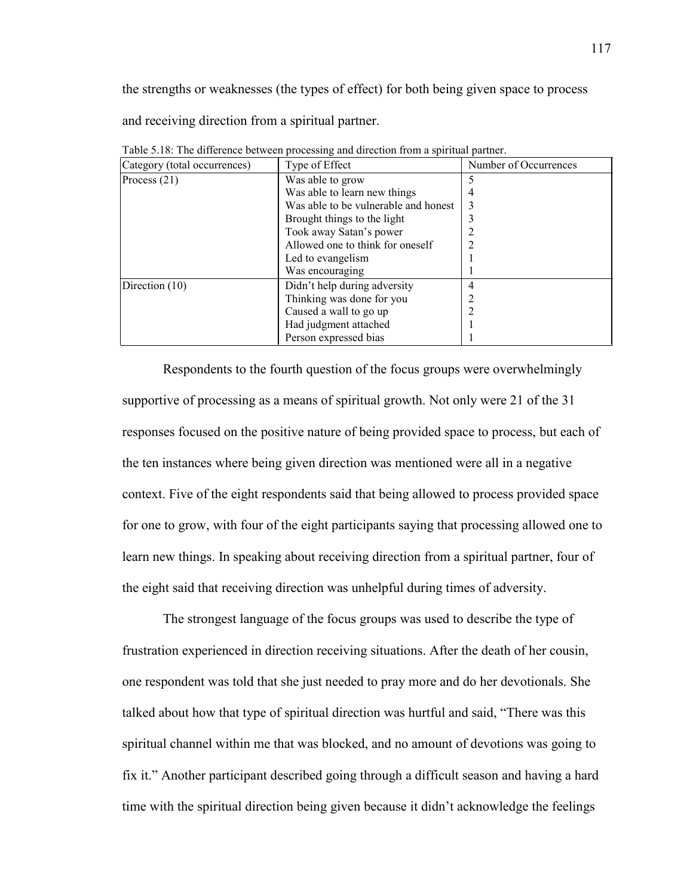the strengths or weaknesses (the types of effect) for both being given space to process and receiving direction from a spiritual partner.

| Category (total occurrences) | Type of Effect                       | Number of Occurrences |
|------------------------------|--------------------------------------|-----------------------|
| Process $(21)$               | Was able to grow                     |                       |
|                              | Was able to learn new things         |                       |
|                              | Was able to be vulnerable and honest |                       |
|                              | Brought things to the light          |                       |
|                              | Took away Satan's power              |                       |
|                              | Allowed one to think for oneself     |                       |
|                              | Led to evangelism                    |                       |
|                              | Was encouraging                      |                       |
| Direction (10)               | Didn't help during adversity         | 4                     |
|                              | Thinking was done for you            |                       |
|                              | Caused a wall to go up               |                       |
|                              | Had judgment attached                |                       |
|                              | Person expressed bias                |                       |

Table 5.18: The difference between processing and direction from a spiritual partner.

Respondents to the fourth question of the focus groups were overwhelmingly supportive of processing as a means of spiritual growth. Not only were 21 of the 31 responses focused on the positive nature of being provided space to process, but each of the ten instances where being given direction was mentioned were all in a negative context. Five of the eight respondents said that being allowed to process provided space for one to grow, with four of the eight participants saying that processing allowed one to learn new things. In speaking about receiving direction from a spiritual partner, four of the eight said that receiving direction was unhelpful during times of adversity.

The strongest language of the focus groups was used to describe the type of frustration experienced in direction receiving situations. After the death of her cousin, one respondent was told that she just needed to pray more and do her devotionals. She talked about how that type of spiritual direction was hurtful and said, "There was this spiritual channel within me that was blocked, and no amount of devotions was going to fix it." Another participant described going through a difficult season and having a hard time with the spiritual direction being given because it didn't acknowledge the feelings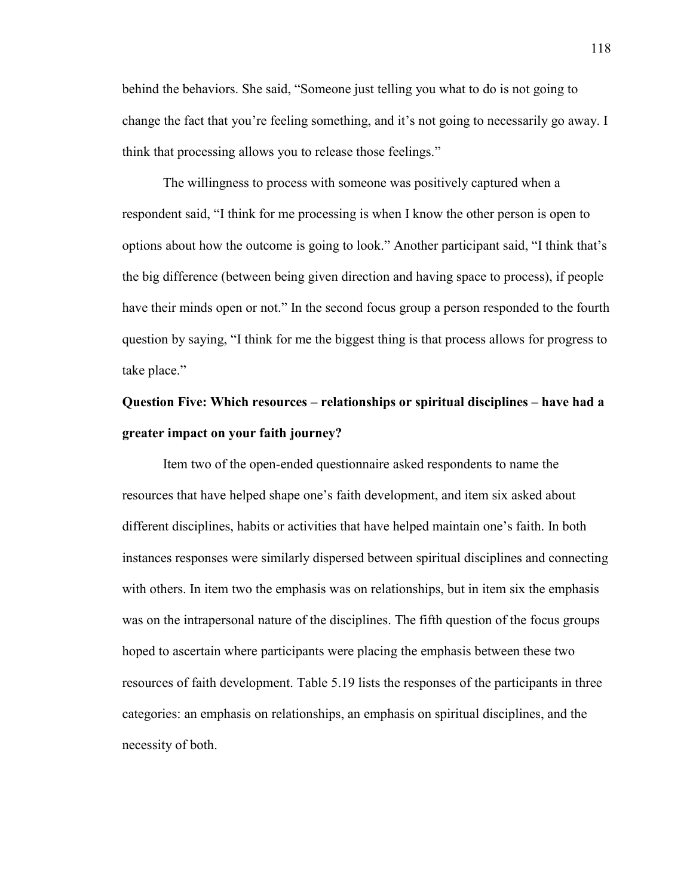behind the behaviors. She said, "Someone just telling you what to do is not going to change the fact that you're feeling something, and it's not going to necessarily go away. I think that processing allows you to release those feelings."

The willingness to process with someone was positively captured when a respondent said, "I think for me processing is when I know the other person is open to options about how the outcome is going to look." Another participant said, "I think that's the big difference (between being given direction and having space to process), if people have their minds open or not." In the second focus group a person responded to the fourth question by saying, "I think for me the biggest thing is that process allows for progress to take place."

# **Question Five: Which resources – relationships or spiritual disciplines – have had a greater impact on your faith journey?**

Item two of the open-ended questionnaire asked respondents to name the resources that have helped shape one's faith development, and item six asked about different disciplines, habits or activities that have helped maintain one's faith. In both instances responses were similarly dispersed between spiritual disciplines and connecting with others. In item two the emphasis was on relationships, but in item six the emphasis was on the intrapersonal nature of the disciplines. The fifth question of the focus groups hoped to ascertain where participants were placing the emphasis between these two resources of faith development. Table 5.19 lists the responses of the participants in three categories: an emphasis on relationships, an emphasis on spiritual disciplines, and the necessity of both.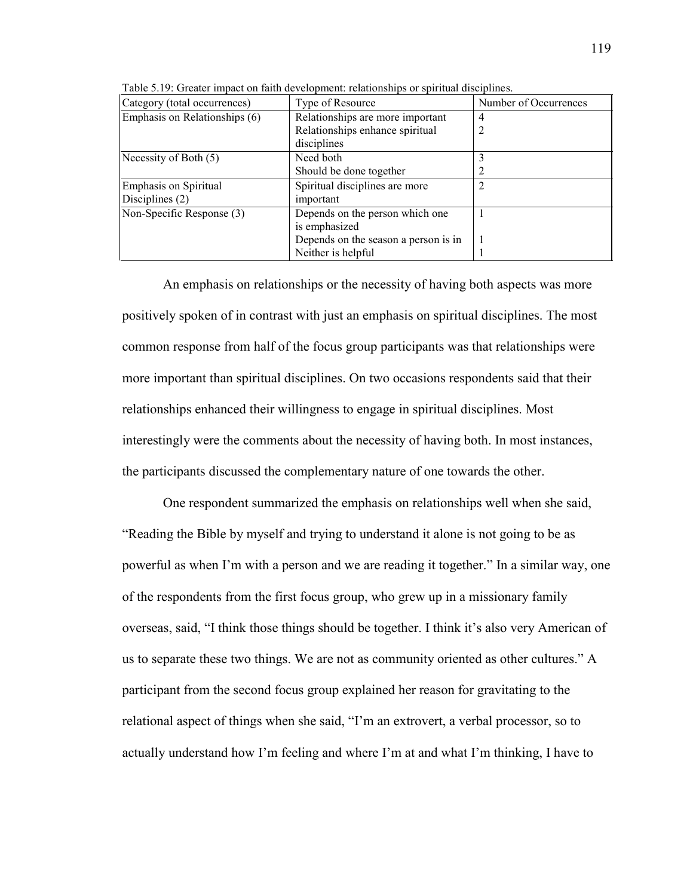| Category (total occurrences)  | Type of Resource                     | Number of Occurrences |
|-------------------------------|--------------------------------------|-----------------------|
| Emphasis on Relationships (6) | Relationships are more important     | 4                     |
|                               | Relationships enhance spiritual      |                       |
|                               | disciplines                          |                       |
| Necessity of Both (5)         | Need both                            |                       |
|                               | Should be done together              |                       |
| <b>Emphasis on Spiritual</b>  | Spiritual disciplines are more       |                       |
| Disciplines (2)               | important                            |                       |
| Non-Specific Response (3)     | Depends on the person which one      |                       |
|                               | is emphasized                        |                       |
|                               | Depends on the season a person is in |                       |
|                               | Neither is helpful                   |                       |

Table 5.19: Greater impact on faith development: relationships or spiritual disciplines.

An emphasis on relationships or the necessity of having both aspects was more positively spoken of in contrast with just an emphasis on spiritual disciplines. The most common response from half of the focus group participants was that relationships were more important than spiritual disciplines. On two occasions respondents said that their relationships enhanced their willingness to engage in spiritual disciplines. Most interestingly were the comments about the necessity of having both. In most instances, the participants discussed the complementary nature of one towards the other.

One respondent summarized the emphasis on relationships well when she said, "Reading the Bible by myself and trying to understand it alone is not going to be as powerful as when I'm with a person and we are reading it together." In a similar way, one of the respondents from the first focus group, who grew up in a missionary family overseas, said, "I think those things should be together. I think it's also very American of us to separate these two things. We are not as community oriented as other cultures." A participant from the second focus group explained her reason for gravitating to the relational aspect of things when she said, "I'm an extrovert, a verbal processor, so to actually understand how I'm feeling and where I'm at and what I'm thinking, I have to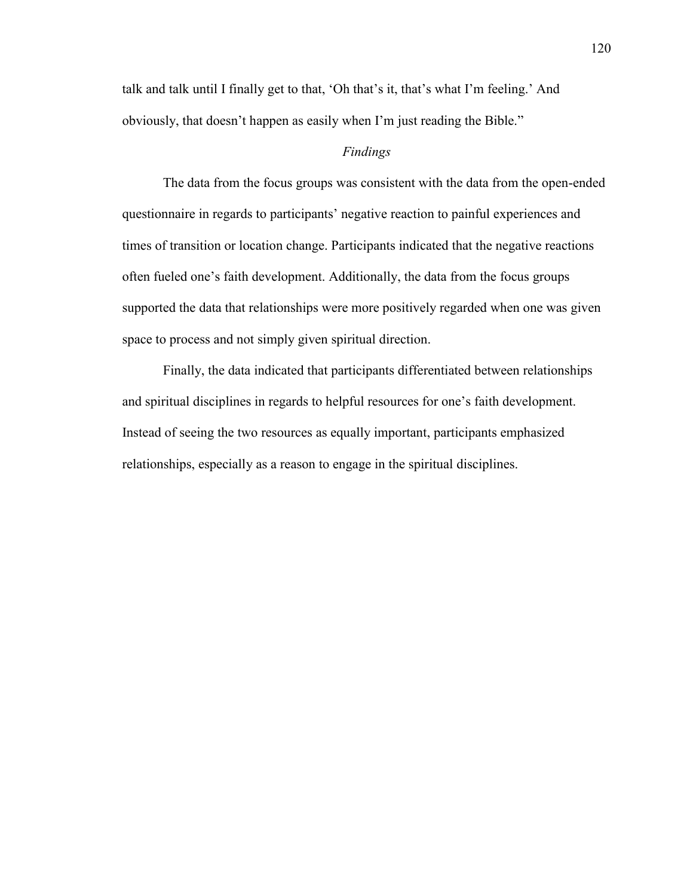talk and talk until I finally get to that, 'Oh that's it, that's what I'm feeling.' And obviously, that doesn't happen as easily when I'm just reading the Bible."

## *Findings*

The data from the focus groups was consistent with the data from the open-ended questionnaire in regards to participants' negative reaction to painful experiences and times of transition or location change. Participants indicated that the negative reactions often fueled one's faith development. Additionally, the data from the focus groups supported the data that relationships were more positively regarded when one was given space to process and not simply given spiritual direction.

Finally, the data indicated that participants differentiated between relationships and spiritual disciplines in regards to helpful resources for one's faith development. Instead of seeing the two resources as equally important, participants emphasized relationships, especially as a reason to engage in the spiritual disciplines.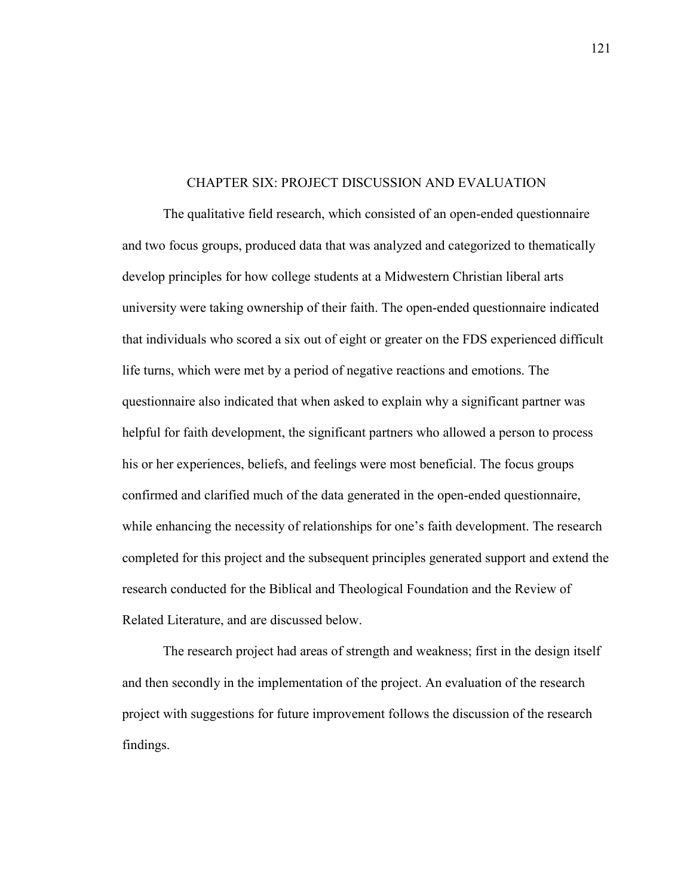#### CHAPTER SIX: PROJECT DISCUSSION AND EVALUATION

The qualitative field research, which consisted of an open-ended questionnaire and two focus groups, produced data that was analyzed and categorized to thematically develop principles for how college students at a Midwestern Christian liberal arts university were taking ownership of their faith. The open-ended questionnaire indicated that individuals who scored a six out of eight or greater on the FDS experienced difficult life turns, which were met by a period of negative reactions and emotions. The questionnaire also indicated that when asked to explain why a significant partner was helpful for faith development, the significant partners who allowed a person to process his or her experiences, beliefs, and feelings were most beneficial. The focus groups confirmed and clarified much of the data generated in the open-ended questionnaire, while enhancing the necessity of relationships for one's faith development. The research completed for this project and the subsequent principles generated support and extend the research conducted for the Biblical and Theological Foundation and the Review of Related Literature, and are discussed below.

The research project had areas of strength and weakness; first in the design itself and then secondly in the implementation of the project. An evaluation of the research project with suggestions for future improvement follows the discussion of the research findings.

121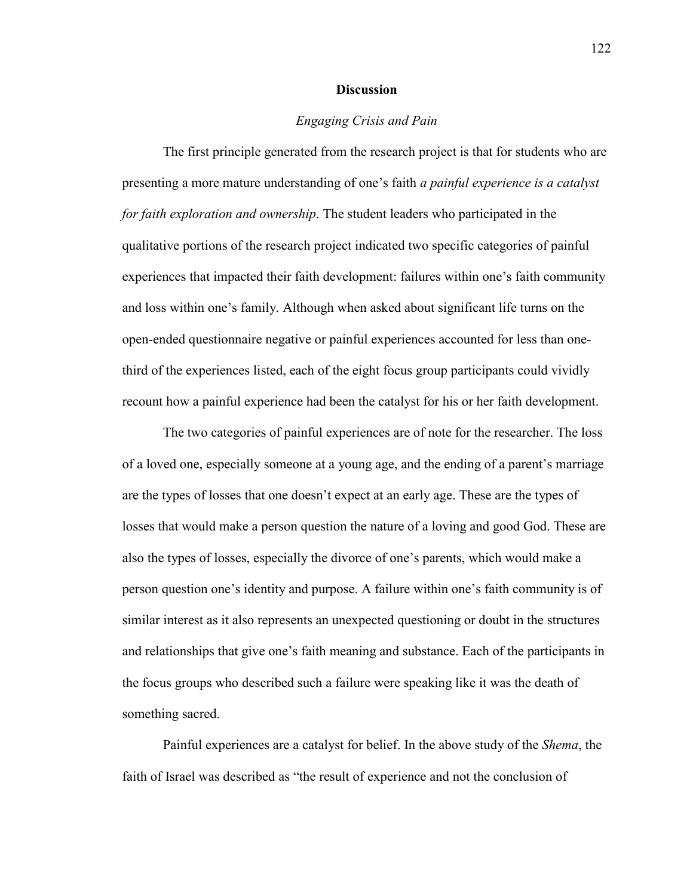#### **Discussion**

### *Engaging Crisis and Pain*

The first principle generated from the research project is that for students who are presenting a more mature understanding of one's faith *a painful experience is a catalyst for faith exploration and ownership*. The student leaders who participated in the qualitative portions of the research project indicated two specific categories of painful experiences that impacted their faith development: failures within one's faith community and loss within one's family. Although when asked about significant life turns on the open-ended questionnaire negative or painful experiences accounted for less than onethird of the experiences listed, each of the eight focus group participants could vividly recount how a painful experience had been the catalyst for his or her faith development.

The two categories of painful experiences are of note for the researcher. The loss of a loved one, especially someone at a young age, and the ending of a parent's marriage are the types of losses that one doesn't expect at an early age. These are the types of losses that would make a person question the nature of a loving and good God. These are also the types of losses, especially the divorce of one's parents, which would make a person question one's identity and purpose. A failure within one's faith community is of similar interest as it also represents an unexpected questioning or doubt in the structures and relationships that give one's faith meaning and substance. Each of the participants in the focus groups who described such a failure were speaking like it was the death of something sacred.

Painful experiences are a catalyst for belief. In the above study of the *Shema*, the faith of Israel was described as "the result of experience and not the conclusion of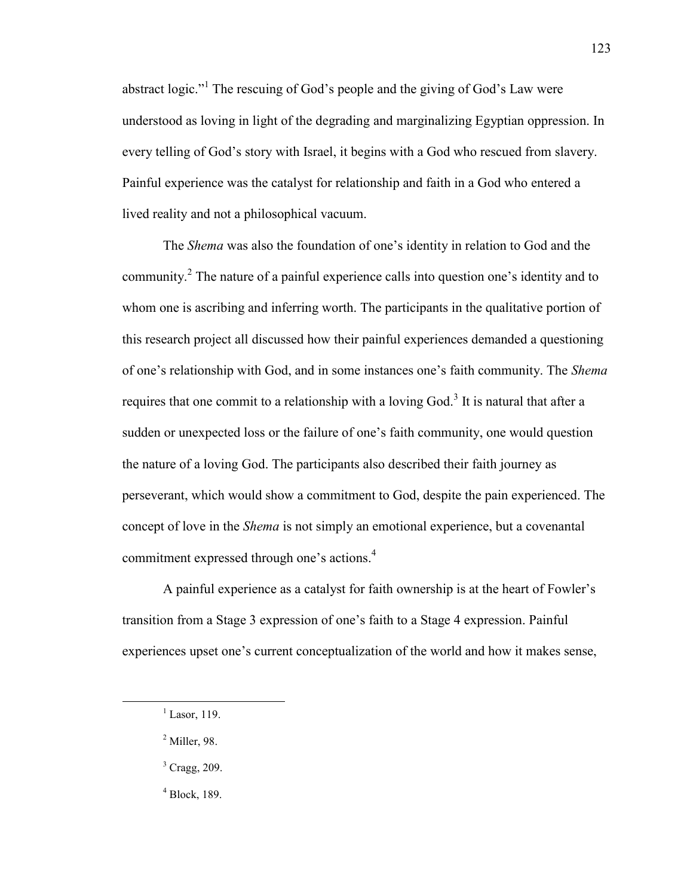abstract logic."<sup>1</sup> The rescuing of God's people and the giving of God's Law were understood as loving in light of the degrading and marginalizing Egyptian oppression. In every telling of God's story with Israel, it begins with a God who rescued from slavery. Painful experience was the catalyst for relationship and faith in a God who entered a lived reality and not a philosophical vacuum.

The *Shema* was also the foundation of one's identity in relation to God and the community.<sup>2</sup> The nature of a painful experience calls into question one's identity and to whom one is ascribing and inferring worth. The participants in the qualitative portion of this research project all discussed how their painful experiences demanded a questioning of one's relationship with God, and in some instances one's faith community. The *Shema* requires that one commit to a relationship with a loving God.<sup>3</sup> It is natural that after a sudden or unexpected loss or the failure of one's faith community, one would question the nature of a loving God. The participants also described their faith journey as perseverant, which would show a commitment to God, despite the pain experienced. The concept of love in the *Shema* is not simply an emotional experience, but a covenantal commitment expressed through one's actions.<sup>4</sup>

A painful experience as a catalyst for faith ownership is at the heart of Fowler's transition from a Stage 3 expression of one's faith to a Stage 4 expression. Painful experiences upset one's current conceptualization of the world and how it makes sense,

 $\overline{a}$ 

4 Block, 189.

 $<sup>1</sup>$  Lasor, 119.</sup>

<sup>2</sup> Miller, 98.

<sup>&</sup>lt;sup>3</sup> Cragg, 209.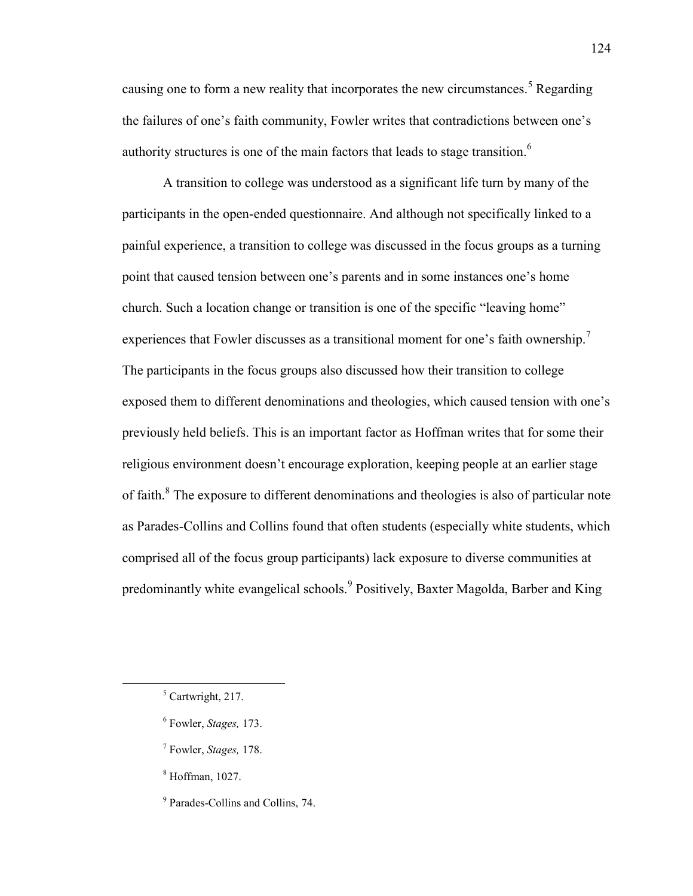causing one to form a new reality that incorporates the new circumstances.<sup>5</sup> Regarding the failures of one's faith community, Fowler writes that contradictions between one's authority structures is one of the main factors that leads to stage transition.<sup>6</sup>

A transition to college was understood as a significant life turn by many of the participants in the open-ended questionnaire. And although not specifically linked to a painful experience, a transition to college was discussed in the focus groups as a turning point that caused tension between one's parents and in some instances one's home church. Such a location change or transition is one of the specific "leaving home" experiences that Fowler discusses as a transitional moment for one's faith ownership.<sup>7</sup> The participants in the focus groups also discussed how their transition to college exposed them to different denominations and theologies, which caused tension with one's previously held beliefs. This is an important factor as Hoffman writes that for some their religious environment doesn't encourage exploration, keeping people at an earlier stage of faith.<sup>8</sup> The exposure to different denominations and theologies is also of particular note as Parades-Collins and Collins found that often students (especially white students, which comprised all of the focus group participants) lack exposure to diverse communities at predominantly white evangelical schools.<sup>9</sup> Positively, Baxter Magolda, Barber and King

- 7 Fowler, *Stages,* 178.
- 8 Hoffman, 1027.
- <sup>9</sup> Parades-Collins and Collins, 74.

<sup>5</sup> Cartwright, 217.

<sup>6</sup> Fowler, *Stages,* 173.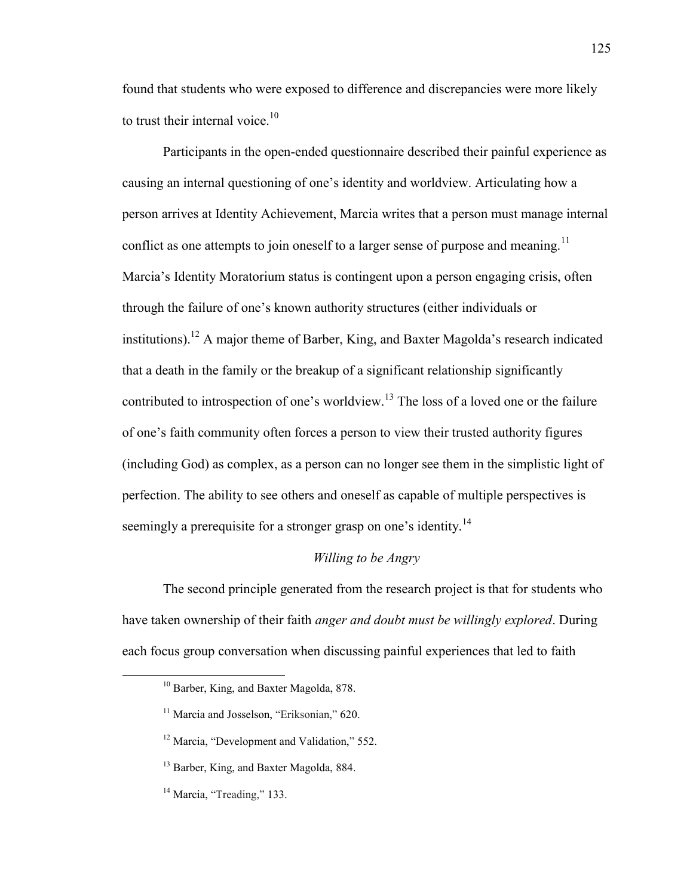found that students who were exposed to difference and discrepancies were more likely to trust their internal voice. $10$ 

Participants in the open-ended questionnaire described their painful experience as causing an internal questioning of one's identity and worldview. Articulating how a person arrives at Identity Achievement, Marcia writes that a person must manage internal conflict as one attempts to join oneself to a larger sense of purpose and meaning.<sup>11</sup> Marcia's Identity Moratorium status is contingent upon a person engaging crisis, often through the failure of one's known authority structures (either individuals or institutions).<sup>12</sup> A major theme of Barber, King, and Baxter Magolda's research indicated that a death in the family or the breakup of a significant relationship significantly contributed to introspection of one's worldview.<sup>13</sup> The loss of a loved one or the failure of one's faith community often forces a person to view their trusted authority figures (including God) as complex, as a person can no longer see them in the simplistic light of perfection. The ability to see others and oneself as capable of multiple perspectives is seemingly a prerequisite for a stronger grasp on one's identity.<sup>14</sup>

### *Willing to be Angry*

The second principle generated from the research project is that for students who have taken ownership of their faith *anger and doubt must be willingly explored*. During each focus group conversation when discussing painful experiences that led to faith

<sup>10</sup> Barber, King, and Baxter Magolda, 878.

<sup>&</sup>lt;sup>11</sup> Marcia and Josselson, "Eriksonian," 620.

<sup>&</sup>lt;sup>12</sup> Marcia, "Development and Validation," 552.

<sup>&</sup>lt;sup>13</sup> Barber, King, and Baxter Magolda, 884.

<sup>&</sup>lt;sup>14</sup> Marcia, "Treading," 133.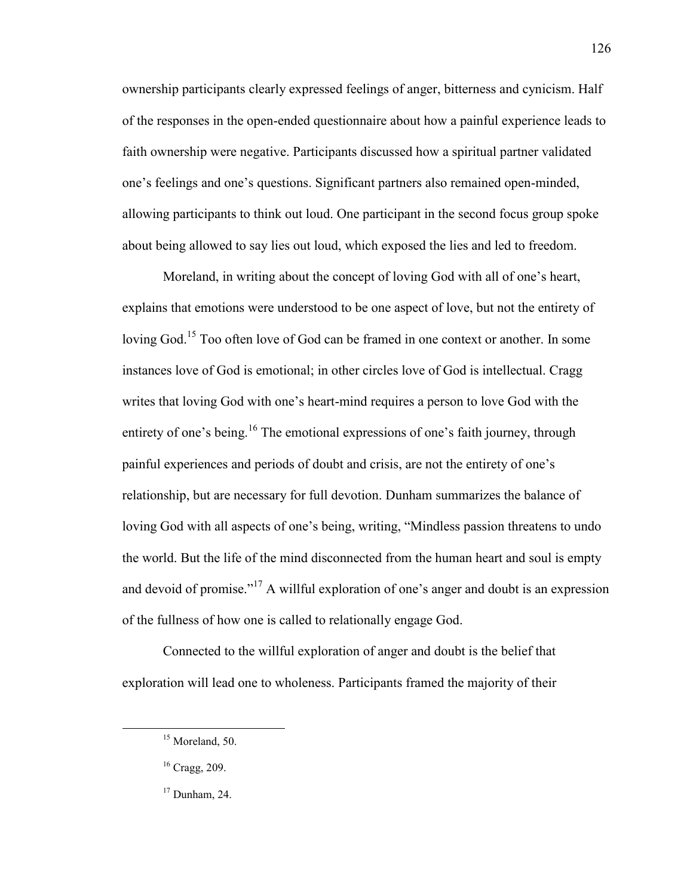ownership participants clearly expressed feelings of anger, bitterness and cynicism. Half of the responses in the open-ended questionnaire about how a painful experience leads to faith ownership were negative. Participants discussed how a spiritual partner validated one's feelings and one's questions. Significant partners also remained open-minded, allowing participants to think out loud. One participant in the second focus group spoke about being allowed to say lies out loud, which exposed the lies and led to freedom.

Moreland, in writing about the concept of loving God with all of one's heart, explains that emotions were understood to be one aspect of love, but not the entirety of loving God.<sup>15</sup> Too often love of God can be framed in one context or another. In some instances love of God is emotional; in other circles love of God is intellectual. Cragg writes that loving God with one's heart-mind requires a person to love God with the entirety of one's being.<sup>16</sup> The emotional expressions of one's faith journey, through painful experiences and periods of doubt and crisis, are not the entirety of one's relationship, but are necessary for full devotion. Dunham summarizes the balance of loving God with all aspects of one's being, writing, "Mindless passion threatens to undo the world. But the life of the mind disconnected from the human heart and soul is empty and devoid of promise."<sup>17</sup> A willful exploration of one's anger and doubt is an expression of the fullness of how one is called to relationally engage God.

Connected to the willful exploration of anger and doubt is the belief that exploration will lead one to wholeness. Participants framed the majority of their

<sup>&</sup>lt;sup>15</sup> Moreland, 50.

<sup>16</sup> Cragg, 209.

 $17$  Dunham, 24.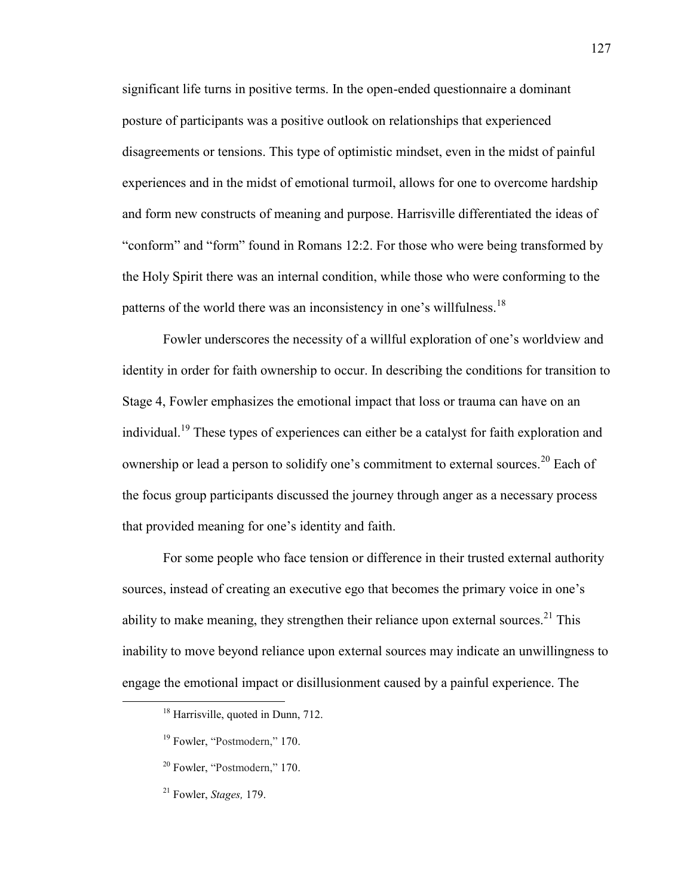significant life turns in positive terms. In the open-ended questionnaire a dominant posture of participants was a positive outlook on relationships that experienced disagreements or tensions. This type of optimistic mindset, even in the midst of painful experiences and in the midst of emotional turmoil, allows for one to overcome hardship and form new constructs of meaning and purpose. Harrisville differentiated the ideas of "conform" and "form" found in Romans 12:2. For those who were being transformed by the Holy Spirit there was an internal condition, while those who were conforming to the patterns of the world there was an inconsistency in one's willfulness.<sup>18</sup>

Fowler underscores the necessity of a willful exploration of one's worldview and identity in order for faith ownership to occur. In describing the conditions for transition to Stage 4, Fowler emphasizes the emotional impact that loss or trauma can have on an individual.<sup>19</sup> These types of experiences can either be a catalyst for faith exploration and ownership or lead a person to solidify one's commitment to external sources.<sup>20</sup> Each of the focus group participants discussed the journey through anger as a necessary process that provided meaning for one's identity and faith.

For some people who face tension or difference in their trusted external authority sources, instead of creating an executive ego that becomes the primary voice in one's ability to make meaning, they strengthen their reliance upon external sources.<sup>21</sup> This inability to move beyond reliance upon external sources may indicate an unwillingness to engage the emotional impact or disillusionment caused by a painful experience. The

<sup>&</sup>lt;sup>18</sup> Harrisville, quoted in Dunn, 712.

<sup>&</sup>lt;sup>19</sup> Fowler, "Postmodern," 170.

<sup>20</sup> Fowler, "Postmodern," 170.

<sup>21</sup> Fowler, *Stages,* 179.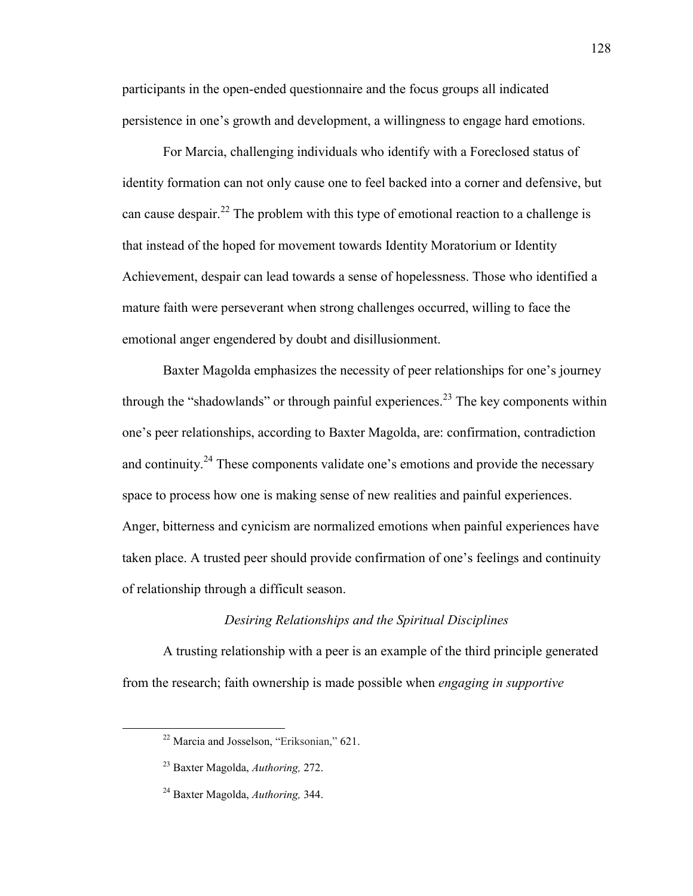participants in the open-ended questionnaire and the focus groups all indicated persistence in one's growth and development, a willingness to engage hard emotions.

For Marcia, challenging individuals who identify with a Foreclosed status of identity formation can not only cause one to feel backed into a corner and defensive, but can cause despair.<sup>22</sup> The problem with this type of emotional reaction to a challenge is that instead of the hoped for movement towards Identity Moratorium or Identity Achievement, despair can lead towards a sense of hopelessness. Those who identified a mature faith were perseverant when strong challenges occurred, willing to face the emotional anger engendered by doubt and disillusionment.

Baxter Magolda emphasizes the necessity of peer relationships for one's journey through the "shadowlands" or through painful experiences.<sup>23</sup> The key components within one's peer relationships, according to Baxter Magolda, are: confirmation, contradiction and continuity.<sup>24</sup> These components validate one's emotions and provide the necessary space to process how one is making sense of new realities and painful experiences. Anger, bitterness and cynicism are normalized emotions when painful experiences have taken place. A trusted peer should provide confirmation of one's feelings and continuity of relationship through a difficult season.

### *Desiring Relationships and the Spiritual Disciplines*

A trusting relationship with a peer is an example of the third principle generated from the research; faith ownership is made possible when *engaging in supportive* 

<sup>22</sup> Marcia and Josselson, "Eriksonian," 621.

<sup>23</sup> Baxter Magolda, *Authoring,* 272.

<sup>24</sup> Baxter Magolda, *Authoring,* 344.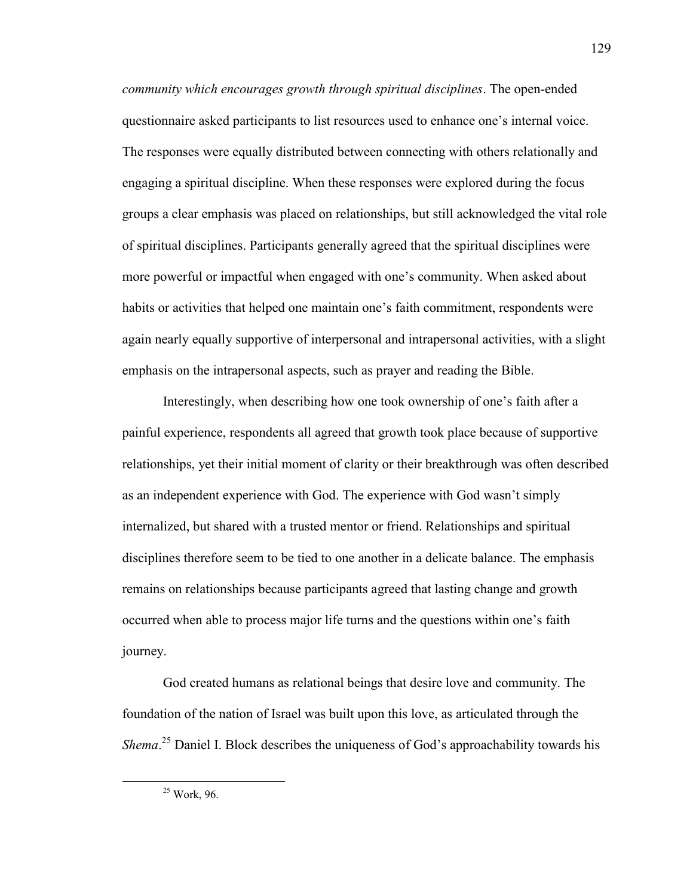*community which encourages growth through spiritual disciplines*. The open-ended questionnaire asked participants to list resources used to enhance one's internal voice. The responses were equally distributed between connecting with others relationally and engaging a spiritual discipline. When these responses were explored during the focus groups a clear emphasis was placed on relationships, but still acknowledged the vital role of spiritual disciplines. Participants generally agreed that the spiritual disciplines were more powerful or impactful when engaged with one's community. When asked about habits or activities that helped one maintain one's faith commitment, respondents were again nearly equally supportive of interpersonal and intrapersonal activities, with a slight emphasis on the intrapersonal aspects, such as prayer and reading the Bible.

Interestingly, when describing how one took ownership of one's faith after a painful experience, respondents all agreed that growth took place because of supportive relationships, yet their initial moment of clarity or their breakthrough was often described as an independent experience with God. The experience with God wasn't simply internalized, but shared with a trusted mentor or friend. Relationships and spiritual disciplines therefore seem to be tied to one another in a delicate balance. The emphasis remains on relationships because participants agreed that lasting change and growth occurred when able to process major life turns and the questions within one's faith journey.

God created humans as relational beings that desire love and community. The foundation of the nation of Israel was built upon this love, as articulated through the Shema.<sup>25</sup> Daniel I. Block describes the uniqueness of God's approachability towards his

<sup>&</sup>lt;sup>25</sup> Work, 96.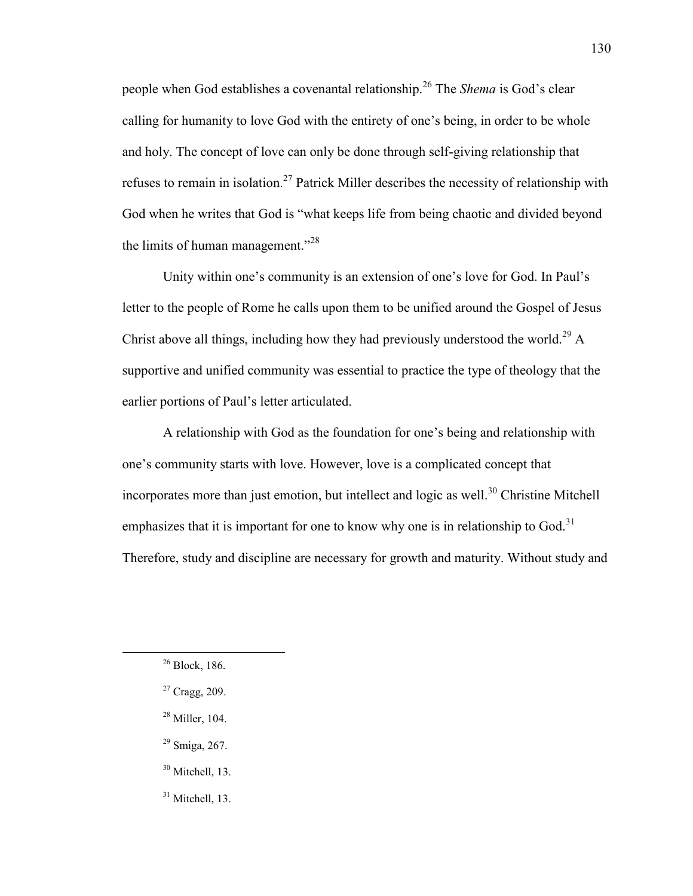people when God establishes a covenantal relationship.<sup>26</sup> The *Shema* is God's clear calling for humanity to love God with the entirety of one's being, in order to be whole and holy. The concept of love can only be done through self-giving relationship that refuses to remain in isolation.<sup>27</sup> Patrick Miller describes the necessity of relationship with God when he writes that God is "what keeps life from being chaotic and divided beyond the limits of human management."<sup>28</sup>

Unity within one's community is an extension of one's love for God. In Paul's letter to the people of Rome he calls upon them to be unified around the Gospel of Jesus Christ above all things, including how they had previously understood the world.<sup>29</sup> A supportive and unified community was essential to practice the type of theology that the earlier portions of Paul's letter articulated.

A relationship with God as the foundation for one's being and relationship with one's community starts with love. However, love is a complicated concept that incorporates more than just emotion, but intellect and logic as well.<sup>30</sup> Christine Mitchell emphasizes that it is important for one to know why one is in relationship to God.<sup>31</sup> Therefore, study and discipline are necessary for growth and maturity. Without study and

- <sup>28</sup> Miller, 104.
- $29$  Smiga, 267.
- <sup>30</sup> Mitchell, 13.
- $31$  Mitchell, 13.

<sup>26</sup> Block, 186.

<sup>27</sup> Cragg, 209.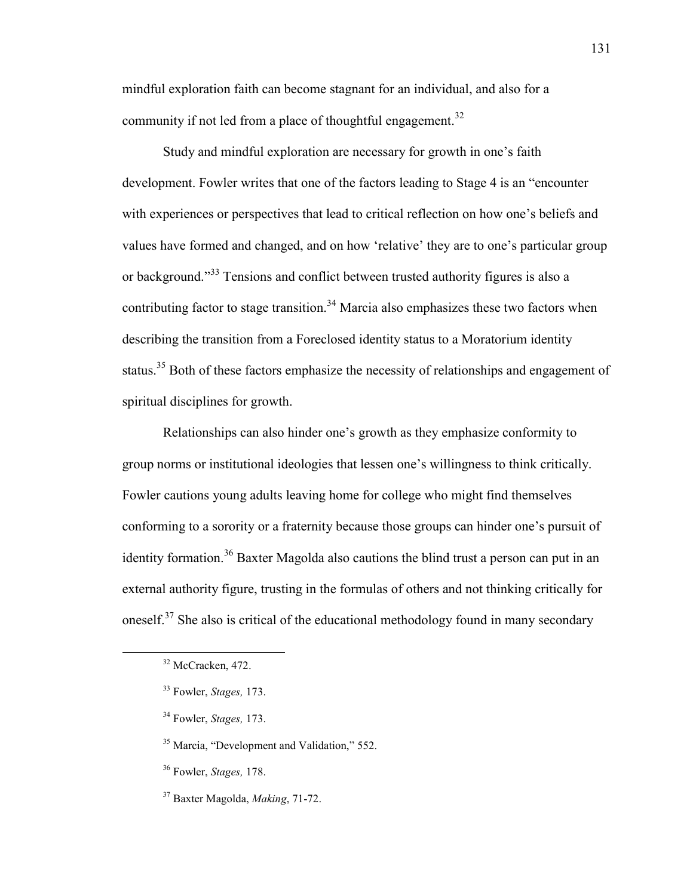mindful exploration faith can become stagnant for an individual, and also for a community if not led from a place of thoughtful engagement.<sup>32</sup>

Study and mindful exploration are necessary for growth in one's faith development. Fowler writes that one of the factors leading to Stage 4 is an "encounter with experiences or perspectives that lead to critical reflection on how one's beliefs and values have formed and changed, and on how 'relative' they are to one's particular group or background."<sup>33</sup> Tensions and conflict between trusted authority figures is also a contributing factor to stage transition.<sup>34</sup> Marcia also emphasizes these two factors when describing the transition from a Foreclosed identity status to a Moratorium identity status.<sup>35</sup> Both of these factors emphasize the necessity of relationships and engagement of spiritual disciplines for growth.

Relationships can also hinder one's growth as they emphasize conformity to group norms or institutional ideologies that lessen one's willingness to think critically. Fowler cautions young adults leaving home for college who might find themselves conforming to a sorority or a fraternity because those groups can hinder one's pursuit of identity formation.<sup>36</sup> Baxter Magolda also cautions the blind trust a person can put in an external authority figure, trusting in the formulas of others and not thinking critically for oneself.<sup>37</sup> She also is critical of the educational methodology found in many secondary

<sup>32</sup> McCracken, 472.

<sup>33</sup> Fowler, *Stages,* 173.

<sup>34</sup> Fowler, *Stages,* 173.

<sup>&</sup>lt;sup>35</sup> Marcia, "Development and Validation," 552.

<sup>36</sup> Fowler, *Stages,* 178.

<sup>37</sup> Baxter Magolda, *Making*, 71-72.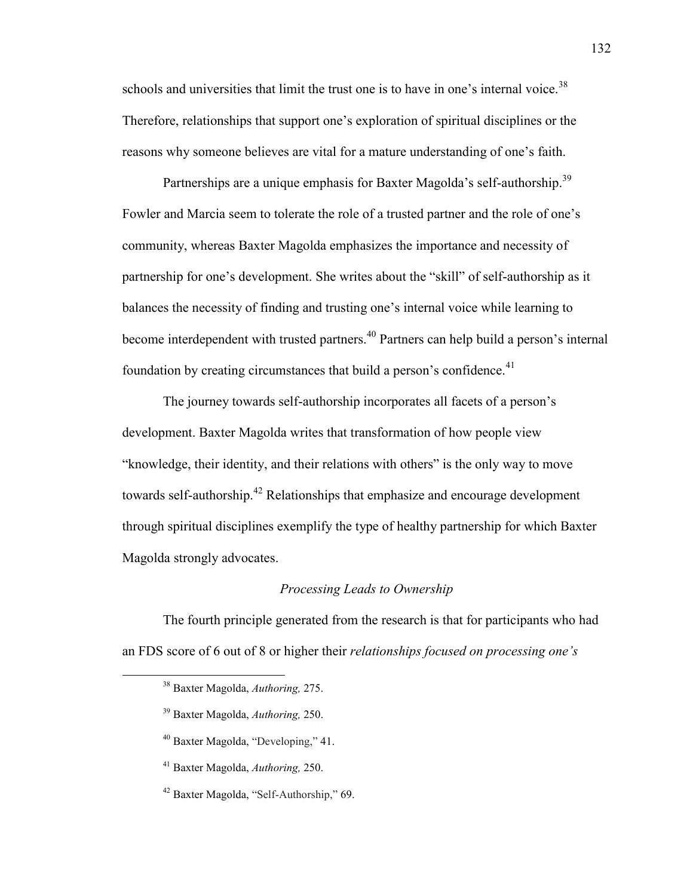schools and universities that limit the trust one is to have in one's internal voice.<sup>38</sup> Therefore, relationships that support one's exploration of spiritual disciplines or the reasons why someone believes are vital for a mature understanding of one's faith.

Partnerships are a unique emphasis for Baxter Magolda's self-authorship.<sup>39</sup> Fowler and Marcia seem to tolerate the role of a trusted partner and the role of one's community, whereas Baxter Magolda emphasizes the importance and necessity of partnership for one's development. She writes about the "skill" of self-authorship as it balances the necessity of finding and trusting one's internal voice while learning to become interdependent with trusted partners.<sup>40</sup> Partners can help build a person's internal foundation by creating circumstances that build a person's confidence.<sup>41</sup>

The journey towards self-authorship incorporates all facets of a person's development. Baxter Magolda writes that transformation of how people view "knowledge, their identity, and their relations with others" is the only way to move towards self-authorship.<sup>42</sup> Relationships that emphasize and encourage development through spiritual disciplines exemplify the type of healthy partnership for which Baxter Magolda strongly advocates.

### *Processing Leads to Ownership*

The fourth principle generated from the research is that for participants who had an FDS score of 6 out of 8 or higher their *relationships focused on processing one's* 

- <sup>39</sup> Baxter Magolda, *Authoring,* 250.
- <sup>40</sup> Baxter Magolda, "Developing," 41.
- <sup>41</sup> Baxter Magolda, *Authoring,* 250.
- <sup>42</sup> Baxter Magolda, "Self-Authorship," 69.

<sup>38</sup> Baxter Magolda, *Authoring,* 275.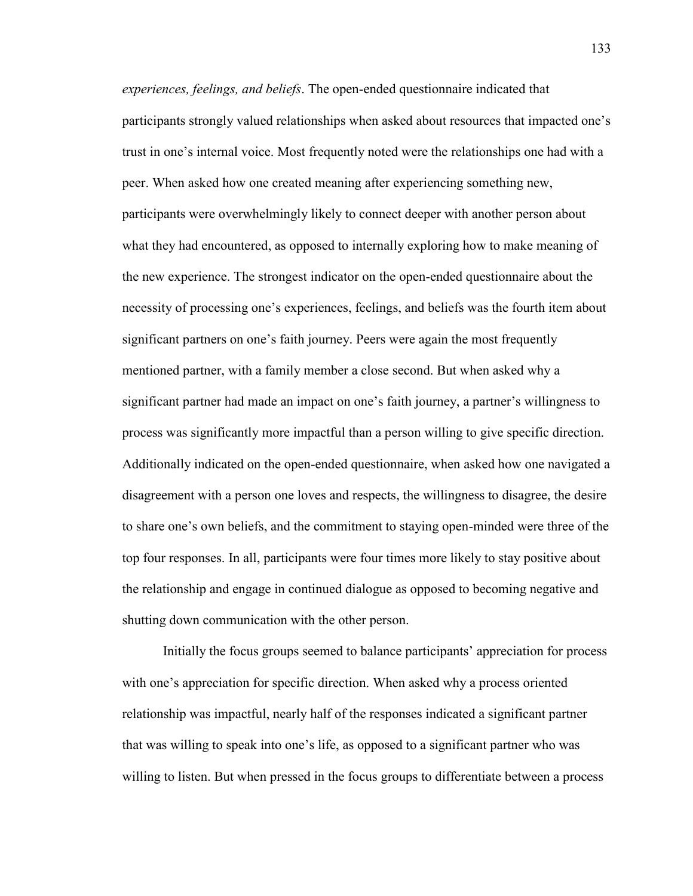*experiences, feelings, and beliefs*. The open-ended questionnaire indicated that participants strongly valued relationships when asked about resources that impacted one's trust in one's internal voice. Most frequently noted were the relationships one had with a peer. When asked how one created meaning after experiencing something new, participants were overwhelmingly likely to connect deeper with another person about what they had encountered, as opposed to internally exploring how to make meaning of the new experience. The strongest indicator on the open-ended questionnaire about the necessity of processing one's experiences, feelings, and beliefs was the fourth item about significant partners on one's faith journey. Peers were again the most frequently mentioned partner, with a family member a close second. But when asked why a significant partner had made an impact on one's faith journey, a partner's willingness to process was significantly more impactful than a person willing to give specific direction. Additionally indicated on the open-ended questionnaire, when asked how one navigated a disagreement with a person one loves and respects, the willingness to disagree, the desire to share one's own beliefs, and the commitment to staying open-minded were three of the top four responses. In all, participants were four times more likely to stay positive about the relationship and engage in continued dialogue as opposed to becoming negative and shutting down communication with the other person.

Initially the focus groups seemed to balance participants' appreciation for process with one's appreciation for specific direction. When asked why a process oriented relationship was impactful, nearly half of the responses indicated a significant partner that was willing to speak into one's life, as opposed to a significant partner who was willing to listen. But when pressed in the focus groups to differentiate between a process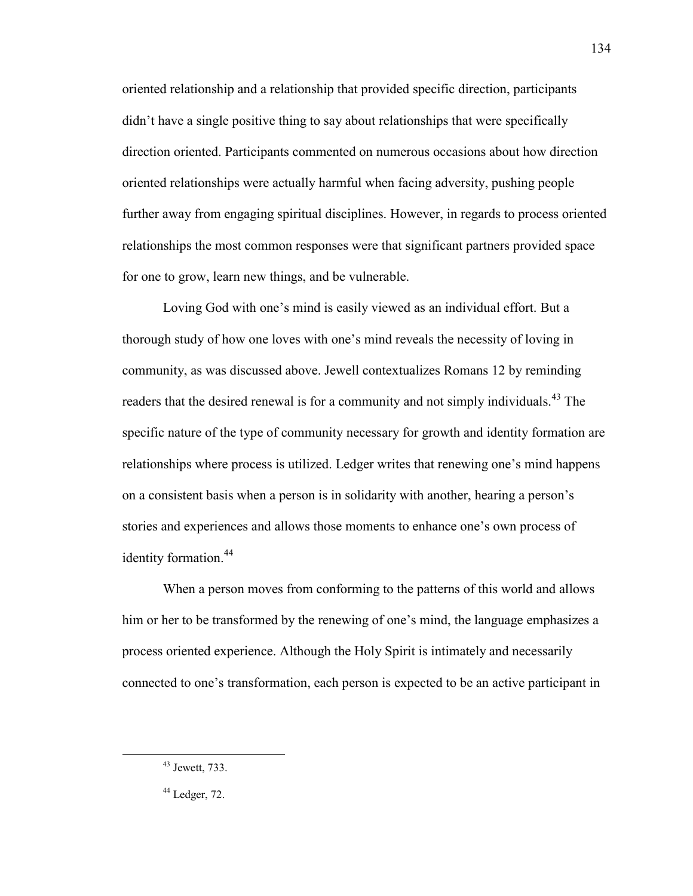oriented relationship and a relationship that provided specific direction, participants didn't have a single positive thing to say about relationships that were specifically direction oriented. Participants commented on numerous occasions about how direction oriented relationships were actually harmful when facing adversity, pushing people further away from engaging spiritual disciplines. However, in regards to process oriented relationships the most common responses were that significant partners provided space for one to grow, learn new things, and be vulnerable.

Loving God with one's mind is easily viewed as an individual effort. But a thorough study of how one loves with one's mind reveals the necessity of loving in community, as was discussed above. Jewell contextualizes Romans 12 by reminding readers that the desired renewal is for a community and not simply individuals.<sup>43</sup> The specific nature of the type of community necessary for growth and identity formation are relationships where process is utilized. Ledger writes that renewing one's mind happens on a consistent basis when a person is in solidarity with another, hearing a person's stories and experiences and allows those moments to enhance one's own process of identity formation.<sup>44</sup>

When a person moves from conforming to the patterns of this world and allows him or her to be transformed by the renewing of one's mind, the language emphasizes a process oriented experience. Although the Holy Spirit is intimately and necessarily connected to one's transformation, each person is expected to be an active participant in

 $\overline{a}$ 

134

<sup>43</sup> Jewett, 733.

 $44$  Ledger, 72.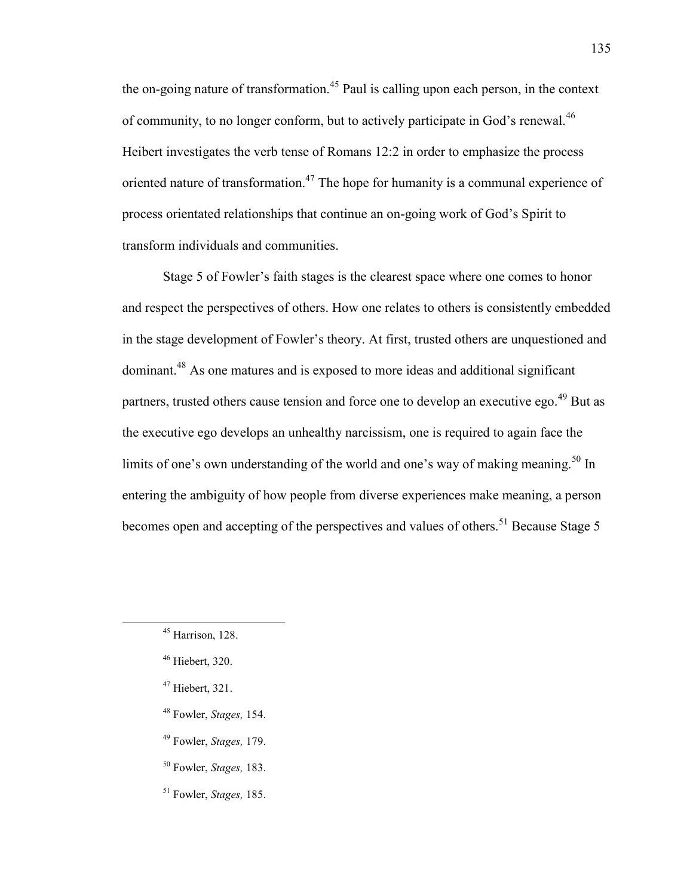the on-going nature of transformation.<sup>45</sup> Paul is calling upon each person, in the context of community, to no longer conform, but to actively participate in God's renewal.<sup>46</sup> Heibert investigates the verb tense of Romans 12:2 in order to emphasize the process oriented nature of transformation.<sup>47</sup> The hope for humanity is a communal experience of process orientated relationships that continue an on-going work of God's Spirit to transform individuals and communities.

Stage 5 of Fowler's faith stages is the clearest space where one comes to honor and respect the perspectives of others. How one relates to others is consistently embedded in the stage development of Fowler's theory. At first, trusted others are unquestioned and dominant.<sup>48</sup> As one matures and is exposed to more ideas and additional significant partners, trusted others cause tension and force one to develop an executive ego.<sup>49</sup> But as the executive ego develops an unhealthy narcissism, one is required to again face the limits of one's own understanding of the world and one's way of making meaning.<sup>50</sup> In entering the ambiguity of how people from diverse experiences make meaning, a person becomes open and accepting of the perspectives and values of others.<sup>51</sup> Because Stage 5

- <sup>47</sup> Hiebert, 321.
- <sup>48</sup> Fowler, *Stages,* 154.
- <sup>49</sup> Fowler, *Stages,* 179.
- <sup>50</sup> Fowler, *Stages,* 183.
- <sup>51</sup> Fowler, *Stages,* 185.

 $45$  Harrison, 128.

<sup>46</sup> Hiebert, 320.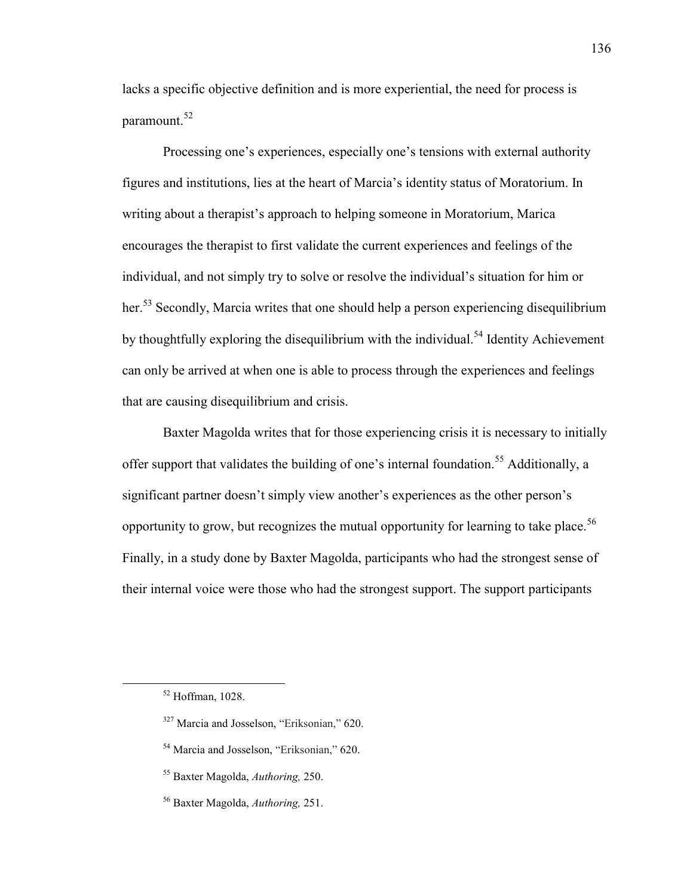lacks a specific objective definition and is more experiential, the need for process is paramount.<sup>52</sup>

Processing one's experiences, especially one's tensions with external authority figures and institutions, lies at the heart of Marcia's identity status of Moratorium. In writing about a therapist's approach to helping someone in Moratorium, Marica encourages the therapist to first validate the current experiences and feelings of the individual, and not simply try to solve or resolve the individual's situation for him or her.<sup>53</sup> Secondly, Marcia writes that one should help a person experiencing disequilibrium by thoughtfully exploring the disequilibrium with the individual.<sup>54</sup> Identity Achievement can only be arrived at when one is able to process through the experiences and feelings that are causing disequilibrium and crisis.

Baxter Magolda writes that for those experiencing crisis it is necessary to initially offer support that validates the building of one's internal foundation.<sup>55</sup> Additionally, a significant partner doesn't simply view another's experiences as the other person's opportunity to grow, but recognizes the mutual opportunity for learning to take place.<sup>56</sup> Finally, in a study done by Baxter Magolda, participants who had the strongest sense of their internal voice were those who had the strongest support. The support participants

<sup>52</sup> Hoffman, 1028.

<sup>327</sup> Marcia and Josselson, "Eriksonian," 620.

<sup>&</sup>lt;sup>54</sup> Marcia and Josselson, "Eriksonian," 620.

<sup>55</sup> Baxter Magolda, *Authoring,* 250.

<sup>56</sup> Baxter Magolda, *Authoring,* 251.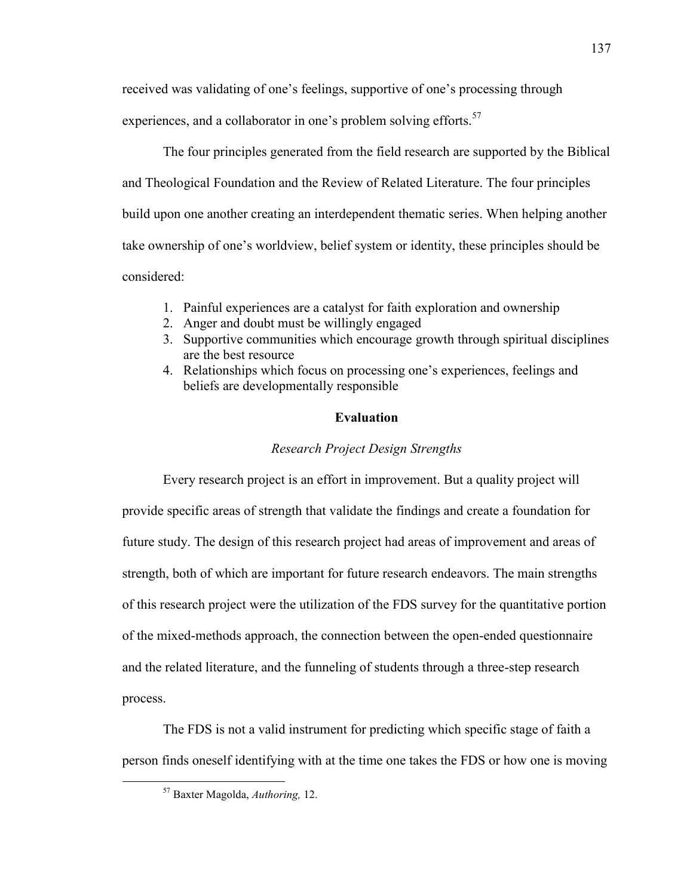received was validating of one's feelings, supportive of one's processing through

experiences, and a collaborator in one's problem solving efforts.<sup>57</sup>

The four principles generated from the field research are supported by the Biblical and Theological Foundation and the Review of Related Literature. The four principles build upon one another creating an interdependent thematic series. When helping another take ownership of one's worldview, belief system or identity, these principles should be considered:

- 1. Painful experiences are a catalyst for faith exploration and ownership
- 2. Anger and doubt must be willingly engaged
- 3. Supportive communities which encourage growth through spiritual disciplines are the best resource
- 4. Relationships which focus on processing one's experiences, feelings and beliefs are developmentally responsible

# **Evaluation**

# *Research Project Design Strengths*

Every research project is an effort in improvement. But a quality project will provide specific areas of strength that validate the findings and create a foundation for future study. The design of this research project had areas of improvement and areas of strength, both of which are important for future research endeavors. The main strengths of this research project were the utilization of the FDS survey for the quantitative portion of the mixed-methods approach, the connection between the open-ended questionnaire and the related literature, and the funneling of students through a three-step research process.

The FDS is not a valid instrument for predicting which specific stage of faith a person finds oneself identifying with at the time one takes the FDS or how one is moving

<sup>57</sup> Baxter Magolda, *Authoring,* 12.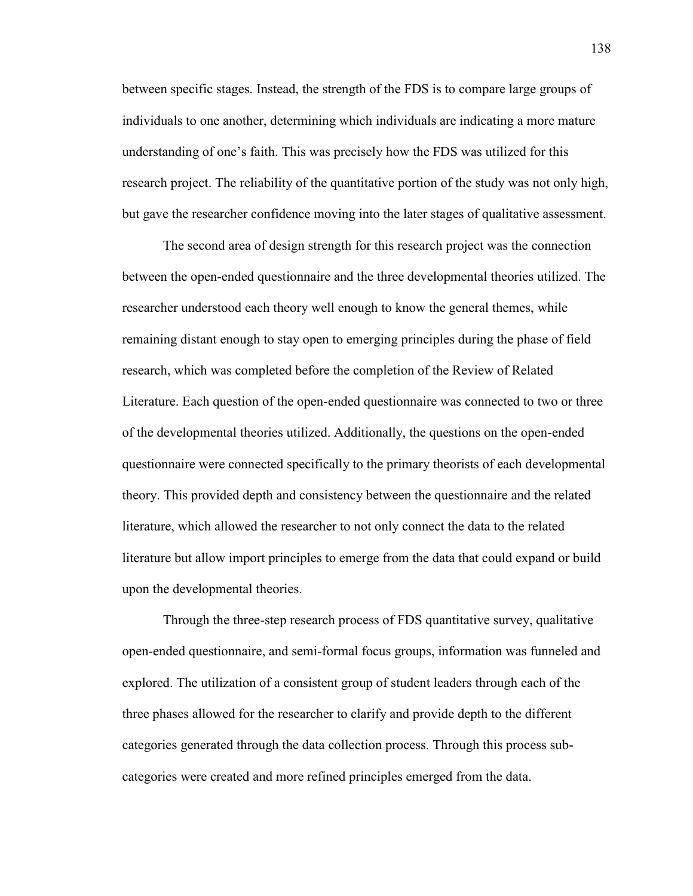between specific stages. Instead, the strength of the FDS is to compare large groups of individuals to one another, determining which individuals are indicating a more mature understanding of one's faith. This was precisely how the FDS was utilized for this research project. The reliability of the quantitative portion of the study was not only high, but gave the researcher confidence moving into the later stages of qualitative assessment.

The second area of design strength for this research project was the connection between the open-ended questionnaire and the three developmental theories utilized. The researcher understood each theory well enough to know the general themes, while remaining distant enough to stay open to emerging principles during the phase of field research, which was completed before the completion of the Review of Related Literature. Each question of the open-ended questionnaire was connected to two or three of the developmental theories utilized. Additionally, the questions on the open-ended questionnaire were connected specifically to the primary theorists of each developmental theory. This provided depth and consistency between the questionnaire and the related literature, which allowed the researcher to not only connect the data to the related literature but allow import principles to emerge from the data that could expand or build upon the developmental theories.

Through the three-step research process of FDS quantitative survey, qualitative open-ended questionnaire, and semi-formal focus groups, information was funneled and explored. The utilization of a consistent group of student leaders through each of the three phases allowed for the researcher to clarify and provide depth to the different categories generated through the data collection process. Through this process subcategories were created and more refined principles emerged from the data.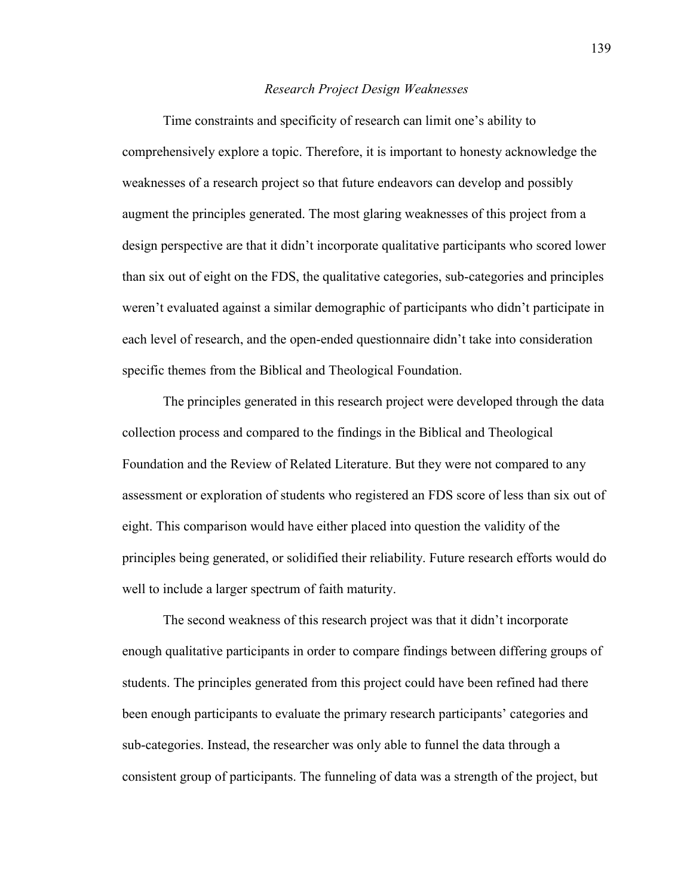#### *Research Project Design Weaknesses*

Time constraints and specificity of research can limit one's ability to comprehensively explore a topic. Therefore, it is important to honesty acknowledge the weaknesses of a research project so that future endeavors can develop and possibly augment the principles generated. The most glaring weaknesses of this project from a design perspective are that it didn't incorporate qualitative participants who scored lower than six out of eight on the FDS, the qualitative categories, sub-categories and principles weren't evaluated against a similar demographic of participants who didn't participate in each level of research, and the open-ended questionnaire didn't take into consideration specific themes from the Biblical and Theological Foundation.

The principles generated in this research project were developed through the data collection process and compared to the findings in the Biblical and Theological Foundation and the Review of Related Literature. But they were not compared to any assessment or exploration of students who registered an FDS score of less than six out of eight. This comparison would have either placed into question the validity of the principles being generated, or solidified their reliability. Future research efforts would do well to include a larger spectrum of faith maturity.

The second weakness of this research project was that it didn't incorporate enough qualitative participants in order to compare findings between differing groups of students. The principles generated from this project could have been refined had there been enough participants to evaluate the primary research participants' categories and sub-categories. Instead, the researcher was only able to funnel the data through a consistent group of participants. The funneling of data was a strength of the project, but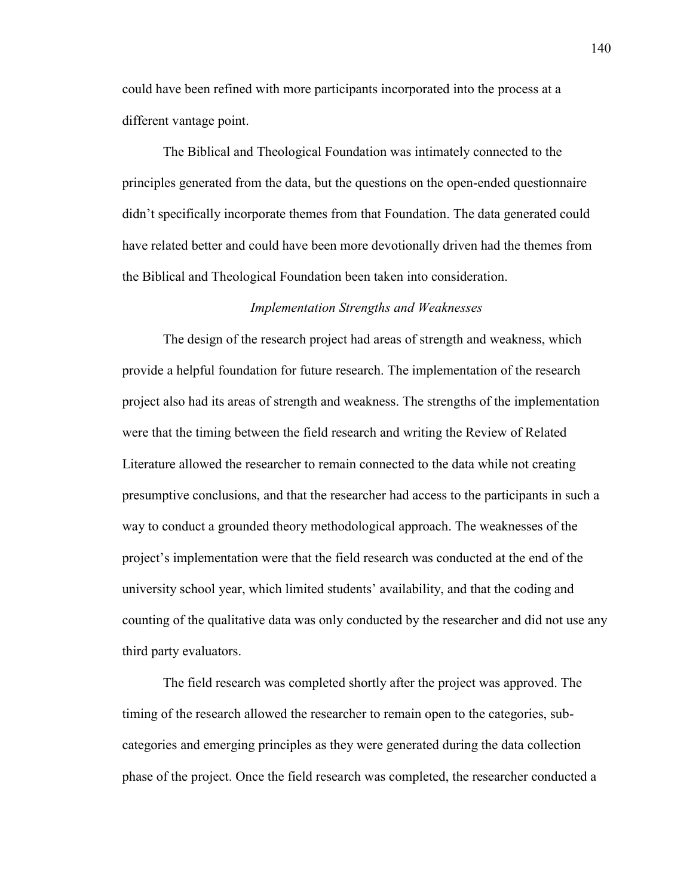could have been refined with more participants incorporated into the process at a different vantage point.

The Biblical and Theological Foundation was intimately connected to the principles generated from the data, but the questions on the open-ended questionnaire didn't specifically incorporate themes from that Foundation. The data generated could have related better and could have been more devotionally driven had the themes from the Biblical and Theological Foundation been taken into consideration.

#### *Implementation Strengths and Weaknesses*

The design of the research project had areas of strength and weakness, which provide a helpful foundation for future research. The implementation of the research project also had its areas of strength and weakness. The strengths of the implementation were that the timing between the field research and writing the Review of Related Literature allowed the researcher to remain connected to the data while not creating presumptive conclusions, and that the researcher had access to the participants in such a way to conduct a grounded theory methodological approach. The weaknesses of the project's implementation were that the field research was conducted at the end of the university school year, which limited students' availability, and that the coding and counting of the qualitative data was only conducted by the researcher and did not use any third party evaluators.

The field research was completed shortly after the project was approved. The timing of the research allowed the researcher to remain open to the categories, subcategories and emerging principles as they were generated during the data collection phase of the project. Once the field research was completed, the researcher conducted a

140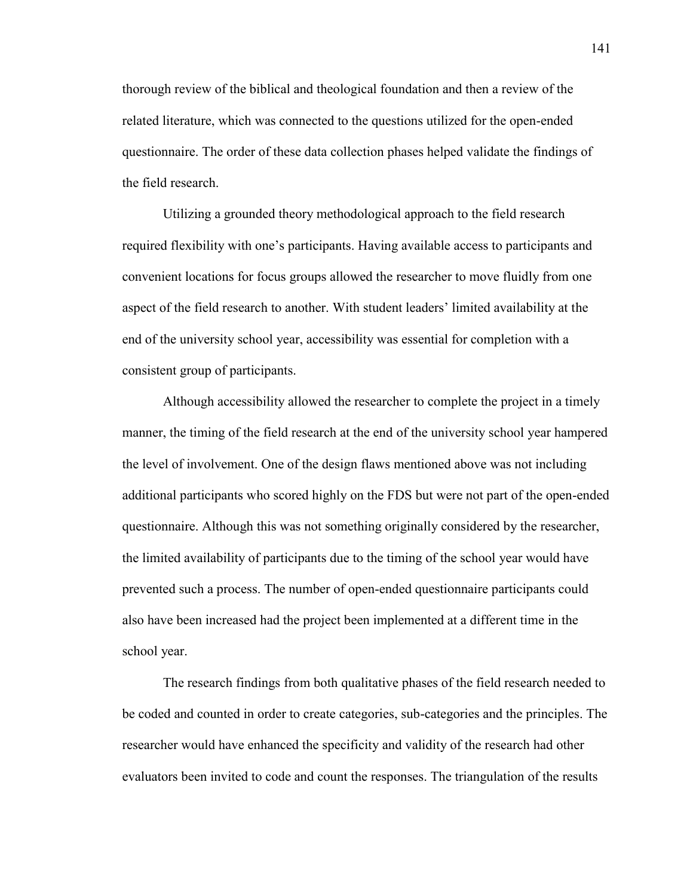thorough review of the biblical and theological foundation and then a review of the related literature, which was connected to the questions utilized for the open-ended questionnaire. The order of these data collection phases helped validate the findings of the field research.

Utilizing a grounded theory methodological approach to the field research required flexibility with one's participants. Having available access to participants and convenient locations for focus groups allowed the researcher to move fluidly from one aspect of the field research to another. With student leaders' limited availability at the end of the university school year, accessibility was essential for completion with a consistent group of participants.

Although accessibility allowed the researcher to complete the project in a timely manner, the timing of the field research at the end of the university school year hampered the level of involvement. One of the design flaws mentioned above was not including additional participants who scored highly on the FDS but were not part of the open-ended questionnaire. Although this was not something originally considered by the researcher, the limited availability of participants due to the timing of the school year would have prevented such a process. The number of open-ended questionnaire participants could also have been increased had the project been implemented at a different time in the school year.

The research findings from both qualitative phases of the field research needed to be coded and counted in order to create categories, sub-categories and the principles. The researcher would have enhanced the specificity and validity of the research had other evaluators been invited to code and count the responses. The triangulation of the results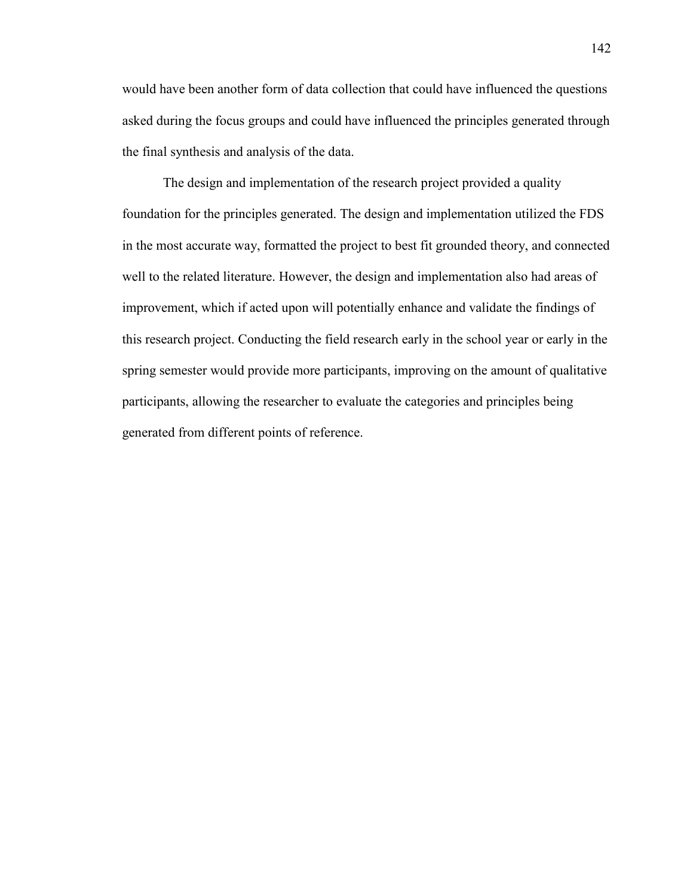would have been another form of data collection that could have influenced the questions asked during the focus groups and could have influenced the principles generated through the final synthesis and analysis of the data.

The design and implementation of the research project provided a quality foundation for the principles generated. The design and implementation utilized the FDS in the most accurate way, formatted the project to best fit grounded theory, and connected well to the related literature. However, the design and implementation also had areas of improvement, which if acted upon will potentially enhance and validate the findings of this research project. Conducting the field research early in the school year or early in the spring semester would provide more participants, improving on the amount of qualitative participants, allowing the researcher to evaluate the categories and principles being generated from different points of reference.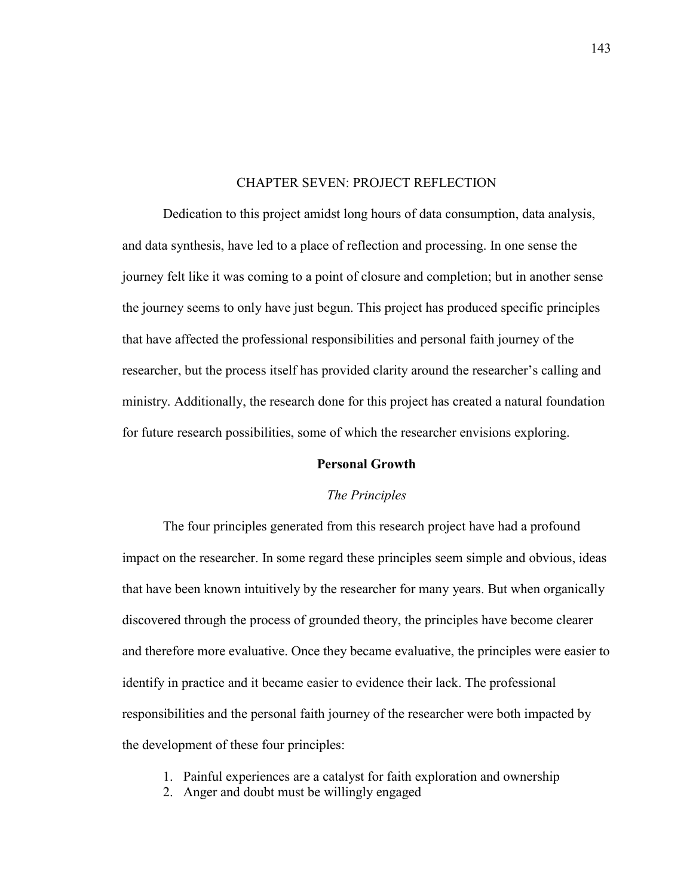#### CHAPTER SEVEN: PROJECT REFLECTION

Dedication to this project amidst long hours of data consumption, data analysis, and data synthesis, have led to a place of reflection and processing. In one sense the journey felt like it was coming to a point of closure and completion; but in another sense the journey seems to only have just begun. This project has produced specific principles that have affected the professional responsibilities and personal faith journey of the researcher, but the process itself has provided clarity around the researcher's calling and ministry. Additionally, the research done for this project has created a natural foundation for future research possibilities, some of which the researcher envisions exploring.

#### **Personal Growth**

#### *The Principles*

The four principles generated from this research project have had a profound impact on the researcher. In some regard these principles seem simple and obvious, ideas that have been known intuitively by the researcher for many years. But when organically discovered through the process of grounded theory, the principles have become clearer and therefore more evaluative. Once they became evaluative, the principles were easier to identify in practice and it became easier to evidence their lack. The professional responsibilities and the personal faith journey of the researcher were both impacted by the development of these four principles:

- 1. Painful experiences are a catalyst for faith exploration and ownership
- 2. Anger and doubt must be willingly engaged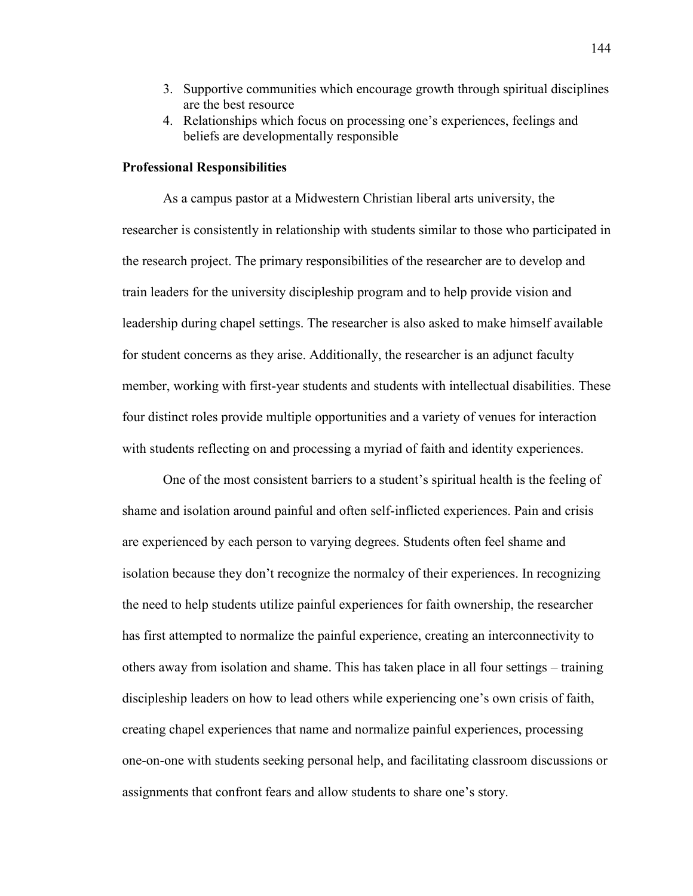- 3. Supportive communities which encourage growth through spiritual disciplines are the best resource
- 4. Relationships which focus on processing one's experiences, feelings and beliefs are developmentally responsible

## **Professional Responsibilities**

As a campus pastor at a Midwestern Christian liberal arts university, the researcher is consistently in relationship with students similar to those who participated in the research project. The primary responsibilities of the researcher are to develop and train leaders for the university discipleship program and to help provide vision and leadership during chapel settings. The researcher is also asked to make himself available for student concerns as they arise. Additionally, the researcher is an adjunct faculty member, working with first-year students and students with intellectual disabilities. These four distinct roles provide multiple opportunities and a variety of venues for interaction with students reflecting on and processing a myriad of faith and identity experiences.

One of the most consistent barriers to a student's spiritual health is the feeling of shame and isolation around painful and often self-inflicted experiences. Pain and crisis are experienced by each person to varying degrees. Students often feel shame and isolation because they don't recognize the normalcy of their experiences. In recognizing the need to help students utilize painful experiences for faith ownership, the researcher has first attempted to normalize the painful experience, creating an interconnectivity to others away from isolation and shame. This has taken place in all four settings – training discipleship leaders on how to lead others while experiencing one's own crisis of faith, creating chapel experiences that name and normalize painful experiences, processing one-on-one with students seeking personal help, and facilitating classroom discussions or assignments that confront fears and allow students to share one's story.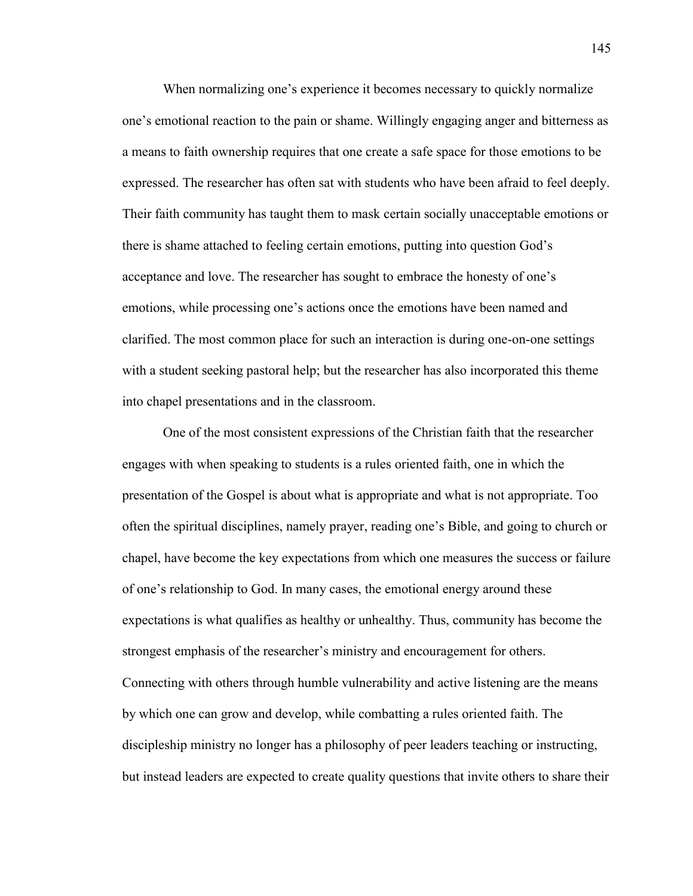When normalizing one's experience it becomes necessary to quickly normalize one's emotional reaction to the pain or shame. Willingly engaging anger and bitterness as a means to faith ownership requires that one create a safe space for those emotions to be expressed. The researcher has often sat with students who have been afraid to feel deeply. Their faith community has taught them to mask certain socially unacceptable emotions or there is shame attached to feeling certain emotions, putting into question God's acceptance and love. The researcher has sought to embrace the honesty of one's emotions, while processing one's actions once the emotions have been named and clarified. The most common place for such an interaction is during one-on-one settings with a student seeking pastoral help; but the researcher has also incorporated this theme into chapel presentations and in the classroom.

One of the most consistent expressions of the Christian faith that the researcher engages with when speaking to students is a rules oriented faith, one in which the presentation of the Gospel is about what is appropriate and what is not appropriate. Too often the spiritual disciplines, namely prayer, reading one's Bible, and going to church or chapel, have become the key expectations from which one measures the success or failure of one's relationship to God. In many cases, the emotional energy around these expectations is what qualifies as healthy or unhealthy. Thus, community has become the strongest emphasis of the researcher's ministry and encouragement for others. Connecting with others through humble vulnerability and active listening are the means by which one can grow and develop, while combatting a rules oriented faith. The discipleship ministry no longer has a philosophy of peer leaders teaching or instructing, but instead leaders are expected to create quality questions that invite others to share their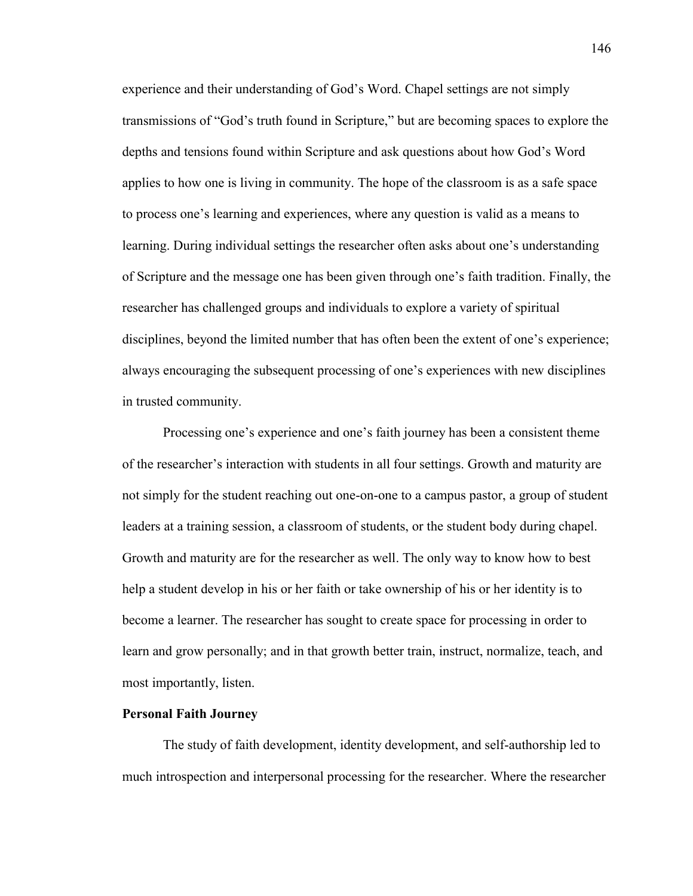experience and their understanding of God's Word. Chapel settings are not simply transmissions of "God's truth found in Scripture," but are becoming spaces to explore the depths and tensions found within Scripture and ask questions about how God's Word applies to how one is living in community. The hope of the classroom is as a safe space to process one's learning and experiences, where any question is valid as a means to learning. During individual settings the researcher often asks about one's understanding of Scripture and the message one has been given through one's faith tradition. Finally, the researcher has challenged groups and individuals to explore a variety of spiritual disciplines, beyond the limited number that has often been the extent of one's experience; always encouraging the subsequent processing of one's experiences with new disciplines in trusted community.

Processing one's experience and one's faith journey has been a consistent theme of the researcher's interaction with students in all four settings. Growth and maturity are not simply for the student reaching out one-on-one to a campus pastor, a group of student leaders at a training session, a classroom of students, or the student body during chapel. Growth and maturity are for the researcher as well. The only way to know how to best help a student develop in his or her faith or take ownership of his or her identity is to become a learner. The researcher has sought to create space for processing in order to learn and grow personally; and in that growth better train, instruct, normalize, teach, and most importantly, listen.

## **Personal Faith Journey**

The study of faith development, identity development, and self-authorship led to much introspection and interpersonal processing for the researcher. Where the researcher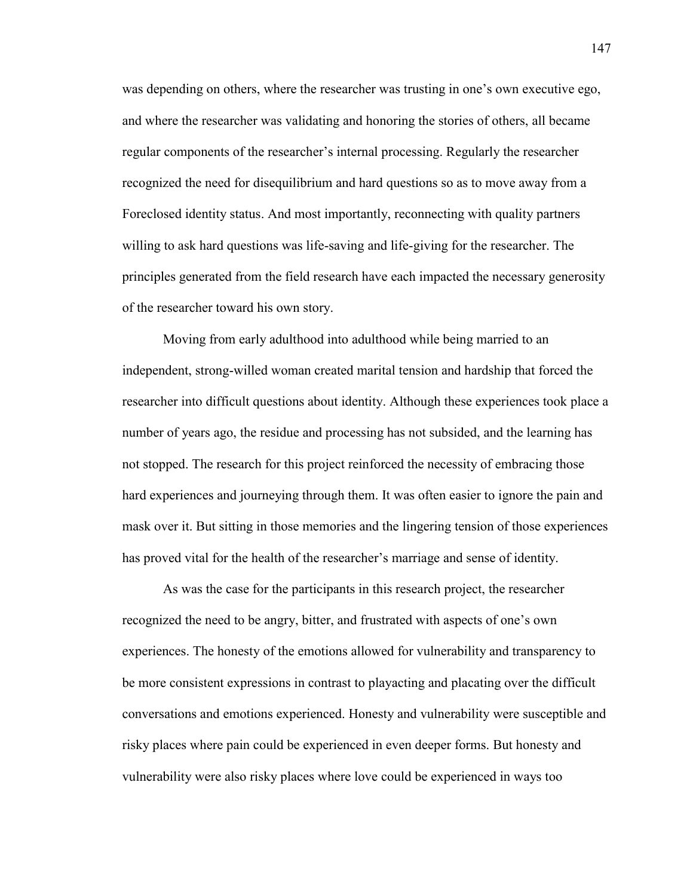was depending on others, where the researcher was trusting in one's own executive ego, and where the researcher was validating and honoring the stories of others, all became regular components of the researcher's internal processing. Regularly the researcher recognized the need for disequilibrium and hard questions so as to move away from a Foreclosed identity status. And most importantly, reconnecting with quality partners willing to ask hard questions was life-saving and life-giving for the researcher. The principles generated from the field research have each impacted the necessary generosity of the researcher toward his own story.

Moving from early adulthood into adulthood while being married to an independent, strong-willed woman created marital tension and hardship that forced the researcher into difficult questions about identity. Although these experiences took place a number of years ago, the residue and processing has not subsided, and the learning has not stopped. The research for this project reinforced the necessity of embracing those hard experiences and journeying through them. It was often easier to ignore the pain and mask over it. But sitting in those memories and the lingering tension of those experiences has proved vital for the health of the researcher's marriage and sense of identity.

As was the case for the participants in this research project, the researcher recognized the need to be angry, bitter, and frustrated with aspects of one's own experiences. The honesty of the emotions allowed for vulnerability and transparency to be more consistent expressions in contrast to playacting and placating over the difficult conversations and emotions experienced. Honesty and vulnerability were susceptible and risky places where pain could be experienced in even deeper forms. But honesty and vulnerability were also risky places where love could be experienced in ways too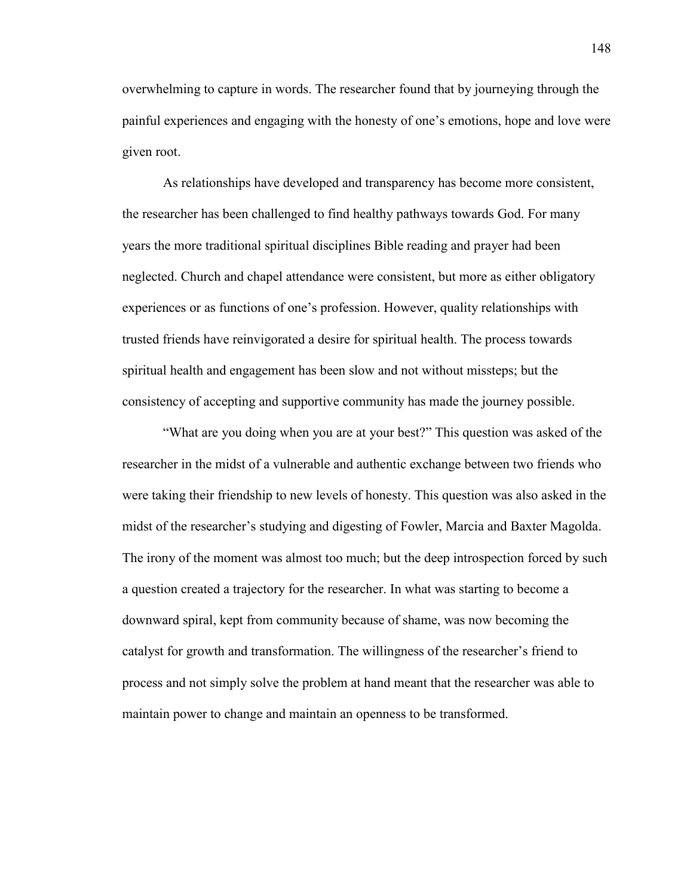overwhelming to capture in words. The researcher found that by journeying through the painful experiences and engaging with the honesty of one's emotions, hope and love were given root.

As relationships have developed and transparency has become more consistent, the researcher has been challenged to find healthy pathways towards God. For many years the more traditional spiritual disciplines Bible reading and prayer had been neglected. Church and chapel attendance were consistent, but more as either obligatory experiences or as functions of one's profession. However, quality relationships with trusted friends have reinvigorated a desire for spiritual health. The process towards spiritual health and engagement has been slow and not without missteps; but the consistency of accepting and supportive community has made the journey possible.

"What are you doing when you are at your best?" This question was asked of the researcher in the midst of a vulnerable and authentic exchange between two friends who were taking their friendship to new levels of honesty. This question was also asked in the midst of the researcher's studying and digesting of Fowler, Marcia and Baxter Magolda. The irony of the moment was almost too much; but the deep introspection forced by such a question created a trajectory for the researcher. In what was starting to become a downward spiral, kept from community because of shame, was now becoming the catalyst for growth and transformation. The willingness of the researcher's friend to process and not simply solve the problem at hand meant that the researcher was able to maintain power to change and maintain an openness to be transformed.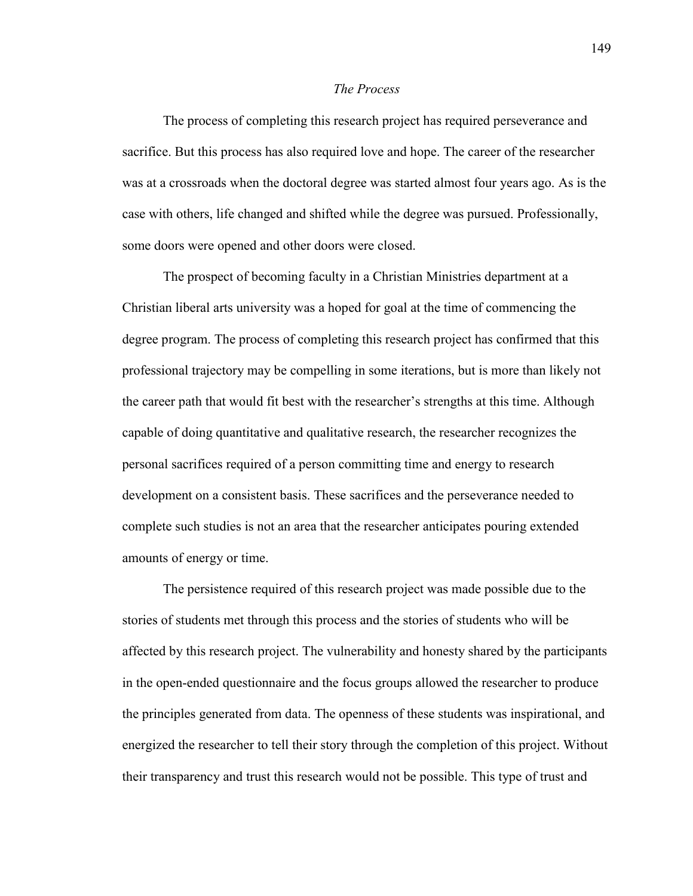## *The Process*

The process of completing this research project has required perseverance and sacrifice. But this process has also required love and hope. The career of the researcher was at a crossroads when the doctoral degree was started almost four years ago. As is the case with others, life changed and shifted while the degree was pursued. Professionally, some doors were opened and other doors were closed.

The prospect of becoming faculty in a Christian Ministries department at a Christian liberal arts university was a hoped for goal at the time of commencing the degree program. The process of completing this research project has confirmed that this professional trajectory may be compelling in some iterations, but is more than likely not the career path that would fit best with the researcher's strengths at this time. Although capable of doing quantitative and qualitative research, the researcher recognizes the personal sacrifices required of a person committing time and energy to research development on a consistent basis. These sacrifices and the perseverance needed to complete such studies is not an area that the researcher anticipates pouring extended amounts of energy or time.

The persistence required of this research project was made possible due to the stories of students met through this process and the stories of students who will be affected by this research project. The vulnerability and honesty shared by the participants in the open-ended questionnaire and the focus groups allowed the researcher to produce the principles generated from data. The openness of these students was inspirational, and energized the researcher to tell their story through the completion of this project. Without their transparency and trust this research would not be possible. This type of trust and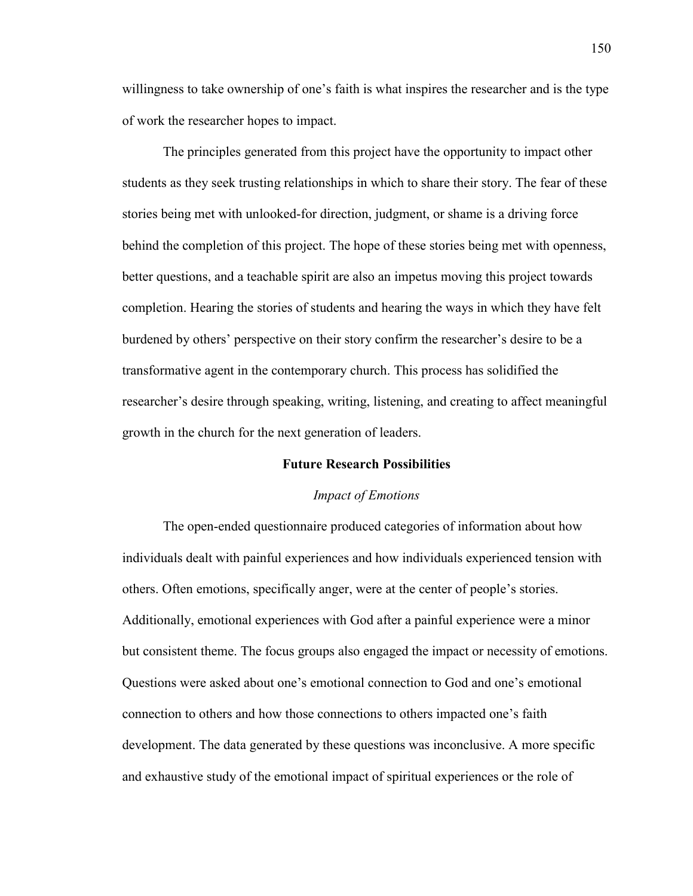willingness to take ownership of one's faith is what inspires the researcher and is the type of work the researcher hopes to impact.

The principles generated from this project have the opportunity to impact other students as they seek trusting relationships in which to share their story. The fear of these stories being met with unlooked-for direction, judgment, or shame is a driving force behind the completion of this project. The hope of these stories being met with openness, better questions, and a teachable spirit are also an impetus moving this project towards completion. Hearing the stories of students and hearing the ways in which they have felt burdened by others' perspective on their story confirm the researcher's desire to be a transformative agent in the contemporary church. This process has solidified the researcher's desire through speaking, writing, listening, and creating to affect meaningful growth in the church for the next generation of leaders.

## **Future Research Possibilities**

#### *Impact of Emotions*

The open-ended questionnaire produced categories of information about how individuals dealt with painful experiences and how individuals experienced tension with others. Often emotions, specifically anger, were at the center of people's stories. Additionally, emotional experiences with God after a painful experience were a minor but consistent theme. The focus groups also engaged the impact or necessity of emotions. Questions were asked about one's emotional connection to God and one's emotional connection to others and how those connections to others impacted one's faith development. The data generated by these questions was inconclusive. A more specific and exhaustive study of the emotional impact of spiritual experiences or the role of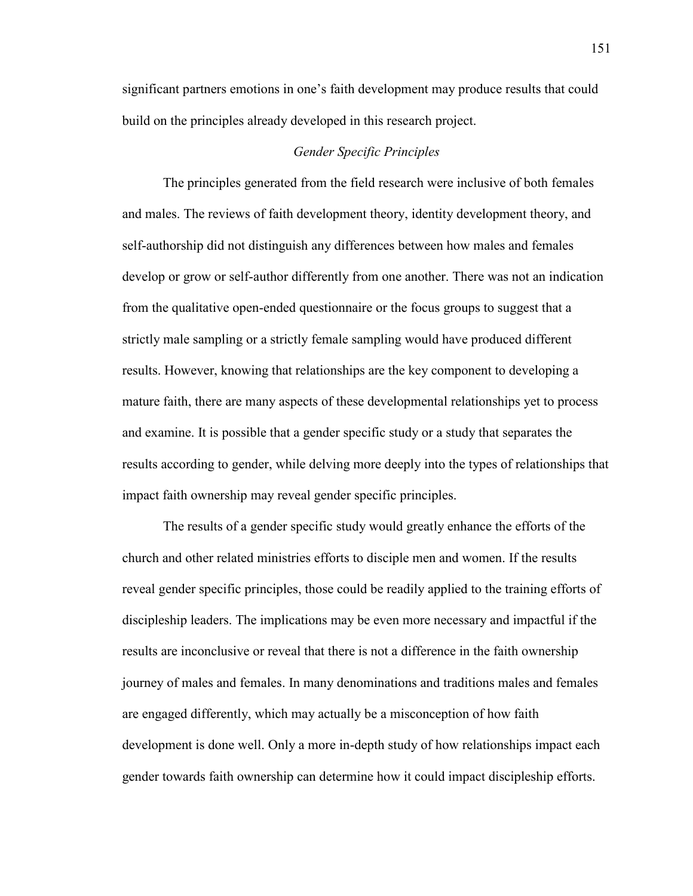significant partners emotions in one's faith development may produce results that could build on the principles already developed in this research project.

## *Gender Specific Principles*

The principles generated from the field research were inclusive of both females and males. The reviews of faith development theory, identity development theory, and self-authorship did not distinguish any differences between how males and females develop or grow or self-author differently from one another. There was not an indication from the qualitative open-ended questionnaire or the focus groups to suggest that a strictly male sampling or a strictly female sampling would have produced different results. However, knowing that relationships are the key component to developing a mature faith, there are many aspects of these developmental relationships yet to process and examine. It is possible that a gender specific study or a study that separates the results according to gender, while delving more deeply into the types of relationships that impact faith ownership may reveal gender specific principles.

The results of a gender specific study would greatly enhance the efforts of the church and other related ministries efforts to disciple men and women. If the results reveal gender specific principles, those could be readily applied to the training efforts of discipleship leaders. The implications may be even more necessary and impactful if the results are inconclusive or reveal that there is not a difference in the faith ownership journey of males and females. In many denominations and traditions males and females are engaged differently, which may actually be a misconception of how faith development is done well. Only a more in-depth study of how relationships impact each gender towards faith ownership can determine how it could impact discipleship efforts.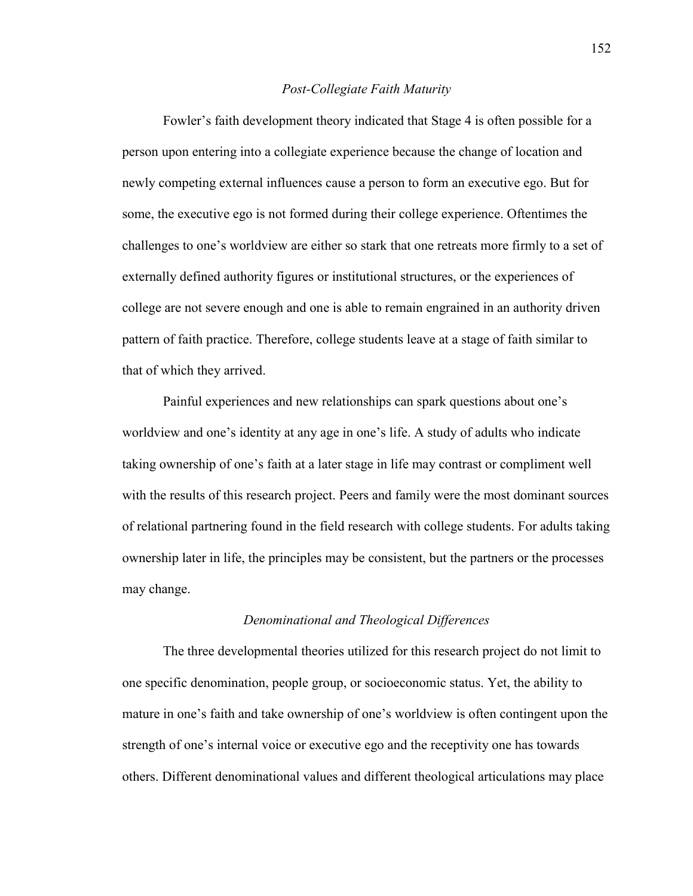#### *Post-Collegiate Faith Maturity*

Fowler's faith development theory indicated that Stage 4 is often possible for a person upon entering into a collegiate experience because the change of location and newly competing external influences cause a person to form an executive ego. But for some, the executive ego is not formed during their college experience. Oftentimes the challenges to one's worldview are either so stark that one retreats more firmly to a set of externally defined authority figures or institutional structures, or the experiences of college are not severe enough and one is able to remain engrained in an authority driven pattern of faith practice. Therefore, college students leave at a stage of faith similar to that of which they arrived.

Painful experiences and new relationships can spark questions about one's worldview and one's identity at any age in one's life. A study of adults who indicate taking ownership of one's faith at a later stage in life may contrast or compliment well with the results of this research project. Peers and family were the most dominant sources of relational partnering found in the field research with college students. For adults taking ownership later in life, the principles may be consistent, but the partners or the processes may change.

#### *Denominational and Theological Differences*

The three developmental theories utilized for this research project do not limit to one specific denomination, people group, or socioeconomic status. Yet, the ability to mature in one's faith and take ownership of one's worldview is often contingent upon the strength of one's internal voice or executive ego and the receptivity one has towards others. Different denominational values and different theological articulations may place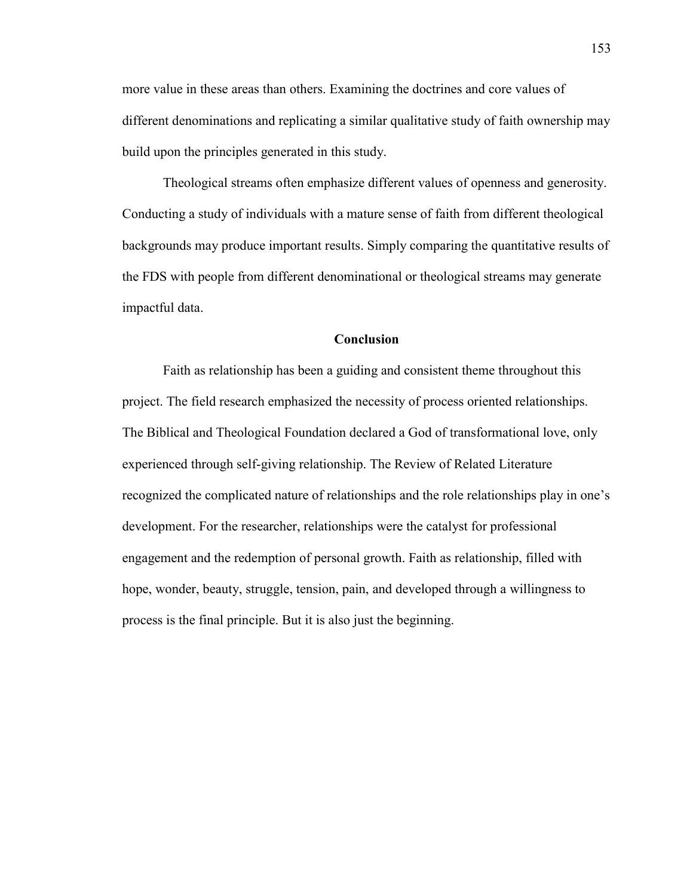more value in these areas than others. Examining the doctrines and core values of different denominations and replicating a similar qualitative study of faith ownership may build upon the principles generated in this study.

Theological streams often emphasize different values of openness and generosity. Conducting a study of individuals with a mature sense of faith from different theological backgrounds may produce important results. Simply comparing the quantitative results of the FDS with people from different denominational or theological streams may generate impactful data.

## **Conclusion**

Faith as relationship has been a guiding and consistent theme throughout this project. The field research emphasized the necessity of process oriented relationships. The Biblical and Theological Foundation declared a God of transformational love, only experienced through self-giving relationship. The Review of Related Literature recognized the complicated nature of relationships and the role relationships play in one's development. For the researcher, relationships were the catalyst for professional engagement and the redemption of personal growth. Faith as relationship, filled with hope, wonder, beauty, struggle, tension, pain, and developed through a willingness to process is the final principle. But it is also just the beginning.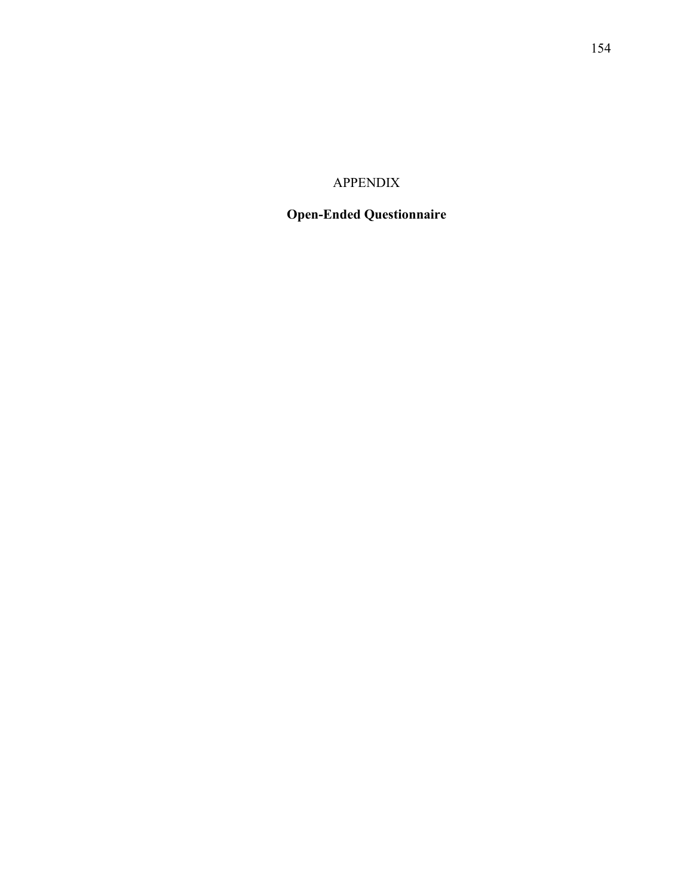## APPENDIX

# **Open-Ended Questionnaire**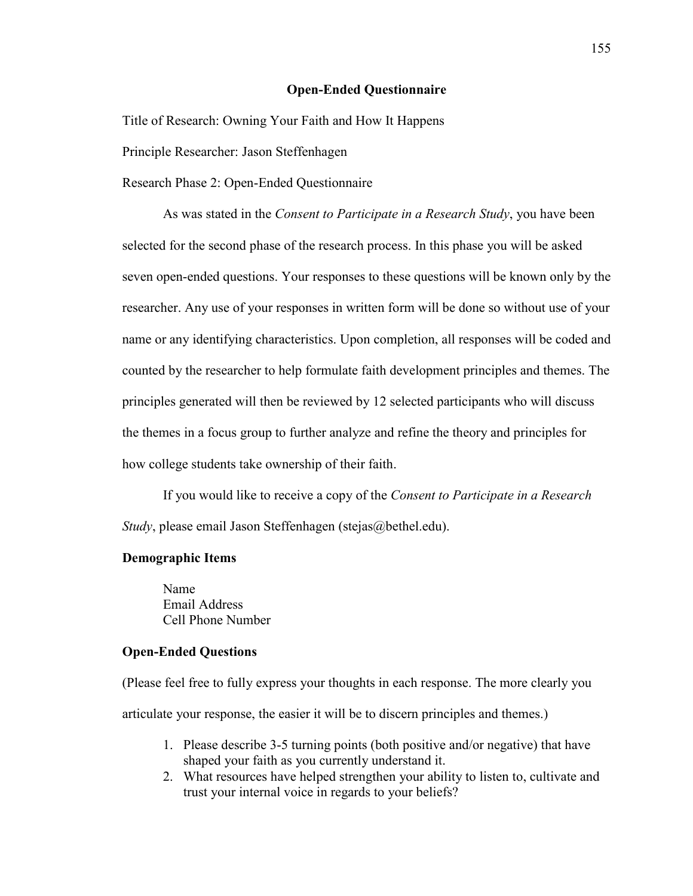## **Open-Ended Questionnaire**

Title of Research: Owning Your Faith and How It Happens

Principle Researcher: Jason Steffenhagen

Research Phase 2: Open-Ended Questionnaire

As was stated in the *Consent to Participate in a Research Study*, you have been selected for the second phase of the research process. In this phase you will be asked seven open-ended questions. Your responses to these questions will be known only by the researcher. Any use of your responses in written form will be done so without use of your name or any identifying characteristics. Upon completion, all responses will be coded and counted by the researcher to help formulate faith development principles and themes. The principles generated will then be reviewed by 12 selected participants who will discuss the themes in a focus group to further analyze and refine the theory and principles for how college students take ownership of their faith.

If you would like to receive a copy of the *Consent to Participate in a Research Study*, please email Jason Steffenhagen (stejas@bethel.edu).

#### **Demographic Items**

Name Email Address Cell Phone Number

#### **Open-Ended Questions**

(Please feel free to fully express your thoughts in each response. The more clearly you articulate your response, the easier it will be to discern principles and themes.)

- 1. Please describe 3-5 turning points (both positive and/or negative) that have shaped your faith as you currently understand it.
- 2. What resources have helped strengthen your ability to listen to, cultivate and trust your internal voice in regards to your beliefs?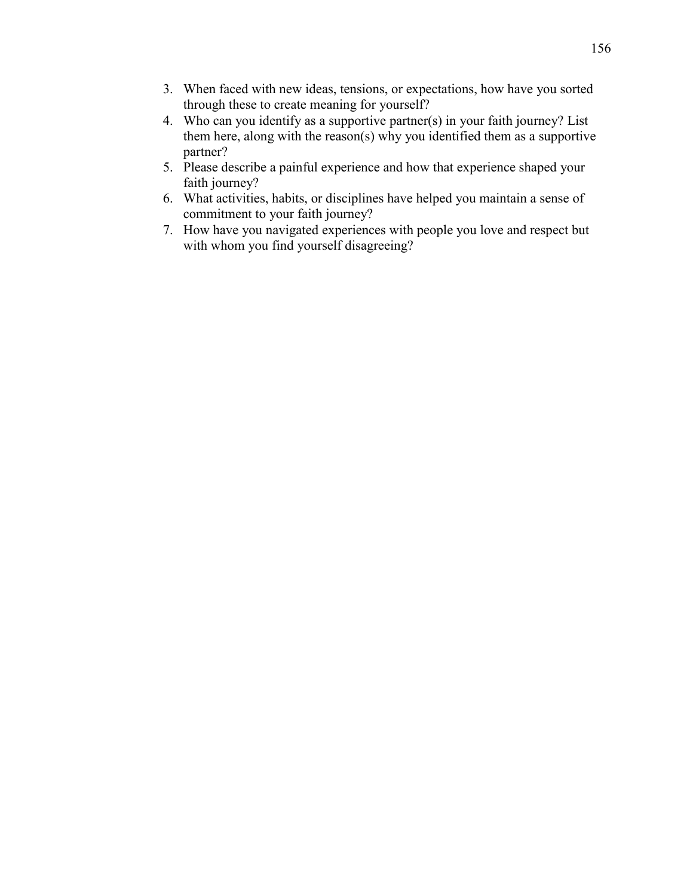- 3. When faced with new ideas, tensions, or expectations, how have you sorted through these to create meaning for yourself?
- 4. Who can you identify as a supportive partner(s) in your faith journey? List them here, along with the reason(s) why you identified them as a supportive partner?
- 5. Please describe a painful experience and how that experience shaped your faith journey?
- 6. What activities, habits, or disciplines have helped you maintain a sense of commitment to your faith journey?
- 7. How have you navigated experiences with people you love and respect but with whom you find yourself disagreeing?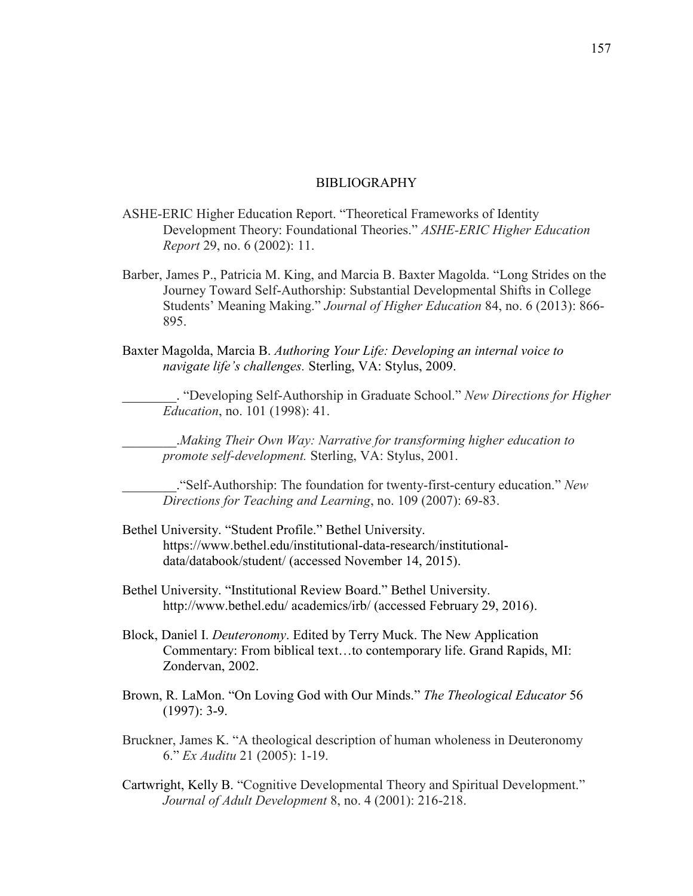## BIBLIOGRAPHY

- ASHE-ERIC Higher Education Report. "Theoretical Frameworks of Identity Development Theory: Foundational Theories." *ASHE-ERIC Higher Education Report* 29, no. 6 (2002): 11.
- Barber, James P., Patricia M. King, and Marcia B. Baxter Magolda. "Long Strides on the Journey Toward Self-Authorship: Substantial Developmental Shifts in College Students' Meaning Making." *Journal of Higher Education* 84, no. 6 (2013): 866- 895.
- Baxter Magolda, Marcia B. *Authoring Your Life: Developing an internal voice to navigate life's challenges.* Sterling, VA: Stylus, 2009.

\_\_\_\_\_\_\_\_. "Developing Self-Authorship in Graduate School." *New Directions for Higher Education*, no. 101 (1998): 41.

\_\_\_\_\_\_\_\_.*Making Their Own Way: Narrative for transforming higher education to promote self-development.* Sterling, VA: Stylus, 2001.

\_\_\_\_\_\_\_\_."Self-Authorship: The foundation for twenty-first-century education." *New Directions for Teaching and Learning*, no. 109 (2007): 69-83.

- Bethel University. "Student Profile." Bethel University. https://www.bethel.edu/institutional-data-research/institutionaldata/databook/student/ (accessed November 14, 2015).
- Bethel University. "Institutional Review Board." Bethel University. http://www.bethel.edu/ academics/irb/ (accessed February 29, 2016).
- Block, Daniel I. *Deuteronomy*. Edited by Terry Muck. The New Application Commentary: From biblical text…to contemporary life. Grand Rapids, MI: Zondervan, 2002.
- Brown, R. LaMon. "On Loving God with Our Minds." *The Theological Educator* 56 (1997): 3-9.
- Bruckner, James K. "A theological description of human wholeness in Deuteronomy 6." *Ex Auditu* 21 (2005): 1-19.
- Cartwright, Kelly B. "Cognitive Developmental Theory and Spiritual Development." *Journal of Adult Development* 8, no. 4 (2001): 216-218.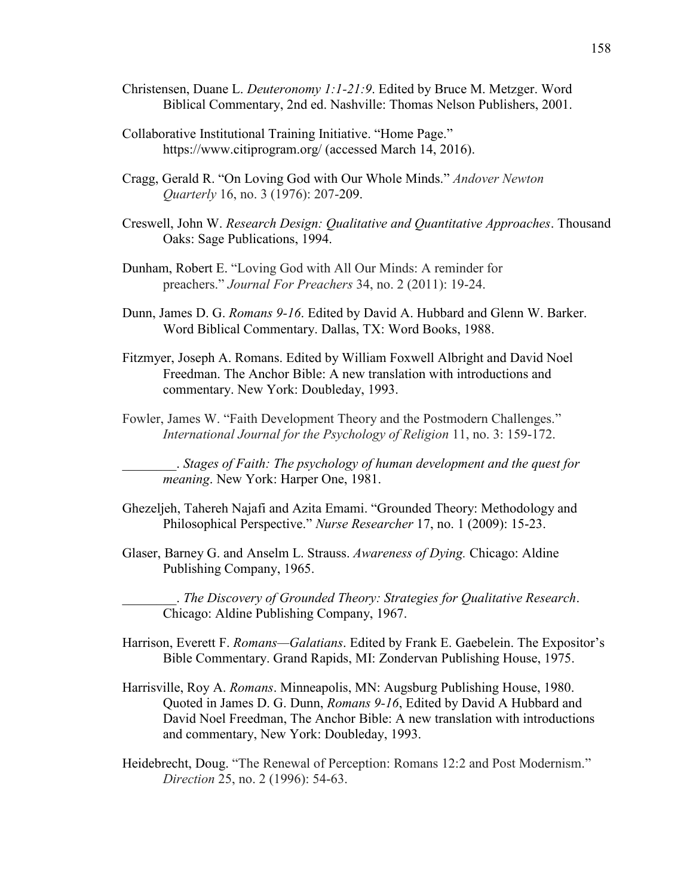- Christensen, Duane L. *Deuteronomy 1:1-21:9*. Edited by Bruce M. Metzger. Word Biblical Commentary, 2nd ed. Nashville: Thomas Nelson Publishers, 2001.
- Collaborative Institutional Training Initiative. "Home Page." https://www.citiprogram.org/ (accessed March 14, 2016).
- Cragg, Gerald R. "On Loving God with Our Whole Minds." *Andover Newton Quarterly* 16, no. 3 (1976): 207-209.
- Creswell, John W. *Research Design: Qualitative and Quantitative Approaches*. Thousand Oaks: Sage Publications, 1994.
- Dunham, Robert E. "Loving God with All Our Minds: A reminder for preachers." *Journal For Preachers* 34, no. 2 (2011): 19-24.
- Dunn, James D. G. *Romans 9-16*. Edited by David A. Hubbard and Glenn W. Barker. Word Biblical Commentary. Dallas, TX: Word Books, 1988.
- Fitzmyer, Joseph A. Romans. Edited by William Foxwell Albright and David Noel Freedman. The Anchor Bible: A new translation with introductions and commentary. New York: Doubleday, 1993.
- Fowler, James W. "Faith Development Theory and the Postmodern Challenges." *International Journal for the Psychology of Religion* 11, no. 3: 159-172.

\_\_\_\_\_\_\_\_. *Stages of Faith: The psychology of human development and the quest for meaning*. New York: Harper One, 1981.

- Ghezeljeh, Tahereh Najafi and Azita Emami. "Grounded Theory: Methodology and Philosophical Perspective." *Nurse Researcher* 17, no. 1 (2009): 15-23.
- Glaser, Barney G. and Anselm L. Strauss. *Awareness of Dying.* Chicago: Aldine Publishing Company, 1965.

\_\_\_\_\_\_\_\_. *The Discovery of Grounded Theory: Strategies for Qualitative Research*. Chicago: Aldine Publishing Company, 1967.

- Harrison, Everett F. *Romans—Galatians*. Edited by Frank E. Gaebelein. The Expositor's Bible Commentary. Grand Rapids, MI: Zondervan Publishing House, 1975.
- Harrisville, Roy A. *Romans*. Minneapolis, MN: Augsburg Publishing House, 1980. Quoted in James D. G. Dunn, *Romans 9-16*, Edited by David A Hubbard and David Noel Freedman, The Anchor Bible: A new translation with introductions and commentary, New York: Doubleday, 1993.
- Heidebrecht, Doug. "The Renewal of Perception: Romans 12:2 and Post Modernism." *Direction* 25, no. 2 (1996): 54-63.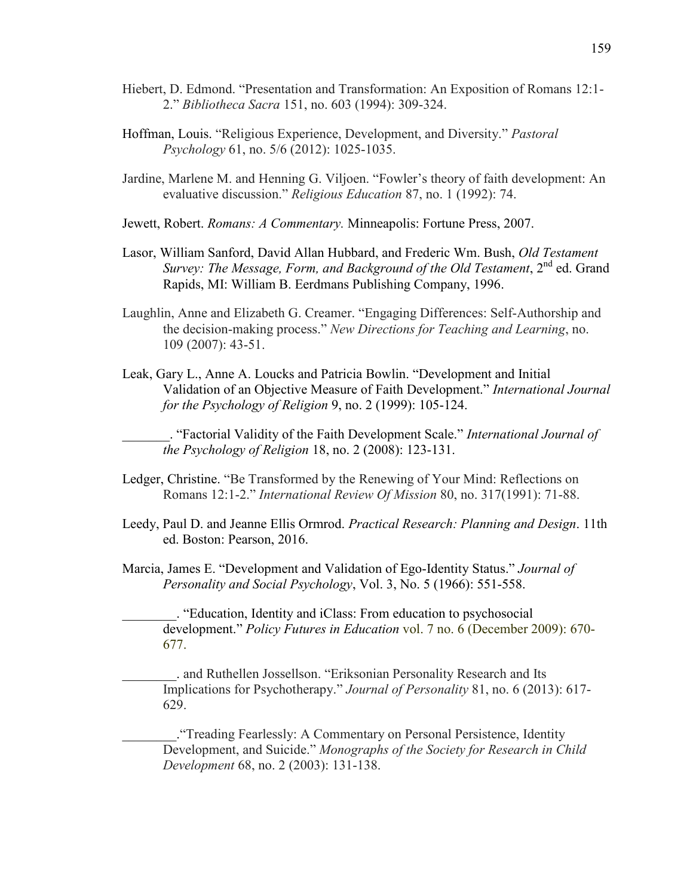- Hiebert, D. Edmond. "Presentation and Transformation: An Exposition of Romans 12:1- 2." *Bibliotheca Sacra* 151, no. 603 (1994): 309-324.
- Hoffman, Louis. "Religious Experience, Development, and Diversity." *Pastoral Psychology* 61, no. 5/6 (2012): 1025-1035.
- Jardine, Marlene M. and Henning G. Viljoen. "Fowler's theory of faith development: An evaluative discussion." *Religious Education* 87, no. 1 (1992): 74.
- Jewett, Robert. *Romans: A Commentary.* Minneapolis: Fortune Press, 2007.
- Lasor, William Sanford, David Allan Hubbard, and Frederic Wm. Bush, *Old Testament Survey: The Message, Form, and Background of the Old Testament,* 2<sup>nd</sup> ed. Grand Rapids, MI: William B. Eerdmans Publishing Company, 1996.
- Laughlin, Anne and Elizabeth G. Creamer. "Engaging Differences: Self-Authorship and the decision-making process." *New Directions for Teaching and Learning*, no. 109 (2007): 43-51.
- Leak, Gary L., Anne A. Loucks and Patricia Bowlin. "Development and Initial Validation of an Objective Measure of Faith Development." *International Journal for the Psychology of Religion* 9, no. 2 (1999): 105-124.

\_\_\_\_\_\_\_. "Factorial Validity of the Faith Development Scale." *International Journal of the Psychology of Religion* 18, no. 2 (2008): 123-131.

- Ledger, Christine. "Be Transformed by the Renewing of Your Mind: Reflections on Romans 12:1-2." *International Review Of Mission* 80, no. 317(1991): 71-88.
- Leedy, Paul D. and Jeanne Ellis Ormrod. *Practical Research: Planning and Design*. 11th ed. Boston: Pearson, 2016.
- Marcia, James E. "Development and Validation of Ego-Identity Status." *Journal of Personality and Social Psychology*, Vol. 3, No. 5 (1966): 551-558.

\_\_\_\_\_\_\_\_. "Education, Identity and iClass: From education to psychosocial development." *Policy Futures in Education* vol. 7 no. 6 (December 2009): 670- 677.

\_\_\_\_\_\_\_\_. and Ruthellen Jossellson. "Eriksonian Personality Research and Its Implications for Psychotherapy." *Journal of Personality* 81, no. 6 (2013): 617- 629.

\_\_\_\_\_\_\_\_."Treading Fearlessly: A Commentary on Personal Persistence, Identity Development, and Suicide." *Monographs of the Society for Research in Child Development* 68, no. 2 (2003): 131-138.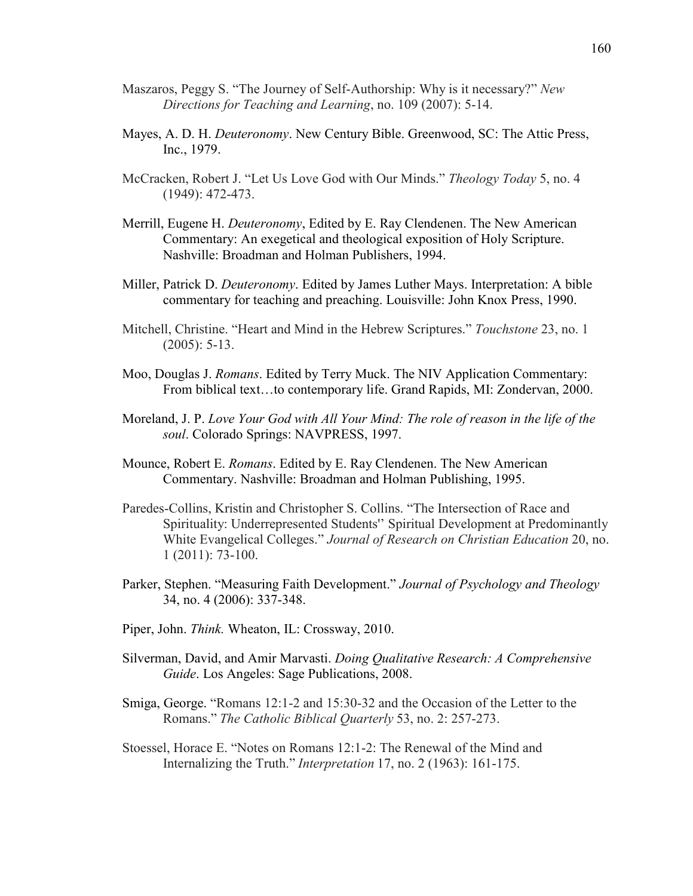- Maszaros, Peggy S. "The Journey of Self-Authorship: Why is it necessary?" *New Directions for Teaching and Learning*, no. 109 (2007): 5-14.
- Mayes, A. D. H. *Deuteronomy*. New Century Bible. Greenwood, SC: The Attic Press, Inc., 1979.
- McCracken, Robert J. "Let Us Love God with Our Minds." *Theology Today* 5, no. 4 (1949): 472-473.
- Merrill, Eugene H. *Deuteronomy*, Edited by E. Ray Clendenen. The New American Commentary: An exegetical and theological exposition of Holy Scripture. Nashville: Broadman and Holman Publishers, 1994.
- Miller, Patrick D. *Deuteronomy*. Edited by James Luther Mays. Interpretation: A bible commentary for teaching and preaching. Louisville: John Knox Press, 1990.
- Mitchell, Christine. "Heart and Mind in the Hebrew Scriptures." *Touchstone* 23, no. 1 (2005): 5-13.
- Moo, Douglas J. *Romans*. Edited by Terry Muck. The NIV Application Commentary: From biblical text…to contemporary life. Grand Rapids, MI: Zondervan, 2000.
- Moreland, J. P. *Love Your God with All Your Mind: The role of reason in the life of the soul*. Colorado Springs: NAVPRESS, 1997.
- Mounce, Robert E. *Romans*. Edited by E. Ray Clendenen. The New American Commentary. Nashville: Broadman and Holman Publishing, 1995.
- Paredes-Collins, Kristin and Christopher S. Collins. "The Intersection of Race and Spirituality: Underrepresented Students'' Spiritual Development at Predominantly White Evangelical Colleges." *Journal of Research on Christian Education* 20, no. 1 (2011): 73-100.
- Parker, Stephen. "Measuring Faith Development." *Journal of Psychology and Theology* 34, no. 4 (2006): 337-348.
- Piper, John. *Think.* Wheaton, IL: Crossway, 2010.
- Silverman, David, and Amir Marvasti. *Doing Qualitative Research: A Comprehensive Guide*. Los Angeles: Sage Publications, 2008.
- Smiga, George. "Romans 12:1-2 and 15:30-32 and the Occasion of the Letter to the Romans." *The Catholic Biblical Quarterly* 53, no. 2: 257-273.
- Stoessel, Horace E. "Notes on Romans 12:1-2: The Renewal of the Mind and Internalizing the Truth." *Interpretation* 17, no. 2 (1963): 161-175.